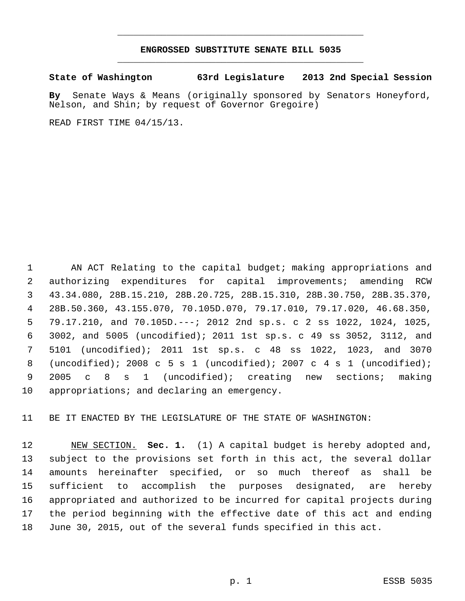### **ENGROSSED SUBSTITUTE SENATE BILL 5035** \_\_\_\_\_\_\_\_\_\_\_\_\_\_\_\_\_\_\_\_\_\_\_\_\_\_\_\_\_\_\_\_\_\_\_\_\_\_\_\_\_\_\_\_\_

\_\_\_\_\_\_\_\_\_\_\_\_\_\_\_\_\_\_\_\_\_\_\_\_\_\_\_\_\_\_\_\_\_\_\_\_\_\_\_\_\_\_\_\_\_

**State of Washington 63rd Legislature 2013 2nd Special Session**

**By** Senate Ways & Means (originally sponsored by Senators Honeyford, Nelson, and Shin; by request of Governor Gregoire)

READ FIRST TIME 04/15/13.

 AN ACT Relating to the capital budget; making appropriations and authorizing expenditures for capital improvements; amending RCW 43.34.080, 28B.15.210, 28B.20.725, 28B.15.310, 28B.30.750, 28B.35.370, 28B.50.360, 43.155.070, 70.105D.070, 79.17.010, 79.17.020, 46.68.350, 79.17.210, and 70.105D.---; 2012 2nd sp.s. c 2 ss 1022, 1024, 1025, 3002, and 5005 (uncodified); 2011 1st sp.s. c 49 ss 3052, 3112, and 5101 (uncodified); 2011 1st sp.s. c 48 ss 1022, 1023, and 3070 (uncodified); 2008 c 5 s 1 (uncodified); 2007 c 4 s 1 (uncodified); 2005 c 8 s 1 (uncodified); creating new sections; making appropriations; and declaring an emergency.

BE IT ENACTED BY THE LEGISLATURE OF THE STATE OF WASHINGTON:

 NEW SECTION. **Sec. 1.** (1) A capital budget is hereby adopted and, subject to the provisions set forth in this act, the several dollar amounts hereinafter specified, or so much thereof as shall be sufficient to accomplish the purposes designated, are hereby appropriated and authorized to be incurred for capital projects during the period beginning with the effective date of this act and ending June 30, 2015, out of the several funds specified in this act.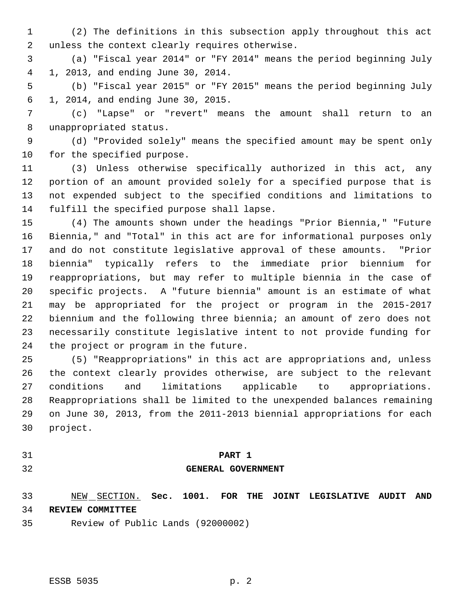- (2) The definitions in this subsection apply throughout this act unless the context clearly requires otherwise.
- (a) "Fiscal year 2014" or "FY 2014" means the period beginning July 1, 2013, and ending June 30, 2014.
- (b) "Fiscal year 2015" or "FY 2015" means the period beginning July 1, 2014, and ending June 30, 2015.
- (c) "Lapse" or "revert" means the amount shall return to an unappropriated status.
- (d) "Provided solely" means the specified amount may be spent only for the specified purpose.
- (3) Unless otherwise specifically authorized in this act, any portion of an amount provided solely for a specified purpose that is not expended subject to the specified conditions and limitations to fulfill the specified purpose shall lapse.
- (4) The amounts shown under the headings "Prior Biennia," "Future Biennia," and "Total" in this act are for informational purposes only and do not constitute legislative approval of these amounts. "Prior biennia" typically refers to the immediate prior biennium for reappropriations, but may refer to multiple biennia in the case of specific projects. A "future biennia" amount is an estimate of what may be appropriated for the project or program in the 2015-2017 biennium and the following three biennia; an amount of zero does not necessarily constitute legislative intent to not provide funding for the project or program in the future.
- (5) "Reappropriations" in this act are appropriations and, unless the context clearly provides otherwise, are subject to the relevant conditions and limitations applicable to appropriations. Reappropriations shall be limited to the unexpended balances remaining on June 30, 2013, from the 2011-2013 biennial appropriations for each project.
- 

#### **PART 1**

#### **GENERAL GOVERNMENT**

 NEW SECTION. **Sec. 1001. FOR THE JOINT LEGISLATIVE AUDIT AND REVIEW COMMITTEE**

Review of Public Lands (92000002)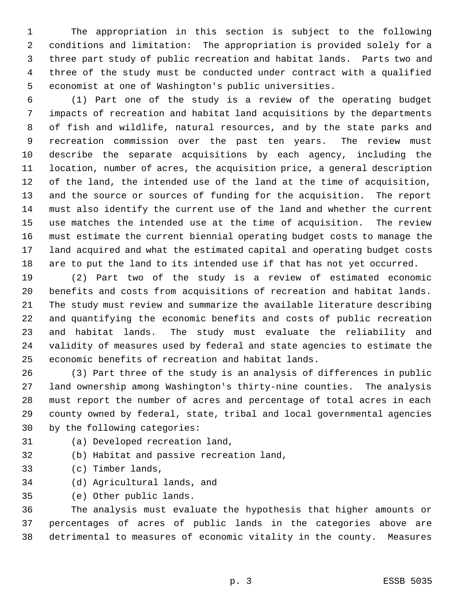The appropriation in this section is subject to the following conditions and limitation: The appropriation is provided solely for a three part study of public recreation and habitat lands. Parts two and three of the study must be conducted under contract with a qualified economist at one of Washington's public universities.

 (1) Part one of the study is a review of the operating budget impacts of recreation and habitat land acquisitions by the departments of fish and wildlife, natural resources, and by the state parks and recreation commission over the past ten years. The review must describe the separate acquisitions by each agency, including the location, number of acres, the acquisition price, a general description of the land, the intended use of the land at the time of acquisition, and the source or sources of funding for the acquisition. The report must also identify the current use of the land and whether the current use matches the intended use at the time of acquisition. The review must estimate the current biennial operating budget costs to manage the land acquired and what the estimated capital and operating budget costs are to put the land to its intended use if that has not yet occurred.

 (2) Part two of the study is a review of estimated economic benefits and costs from acquisitions of recreation and habitat lands. The study must review and summarize the available literature describing and quantifying the economic benefits and costs of public recreation and habitat lands. The study must evaluate the reliability and validity of measures used by federal and state agencies to estimate the economic benefits of recreation and habitat lands.

 (3) Part three of the study is an analysis of differences in public land ownership among Washington's thirty-nine counties. The analysis must report the number of acres and percentage of total acres in each county owned by federal, state, tribal and local governmental agencies by the following categories:

(a) Developed recreation land,

(b) Habitat and passive recreation land,

- (c) Timber lands,
- (d) Agricultural lands, and

(e) Other public lands.

 The analysis must evaluate the hypothesis that higher amounts or percentages of acres of public lands in the categories above are detrimental to measures of economic vitality in the county. Measures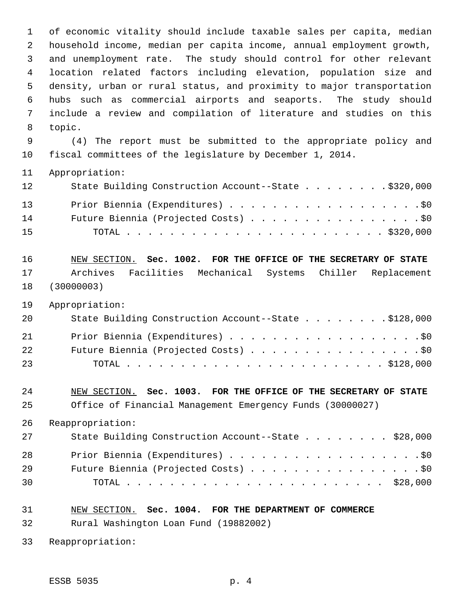of economic vitality should include taxable sales per capita, median household income, median per capita income, annual employment growth, and unemployment rate. The study should control for other relevant location related factors including elevation, population size and density, urban or rural status, and proximity to major transportation hubs such as commercial airports and seaports. The study should include a review and compilation of literature and studies on this topic. (4) The report must be submitted to the appropriate policy and fiscal committees of the legislature by December 1, 2014. Appropriation: 12 State Building Construction Account--State . . . . . . . . \$320,000 13 Prior Biennia (Expenditures) . . . . . . . . . . . . . . . . . . \$0 Future Biennia (Projected Costs) . . . . . . . . . . . . . . . . \$0 TOTAL . . . . . . . . . . . . . . . . . . . . . . . . \$320,000 NEW SECTION. **Sec. 1002. FOR THE OFFICE OF THE SECRETARY OF STATE** Archives Facilities Mechanical Systems Chiller Replacement (30000003) Appropriation: State Building Construction Account--State . . . . . . . . \$128,000 21 Prior Biennia (Expenditures) . . . . . . . . . . . . . . . . . . \$0 22 Future Biennia (Projected Costs) . . . . . . . . . . . . . . . . \$0 TOTAL . . . . . . . . . . . . . . . . . . . . . . . . \$128,000 NEW SECTION. **Sec. 1003. FOR THE OFFICE OF THE SECRETARY OF STATE** Office of Financial Management Emergency Funds (30000027) Reappropriation: State Building Construction Account--State . . . . . . . . \$28,000 Prior Biennia (Expenditures) . . . . . . . . . . . . . . . . . .\$0 29 Future Biennia (Projected Costs) . . . . . . . . . . . . . . . . \$0 TOTAL . . . . . . . . . . . . . . . . . . . . . . . . \$28,000 NEW SECTION. **Sec. 1004. FOR THE DEPARTMENT OF COMMERCE** Rural Washington Loan Fund (19882002)

Reappropriation: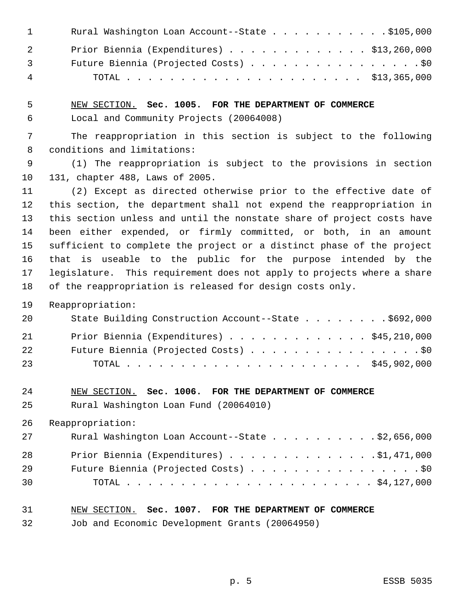| $\mathbf{1}$   | Rural Washington Loan Account--State \$105,000 |
|----------------|------------------------------------------------|
| 2              | Prior Biennia (Expenditures) \$13,260,000      |
| $\overline{3}$ | Future Biennia (Projected Costs) \$0           |
| $\overline{4}$ |                                                |

 NEW SECTION. **Sec. 1005. FOR THE DEPARTMENT OF COMMERCE** Local and Community Projects (20064008)

 The reappropriation in this section is subject to the following conditions and limitations:

 (1) The reappropriation is subject to the provisions in section 131, chapter 488, Laws of 2005.

 (2) Except as directed otherwise prior to the effective date of this section, the department shall not expend the reappropriation in this section unless and until the nonstate share of project costs have been either expended, or firmly committed, or both, in an amount sufficient to complete the project or a distinct phase of the project that is useable to the public for the purpose intended by the legislature. This requirement does not apply to projects where a share of the reappropriation is released for design costs only.

Reappropriation:

| 20 | State Building Construction Account--State \$692,000 |
|----|------------------------------------------------------|
| 21 | Prior Biennia (Expenditures) \$45,210,000            |
| 22 | Future Biennia (Projected Costs) \$0                 |
| 23 |                                                      |

 NEW SECTION. **Sec. 1006. FOR THE DEPARTMENT OF COMMERCE** Rural Washington Loan Fund (20064010)

Reappropriation:

| 27 | Rural Washington Loan Account--State \$2,656,000 |
|----|--------------------------------------------------|
| 28 | Prior Biennia (Expenditures) \$1,471,000         |
| 29 | Future Biennia (Projected Costs) \$0             |
| 30 |                                                  |

## NEW SECTION. **Sec. 1007. FOR THE DEPARTMENT OF COMMERCE**

Job and Economic Development Grants (20064950)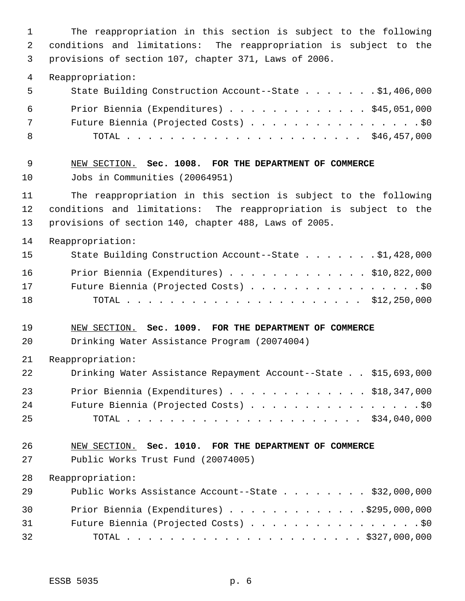The reappropriation in this section is subject to the following conditions and limitations: The reappropriation is subject to the provisions of section 107, chapter 371, Laws of 2006. Reappropriation: State Building Construction Account--State . . . . . . . \$1,406,000 Prior Biennia (Expenditures) . . . . . . . . . . . . . \$45,051,000 Future Biennia (Projected Costs) . . . . . . . . . . . . . . . . \$0 TOTAL . . . . . . . . . . . . . . . . . . . . . . \$46,457,000 NEW SECTION. **Sec. 1008. FOR THE DEPARTMENT OF COMMERCE** Jobs in Communities (20064951) The reappropriation in this section is subject to the following conditions and limitations: The reappropriation is subject to the provisions of section 140, chapter 488, Laws of 2005. Reappropriation: State Building Construction Account--State . . . . . . . \$1,428,000 Prior Biennia (Expenditures) . . . . . . . . . . . . . \$10,822,000 Future Biennia (Projected Costs) . . . . . . . . . . . . . . . . \$0 TOTAL . . . . . . . . . . . . . . . . . . . . . . \$12,250,000 NEW SECTION. **Sec. 1009. FOR THE DEPARTMENT OF COMMERCE** Drinking Water Assistance Program (20074004) Reappropriation: Drinking Water Assistance Repayment Account--State . . \$15,693,000 Prior Biennia (Expenditures) . . . . . . . . . . . . . \$18,347,000 24 Future Biennia (Projected Costs) . . . . . . . . . . . . . . . . \$0 TOTAL . . . . . . . . . . . . . . . . . . . . . . \$34,040,000 NEW SECTION. **Sec. 1010. FOR THE DEPARTMENT OF COMMERCE** Public Works Trust Fund (20074005) Reappropriation: 29 Public Works Assistance Account--State . . . . . . . \$32,000,000 Prior Biennia (Expenditures) . . . . . . . . . . . . .\$295,000,000 Future Biennia (Projected Costs) . . . . . . . . . . . . . . . . \$0 TOTAL . . . . . . . . . . . . . . . . . . . . . . \$327,000,000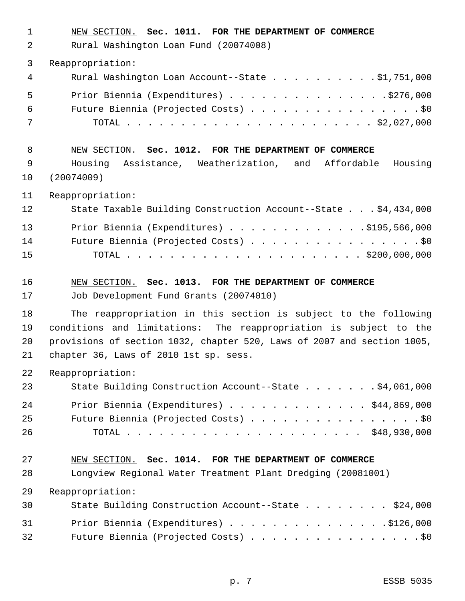| $\mathbf 1$<br>2 | NEW SECTION. Sec. 1011. FOR THE DEPARTMENT OF COMMERCE<br>Rural Washington Loan Fund (20074008) |
|------------------|-------------------------------------------------------------------------------------------------|
| 3                | Reappropriation:                                                                                |
| 4                | Rural Washington Loan Account--State \$1,751,000                                                |
| 5                | Prior Biennia (Expenditures) \$276,000                                                          |
| 6                | Future Biennia (Projected Costs) \$0                                                            |
| 7                |                                                                                                 |
| 8                | NEW SECTION. Sec. 1012. FOR THE DEPARTMENT OF COMMERCE                                          |
| 9<br>10          | Housing Assistance, Weatherization, and Affordable Housing<br>(20074009)                        |
| 11               | Reappropriation:                                                                                |
| 12               | State Taxable Building Construction Account--State \$4,434,000                                  |
| 13               | Prior Biennia (Expenditures) $\ldots$ \$195,566,000                                             |
| 14               | Future Biennia (Projected Costs) \$0                                                            |
| 15               |                                                                                                 |
| 16               | NEW SECTION. Sec. 1013. FOR THE DEPARTMENT OF COMMERCE                                          |
| 17               | Job Development Fund Grants (20074010)                                                          |
| 18               | The reappropriation in this section is subject to the following                                 |
| 19               | conditions and limitations: The reappropriation is subject to the                               |
| 20               | provisions of section 1032, chapter 520, Laws of 2007 and section 1005,                         |
| 21               | chapter 36, Laws of 2010 1st sp. sess.                                                          |
| 22               | Reappropriation:                                                                                |
| 23               | State Building Construction Account--State \$4,061,000                                          |
| 24               | Prior Biennia (Expenditures) \$44,869,000                                                       |
| 25               | Future Biennia (Projected Costs) \$0                                                            |
| 26               |                                                                                                 |
| 27               | NEW SECTION. Sec. 1014. FOR THE DEPARTMENT OF COMMERCE                                          |
| 28               | Longview Regional Water Treatment Plant Dredging (20081001)                                     |
| 29               | Reappropriation:                                                                                |
| 30               | State Building Construction Account--State \$24,000                                             |
| 31               | Prior Biennia (Expenditures) \$126,000                                                          |
| 32               | Future Biennia (Projected Costs) \$0                                                            |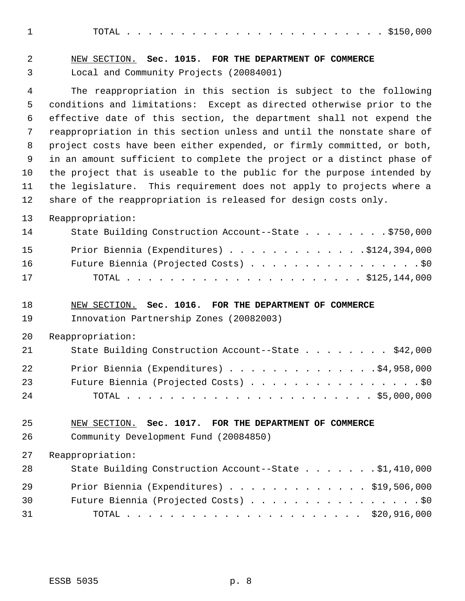TOTAL . . . . . . . . . . . . . . . . . . . . . . . . \$150,000

| 2                     | NEW SECTION. Sec. 1015. FOR THE DEPARTMENT OF COMMERCE                                                                                                                                                                                                                                                                                                              |
|-----------------------|---------------------------------------------------------------------------------------------------------------------------------------------------------------------------------------------------------------------------------------------------------------------------------------------------------------------------------------------------------------------|
| 3                     | Local and Community Projects (20084001)                                                                                                                                                                                                                                                                                                                             |
| 4<br>5<br>6<br>7<br>8 | The reappropriation in this section is subject to the following<br>conditions and limitations: Except as directed otherwise prior to the<br>effective date of this section, the department shall not expend the<br>reappropriation in this section unless and until the nonstate share of<br>project costs have been either expended, or firmly committed, or both, |
| 9                     | in an amount sufficient to complete the project or a distinct phase of                                                                                                                                                                                                                                                                                              |
| 10<br>11<br>12        | the project that is useable to the public for the purpose intended by<br>the legislature. This requirement does not apply to projects where a<br>share of the reappropriation is released for design costs only.                                                                                                                                                    |
|                       |                                                                                                                                                                                                                                                                                                                                                                     |
| 13<br>14              | Reappropriation:<br>State Building Construction Account--State \$750,000                                                                                                                                                                                                                                                                                            |
| 15<br>16<br>17        | Prior Biennia (Expenditures) \$124,394,000<br>Future Biennia (Projected Costs) \$0                                                                                                                                                                                                                                                                                  |
| 18<br>19              | NEW SECTION. Sec. 1016. FOR THE DEPARTMENT OF COMMERCE<br>Innovation Partnership Zones (20082003)                                                                                                                                                                                                                                                                   |
| 20                    | Reappropriation:                                                                                                                                                                                                                                                                                                                                                    |
| 21                    | State Building Construction Account--State \$42,000                                                                                                                                                                                                                                                                                                                 |
| 22<br>23<br>24        | Prior Biennia (Expenditures) \$4,958,000<br>Future Biennia (Projected Costs) \$0                                                                                                                                                                                                                                                                                    |
| 25<br>26              | NEW SECTION. Sec. 1017. FOR THE DEPARTMENT OF COMMERCE<br>Community Development Fund (20084850)                                                                                                                                                                                                                                                                     |
| 27                    | Reappropriation:                                                                                                                                                                                                                                                                                                                                                    |
| 28                    | State Building Construction Account--State \$1,410,000                                                                                                                                                                                                                                                                                                              |
| 29                    | Prior Biennia (Expenditures) \$19,506,000                                                                                                                                                                                                                                                                                                                           |
| 30                    | Future Biennia (Projected Costs) \$0                                                                                                                                                                                                                                                                                                                                |
| 31                    |                                                                                                                                                                                                                                                                                                                                                                     |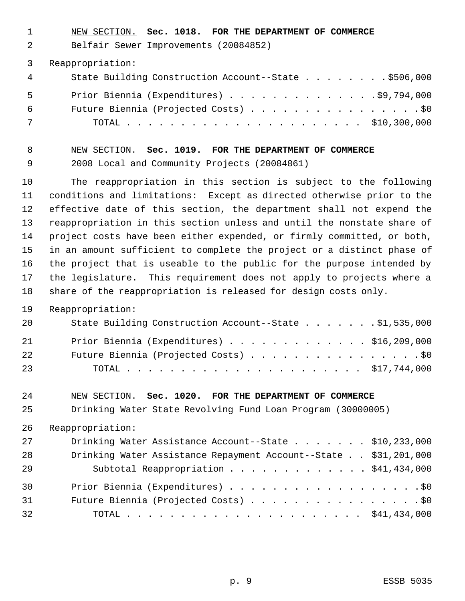NEW SECTION. **Sec. 1018. FOR THE DEPARTMENT OF COMMERCE**

Belfair Sewer Improvements (20084852)

Reappropriation:

| 4   | State Building Construction Account--State \$506,000 |
|-----|------------------------------------------------------|
| - 5 | Prior Biennia (Expenditures) 99,794,000              |
| 6   | Future Biennia (Projected Costs) \$0                 |
| 7   |                                                      |

## NEW SECTION. **Sec. 1019. FOR THE DEPARTMENT OF COMMERCE** 2008 Local and Community Projects (20084861)

 The reappropriation in this section is subject to the following conditions and limitations: Except as directed otherwise prior to the effective date of this section, the department shall not expend the reappropriation in this section unless and until the nonstate share of project costs have been either expended, or firmly committed, or both, in an amount sufficient to complete the project or a distinct phase of the project that is useable to the public for the purpose intended by the legislature. This requirement does not apply to projects where a share of the reappropriation is released for design costs only.

#### Reappropriation:

| 20 | State Building Construction Account--State \$1,535,000 |  |
|----|--------------------------------------------------------|--|
| 21 | Prior Biennia (Expenditures) \$16,209,000              |  |
| 22 | Future Biennia (Projected Costs) \$0                   |  |
| 23 |                                                        |  |

#### NEW SECTION. **Sec. 1020. FOR THE DEPARTMENT OF COMMERCE**

Drinking Water State Revolving Fund Loan Program (30000005)

Reappropriation:

| 27 | Drinking Water Assistance Account--State \$10,233,000           |  |
|----|-----------------------------------------------------------------|--|
| 28 | Drinking Water Assistance Repayment Account--State \$31,201,000 |  |
| 29 | Subtotal Reappropriation \$41,434,000                           |  |
| 30 | Prior Biennia (Expenditures) \$0                                |  |
| 31 | Future Biennia (Projected Costs) \$0                            |  |
| 32 |                                                                 |  |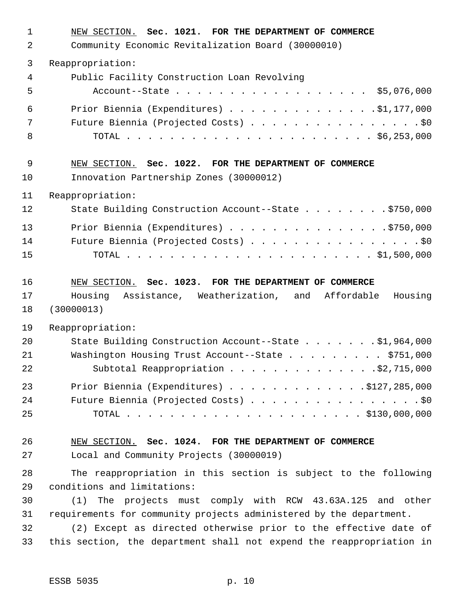| $\mathbf 1$ | NEW SECTION. Sec. 1021. FOR THE DEPARTMENT OF COMMERCE               |
|-------------|----------------------------------------------------------------------|
| 2           | Community Economic Revitalization Board (30000010)                   |
| 3           | Reappropriation:                                                     |
| 4           | Public Facility Construction Loan Revolving                          |
| 5           | Account--State \$5,076,000                                           |
| 6           | Prior Biennia (Expenditures) $\ldots$ 91, 177, 000                   |
| 7           | Future Biennia (Projected Costs) \$0                                 |
| 8           |                                                                      |
| 9           | NEW SECTION. Sec. 1022. FOR THE DEPARTMENT OF COMMERCE               |
| 10          | Innovation Partnership Zones (30000012)                              |
| 11          | Reappropriation:                                                     |
| 12          | State Building Construction Account--State \$750,000                 |
| 13          | Prior Biennia (Expenditures) 5750,000                                |
| 14          | Future Biennia (Projected Costs) \$0                                 |
| 15          |                                                                      |
| 16          | NEW SECTION. Sec. 1023. FOR THE DEPARTMENT OF COMMERCE               |
| 17          | Assistance, Weatherization, and Affordable<br>Housing<br>Housing     |
| 18          | (30000013)                                                           |
| 19          | Reappropriation:                                                     |
| 20          | State Building Construction Account--State \$1,964,000               |
| 21          | Washington Housing Trust Account--State \$751,000                    |
| 22          | Subtotal Reappropriation 92,715,000                                  |
| 23          | Prior Biennia (Expenditures) \$127,285,000                           |
| 24          | Future Biennia (Projected Costs) \$0                                 |
| 25          |                                                                      |
| 26          | NEW SECTION. Sec. 1024. FOR THE DEPARTMENT OF COMMERCE               |
| 27          | Local and Community Projects (30000019)                              |
| 28          | The reappropriation in this section is subject to the following      |
| 29          | conditions and limitations:                                          |
| 30          | The projects must comply with RCW 43.63A.125 and other<br>(1)        |
| 31          | requirements for community projects administered by the department.  |
| 32          | (2) Except as directed otherwise prior to the effective date of      |
| 33          | this section, the department shall not expend the reappropriation in |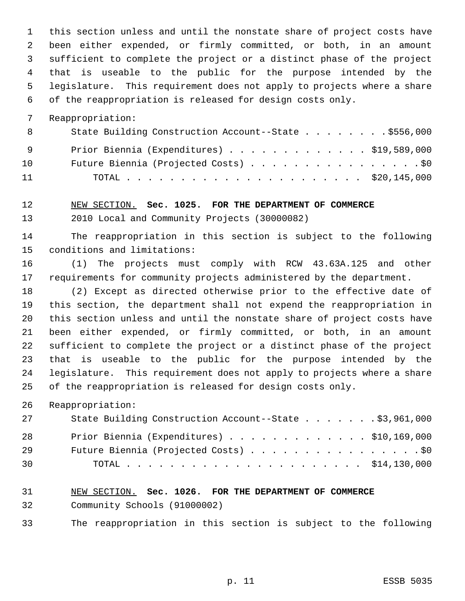this section unless and until the nonstate share of project costs have been either expended, or firmly committed, or both, in an amount sufficient to complete the project or a distinct phase of the project that is useable to the public for the purpose intended by the legislature. This requirement does not apply to projects where a share of the reappropriation is released for design costs only.

Reappropriation:

| 8               | State Building Construction Account--State \$556,000 |
|-----------------|------------------------------------------------------|
| - 9             | Prior Biennia (Expenditures) \$19,589,000            |
| 10 <sup>1</sup> | Future Biennia (Projected Costs) \$0                 |
| 11              |                                                      |

NEW SECTION. **Sec. 1025. FOR THE DEPARTMENT OF COMMERCE**

2010 Local and Community Projects (30000082)

 The reappropriation in this section is subject to the following conditions and limitations:

 (1) The projects must comply with RCW 43.63A.125 and other requirements for community projects administered by the department.

 (2) Except as directed otherwise prior to the effective date of this section, the department shall not expend the reappropriation in this section unless and until the nonstate share of project costs have been either expended, or firmly committed, or both, in an amount sufficient to complete the project or a distinct phase of the project that is useable to the public for the purpose intended by the legislature. This requirement does not apply to projects where a share of the reappropriation is released for design costs only.

Reappropriation:

| 27 | State Building Construction Account--State \$3,961,000 |
|----|--------------------------------------------------------|
| 28 | Prior Biennia (Expenditures) $\ldots$ \$10,169,000     |
| 29 | Future Biennia (Projected Costs) \$0                   |
| 30 |                                                        |

## NEW SECTION. **Sec. 1026. FOR THE DEPARTMENT OF COMMERCE** Community Schools (91000002)

The reappropriation in this section is subject to the following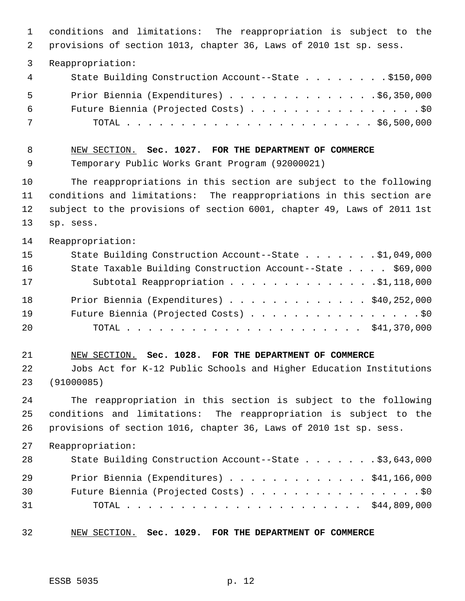conditions and limitations: The reappropriation is subject to the provisions of section 1013, chapter 36, Laws of 2010 1st sp. sess. Reappropriation: State Building Construction Account--State . . . . . . . . \$150,000 Prior Biennia (Expenditures) . . . . . . . . . . . . . .\$6,350,000 Future Biennia (Projected Costs) . . . . . . . . . . . . . . . . \$0 TOTAL . . . . . . . . . . . . . . . . . . . . . . . \$6,500,000 NEW SECTION. **Sec. 1027. FOR THE DEPARTMENT OF COMMERCE** Temporary Public Works Grant Program (92000021) The reappropriations in this section are subject to the following conditions and limitations: The reappropriations in this section are subject to the provisions of section 6001, chapter 49, Laws of 2011 1st sp. sess. Reappropriation: State Building Construction Account--State . . . . . . . \$1,049,000 State Taxable Building Construction Account--State . . . . \$69,000 17 Subtotal Reappropriation . . . . . . . . . . . . . . \$1,118,000 Prior Biennia (Expenditures) . . . . . . . . . . . . . \$40,252,000 Future Biennia (Projected Costs) . . . . . . . . . . . . . . . . \$0 TOTAL . . . . . . . . . . . . . . . . . . . . . . \$41,370,000 NEW SECTION. **Sec. 1028. FOR THE DEPARTMENT OF COMMERCE** Jobs Act for K-12 Public Schools and Higher Education Institutions (91000085) The reappropriation in this section is subject to the following conditions and limitations: The reappropriation is subject to the provisions of section 1016, chapter 36, Laws of 2010 1st sp. sess. Reappropriation: State Building Construction Account--State . . . . . . . \$3,643,000 Prior Biennia (Expenditures) . . . . . . . . . . . . . \$41,166,000 Future Biennia (Projected Costs) . . . . . . . . . . . . . . . . \$0 TOTAL . . . . . . . . . . . . . . . . . . . . . . \$44,809,000 NEW SECTION. **Sec. 1029. FOR THE DEPARTMENT OF COMMERCE**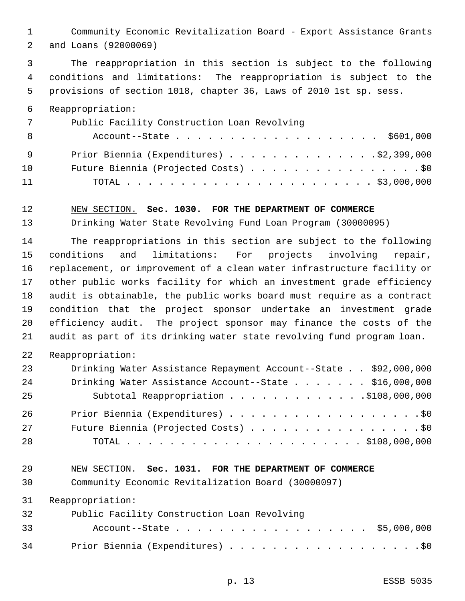Community Economic Revitalization Board - Export Assistance Grants and Loans (92000069)

 The reappropriation in this section is subject to the following conditions and limitations: The reappropriation is subject to the provisions of section 1018, chapter 36, Laws of 2010 1st sp. sess.

### Reappropriation:

| 7   | Public Facility Construction Loan Revolving |
|-----|---------------------------------------------|
| - 8 | Account--State \$601,000                    |
| - 9 | Prior Biennia (Expenditures) 32,399,000     |
| 10  | Future Biennia (Projected Costs) \$0        |
| 11  |                                             |

#### NEW SECTION. **Sec. 1030. FOR THE DEPARTMENT OF COMMERCE**

Drinking Water State Revolving Fund Loan Program (30000095)

 The reappropriations in this section are subject to the following conditions and limitations: For projects involving repair, replacement, or improvement of a clean water infrastructure facility or other public works facility for which an investment grade efficiency audit is obtainable, the public works board must require as a contract condition that the project sponsor undertake an investment grade efficiency audit. The project sponsor may finance the costs of the audit as part of its drinking water state revolving fund program loan.

Reappropriation:

| 23 | Drinking Water Assistance Repayment Account--State \$92,000,000 |
|----|-----------------------------------------------------------------|
| 24 | Drinking Water Assistance Account--State \$16,000,000           |
| 25 | Subtotal Reappropriation 9108,000,000                           |
| 26 | Prior Biennia (Expenditures) \$0                                |
| 27 | Future Biennia (Projected Costs) \$0                            |
| 28 |                                                                 |

#### NEW SECTION. **Sec. 1031. FOR THE DEPARTMENT OF COMMERCE**

Community Economic Revitalization Board (30000097)

Reappropriation:

| 32 | Public Facility Construction Loan Revolving |  |
|----|---------------------------------------------|--|
| 33 | Account--State \$5,000,000                  |  |
| 34 | Prior Biennia (Expenditures) \$0            |  |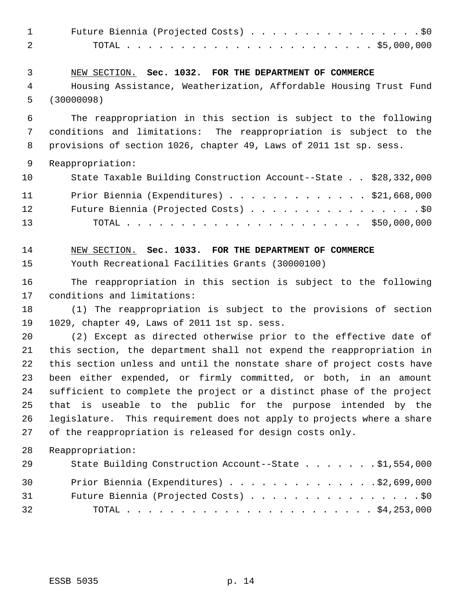| $\mathbf 1$ | Future Biennia (Projected Costs) \$0                                   |
|-------------|------------------------------------------------------------------------|
| 2           |                                                                        |
| 3           | NEW SECTION. Sec. 1032. FOR THE DEPARTMENT OF COMMERCE                 |
| 4           | Housing Assistance, Weatherization, Affordable Housing Trust Fund      |
| 5           | (30000098)                                                             |
| 6           | The reappropriation in this section is subject to the following        |
| 7           | conditions and limitations: The reappropriation is subject to the      |
| 8           | provisions of section 1026, chapter 49, Laws of 2011 1st sp. sess.     |
| 9           | Reappropriation:                                                       |
| 10          | State Taxable Building Construction Account--State \$28,332,000        |
| 11          | Prior Biennia (Expenditures) \$21,668,000                              |
| 12          | Future Biennia (Projected Costs) \$0                                   |
| 13          |                                                                        |
| 14          | NEW SECTION. Sec. 1033. FOR THE DEPARTMENT OF COMMERCE                 |
| 15          | Youth Recreational Facilities Grants (30000100)                        |
| 16          | The reappropriation in this section is subject to the following        |
| 17          | conditions and limitations:                                            |
| 18          | (1) The reappropriation is subject to the provisions of section        |
| 19          | 1029, chapter 49, Laws of 2011 1st sp. sess.                           |
| 20          | (2) Except as directed otherwise prior to the effective date of        |
| 21          | this section, the department shall not expend the reappropriation in   |
| 22          | this section unless and until the nonstate share of project costs have |
| 23          | been either expended, or firmly committed, or both, in an amount       |
| 24          | sufficient to complete the project or a distinct phase of the project  |
| 25          | that is useable to the public for the purpose intended by the          |
| 26          | legislature. This requirement does not apply to projects where a share |
| 27          | of the reappropriation is released for design costs only.              |
| 28          | Reappropriation:                                                       |
| 29          | State Building Construction Account--State \$1,554,000                 |
| 30          | Prior Biennia (Expenditures) \$2,699,000                               |
| 31          |                                                                        |
| 32          |                                                                        |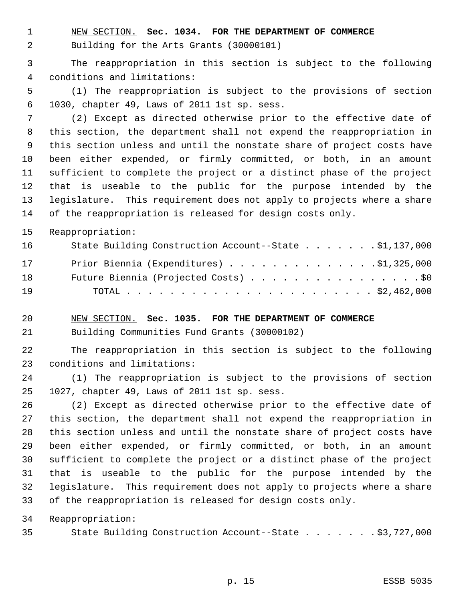NEW SECTION. **Sec. 1034. FOR THE DEPARTMENT OF COMMERCE**

Building for the Arts Grants (30000101)

 The reappropriation in this section is subject to the following conditions and limitations:

 (1) The reappropriation is subject to the provisions of section 1030, chapter 49, Laws of 2011 1st sp. sess.

 (2) Except as directed otherwise prior to the effective date of this section, the department shall not expend the reappropriation in this section unless and until the nonstate share of project costs have been either expended, or firmly committed, or both, in an amount sufficient to complete the project or a distinct phase of the project that is useable to the public for the purpose intended by the legislature. This requirement does not apply to projects where a share of the reappropriation is released for design costs only.

Reappropriation:

| 16 | State Building Construction Account--State \$1,137,000 |
|----|--------------------------------------------------------|
| 17 | Prior Biennia (Expenditures) 31,325,000                |
| 18 | Future Biennia (Projected Costs) \$0                   |
| 19 |                                                        |

 NEW SECTION. **Sec. 1035. FOR THE DEPARTMENT OF COMMERCE** Building Communities Fund Grants (30000102)

 The reappropriation in this section is subject to the following conditions and limitations:

 (1) The reappropriation is subject to the provisions of section 1027, chapter 49, Laws of 2011 1st sp. sess.

 (2) Except as directed otherwise prior to the effective date of this section, the department shall not expend the reappropriation in this section unless and until the nonstate share of project costs have been either expended, or firmly committed, or both, in an amount sufficient to complete the project or a distinct phase of the project that is useable to the public for the purpose intended by the legislature. This requirement does not apply to projects where a share of the reappropriation is released for design costs only.

Reappropriation:

35 State Building Construction Account--State . . . . . . \$3,727,000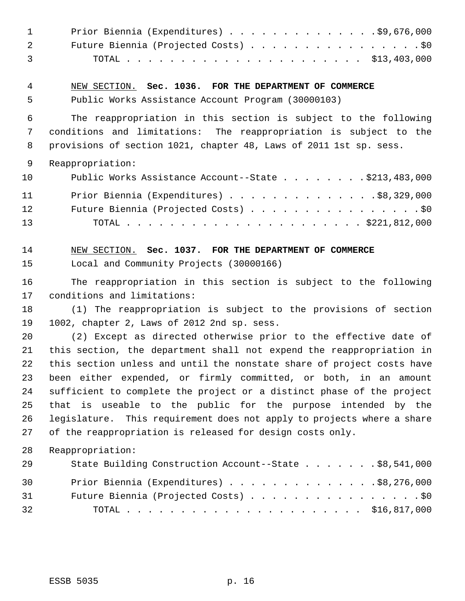| 1<br>2<br>3 | Prior Biennia (Expenditures) \$9,676,000<br>Future Biennia (Projected Costs) \$0                                                        |
|-------------|-----------------------------------------------------------------------------------------------------------------------------------------|
| 4           | NEW SECTION. Sec. 1036. FOR THE DEPARTMENT OF COMMERCE                                                                                  |
| 5           | Public Works Assistance Account Program (30000103)                                                                                      |
| 6           | The reappropriation in this section is subject to the following                                                                         |
| 7<br>8      | conditions and limitations: The reappropriation is subject to the<br>provisions of section 1021, chapter 48, Laws of 2011 1st sp. sess. |
| 9           | Reappropriation:                                                                                                                        |
| 10          | Public Works Assistance Account--State \$213,483,000                                                                                    |
| 11          | Prior Biennia (Expenditures) \$8,329,000                                                                                                |
| 12          | Future Biennia (Projected Costs) \$0                                                                                                    |
| 13          |                                                                                                                                         |
| 14          | NEW SECTION. Sec. 1037. FOR THE DEPARTMENT OF COMMERCE                                                                                  |
| 15          | Local and Community Projects (30000166)                                                                                                 |
| 16          | The reappropriation in this section is subject to the following                                                                         |
| 17          | conditions and limitations:                                                                                                             |
| 18          | (1) The reappropriation is subject to the provisions of section                                                                         |
| 19<br>20    | 1002, chapter 2, Laws of 2012 2nd sp. sess.<br>(2) Except as directed otherwise prior to the effective date of                          |
| 21          | this section, the department shall not expend the reappropriation in                                                                    |
| 22          | this section unless and until the nonstate share of project costs have                                                                  |
| 23          | been either expended, or firmly committed, or both, in an amount                                                                        |
| 24          | sufficient to complete the project or a distinct phase of the project                                                                   |
| 25          | that is useable to the public for the purpose intended by the                                                                           |
| 26          | legislature. This requirement does not apply to projects where a share                                                                  |
| 27          | of the reappropriation is released for design costs only.                                                                               |
| 28          | Reappropriation:                                                                                                                        |
| 29          | State Building Construction Account--State \$8,541,000                                                                                  |
| 30          | Prior Biennia (Expenditures) \$8,276,000                                                                                                |
| 31          | Future Biennia (Projected Costs) \$0                                                                                                    |
| 32          |                                                                                                                                         |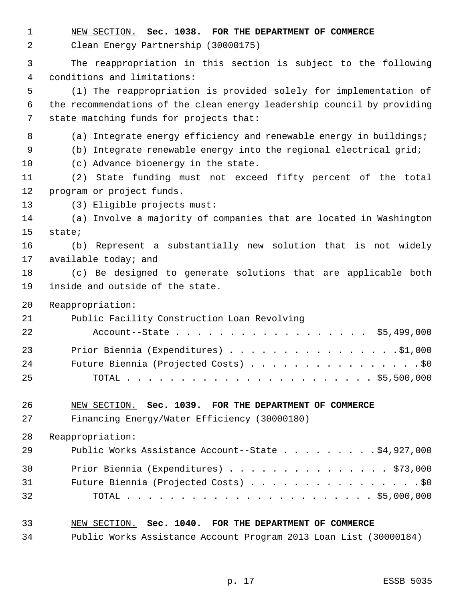| 1<br>2 | NEW SECTION. Sec. 1038. FOR THE DEPARTMENT OF COMMERCE<br>Clean Energy Partnership (30000175) |
|--------|-----------------------------------------------------------------------------------------------|
| 3      | The reappropriation in this section is subject to the following                               |
| 4      | conditions and limitations:                                                                   |
| 5      | (1) The reappropriation is provided solely for implementation of                              |
| 6      | the recommendations of the clean energy leadership council by providing                       |
| 7      | state matching funds for projects that:                                                       |
| 8      | (a) Integrate energy efficiency and renewable energy in buildings;                            |
| 9      | Integrate renewable energy into the regional electrical grid;<br>(b)                          |
| 10     | (c) Advance bioenergy in the state.                                                           |
| 11     | State funding must not exceed fifty percent of the total<br>(2)                               |
| 12     | program or project funds.                                                                     |
| 13     | (3) Eligible projects must:                                                                   |
| 14     | (a) Involve a majority of companies that are located in Washington                            |
| 15     | state;                                                                                        |
| 16     | (b) Represent a substantially new solution that is not widely                                 |
| 17     | available today; and                                                                          |
| 18     | (c) Be designed to generate solutions that are applicable both                                |
| 19     | inside and outside of the state.                                                              |
| 20     | Reappropriation:                                                                              |
| 21     | Public Facility Construction Loan Revolving                                                   |
| 22     | Account--State \$5,499,000                                                                    |
| 23     | Prior Biennia (Expenditures) \$1,000                                                          |
| 24     | Future Biennia (Projected Costs) \$0                                                          |
| 25     |                                                                                               |
| 26     | NEW SECTION. Sec. 1039. FOR THE DEPARTMENT OF COMMERCE                                        |
| 27     | Financing Energy/Water Efficiency (30000180)                                                  |
| 28     | Reappropriation:                                                                              |
| 29     | Public Works Assistance Account--State \$4,927,000                                            |
| 30     | Prior Biennia (Expenditures) \$73,000                                                         |
| 31     | Future Biennia (Projected Costs) \$0                                                          |
| 32     |                                                                                               |
| 33     | NEW SECTION. Sec. 1040. FOR THE DEPARTMENT OF COMMERCE                                        |

Public Works Assistance Account Program 2013 Loan List (30000184)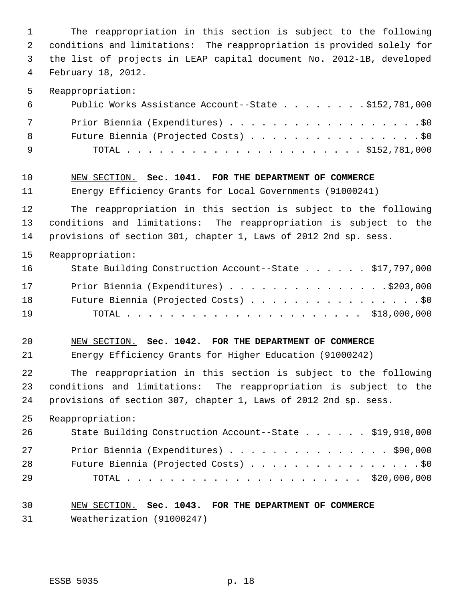The reappropriation in this section is subject to the following conditions and limitations: The reappropriation is provided solely for the list of projects in LEAP capital document No. 2012-1B, developed February 18, 2012. Reappropriation:

| <u>ิ</u> 6 | Public Works Assistance Account--State \$152,781,000 |
|------------|------------------------------------------------------|
| 7          | Prior Biennia (Expenditures) \$0                     |
| 8          | Future Biennia (Projected Costs) \$0                 |
| <u>g</u>   |                                                      |

#### NEW SECTION. **Sec. 1041. FOR THE DEPARTMENT OF COMMERCE**

Energy Efficiency Grants for Local Governments (91000241)

 The reappropriation in this section is subject to the following conditions and limitations: The reappropriation is subject to the provisions of section 301, chapter 1, Laws of 2012 2nd sp. sess.

## Reappropriation:

| 16 | State Building Construction Account--State \$17,797,000 |  |
|----|---------------------------------------------------------|--|
| 17 | Prior Biennia (Expenditures) \$203,000                  |  |
| 18 | Future Biennia (Projected Costs) \$0                    |  |
| 19 |                                                         |  |

### NEW SECTION. **Sec. 1042. FOR THE DEPARTMENT OF COMMERCE**

Energy Efficiency Grants for Higher Education (91000242)

 The reappropriation in this section is subject to the following conditions and limitations: The reappropriation is subject to the provisions of section 307, chapter 1, Laws of 2012 2nd sp. sess.

Reappropriation:

| 26 | State Building Construction Account--State \$19,910,000 |
|----|---------------------------------------------------------|
| 27 | Prior Biennia (Expenditures) \$90,000                   |
| 28 | Future Biennia (Projected Costs) \$0                    |
| 29 |                                                         |

## NEW SECTION. **Sec. 1043. FOR THE DEPARTMENT OF COMMERCE** Weatherization (91000247)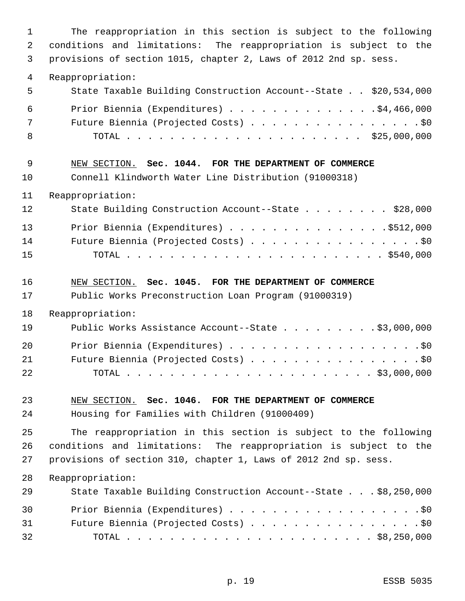| $\mathbf 1$ | The reappropriation in this section is subject to the following   |
|-------------|-------------------------------------------------------------------|
| 2           | conditions and limitations: The reappropriation is subject to the |
| 3           | provisions of section 1015, chapter 2, Laws of 2012 2nd sp. sess. |
| 4           | Reappropriation:                                                  |
| 5           | State Taxable Building Construction Account--State \$20,534,000   |
| 6           | Prior Biennia (Expenditures) \$4,466,000                          |
| 7           | Future Biennia (Projected Costs) \$0                              |
| 8           |                                                                   |
| 9           | NEW SECTION. Sec. 1044. FOR THE DEPARTMENT OF COMMERCE            |
| 10          | Connell Klindworth Water Line Distribution (91000318)             |
| 11          | Reappropriation:                                                  |
| 12          | State Building Construction Account--State \$28,000               |
| 13          | Prior Biennia (Expenditures) \$512,000                            |
| 14          | Future Biennia (Projected Costs) \$0                              |
| 15          |                                                                   |
| 16          | NEW SECTION. Sec. 1045. FOR THE DEPARTMENT OF COMMERCE            |
| 17          | Public Works Preconstruction Loan Program (91000319)              |
| 18          | Reappropriation:                                                  |
| 19          | Public Works Assistance Account--State \$3,000,000                |
| 20          | Prior Biennia (Expenditures) \$0                                  |
| 21          | Future Biennia (Projected Costs) \$0                              |
| 22          |                                                                   |
| 23          | NEW SECTION. Sec. 1046. FOR THE DEPARTMENT OF COMMERCE            |
| 24          | Housing for Families with Children (91000409)                     |
| 25          | The reappropriation in this section is subject to the following   |
| 26          | conditions and limitations: The reappropriation is subject to the |
| 27          | provisions of section 310, chapter 1, Laws of 2012 2nd sp. sess.  |
| 28          | Reappropriation:                                                  |
| 29          | State Taxable Building Construction Account--State \$8,250,000    |
| 30          | Prior Biennia (Expenditures) \$0                                  |
| 31          | Future Biennia (Projected Costs) \$0                              |
| 32          |                                                                   |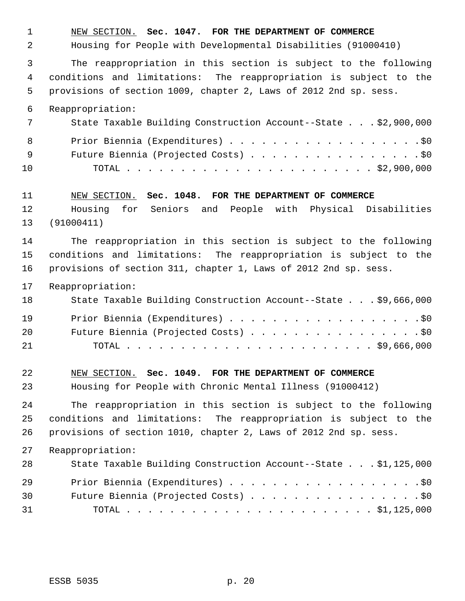NEW SECTION. **Sec. 1047. FOR THE DEPARTMENT OF COMMERCE** Housing for People with Developmental Disabilities (91000410) The reappropriation in this section is subject to the following conditions and limitations: The reappropriation is subject to the provisions of section 1009, chapter 2, Laws of 2012 2nd sp. sess. Reappropriation: State Taxable Building Construction Account--State . . . \$2,900,000 8 Prior Biennia (Expenditures) . . . . . . . . . . . . . . . . . . \$0 9 Future Biennia (Projected Costs) . . . . . . . . . . . . . . . . \$0 TOTAL . . . . . . . . . . . . . . . . . . . . . . . \$2,900,000 NEW SECTION. **Sec. 1048. FOR THE DEPARTMENT OF COMMERCE** Housing for Seniors and People with Physical Disabilities (91000411) The reappropriation in this section is subject to the following conditions and limitations: The reappropriation is subject to the provisions of section 311, chapter 1, Laws of 2012 2nd sp. sess. Reappropriation: State Taxable Building Construction Account--State . . . \$9,666,000 19 Prior Biennia (Expenditures) . . . . . . . . . . . . . . . . . . \$0 20 Future Biennia (Projected Costs) . . . . . . . . . . . . . . . . \$0 TOTAL . . . . . . . . . . . . . . . . . . . . . . . \$9,666,000 NEW SECTION. **Sec. 1049. FOR THE DEPARTMENT OF COMMERCE** Housing for People with Chronic Mental Illness (91000412) The reappropriation in this section is subject to the following conditions and limitations: The reappropriation is subject to the provisions of section 1010, chapter 2, Laws of 2012 2nd sp. sess. Reappropriation: State Taxable Building Construction Account--State . . . \$1,125,000 Prior Biennia (Expenditures) . . . . . . . . . . . . . . . . . .\$0 Future Biennia (Projected Costs) . . . . . . . . . . . . . . . . \$0 TOTAL . . . . . . . . . . . . . . . . . . . . . . . \$1,125,000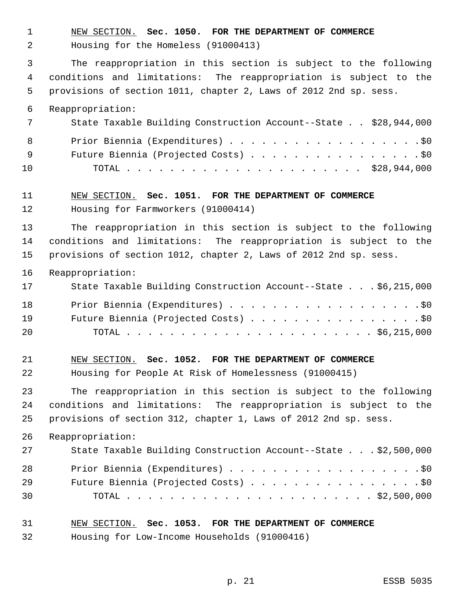NEW SECTION. **Sec. 1050. FOR THE DEPARTMENT OF COMMERCE** Housing for the Homeless (91000413) The reappropriation in this section is subject to the following conditions and limitations: The reappropriation is subject to the provisions of section 1011, chapter 2, Laws of 2012 2nd sp. sess. Reappropriation: State Taxable Building Construction Account--State . . \$28,944,000 8 Prior Biennia (Expenditures) . . . . . . . . . . . . . . . . . . \$0 9 Future Biennia (Projected Costs) . . . . . . . . . . . . . . . . \$0 TOTAL . . . . . . . . . . . . . . . . . . . . . . \$28,944,000 NEW SECTION. **Sec. 1051. FOR THE DEPARTMENT OF COMMERCE** Housing for Farmworkers (91000414) The reappropriation in this section is subject to the following conditions and limitations: The reappropriation is subject to the provisions of section 1012, chapter 2, Laws of 2012 2nd sp. sess. Reappropriation: State Taxable Building Construction Account--State . . . \$6,215,000 18 Prior Biennia (Expenditures) . . . . . . . . . . . . . . . . . . \$0 Future Biennia (Projected Costs) . . . . . . . . . . . . . . . . \$0 TOTAL . . . . . . . . . . . . . . . . . . . . . . . \$6,215,000 NEW SECTION. **Sec. 1052. FOR THE DEPARTMENT OF COMMERCE** Housing for People At Risk of Homelessness (91000415) The reappropriation in this section is subject to the following conditions and limitations: The reappropriation is subject to the provisions of section 312, chapter 1, Laws of 2012 2nd sp. sess. Reappropriation: State Taxable Building Construction Account--State . . . \$2,500,000 28 Prior Biennia (Expenditures) . . . . . . . . . . . . . . . . . . \$0 29 Future Biennia (Projected Costs) . . . . . . . . . . . . . . . . \$0 TOTAL . . . . . . . . . . . . . . . . . . . . . . . \$2,500,000

- NEW SECTION. **Sec. 1053. FOR THE DEPARTMENT OF COMMERCE**
- Housing for Low-Income Households (91000416)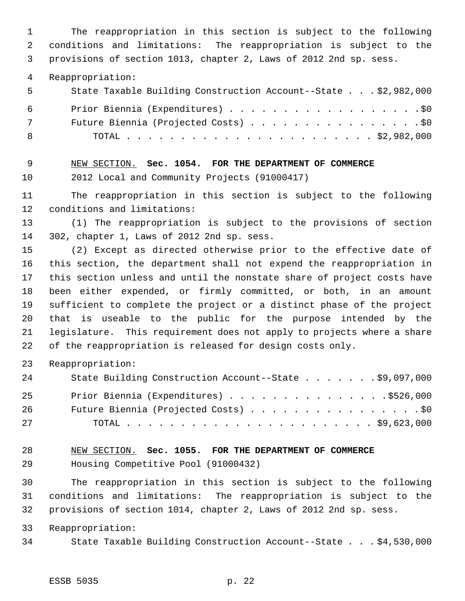The reappropriation in this section is subject to the following conditions and limitations: The reappropriation is subject to the provisions of section 1013, chapter 2, Laws of 2012 2nd sp. sess.

Reappropriation:

| 5          | State Taxable Building Construction Account--State \$2,982,000 |
|------------|----------------------------------------------------------------|
| 6          | Prior Biennia (Expenditures) \$0                               |
| $7\degree$ | Future Biennia (Projected Costs) \$0                           |
| - 8        |                                                                |

NEW SECTION. **Sec. 1054. FOR THE DEPARTMENT OF COMMERCE**

2012 Local and Community Projects (91000417)

 The reappropriation in this section is subject to the following conditions and limitations:

 (1) The reappropriation is subject to the provisions of section 302, chapter 1, Laws of 2012 2nd sp. sess.

 (2) Except as directed otherwise prior to the effective date of this section, the department shall not expend the reappropriation in this section unless and until the nonstate share of project costs have been either expended, or firmly committed, or both, in an amount sufficient to complete the project or a distinct phase of the project that is useable to the public for the purpose intended by the legislature. This requirement does not apply to projects where a share of the reappropriation is released for design costs only.

Reappropriation:

| 24 | State Building Construction Account--State \$9,097,000 |
|----|--------------------------------------------------------|
| 25 | Prior Biennia (Expenditures) \$526,000                 |
| 26 | Future Biennia (Projected Costs) \$0                   |
| 27 |                                                        |

 NEW SECTION. **Sec. 1055. FOR THE DEPARTMENT OF COMMERCE** Housing Competitive Pool (91000432)

 The reappropriation in this section is subject to the following conditions and limitations: The reappropriation is subject to the provisions of section 1014, chapter 2, Laws of 2012 2nd sp. sess.

Reappropriation:

State Taxable Building Construction Account--State . . . \$4,530,000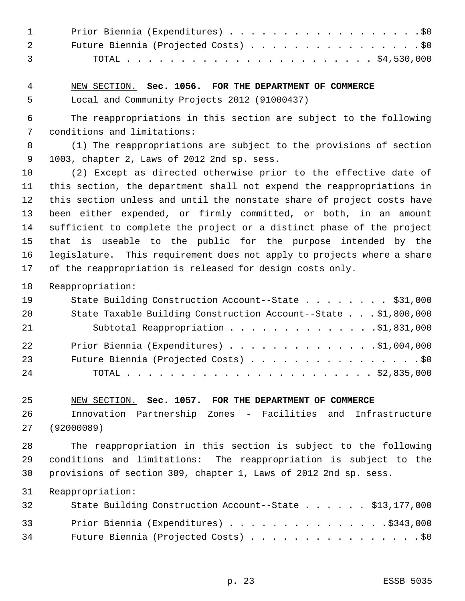| 1 Prior Biennia (Expenditures) \$0     |
|----------------------------------------|
| 2 Future Biennia (Projected Costs) \$0 |
|                                        |

# NEW SECTION. **Sec. 1056. FOR THE DEPARTMENT OF COMMERCE**

Local and Community Projects 2012 (91000437)

 The reappropriations in this section are subject to the following conditions and limitations:

 (1) The reappropriations are subject to the provisions of section 1003, chapter 2, Laws of 2012 2nd sp. sess.

 (2) Except as directed otherwise prior to the effective date of this section, the department shall not expend the reappropriations in this section unless and until the nonstate share of project costs have been either expended, or firmly committed, or both, in an amount sufficient to complete the project or a distinct phase of the project that is useable to the public for the purpose intended by the legislature. This requirement does not apply to projects where a share of the reappropriation is released for design costs only.

Reappropriation:

| 19 | State Building Construction Account--State \$31,000            |
|----|----------------------------------------------------------------|
| 20 | State Taxable Building Construction Account--State \$1,800,000 |
| 21 | Subtotal Reappropriation \$1,831,000                           |
| 22 | Prior Biennia (Expenditures) \$1,004,000                       |
| 23 | Future Biennia (Projected Costs) \$0                           |
| 24 |                                                                |

### NEW SECTION. **Sec. 1057. FOR THE DEPARTMENT OF COMMERCE**

 Innovation Partnership Zones - Facilities and Infrastructure (92000089)

 The reappropriation in this section is subject to the following conditions and limitations: The reappropriation is subject to the provisions of section 309, chapter 1, Laws of 2012 2nd sp. sess.

Reappropriation:

| 32 | State Building Construction Account--State \$13,177,000 |
|----|---------------------------------------------------------|
| 33 | Prior Biennia (Expenditures) \$343,000                  |
| 34 | Future Biennia (Projected Costs) \$0                    |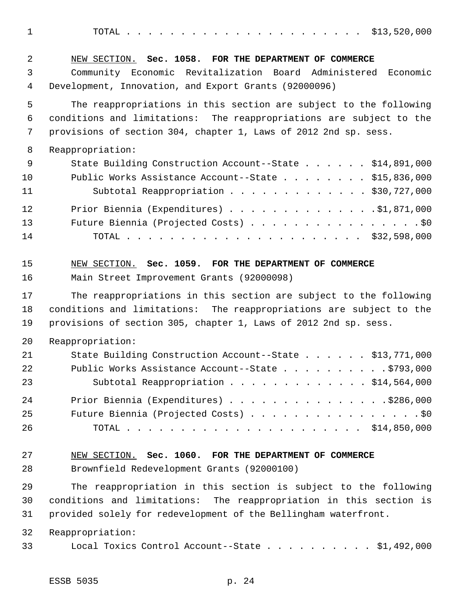TOTAL . . . . . . . . . . . . . . . . . . . . . . \$13,520,000

| 2      | NEW SECTION. Sec. 1058. FOR THE DEPARTMENT OF COMMERCE                                                                 |
|--------|------------------------------------------------------------------------------------------------------------------------|
| 3<br>4 | Community Economic Revitalization Board Administered Economic<br>Development, Innovation, and Export Grants (92000096) |
| 5      | The reappropriations in this section are subject to the following                                                      |
| 6      | conditions and limitations: The reappropriations are subject to the                                                    |
| 7      | provisions of section 304, chapter 1, Laws of 2012 2nd sp. sess.                                                       |
| 8      | Reappropriation:                                                                                                       |
| 9      | State Building Construction Account--State \$14,891,000                                                                |
| 10     | Public Works Assistance Account--State \$15,836,000                                                                    |
| 11     | Subtotal Reappropriation \$30,727,000                                                                                  |
| 12     | Prior Biennia (Expenditures) \$1,871,000                                                                               |
| 13     | Future Biennia (Projected Costs) \$0                                                                                   |
| 14     |                                                                                                                        |
| 15     | NEW SECTION. Sec. 1059. FOR THE DEPARTMENT OF COMMERCE                                                                 |
| 16     | Main Street Improvement Grants (92000098)                                                                              |
| 17     | The reappropriations in this section are subject to the following                                                      |
| 18     | conditions and limitations: The reappropriations are subject to the                                                    |
| 19     | provisions of section 305, chapter 1, Laws of 2012 2nd sp. sess.                                                       |
| 20     | Reappropriation:                                                                                                       |
| 21     | State Building Construction Account--State \$13,771,000                                                                |
| 22     | Public Works Assistance Account--State \$793,000                                                                       |
| 23     | Subtotal Reappropriation \$14,564,000                                                                                  |
| 24     | Prior Biennia (Expenditures) \$286,000                                                                                 |
| 25     | Future Biennia (Projected Costs) \$0                                                                                   |
| 26     |                                                                                                                        |
| 27     | NEW SECTION. Sec. 1060. FOR THE DEPARTMENT OF COMMERCE                                                                 |
| 28     | Brownfield Redevelopment Grants (92000100)                                                                             |
| 29     | The reappropriation in this section is subject to the following                                                        |
| 30     | conditions and limitations: The reappropriation in this section is                                                     |
| 31     | provided solely for redevelopment of the Bellingham waterfront.                                                        |
| 32     | Reappropriation:                                                                                                       |
| 33     | Local Toxics Control Account--State \$1,492,000                                                                        |
|        |                                                                                                                        |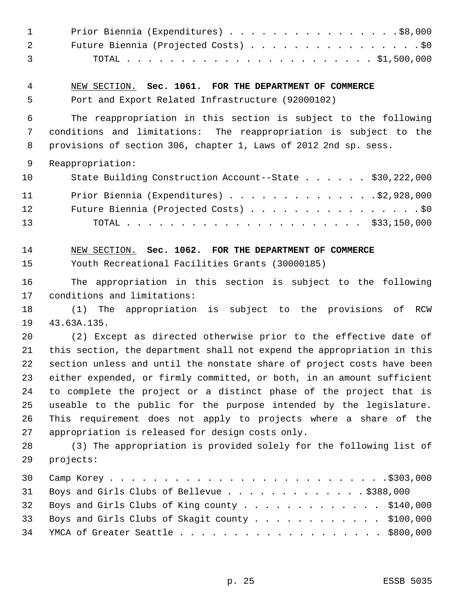| $\mathbf 1$                | Prior Biennia (Expenditures) \$8,000                                                                                                                                                                                                                 |
|----------------------------|------------------------------------------------------------------------------------------------------------------------------------------------------------------------------------------------------------------------------------------------------|
| 2                          | Future Biennia (Projected Costs) \$0                                                                                                                                                                                                                 |
| 3                          |                                                                                                                                                                                                                                                      |
| 4                          | NEW SECTION. Sec. 1061. FOR THE DEPARTMENT OF COMMERCE                                                                                                                                                                                               |
| 5                          | Port and Export Related Infrastructure (92000102)                                                                                                                                                                                                    |
| 6                          | The reappropriation in this section is subject to the following                                                                                                                                                                                      |
| 7                          | conditions and limitations: The reappropriation is subject to the                                                                                                                                                                                    |
| 8                          | provisions of section 306, chapter 1, Laws of 2012 2nd sp. sess.                                                                                                                                                                                     |
| 9                          | Reappropriation:                                                                                                                                                                                                                                     |
| 10                         | State Building Construction Account--State \$30,222,000                                                                                                                                                                                              |
| 11                         | Prior Biennia (Expenditures) 92,928,000                                                                                                                                                                                                              |
| 12                         | Future Biennia (Projected Costs) \$0                                                                                                                                                                                                                 |
| 13                         |                                                                                                                                                                                                                                                      |
| 14                         | NEW SECTION. Sec. 1062. FOR THE DEPARTMENT OF COMMERCE                                                                                                                                                                                               |
| 15                         | Youth Recreational Facilities Grants (30000185)                                                                                                                                                                                                      |
| 16<br>17<br>18<br>19<br>20 | The appropriation in this section is subject to the following<br>conditions and limitations:<br>The appropriation is subject to the provisions<br>(1)<br>of<br>RCW<br>43.63A.135.<br>(2) Except as directed otherwise prior to the effective date of |
| 21                         | this section, the department shall not expend the appropriation in this                                                                                                                                                                              |
| 22                         | section unless and until the nonstate share of project costs have been                                                                                                                                                                               |
| 23                         | either expended, or firmly committed, or both, in an amount sufficient                                                                                                                                                                               |
| 24                         | to complete the project or a distinct phase of the project that is                                                                                                                                                                                   |
| 25                         | useable to the public for the purpose intended by the legislature.                                                                                                                                                                                   |
| 26                         | This requirement does not apply to projects where a share of the                                                                                                                                                                                     |
| 27                         | appropriation is released for design costs only.                                                                                                                                                                                                     |
| 28                         | (3) The appropriation is provided solely for the following list of                                                                                                                                                                                   |
| 29                         | projects:                                                                                                                                                                                                                                            |
| 30                         |                                                                                                                                                                                                                                                      |
| 31                         | Boys and Girls Clubs of Bellevue \$388,000                                                                                                                                                                                                           |
| 32                         | Boys and Girls Clubs of King county \$140,000                                                                                                                                                                                                        |
| 33                         | Boys and Girls Clubs of Skagit county \$100,000                                                                                                                                                                                                      |
| 34                         | YMCA of Greater Seattle \$800,000                                                                                                                                                                                                                    |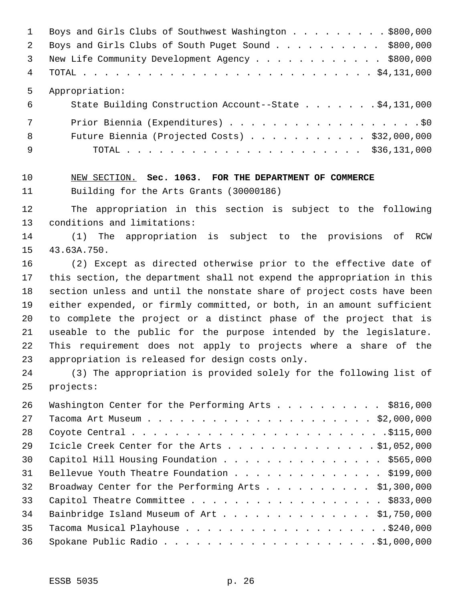|                | Boys and Girls Clubs of Southwest Washington \$800,000 |
|----------------|--------------------------------------------------------|
| 2              | Boys and Girls Clubs of South Puget Sound \$800,000    |
| $\overline{3}$ | New Life Community Development Agency \$800,000        |
| 4              |                                                        |
| 5              | Appropriation:                                         |
| 6              | State Building Construction Account--State \$4,131,000 |
| 7              |                                                        |
| 8              | Future Biennia (Projected Costs) $\ldots$ \$32,000,000 |
| 9              |                                                        |
|                |                                                        |

# NEW SECTION. **Sec. 1063. FOR THE DEPARTMENT OF COMMERCE** Building for the Arts Grants (30000186)

 The appropriation in this section is subject to the following conditions and limitations:

 (1) The appropriation is subject to the provisions of RCW 43.63A.750.

 (2) Except as directed otherwise prior to the effective date of this section, the department shall not expend the appropriation in this section unless and until the nonstate share of project costs have been either expended, or firmly committed, or both, in an amount sufficient to complete the project or a distinct phase of the project that is useable to the public for the purpose intended by the legislature. This requirement does not apply to projects where a share of the appropriation is released for design costs only.

 (3) The appropriation is provided solely for the following list of projects:

| 26 | Washington Center for the Performing Arts \$816,000 |
|----|-----------------------------------------------------|
| 27 |                                                     |
| 28 |                                                     |
| 29 | Icicle Creek Center for the Arts \$1,052,000        |
| 30 | Capitol Hill Housing Foundation \$565,000           |
| 31 | Bellevue Youth Theatre Foundation \$199,000         |
| 32 | Broadway Center for the Performing Arts \$1,300,000 |
| 33 | Capitol Theatre Committee \$833,000                 |
| 34 | Bainbridge Island Museum of Art \$1,750,000         |
| 35 |                                                     |
| 36 |                                                     |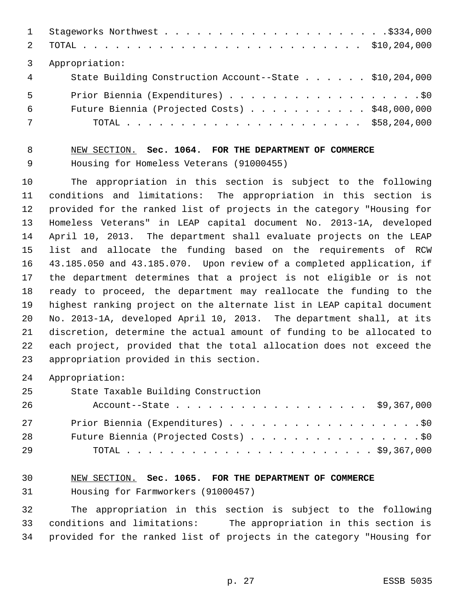| 2          |                                                         |  |
|------------|---------------------------------------------------------|--|
|            | Appropriation:                                          |  |
| $4\degree$ | State Building Construction Account--State \$10,204,000 |  |
| 5          | Prior Biennia (Expenditures) \$0                        |  |
| 6          | Future Biennia (Projected Costs) $\ldots$ \$48,000,000  |  |
| 7          |                                                         |  |

 NEW SECTION. **Sec. 1064. FOR THE DEPARTMENT OF COMMERCE** Housing for Homeless Veterans (91000455)

 The appropriation in this section is subject to the following conditions and limitations: The appropriation in this section is provided for the ranked list of projects in the category "Housing for Homeless Veterans" in LEAP capital document No. 2013-1A, developed April 10, 2013. The department shall evaluate projects on the LEAP list and allocate the funding based on the requirements of RCW 43.185.050 and 43.185.070. Upon review of a completed application, if the department determines that a project is not eligible or is not ready to proceed, the department may reallocate the funding to the highest ranking project on the alternate list in LEAP capital document No. 2013-1A, developed April 10, 2013. The department shall, at its discretion, determine the actual amount of funding to be allocated to each project, provided that the total allocation does not exceed the appropriation provided in this section.

Appropriation:

State Taxable Building Construction

| 26 | Account--State \$9,367,000           |
|----|--------------------------------------|
| 27 | Prior Biennia (Expenditures) \$0     |
| 28 | Future Biennia (Projected Costs) \$0 |
| 29 |                                      |

# NEW SECTION. **Sec. 1065. FOR THE DEPARTMENT OF COMMERCE** Housing for Farmworkers (91000457)

 The appropriation in this section is subject to the following conditions and limitations: The appropriation in this section is provided for the ranked list of projects in the category "Housing for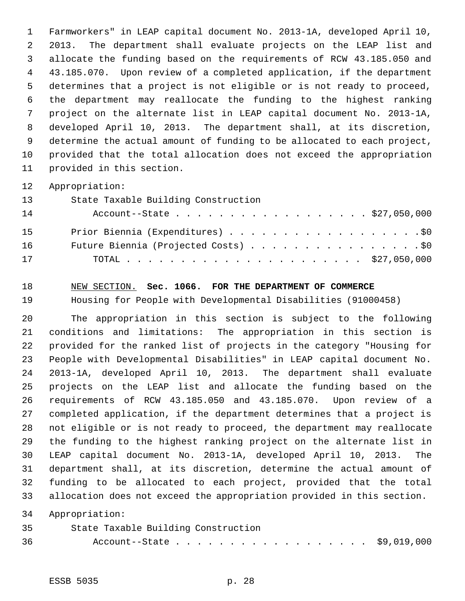Farmworkers" in LEAP capital document No. 2013-1A, developed April 10, 2013. The department shall evaluate projects on the LEAP list and allocate the funding based on the requirements of RCW 43.185.050 and 43.185.070. Upon review of a completed application, if the department determines that a project is not eligible or is not ready to proceed, the department may reallocate the funding to the highest ranking project on the alternate list in LEAP capital document No. 2013-1A, developed April 10, 2013. The department shall, at its discretion, determine the actual amount of funding to be allocated to each project, provided that the total allocation does not exceed the appropriation provided in this section.

Appropriation:

| 13 | State Taxable Building Construction  |
|----|--------------------------------------|
| 14 | Account--State \$27,050,000          |
| 15 | Prior Biennia (Expenditures) \$0     |
| 16 | Future Biennia (Projected Costs) \$0 |
| 17 |                                      |

NEW SECTION. **Sec. 1066. FOR THE DEPARTMENT OF COMMERCE**

Housing for People with Developmental Disabilities (91000458)

 The appropriation in this section is subject to the following conditions and limitations: The appropriation in this section is provided for the ranked list of projects in the category "Housing for People with Developmental Disabilities" in LEAP capital document No. 2013-1A, developed April 10, 2013. The department shall evaluate projects on the LEAP list and allocate the funding based on the requirements of RCW 43.185.050 and 43.185.070. Upon review of a completed application, if the department determines that a project is not eligible or is not ready to proceed, the department may reallocate the funding to the highest ranking project on the alternate list in LEAP capital document No. 2013-1A, developed April 10, 2013. The department shall, at its discretion, determine the actual amount of funding to be allocated to each project, provided that the total allocation does not exceed the appropriation provided in this section.

Appropriation:

| 35 | State Taxable Building Construction |  |
|----|-------------------------------------|--|
| 36 | Account--State \$9,019,000          |  |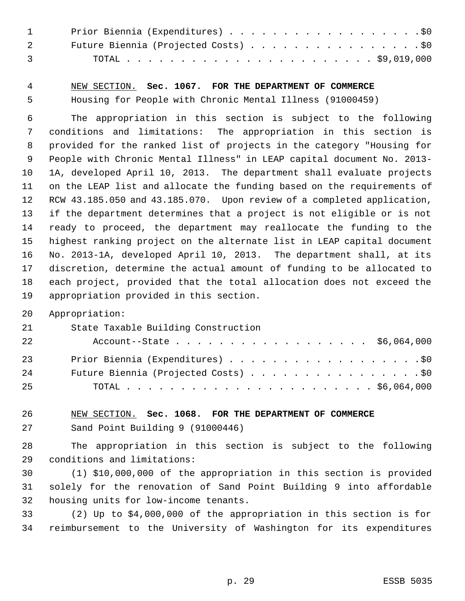| $\mathbf{1}$                                                                                                                                                                                                                                                                                                                       | Prior Biennia (Expenditures) \$0     |
|------------------------------------------------------------------------------------------------------------------------------------------------------------------------------------------------------------------------------------------------------------------------------------------------------------------------------------|--------------------------------------|
| $\overline{2}$                                                                                                                                                                                                                                                                                                                     | Future Biennia (Projected Costs) \$0 |
| $\overline{3}$ and $\overline{3}$ and $\overline{3}$ and $\overline{3}$ and $\overline{3}$ and $\overline{3}$ and $\overline{3}$ and $\overline{3}$ and $\overline{3}$ and $\overline{3}$ and $\overline{3}$ and $\overline{3}$ and $\overline{3}$ and $\overline{3}$ and $\overline{3}$ and $\overline{3}$ and $\overline{3}$ and |                                      |

 NEW SECTION. **Sec. 1067. FOR THE DEPARTMENT OF COMMERCE** Housing for People with Chronic Mental Illness (91000459)

 The appropriation in this section is subject to the following conditions and limitations: The appropriation in this section is provided for the ranked list of projects in the category "Housing for People with Chronic Mental Illness" in LEAP capital document No. 2013- 1A, developed April 10, 2013. The department shall evaluate projects on the LEAP list and allocate the funding based on the requirements of RCW 43.185.050 and 43.185.070. Upon review of a completed application, if the department determines that a project is not eligible or is not ready to proceed, the department may reallocate the funding to the highest ranking project on the alternate list in LEAP capital document No. 2013-1A, developed April 10, 2013. The department shall, at its discretion, determine the actual amount of funding to be allocated to each project, provided that the total allocation does not exceed the appropriation provided in this section.

Appropriation:

| -21 | State Taxable Building Construction  |
|-----|--------------------------------------|
| 22  | Account--State \$6,064,000           |
| 23  |                                      |
| 24  | Future Biennia (Projected Costs) \$0 |
| -25 |                                      |

 NEW SECTION. **Sec. 1068. FOR THE DEPARTMENT OF COMMERCE** Sand Point Building 9 (91000446)

 The appropriation in this section is subject to the following conditions and limitations:

 (1) \$10,000,000 of the appropriation in this section is provided solely for the renovation of Sand Point Building 9 into affordable housing units for low-income tenants.

 (2) Up to \$4,000,000 of the appropriation in this section is for reimbursement to the University of Washington for its expenditures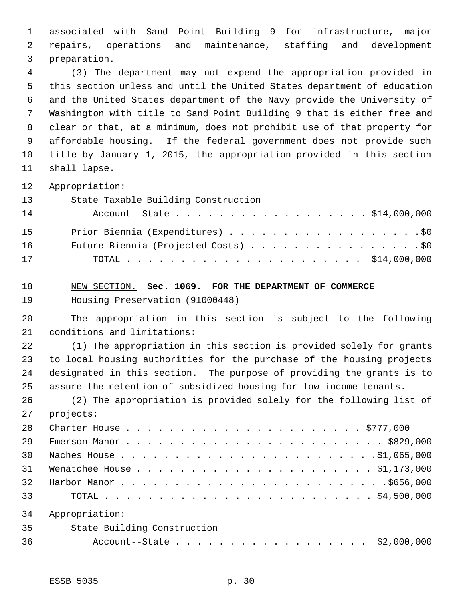associated with Sand Point Building 9 for infrastructure, major repairs, operations and maintenance, staffing and development preparation.

 (3) The department may not expend the appropriation provided in this section unless and until the United States department of education and the United States department of the Navy provide the University of Washington with title to Sand Point Building 9 that is either free and clear or that, at a minimum, does not prohibit use of that property for affordable housing. If the federal government does not provide such title by January 1, 2015, the appropriation provided in this section shall lapse.

Appropriation:

| 13 | State Taxable Building Construction  |
|----|--------------------------------------|
| 14 | Account--State \$14,000,000          |
| 15 | Prior Biennia (Expenditures) \$0     |
| 16 | Future Biennia (Projected Costs) \$0 |
| 17 |                                      |

 NEW SECTION. **Sec. 1069. FOR THE DEPARTMENT OF COMMERCE** Housing Preservation (91000448)

 The appropriation in this section is subject to the following conditions and limitations:

 (1) The appropriation in this section is provided solely for grants to local housing authorities for the purchase of the housing projects designated in this section. The purpose of providing the grants is to assure the retention of subsidized housing for low-income tenants.

 (2) The appropriation is provided solely for the following list of projects:

| 28 |                             |
|----|-----------------------------|
| 29 |                             |
| 30 |                             |
| 31 |                             |
| 32 |                             |
| 33 |                             |
| 34 | Appropriation:              |
| 35 | State Building Construction |
| 36 | Account--State \$2,000,000  |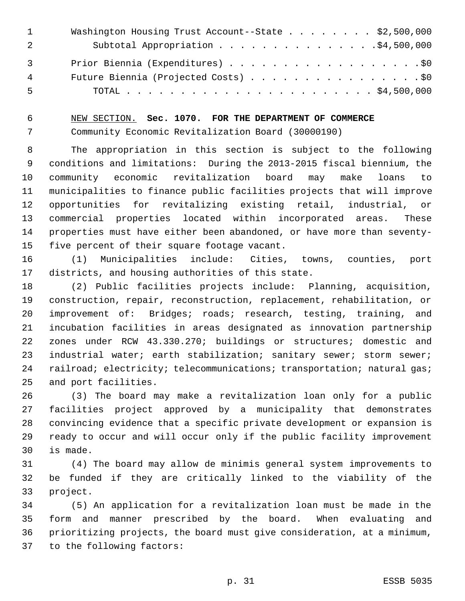|                | Washington Housing Trust Account--State \$2,500,000 |
|----------------|-----------------------------------------------------|
|                | Subtotal Appropriation \$4,500,000                  |
| $\overline{3}$ | Prior Biennia (Expenditures) \$0                    |
| 4              | Future Biennia (Projected Costs) \$0                |
| 5              |                                                     |

NEW SECTION. **Sec. 1070. FOR THE DEPARTMENT OF COMMERCE**

Community Economic Revitalization Board (30000190)

 The appropriation in this section is subject to the following conditions and limitations: During the 2013-2015 fiscal biennium, the community economic revitalization board may make loans to municipalities to finance public facilities projects that will improve opportunities for revitalizing existing retail, industrial, or commercial properties located within incorporated areas. These properties must have either been abandoned, or have more than seventy-five percent of their square footage vacant.

 (1) Municipalities include: Cities, towns, counties, port districts, and housing authorities of this state.

 (2) Public facilities projects include: Planning, acquisition, construction, repair, reconstruction, replacement, rehabilitation, or improvement of: Bridges; roads; research, testing, training, and incubation facilities in areas designated as innovation partnership zones under RCW 43.330.270; buildings or structures; domestic and industrial water; earth stabilization; sanitary sewer; storm sewer; 24 railroad; electricity; telecommunications; transportation; natural gas; and port facilities.

 (3) The board may make a revitalization loan only for a public facilities project approved by a municipality that demonstrates convincing evidence that a specific private development or expansion is ready to occur and will occur only if the public facility improvement is made.

 (4) The board may allow de minimis general system improvements to be funded if they are critically linked to the viability of the project.

 (5) An application for a revitalization loan must be made in the form and manner prescribed by the board. When evaluating and prioritizing projects, the board must give consideration, at a minimum, to the following factors: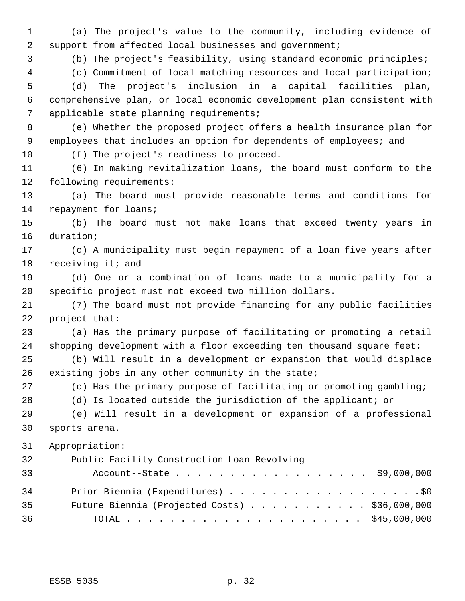(a) The project's value to the community, including evidence of 2 support from affected local businesses and government;

(b) The project's feasibility, using standard economic principles;

 (c) Commitment of local matching resources and local participation; (d) The project's inclusion in a capital facilities plan,

 comprehensive plan, or local economic development plan consistent with applicable state planning requirements;

 (e) Whether the proposed project offers a health insurance plan for employees that includes an option for dependents of employees; and

(f) The project's readiness to proceed.

 (6) In making revitalization loans, the board must conform to the following requirements:

 (a) The board must provide reasonable terms and conditions for repayment for loans;

 (b) The board must not make loans that exceed twenty years in duration;

 (c) A municipality must begin repayment of a loan five years after receiving it; and

 (d) One or a combination of loans made to a municipality for a specific project must not exceed two million dollars.

 (7) The board must not provide financing for any public facilities project that:

 (a) Has the primary purpose of facilitating or promoting a retail 24 shopping development with a floor exceeding ten thousand square feet;

 (b) Will result in a development or expansion that would displace existing jobs in any other community in the state;

(c) Has the primary purpose of facilitating or promoting gambling;

(d) Is located outside the jurisdiction of the applicant; or

 (e) Will result in a development or expansion of a professional sports arena.

Appropriation:

| 32 | Public Facility Construction Loan Revolving   |  |
|----|-----------------------------------------------|--|
| 33 | Account--State \$9,000,000                    |  |
| 34 |                                               |  |
| 35 | Future Biennia (Projected Costs) \$36,000,000 |  |
| 36 |                                               |  |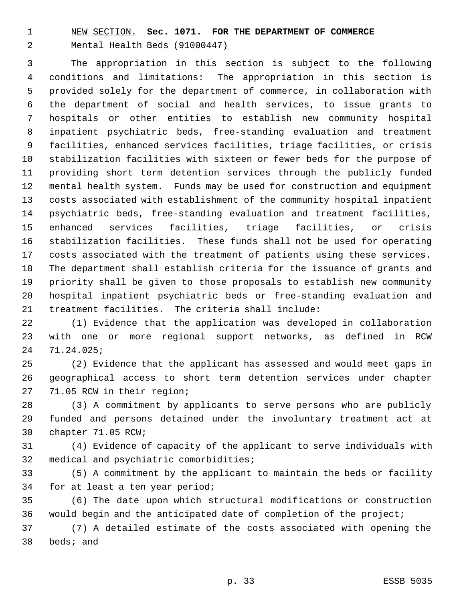NEW SECTION. **Sec. 1071. FOR THE DEPARTMENT OF COMMERCE** Mental Health Beds (91000447)

 The appropriation in this section is subject to the following conditions and limitations: The appropriation in this section is provided solely for the department of commerce, in collaboration with the department of social and health services, to issue grants to hospitals or other entities to establish new community hospital inpatient psychiatric beds, free-standing evaluation and treatment facilities, enhanced services facilities, triage facilities, or crisis stabilization facilities with sixteen or fewer beds for the purpose of providing short term detention services through the publicly funded mental health system. Funds may be used for construction and equipment costs associated with establishment of the community hospital inpatient psychiatric beds, free-standing evaluation and treatment facilities, enhanced services facilities, triage facilities, or crisis stabilization facilities. These funds shall not be used for operating costs associated with the treatment of patients using these services. The department shall establish criteria for the issuance of grants and priority shall be given to those proposals to establish new community hospital inpatient psychiatric beds or free-standing evaluation and treatment facilities. The criteria shall include:

 (1) Evidence that the application was developed in collaboration with one or more regional support networks, as defined in RCW 71.24.025;

 (2) Evidence that the applicant has assessed and would meet gaps in geographical access to short term detention services under chapter 71.05 RCW in their region;

 (3) A commitment by applicants to serve persons who are publicly funded and persons detained under the involuntary treatment act at chapter 71.05 RCW;

 (4) Evidence of capacity of the applicant to serve individuals with medical and psychiatric comorbidities;

 (5) A commitment by the applicant to maintain the beds or facility for at least a ten year period;

 (6) The date upon which structural modifications or construction would begin and the anticipated date of completion of the project;

 (7) A detailed estimate of the costs associated with opening the beds; and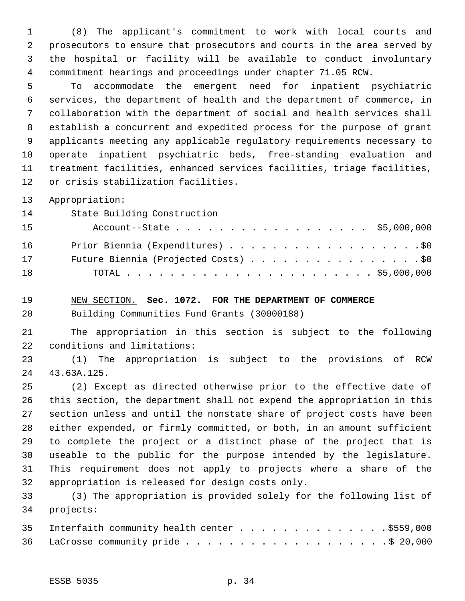(8) The applicant's commitment to work with local courts and prosecutors to ensure that prosecutors and courts in the area served by the hospital or facility will be available to conduct involuntary commitment hearings and proceedings under chapter 71.05 RCW.

 To accommodate the emergent need for inpatient psychiatric services, the department of health and the department of commerce, in collaboration with the department of social and health services shall establish a concurrent and expedited process for the purpose of grant applicants meeting any applicable regulatory requirements necessary to operate inpatient psychiatric beds, free-standing evaluation and treatment facilities, enhanced services facilities, triage facilities, or crisis stabilization facilities.

Appropriation:

State Building Construction

| 15 | Account--State \$5,000,000           |
|----|--------------------------------------|
| 16 |                                      |
| 17 | Future Biennia (Projected Costs) \$0 |
| 18 |                                      |

NEW SECTION. **Sec. 1072. FOR THE DEPARTMENT OF COMMERCE**

Building Communities Fund Grants (30000188)

 The appropriation in this section is subject to the following conditions and limitations:

 (1) The appropriation is subject to the provisions of RCW 43.63A.125.

 (2) Except as directed otherwise prior to the effective date of this section, the department shall not expend the appropriation in this section unless and until the nonstate share of project costs have been either expended, or firmly committed, or both, in an amount sufficient to complete the project or a distinct phase of the project that is useable to the public for the purpose intended by the legislature. This requirement does not apply to projects where a share of the appropriation is released for design costs only.

 (3) The appropriation is provided solely for the following list of projects:

| 35 Interfaith community health center \$559,000 |
|-------------------------------------------------|
|                                                 |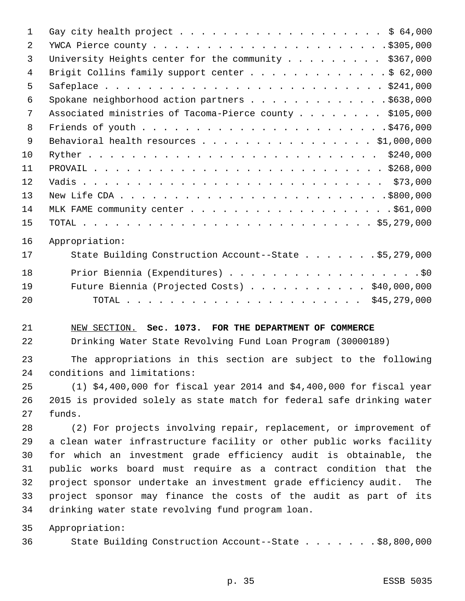| 1  | Gay city health project \$ 64,000                                      |
|----|------------------------------------------------------------------------|
| 2  |                                                                        |
| 3  | University Heights center for the community \$367,000                  |
| 4  | Brigit Collins family support center \$ 62,000                         |
| 5  |                                                                        |
| 6  | Spokane neighborhood action partners \$638,000                         |
| 7  | Associated ministries of Tacoma-Pierce county \$105,000                |
| 8  |                                                                        |
| 9  | Behavioral health resources \$1,000,000                                |
| 10 |                                                                        |
| 11 |                                                                        |
| 12 |                                                                        |
| 13 |                                                                        |
| 14 |                                                                        |
| 15 |                                                                        |
| 16 | Appropriation:                                                         |
| 17 | State Building Construction Account--State \$5,279,000                 |
| 18 | Prior Biennia (Expenditures) \$0                                       |
| 19 | Future Biennia (Projected Costs) \$40,000,000                          |
| 20 |                                                                        |
| 21 | NEW SECTION. Sec. 1073. FOR THE DEPARTMENT OF COMMERCE                 |
| 22 | Drinking Water State Revolving Fund Loan Program (30000189)            |
| 23 | The appropriations in this section are subject to the following        |
| 24 | conditions and limitations:                                            |
| 25 | $(1)$ \$4,400,000 for fiscal year 2014 and \$4,400,000 for fiscal year |
| 26 | 2015 is provided solely as state match for federal safe drinking water |
| 27 | funds.                                                                 |
| 28 | (2) For projects involving repair, replacement, or improvement of      |
| 29 | a clean water infrastructure facility or other public works facility   |
| 30 | for which an investment grade efficiency audit is obtainable, the      |
| 31 | public works board must require as a contract condition that<br>the    |
| 32 | project sponsor undertake an investment grade efficiency audit.<br>The |
| 33 | project sponsor may finance the costs of the audit as part of its      |
| 34 | drinking water state revolving fund program loan.                      |
| 35 | Appropriation:                                                         |
| 36 | State Building Construction Account--State \$8,800,000                 |
|    |                                                                        |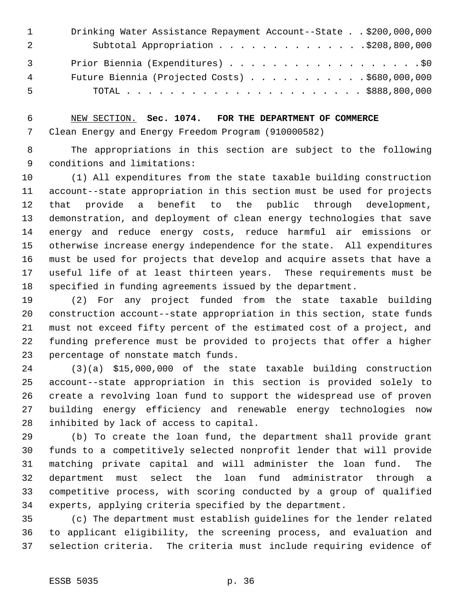|                | Drinking Water Assistance Repayment Account--State \$200,000,000 |
|----------------|------------------------------------------------------------------|
|                |                                                                  |
| $\overline{3}$ | Prior Biennia (Expenditures) \$0                                 |
| 4              | Future Biennia (Projected Costs) \$680,000,000                   |
| 5              |                                                                  |

 NEW SECTION. **Sec. 1074. FOR THE DEPARTMENT OF COMMERCE** Clean Energy and Energy Freedom Program (910000582)

 The appropriations in this section are subject to the following conditions and limitations:

 (1) All expenditures from the state taxable building construction account--state appropriation in this section must be used for projects that provide a benefit to the public through development, demonstration, and deployment of clean energy technologies that save energy and reduce energy costs, reduce harmful air emissions or otherwise increase energy independence for the state. All expenditures must be used for projects that develop and acquire assets that have a useful life of at least thirteen years. These requirements must be specified in funding agreements issued by the department.

 (2) For any project funded from the state taxable building construction account--state appropriation in this section, state funds must not exceed fifty percent of the estimated cost of a project, and funding preference must be provided to projects that offer a higher percentage of nonstate match funds.

 (3)(a) \$15,000,000 of the state taxable building construction account--state appropriation in this section is provided solely to create a revolving loan fund to support the widespread use of proven building energy efficiency and renewable energy technologies now inhibited by lack of access to capital.

 (b) To create the loan fund, the department shall provide grant funds to a competitively selected nonprofit lender that will provide matching private capital and will administer the loan fund. The department must select the loan fund administrator through a competitive process, with scoring conducted by a group of qualified experts, applying criteria specified by the department.

 (c) The department must establish guidelines for the lender related to applicant eligibility, the screening process, and evaluation and selection criteria. The criteria must include requiring evidence of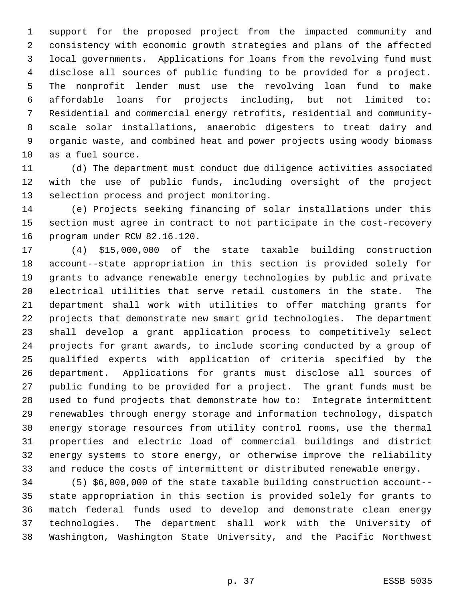support for the proposed project from the impacted community and consistency with economic growth strategies and plans of the affected local governments. Applications for loans from the revolving fund must disclose all sources of public funding to be provided for a project. The nonprofit lender must use the revolving loan fund to make affordable loans for projects including, but not limited to: Residential and commercial energy retrofits, residential and community- scale solar installations, anaerobic digesters to treat dairy and organic waste, and combined heat and power projects using woody biomass as a fuel source.

 (d) The department must conduct due diligence activities associated with the use of public funds, including oversight of the project selection process and project monitoring.

 (e) Projects seeking financing of solar installations under this section must agree in contract to not participate in the cost-recovery program under RCW 82.16.120.

 (4) \$15,000,000 of the state taxable building construction account--state appropriation in this section is provided solely for grants to advance renewable energy technologies by public and private electrical utilities that serve retail customers in the state. The department shall work with utilities to offer matching grants for projects that demonstrate new smart grid technologies. The department shall develop a grant application process to competitively select projects for grant awards, to include scoring conducted by a group of qualified experts with application of criteria specified by the department. Applications for grants must disclose all sources of public funding to be provided for a project. The grant funds must be used to fund projects that demonstrate how to: Integrate intermittent renewables through energy storage and information technology, dispatch energy storage resources from utility control rooms, use the thermal properties and electric load of commercial buildings and district energy systems to store energy, or otherwise improve the reliability and reduce the costs of intermittent or distributed renewable energy.

 (5) \$6,000,000 of the state taxable building construction account-- state appropriation in this section is provided solely for grants to match federal funds used to develop and demonstrate clean energy technologies. The department shall work with the University of Washington, Washington State University, and the Pacific Northwest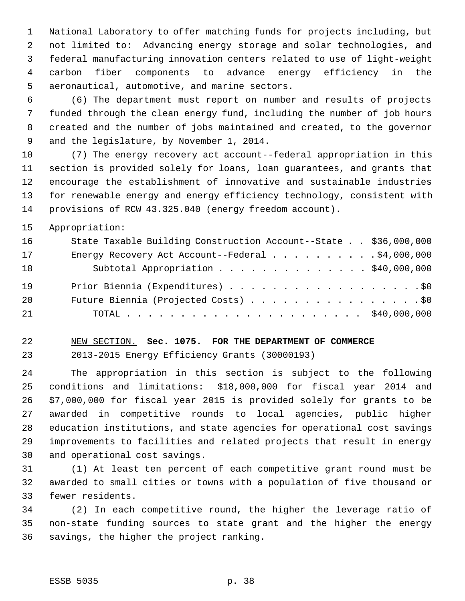National Laboratory to offer matching funds for projects including, but not limited to: Advancing energy storage and solar technologies, and federal manufacturing innovation centers related to use of light-weight carbon fiber components to advance energy efficiency in the aeronautical, automotive, and marine sectors.

 (6) The department must report on number and results of projects funded through the clean energy fund, including the number of job hours created and the number of jobs maintained and created, to the governor and the legislature, by November 1, 2014.

 (7) The energy recovery act account--federal appropriation in this section is provided solely for loans, loan guarantees, and grants that encourage the establishment of innovative and sustainable industries for renewable energy and energy efficiency technology, consistent with provisions of RCW 43.325.040 (energy freedom account).

Appropriation:

| 16 | State Taxable Building Construction Account--State \$36,000,000 |  |
|----|-----------------------------------------------------------------|--|
| 17 | Energy Recovery Act Account--Federal \$4,000,000                |  |
| 18 | Subtotal Appropriation \$40,000,000                             |  |
| 19 |                                                                 |  |
| 20 | Future Biennia (Projected Costs) \$0                            |  |
| 21 |                                                                 |  |

#### NEW SECTION. **Sec. 1075. FOR THE DEPARTMENT OF COMMERCE**

2013-2015 Energy Efficiency Grants (30000193)

 The appropriation in this section is subject to the following conditions and limitations: \$18,000,000 for fiscal year 2014 and \$7,000,000 for fiscal year 2015 is provided solely for grants to be awarded in competitive rounds to local agencies, public higher education institutions, and state agencies for operational cost savings improvements to facilities and related projects that result in energy and operational cost savings.

 (1) At least ten percent of each competitive grant round must be awarded to small cities or towns with a population of five thousand or fewer residents.

 (2) In each competitive round, the higher the leverage ratio of non-state funding sources to state grant and the higher the energy savings, the higher the project ranking.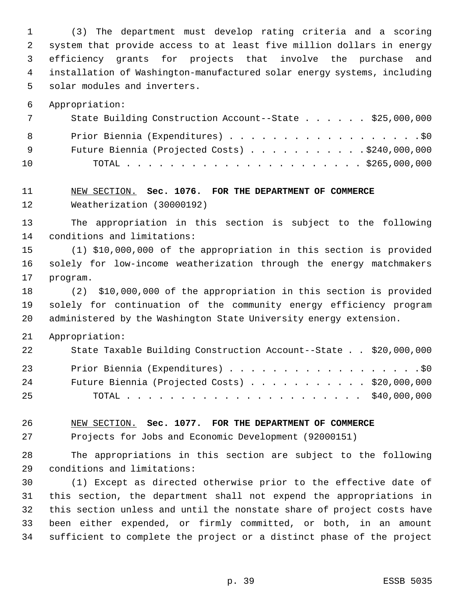(3) The department must develop rating criteria and a scoring system that provide access to at least five million dollars in energy efficiency grants for projects that involve the purchase and installation of Washington-manufactured solar energy systems, including solar modules and inverters.

Appropriation:

| 7   | State Building Construction Account--State \$25,000,000 |
|-----|---------------------------------------------------------|
| 8   | Prior Biennia (Expenditures) \$0                        |
| - 9 | Future Biennia (Projected Costs) $\ldots$ \$240,000,000 |
| 10  |                                                         |

#### NEW SECTION. **Sec. 1076. FOR THE DEPARTMENT OF COMMERCE** Weatherization (30000192)

 The appropriation in this section is subject to the following conditions and limitations:

 (1) \$10,000,000 of the appropriation in this section is provided solely for low-income weatherization through the energy matchmakers program.

 (2) \$10,000,000 of the appropriation in this section is provided solely for continuation of the community energy efficiency program administered by the Washington State University energy extension.

#### Appropriation:

| 22 | State Taxable Building Construction Account--State \$20,000,000 |  |
|----|-----------------------------------------------------------------|--|
| 23 | Prior Biennia (Expenditures) \$0                                |  |
| 24 | Future Biennia (Projected Costs) $\ldots$ \$20,000,000          |  |
| 25 |                                                                 |  |

NEW SECTION. **Sec. 1077. FOR THE DEPARTMENT OF COMMERCE**

Projects for Jobs and Economic Development (92000151)

 The appropriations in this section are subject to the following conditions and limitations:

 (1) Except as directed otherwise prior to the effective date of this section, the department shall not expend the appropriations in this section unless and until the nonstate share of project costs have been either expended, or firmly committed, or both, in an amount sufficient to complete the project or a distinct phase of the project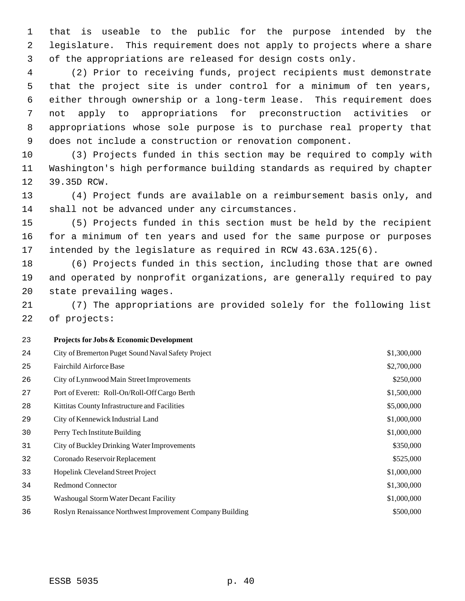that is useable to the public for the purpose intended by the legislature. This requirement does not apply to projects where a share of the appropriations are released for design costs only.

 (2) Prior to receiving funds, project recipients must demonstrate that the project site is under control for a minimum of ten years, either through ownership or a long-term lease. This requirement does not apply to appropriations for preconstruction activities or appropriations whose sole purpose is to purchase real property that does not include a construction or renovation component.

 (3) Projects funded in this section may be required to comply with Washington's high performance building standards as required by chapter 39.35D RCW.

 (4) Project funds are available on a reimbursement basis only, and shall not be advanced under any circumstances.

 (5) Projects funded in this section must be held by the recipient for a minimum of ten years and used for the same purpose or purposes intended by the legislature as required in RCW 43.63A.125(6).

 (6) Projects funded in this section, including those that are owned and operated by nonprofit organizations, are generally required to pay state prevailing wages.

 (7) The appropriations are provided solely for the following list of projects:

#### **Projects for Jobs & Economic Development**

| \$2,700,000<br>25<br>Fairchild Airforce Base<br>\$250,000<br>26<br>City of Lynnwood Main Street Improvements<br>\$1,500,000<br>27<br>Port of Everett: Roll-On/Roll-Off Cargo Berth<br>\$5,000,000<br>28<br>Kittitas County Infrastructure and Facilities<br>\$1,000,000<br>29<br>City of Kennewick Industrial Land<br>\$1,000,000<br>30<br>Perry Tech Institute Building<br>\$350,000<br>31<br>City of Buckley Drinking Water Improvements<br>\$525,000<br>32<br>Coronado Reservoir Replacement<br>\$1,000,000<br>Hopelink Cleveland Street Project<br>33<br><b>Redmond Connector</b><br>\$1,300,000<br>34<br>\$1,000,000<br>35<br>Washougal Storm Water Decant Facility<br>\$500,000<br>36<br>Roslyn Renaissance Northwest Improvement Company Building | 24 | City of Bremerton Puget Sound Naval Safety Project | \$1,300,000 |
|----------------------------------------------------------------------------------------------------------------------------------------------------------------------------------------------------------------------------------------------------------------------------------------------------------------------------------------------------------------------------------------------------------------------------------------------------------------------------------------------------------------------------------------------------------------------------------------------------------------------------------------------------------------------------------------------------------------------------------------------------------|----|----------------------------------------------------|-------------|
|                                                                                                                                                                                                                                                                                                                                                                                                                                                                                                                                                                                                                                                                                                                                                          |    |                                                    |             |
|                                                                                                                                                                                                                                                                                                                                                                                                                                                                                                                                                                                                                                                                                                                                                          |    |                                                    |             |
|                                                                                                                                                                                                                                                                                                                                                                                                                                                                                                                                                                                                                                                                                                                                                          |    |                                                    |             |
|                                                                                                                                                                                                                                                                                                                                                                                                                                                                                                                                                                                                                                                                                                                                                          |    |                                                    |             |
|                                                                                                                                                                                                                                                                                                                                                                                                                                                                                                                                                                                                                                                                                                                                                          |    |                                                    |             |
|                                                                                                                                                                                                                                                                                                                                                                                                                                                                                                                                                                                                                                                                                                                                                          |    |                                                    |             |
|                                                                                                                                                                                                                                                                                                                                                                                                                                                                                                                                                                                                                                                                                                                                                          |    |                                                    |             |
|                                                                                                                                                                                                                                                                                                                                                                                                                                                                                                                                                                                                                                                                                                                                                          |    |                                                    |             |
|                                                                                                                                                                                                                                                                                                                                                                                                                                                                                                                                                                                                                                                                                                                                                          |    |                                                    |             |
|                                                                                                                                                                                                                                                                                                                                                                                                                                                                                                                                                                                                                                                                                                                                                          |    |                                                    |             |
|                                                                                                                                                                                                                                                                                                                                                                                                                                                                                                                                                                                                                                                                                                                                                          |    |                                                    |             |
|                                                                                                                                                                                                                                                                                                                                                                                                                                                                                                                                                                                                                                                                                                                                                          |    |                                                    |             |

ESSB 5035 p. 40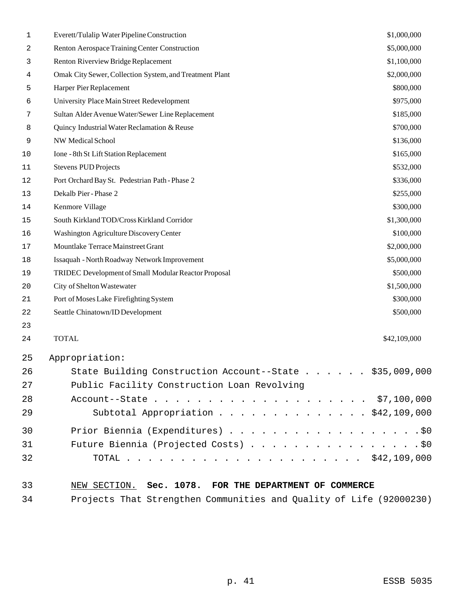| 1  | Everett/Tulalip Water Pipeline Construction             | \$1,000,000  |
|----|---------------------------------------------------------|--------------|
| 2  | Renton Aerospace Training Center Construction           | \$5,000,000  |
| 3  | Renton Riverview Bridge Replacement                     | \$1,100,000  |
| 4  | Omak City Sewer, Collection System, and Treatment Plant | \$2,000,000  |
| 5  | Harper Pier Replacement                                 | \$800,000    |
| 6  | University Place Main Street Redevelopment              | \$975,000    |
| 7  | Sultan Alder Avenue Water/Sewer Line Replacement        | \$185,000    |
| 8  | Quincy Industrial Water Reclamation & Reuse             | \$700,000    |
| 9  | <b>NW Medical School</b>                                | \$136,000    |
| 10 | Ione - 8th St Lift Station Replacement                  | \$165,000    |
| 11 | <b>Stevens PUD Projects</b>                             | \$532,000    |
| 12 | Port Orchard Bay St. Pedestrian Path - Phase 2          | \$336,000    |
| 13 | Dekalb Pier - Phase 2                                   | \$255,000    |
| 14 | Kenmore Village                                         | \$300,000    |
| 15 | South Kirkland TOD/Cross Kirkland Corridor              | \$1,300,000  |
| 16 | Washington Agriculture Discovery Center                 | \$100,000    |
| 17 | Mountlake Terrace Mainstreet Grant                      | \$2,000,000  |
| 18 | Issaquah - North Roadway Network Improvement            | \$5,000,000  |
| 19 | TRIDEC Development of Small Modular Reactor Proposal    | \$500,000    |
| 20 | City of Shelton Wastewater                              | \$1,500,000  |
| 21 | Port of Moses Lake Firefighting System                  | \$300,000    |
| 22 | Seattle Chinatown/ID Development                        | \$500,000    |
| 23 |                                                         |              |
| 24 | <b>TOTAL</b>                                            | \$42,109,000 |
| 25 | Appropriation:                                          |              |
| 26 | State Building Construction Account--State \$35,009,000 |              |
| 27 | Public Facility Construction Loan Revolving             |              |
| 28 |                                                         |              |
| 29 | Subtotal Appropriation \$42,109,000                     |              |
| 30 | Prior Biennia (Expenditures) \$0                        |              |
| 31 | Future Biennia (Projected Costs) \$0                    |              |
| 32 |                                                         |              |
| 33 | NEW SECTION. Sec. 1078. FOR THE DEPARTMENT OF COMMERCE  |              |

Projects That Strengthen Communities and Quality of Life (92000230)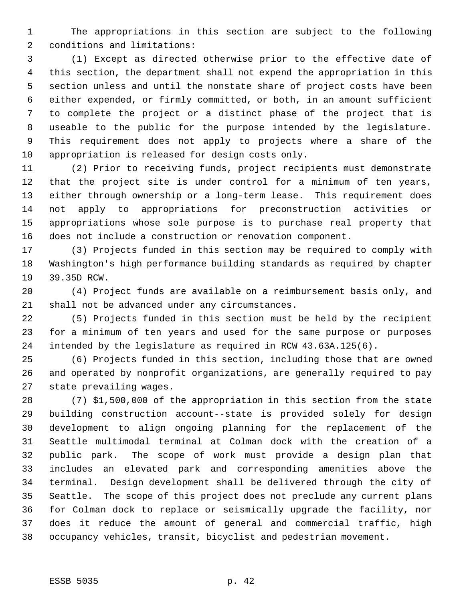The appropriations in this section are subject to the following conditions and limitations:

 (1) Except as directed otherwise prior to the effective date of this section, the department shall not expend the appropriation in this section unless and until the nonstate share of project costs have been either expended, or firmly committed, or both, in an amount sufficient to complete the project or a distinct phase of the project that is useable to the public for the purpose intended by the legislature. This requirement does not apply to projects where a share of the appropriation is released for design costs only.

 (2) Prior to receiving funds, project recipients must demonstrate that the project site is under control for a minimum of ten years, either through ownership or a long-term lease. This requirement does not apply to appropriations for preconstruction activities or appropriations whose sole purpose is to purchase real property that does not include a construction or renovation component.

 (3) Projects funded in this section may be required to comply with Washington's high performance building standards as required by chapter 39.35D RCW.

 (4) Project funds are available on a reimbursement basis only, and shall not be advanced under any circumstances.

 (5) Projects funded in this section must be held by the recipient for a minimum of ten years and used for the same purpose or purposes intended by the legislature as required in RCW 43.63A.125(6).

 (6) Projects funded in this section, including those that are owned and operated by nonprofit organizations, are generally required to pay state prevailing wages.

 (7) \$1,500,000 of the appropriation in this section from the state building construction account--state is provided solely for design development to align ongoing planning for the replacement of the Seattle multimodal terminal at Colman dock with the creation of a public park. The scope of work must provide a design plan that includes an elevated park and corresponding amenities above the terminal. Design development shall be delivered through the city of Seattle. The scope of this project does not preclude any current plans for Colman dock to replace or seismically upgrade the facility, nor does it reduce the amount of general and commercial traffic, high occupancy vehicles, transit, bicyclist and pedestrian movement.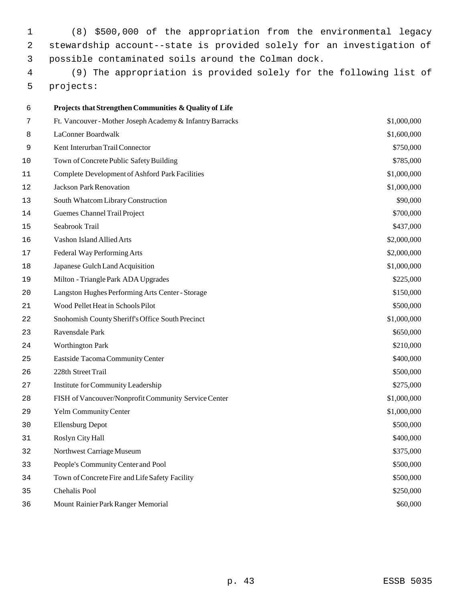(8) \$500,000 of the appropriation from the environmental legacy stewardship account--state is provided solely for an investigation of possible contaminated soils around the Colman dock.

 (9) The appropriation is provided solely for the following list of projects:

| 6  | Projects that Strengthen Communities & Quality of Life    |             |
|----|-----------------------------------------------------------|-------------|
| 7  | Ft. Vancouver - Mother Joseph Academy & Infantry Barracks | \$1,000,000 |
| 8  | LaConner Boardwalk                                        | \$1,600,000 |
| 9  | Kent Interurban Trail Connector                           | \$750,000   |
| 10 | Town of Concrete Public Safety Building                   | \$785,000   |
| 11 | <b>Complete Development of Ashford Park Facilities</b>    | \$1,000,000 |
| 12 | <b>Jackson Park Renovation</b>                            | \$1,000,000 |
| 13 | South Whatcom Library Construction                        | \$90,000    |
| 14 | Guemes Channel Trail Project                              | \$700,000   |
| 15 | Seabrook Trail                                            | \$437,000   |
| 16 | Vashon Island Allied Arts                                 | \$2,000,000 |
| 17 | Federal Way Performing Arts                               | \$2,000,000 |
| 18 | Japanese Gulch Land Acquisition                           | \$1,000,000 |
| 19 | Milton - Triangle Park ADA Upgrades                       | \$225,000   |
| 20 | Langston Hughes Performing Arts Center - Storage          | \$150,000   |
| 21 | Wood Pellet Heat in Schools Pilot                         | \$500,000   |
| 22 | Snohomish County Sheriff's Office South Precinct          | \$1,000,000 |
| 23 | Ravensdale Park                                           | \$650,000   |
| 24 | <b>Worthington Park</b>                                   | \$210,000   |
| 25 | Eastside Tacoma Community Center                          | \$400,000   |
| 26 | 228th Street Trail                                        | \$500,000   |
| 27 | Institute for Community Leadership                        | \$275,000   |
| 28 | FISH of Vancouver/Nonprofit Community Service Center      | \$1,000,000 |
| 29 | <b>Yelm Community Center</b>                              | \$1,000,000 |
| 30 | <b>Ellensburg Depot</b>                                   | \$500,000   |
| 31 | Roslyn City Hall                                          | \$400,000   |
| 32 | Northwest Carriage Museum                                 | \$375,000   |
| 33 | People's Community Center and Pool                        | \$500,000   |
| 34 | Town of Concrete Fire and Life Safety Facility            | \$500,000   |
| 35 | Chehalis Pool                                             | \$250,000   |
| 36 | Mount Rainier Park Ranger Memorial                        | \$60,000    |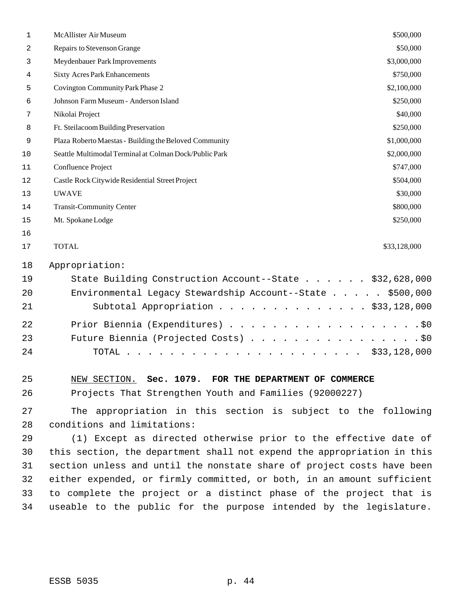| $\mathbf 1$ | McAllister Air Museum                                                   | \$500,000    |
|-------------|-------------------------------------------------------------------------|--------------|
| 2           | Repairs to Stevenson Grange                                             | \$50,000     |
| 3           | Meydenbauer Park Improvements                                           | \$3,000,000  |
| 4           | <b>Sixty Acres Park Enhancements</b>                                    | \$750,000    |
| 5           | Covington Community Park Phase 2                                        | \$2,100,000  |
| 6           | Johnson Farm Museum - Anderson Island                                   | \$250,000    |
| 7           | Nikolai Project                                                         | \$40,000     |
| 8           | Ft. Steilacoom Building Preservation                                    | \$250,000    |
| 9           | Plaza Roberto Maestas - Building the Beloved Community                  | \$1,000,000  |
| 10          | Seattle Multimodal Terminal at Colman Dock/Public Park                  | \$2,000,000  |
| 11          | Confluence Project                                                      | \$747,000    |
| 12          | Castle Rock Citywide Residential Street Project                         | \$504,000    |
| 13          | <b>UWAVE</b>                                                            | \$30,000     |
| 14          | <b>Transit-Community Center</b>                                         | \$800,000    |
| 15          | Mt. Spokane Lodge                                                       | \$250,000    |
| 16          |                                                                         |              |
| 17          | <b>TOTAL</b>                                                            | \$33,128,000 |
| 18          | Appropriation:                                                          |              |
| 19          | State Building Construction Account--State \$32,628,000                 |              |
| 20          | Environmental Legacy Stewardship Account--State \$500,000               |              |
| 21          | Subtotal Appropriation \$33,128,000                                     |              |
| 22          | Prior Biennia (Expenditures)                                            | $.$ \$0      |
| 23          | Future Biennia (Projected Costs)                                        | $.$ \$0      |
| 24          | TOTAL                                                                   | \$33,128,000 |
|             |                                                                         |              |
| 25          | NEW SECTION. Sec. 1079. FOR THE DEPARTMENT OF COMMERCE                  |              |
| 26          | Projects That Strengthen Youth and Families (92000227)                  |              |
| 27          | The appropriation in this section is subject to the following           |              |
| 28          | conditions and limitations:                                             |              |
| 29          | (1) Except as directed otherwise prior to the effective date of         |              |
| 30          | this section, the department shall not expend the appropriation in this |              |
| 31          | section unless and until the nonstate share of project costs have been  |              |
| 32          | either expended, or firmly committed, or both, in an amount sufficient  |              |
| 33          | to complete the project or a distinct phase of the project that is      |              |
| 34          | useable to the public for the purpose intended by the legislature.      |              |
|             |                                                                         |              |
|             |                                                                         |              |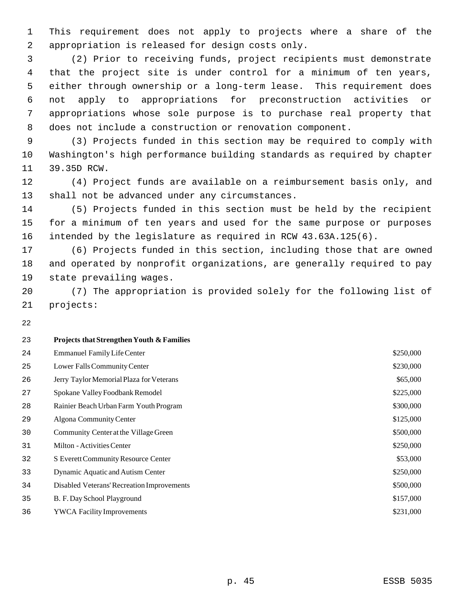This requirement does not apply to projects where a share of the appropriation is released for design costs only.

 (2) Prior to receiving funds, project recipients must demonstrate that the project site is under control for a minimum of ten years, either through ownership or a long-term lease. This requirement does not apply to appropriations for preconstruction activities or appropriations whose sole purpose is to purchase real property that does not include a construction or renovation component.

 (3) Projects funded in this section may be required to comply with Washington's high performance building standards as required by chapter 39.35D RCW.

 (4) Project funds are available on a reimbursement basis only, and shall not be advanced under any circumstances.

 (5) Projects funded in this section must be held by the recipient for a minimum of ten years and used for the same purpose or purposes intended by the legislature as required in RCW 43.63A.125(6).

 (6) Projects funded in this section, including those that are owned and operated by nonprofit organizations, are generally required to pay state prevailing wages.

 (7) The appropriation is provided solely for the following list of projects:

| 23 | <b>Projects that Strengthen Youth &amp; Families</b> |           |
|----|------------------------------------------------------|-----------|
| 24 | <b>Emmanuel Family Life Center</b>                   | \$250,000 |
| 25 | Lower Falls Community Center                         | \$230,000 |
| 26 | Jerry Taylor Memorial Plaza for Veterans             | \$65,000  |
| 27 | Spokane Valley Foodbank Remodel                      | \$225,000 |
| 28 | Rainier Beach Urban Farm Youth Program               | \$300,000 |
| 29 | Algona Community Center                              | \$125,000 |
| 30 | Community Center at the Village Green                | \$500,000 |
| 31 | Milton - Activities Center                           | \$250,000 |
| 32 | S Everett Community Resource Center                  | \$53,000  |
| 33 | Dynamic Aquatic and Autism Center                    | \$250,000 |
| 34 | Disabled Veterans' Recreation Improvements           | \$500,000 |
| 35 | B. F. Day School Playground                          | \$157,000 |
| 36 | <b>YWCA Facility Improvements</b>                    | \$231,000 |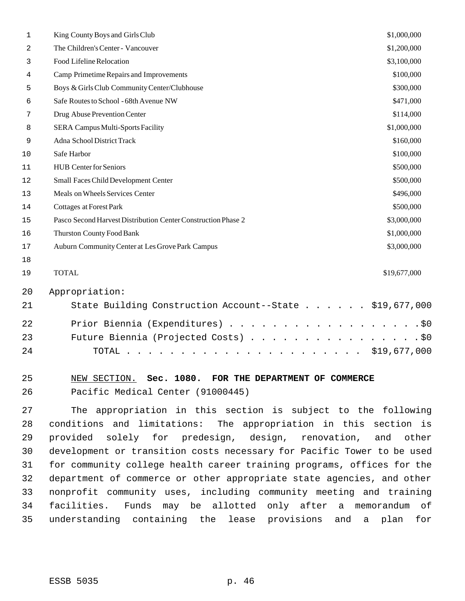| $\mathbf 1$ | King County Boys and Girls Club                                                                                                                                                                                                            | \$1,000,000  |
|-------------|--------------------------------------------------------------------------------------------------------------------------------------------------------------------------------------------------------------------------------------------|--------------|
| 2           | The Children's Center - Vancouver                                                                                                                                                                                                          | \$1,200,000  |
| 3           | Food Lifeline Relocation                                                                                                                                                                                                                   | \$3,100,000  |
| 4           | Camp Primetime Repairs and Improvements                                                                                                                                                                                                    | \$100,000    |
| 5           | Boys & Girls Club Community Center/Clubhouse                                                                                                                                                                                               | \$300,000    |
| 6           | Safe Routes to School - 68th Avenue NW                                                                                                                                                                                                     | \$471,000    |
| 7           | Drug Abuse Prevention Center                                                                                                                                                                                                               | \$114,000    |
| 8           | <b>SERA Campus Multi-Sports Facility</b>                                                                                                                                                                                                   | \$1,000,000  |
| 9           | Adna School District Track                                                                                                                                                                                                                 | \$160,000    |
| 10          | Safe Harbor                                                                                                                                                                                                                                | \$100,000    |
| 11          | <b>HUB</b> Center for Seniors                                                                                                                                                                                                              | \$500,000    |
| 12          | Small Faces Child Development Center                                                                                                                                                                                                       | \$500,000    |
| 13          | Meals on Wheels Services Center                                                                                                                                                                                                            | \$496,000    |
| 14          | <b>Cottages at Forest Park</b>                                                                                                                                                                                                             | \$500,000    |
| 15          | Pasco Second Harvest Distribution Center Construction Phase 2                                                                                                                                                                              | \$3,000,000  |
| 16          | Thurston County Food Bank                                                                                                                                                                                                                  | \$1,000,000  |
| 17          | Auburn Community Center at Les Grove Park Campus                                                                                                                                                                                           | \$3,000,000  |
| 18          |                                                                                                                                                                                                                                            |              |
| 19          | <b>TOTAL</b>                                                                                                                                                                                                                               | \$19,677,000 |
| 20          | Appropriation:                                                                                                                                                                                                                             |              |
| 21          | State Building Construction Account--State \$19,677,000                                                                                                                                                                                    |              |
| 22          | Prior Biennia (Expenditures)                                                                                                                                                                                                               | $.$ \$0      |
| 23          | Future Biennia (Projected Costs)                                                                                                                                                                                                           | .50          |
| 24          | TOTAL<br>$\mathbf{1}$ , and a set of the set of the set of the set of the set of the set of the set of the set of the set of the set of the set of the set of the set of the set of the set of the set of the set of the set of the set of | \$19,677,000 |
|             |                                                                                                                                                                                                                                            |              |

#### NEW SECTION. **Sec. 1080. FOR THE DEPARTMENT OF COMMERCE** Pacific Medical Center (91000445)

 The appropriation in this section is subject to the following conditions and limitations: The appropriation in this section is provided solely for predesign, design, renovation, and other development or transition costs necessary for Pacific Tower to be used for community college health career training programs, offices for the department of commerce or other appropriate state agencies, and other nonprofit community uses, including community meeting and training facilities. Funds may be allotted only after a memorandum of understanding containing the lease provisions and a plan for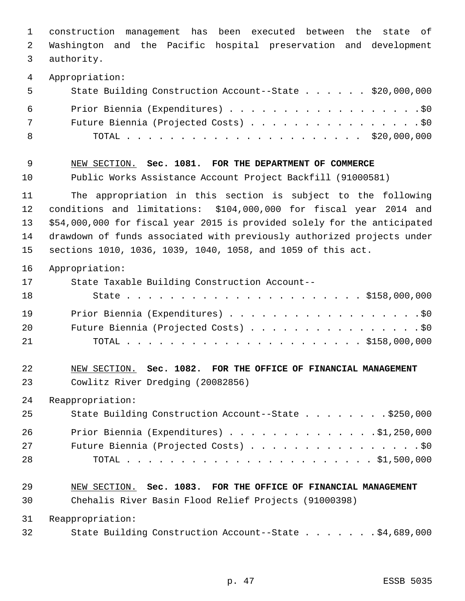construction management has been executed between the state of Washington and the Pacific hospital preservation and development authority. Appropriation: State Building Construction Account--State . . . . . . \$20,000,000 Prior Biennia (Expenditures) . . . . . . . . . . . . . . . . . .\$0 Future Biennia (Projected Costs) . . . . . . . . . . . . . . . . \$0 TOTAL . . . . . . . . . . . . . . . . . . . . . . \$20,000,000 NEW SECTION. **Sec. 1081. FOR THE DEPARTMENT OF COMMERCE** Public Works Assistance Account Project Backfill (91000581) The appropriation in this section is subject to the following conditions and limitations: \$104,000,000 for fiscal year 2014 and \$54,000,000 for fiscal year 2015 is provided solely for the anticipated drawdown of funds associated with previously authorized projects under sections 1010, 1036, 1039, 1040, 1058, and 1059 of this act. Appropriation: State Taxable Building Construction Account-- State . . . . . . . . . . . . . . . . . . . . . . \$158,000,000 Prior Biennia (Expenditures) . . . . . . . . . . . . . . . . . .\$0 20 Future Biennia (Projected Costs) . . . . . . . . . . . . . . . . \$0 TOTAL . . . . . . . . . . . . . . . . . . . . . . \$158,000,000 NEW SECTION. **Sec. 1082. FOR THE OFFICE OF FINANCIAL MANAGEMENT** Cowlitz River Dredging (20082856) Reappropriation: State Building Construction Account--State . . . . . . . . \$250,000 Prior Biennia (Expenditures) . . . . . . . . . . . . . .\$1,250,000 27 Future Biennia (Projected Costs) . . . . . . . . . . . . . . . . \$0 TOTAL . . . . . . . . . . . . . . . . . . . . . . . \$1,500,000 NEW SECTION. **Sec. 1083. FOR THE OFFICE OF FINANCIAL MANAGEMENT** Chehalis River Basin Flood Relief Projects (91000398) Reappropriation: State Building Construction Account--State . . . . . . . \$4,689,000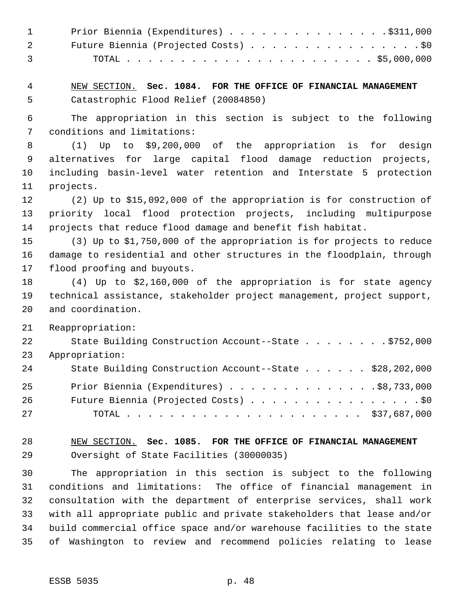| $\mathbf{1}$<br>2<br>3 | Prior Biennia (Expenditures) \$311,000<br>Future Biennia (Projected Costs) \$0                                                    |
|------------------------|-----------------------------------------------------------------------------------------------------------------------------------|
| 4<br>5                 | NEW SECTION. Sec. 1084. FOR THE OFFICE OF FINANCIAL MANAGEMENT<br>Catastrophic Flood Relief (20084850)                            |
| 6                      | The appropriation in this section is subject to the following                                                                     |
| 7                      | conditions and limitations:                                                                                                       |
| 8<br>9                 | to \$9,200,000 of the appropriation is for design<br>(1)<br>Up<br>alternatives for large capital flood damage reduction projects, |
| 10                     | including basin-level water retention and Interstate 5 protection                                                                 |
| 11                     | projects.                                                                                                                         |
| 12                     | (2) Up to \$15,092,000 of the appropriation is for construction of                                                                |
| 13                     | priority local flood protection projects, including multipurpose                                                                  |
| 14                     | projects that reduce flood damage and benefit fish habitat.                                                                       |
| 15                     | (3) Up to \$1,750,000 of the appropriation is for projects to reduce                                                              |
| 16                     | damage to residential and other structures in the floodplain, through                                                             |
| 17                     | flood proofing and buyouts.                                                                                                       |
| 18                     | $(4)$ Up to \$2,160,000 of the appropriation is for state agency                                                                  |
| 19                     | technical assistance, stakeholder project management, project support,                                                            |
| 20                     | and coordination.                                                                                                                 |
| 21                     | Reappropriation:                                                                                                                  |
| 22                     | State Building Construction Account--State \$752,000                                                                              |
| 23                     | Appropriation:                                                                                                                    |
| 24                     | State Building Construction Account--State \$28,202,000                                                                           |
| 25                     | Prior Biennia (Expenditures) \$8,733,000                                                                                          |
| 26                     | Future Biennia (Projected Costs) \$0                                                                                              |
| 27                     |                                                                                                                                   |
| 28                     | NEW SECTION. Sec. 1085. FOR THE OFFICE OF FINANCIAL MANAGEMENT                                                                    |
| 29                     | Oversight of State Facilities (30000035)                                                                                          |
| 30                     | The appropriation in this section is subject to the following                                                                     |
| 31                     | conditions and limitations: The office of financial management in                                                                 |
| 32                     | consultation with the department of enterprise services, shall work                                                               |
| 33                     | with all appropriate public and private stakeholders that lease and/or                                                            |
| 34                     | build commercial office space and/or warehouse facilities to the state                                                            |
| 35                     | of Washington to review and recommend policies relating to lease                                                                  |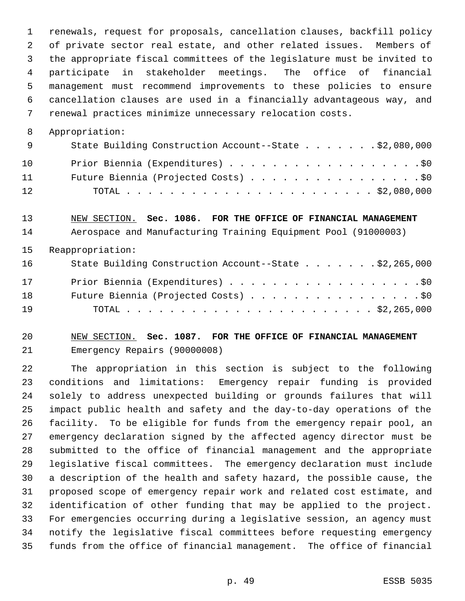renewals, request for proposals, cancellation clauses, backfill policy of private sector real estate, and other related issues. Members of the appropriate fiscal committees of the legislature must be invited to participate in stakeholder meetings. The office of financial management must recommend improvements to these policies to ensure cancellation clauses are used in a financially advantageous way, and renewal practices minimize unnecessary relocation costs.

Appropriation:

| - 9 | State Building Construction Account--State \$2,080,000 |
|-----|--------------------------------------------------------|
| 10  | Prior Biennia (Expenditures) \$0                       |
| 11  | Future Biennia (Projected Costs) \$0                   |
| 12  |                                                        |

# NEW SECTION. **Sec. 1086. FOR THE OFFICE OF FINANCIAL MANAGEMENT**

Aerospace and Manufacturing Training Equipment Pool (91000003)

Reappropriation:

| 16 | State Building Construction Account--State \$2,265,000 |
|----|--------------------------------------------------------|
| 17 | Prior Biennia (Expenditures) \$0                       |
| 18 | Future Biennia (Projected Costs) \$0                   |
| 19 |                                                        |

#### NEW SECTION. **Sec. 1087. FOR THE OFFICE OF FINANCIAL MANAGEMENT** Emergency Repairs (90000008)

 The appropriation in this section is subject to the following conditions and limitations: Emergency repair funding is provided solely to address unexpected building or grounds failures that will impact public health and safety and the day-to-day operations of the facility. To be eligible for funds from the emergency repair pool, an emergency declaration signed by the affected agency director must be submitted to the office of financial management and the appropriate legislative fiscal committees. The emergency declaration must include a description of the health and safety hazard, the possible cause, the proposed scope of emergency repair work and related cost estimate, and identification of other funding that may be applied to the project. For emergencies occurring during a legislative session, an agency must notify the legislative fiscal committees before requesting emergency funds from the office of financial management. The office of financial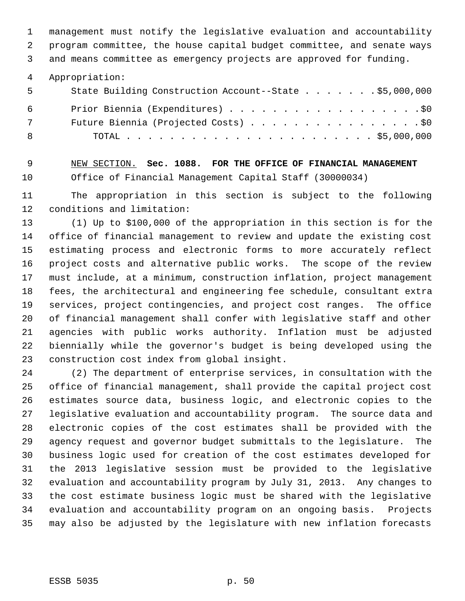management must notify the legislative evaluation and accountability program committee, the house capital budget committee, and senate ways

and means committee as emergency projects are approved for funding.

Appropriation:

| - 5 | State Building Construction Account--State \$5,000,000 |
|-----|--------------------------------------------------------|
| - 6 | Prior Biennia (Expenditures) \$0                       |
| 7   | Future Biennia (Projected Costs) \$0                   |
| - 8 |                                                        |

 NEW SECTION. **Sec. 1088. FOR THE OFFICE OF FINANCIAL MANAGEMENT** Office of Financial Management Capital Staff (30000034)

 The appropriation in this section is subject to the following conditions and limitation:

 (1) Up to \$100,000 of the appropriation in this section is for the office of financial management to review and update the existing cost estimating process and electronic forms to more accurately reflect project costs and alternative public works. The scope of the review must include, at a minimum, construction inflation, project management fees, the architectural and engineering fee schedule, consultant extra services, project contingencies, and project cost ranges. The office of financial management shall confer with legislative staff and other agencies with public works authority. Inflation must be adjusted biennially while the governor's budget is being developed using the construction cost index from global insight.

 (2) The department of enterprise services, in consultation with the office of financial management, shall provide the capital project cost estimates source data, business logic, and electronic copies to the legislative evaluation and accountability program. The source data and electronic copies of the cost estimates shall be provided with the agency request and governor budget submittals to the legislature. The business logic used for creation of the cost estimates developed for the 2013 legislative session must be provided to the legislative evaluation and accountability program by July 31, 2013. Any changes to the cost estimate business logic must be shared with the legislative evaluation and accountability program on an ongoing basis. Projects may also be adjusted by the legislature with new inflation forecasts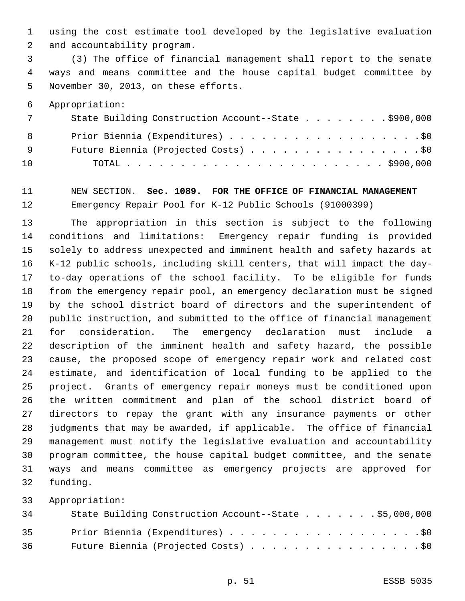using the cost estimate tool developed by the legislative evaluation and accountability program.

 (3) The office of financial management shall report to the senate ways and means committee and the house capital budget committee by November 30, 2013, on these efforts.

Appropriation:

| 7  | State Building Construction Account--State \$900,000 |
|----|------------------------------------------------------|
| 8  | Prior Biennia (Expenditures) \$0                     |
| 9  | Future Biennia (Projected Costs) \$0                 |
| 10 |                                                      |

#### NEW SECTION. **Sec. 1089. FOR THE OFFICE OF FINANCIAL MANAGEMENT** Emergency Repair Pool for K-12 Public Schools (91000399)

 The appropriation in this section is subject to the following conditions and limitations: Emergency repair funding is provided solely to address unexpected and imminent health and safety hazards at K-12 public schools, including skill centers, that will impact the day- to-day operations of the school facility. To be eligible for funds from the emergency repair pool, an emergency declaration must be signed by the school district board of directors and the superintendent of public instruction, and submitted to the office of financial management for consideration. The emergency declaration must include a description of the imminent health and safety hazard, the possible cause, the proposed scope of emergency repair work and related cost estimate, and identification of local funding to be applied to the project. Grants of emergency repair moneys must be conditioned upon the written commitment and plan of the school district board of directors to repay the grant with any insurance payments or other judgments that may be awarded, if applicable. The office of financial management must notify the legislative evaluation and accountability program committee, the house capital budget committee, and the senate ways and means committee as emergency projects are approved for funding.

| 34   | State Building Construction Account--State \$5,000,000 |
|------|--------------------------------------------------------|
| 35   | Prior Biennia (Expenditures) \$0                       |
| 36 — | Future Biennia (Projected Costs) \$0                   |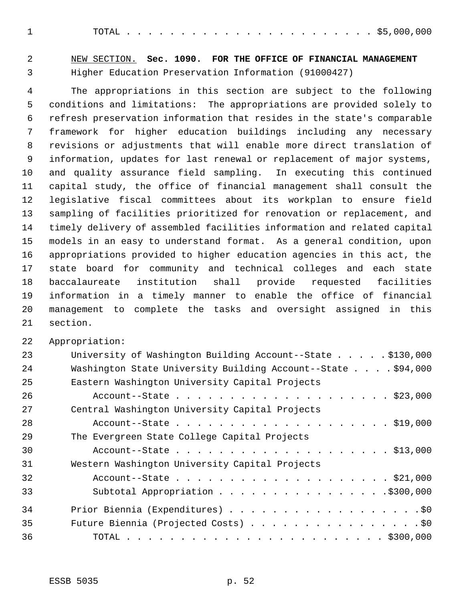TOTAL . . . . . . . . . . . . . . . . . . . . . . . \$5,000,000

 NEW SECTION. **Sec. 1090. FOR THE OFFICE OF FINANCIAL MANAGEMENT** Higher Education Preservation Information (91000427)

 The appropriations in this section are subject to the following conditions and limitations: The appropriations are provided solely to refresh preservation information that resides in the state's comparable framework for higher education buildings including any necessary revisions or adjustments that will enable more direct translation of information, updates for last renewal or replacement of major systems, and quality assurance field sampling. In executing this continued capital study, the office of financial management shall consult the legislative fiscal committees about its workplan to ensure field sampling of facilities prioritized for renovation or replacement, and timely delivery of assembled facilities information and related capital models in an easy to understand format. As a general condition, upon appropriations provided to higher education agencies in this act, the state board for community and technical colleges and each state baccalaureate institution shall provide requested facilities information in a timely manner to enable the office of financial management to complete the tasks and oversight assigned in this section.

| 23 | University of Washington Building Account--State $\ldots$ \$130,000 |
|----|---------------------------------------------------------------------|
| 24 | Washington State University Building Account--State \$94,000        |
| 25 | Eastern Washington University Capital Projects                      |
| 26 |                                                                     |
| 27 | Central Washington University Capital Projects                      |
| 28 | Account--State \$19,000                                             |
| 29 | The Evergreen State College Capital Projects                        |
| 30 | Account--State \$13,000                                             |
| 31 | Western Washington University Capital Projects                      |
| 32 | Account--State \$21,000                                             |
| 33 | Subtotal Appropriation \$300,000                                    |
| 34 |                                                                     |
| 35 | Future Biennia (Projected Costs) \$0                                |
| 36 |                                                                     |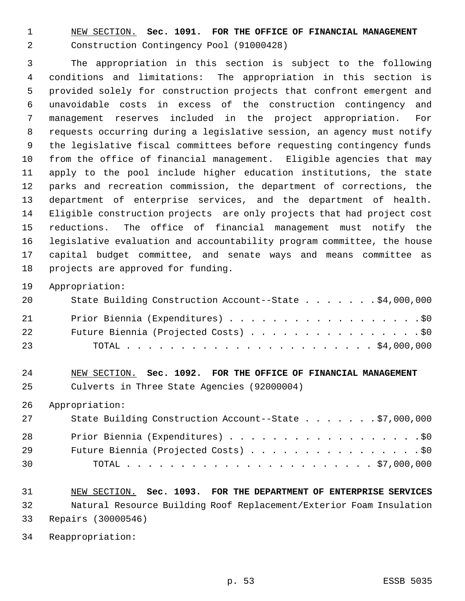NEW SECTION. **Sec. 1091. FOR THE OFFICE OF FINANCIAL MANAGEMENT** Construction Contingency Pool (91000428)

 The appropriation in this section is subject to the following conditions and limitations: The appropriation in this section is provided solely for construction projects that confront emergent and unavoidable costs in excess of the construction contingency and management reserves included in the project appropriation. For requests occurring during a legislative session, an agency must notify the legislative fiscal committees before requesting contingency funds from the office of financial management. Eligible agencies that may apply to the pool include higher education institutions, the state parks and recreation commission, the department of corrections, the department of enterprise services, and the department of health. Eligible construction projects are only projects that had project cost reductions. The office of financial management must notify the legislative evaluation and accountability program committee, the house capital budget committee, and senate ways and means committee as projects are approved for funding.

Appropriation:

| 20 | State Building Construction Account--State \$4,000,000 |
|----|--------------------------------------------------------|
| 21 | Prior Biennia (Expenditures) \$0                       |
| 22 | Future Biennia (Projected Costs) \$0                   |
| 23 |                                                        |

#### NEW SECTION. **Sec. 1092. FOR THE OFFICE OF FINANCIAL MANAGEMENT** Culverts in Three State Agencies (92000004)

Appropriation:

| 27 | State Building Construction Account--State \$7,000,000 |
|----|--------------------------------------------------------|
| 28 | Prior Biennia (Expenditures) \$0                       |
| 29 | Future Biennia (Projected Costs) \$0                   |
| 30 |                                                        |

# NEW SECTION. **Sec. 1093. FOR THE DEPARTMENT OF ENTERPRISE SERVICES** Natural Resource Building Roof Replacement/Exterior Foam Insulation Repairs (30000546)

Reappropriation: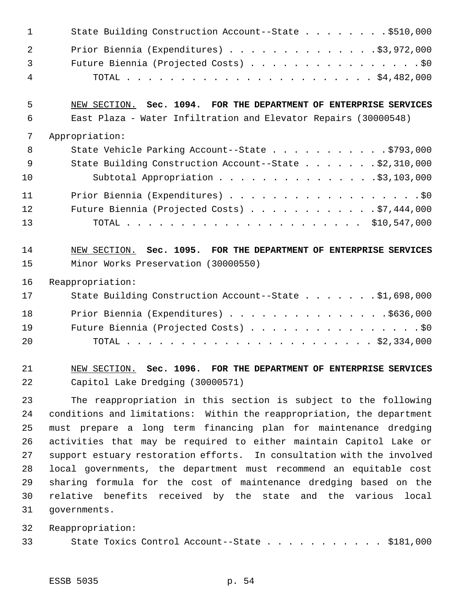|                | State Building Construction Account--State \$510,000<br>$\sim$ 1 |
|----------------|------------------------------------------------------------------|
|                | Prior Biennia (Expenditures) \$3,972,000<br>$\overline{2}$       |
| $\overline{3}$ | Future Biennia (Projected Costs) \$0                             |
| $\overline{4}$ |                                                                  |

#### NEW SECTION. **Sec. 1094. FOR THE DEPARTMENT OF ENTERPRISE SERVICES** East Plaza - Water Infiltration and Elevator Repairs (30000548)

| 7              | Appropriation:                                         |
|----------------|--------------------------------------------------------|
| 8 <sup>8</sup> | State Vehicle Parking Account--State \$793,000         |
| 9              | State Building Construction Account--State \$2,310,000 |
| 10             | Subtotal Appropriation \$3,103,000                     |
| 11             | Prior Biennia (Expenditures) \$0                       |
| 12             | Future Biennia (Projected Costs) $\ldots$ 97,444,000   |
| 13             |                                                        |

# NEW SECTION. **Sec. 1095. FOR THE DEPARTMENT OF ENTERPRISE SERVICES** Minor Works Preservation (30000550)

Reappropriation:

| 17 | State Building Construction Account--State \$1,698,000 |
|----|--------------------------------------------------------|
| 18 | Prior Biennia (Expenditures) \$636,000                 |
| 19 | Future Biennia (Projected Costs) \$0                   |
| 20 |                                                        |

 NEW SECTION. **Sec. 1096. FOR THE DEPARTMENT OF ENTERPRISE SERVICES** Capitol Lake Dredging (30000571)

 The reappropriation in this section is subject to the following conditions and limitations: Within the reappropriation, the department must prepare a long term financing plan for maintenance dredging activities that may be required to either maintain Capitol Lake or support estuary restoration efforts. In consultation with the involved local governments, the department must recommend an equitable cost sharing formula for the cost of maintenance dredging based on the relative benefits received by the state and the various local governments.

Reappropriation:

| 33 |  |  |  |  | State Toxics Control Account--State \$181,000 |  |  |  |  |  |  |  |  |  |  |  |  |
|----|--|--|--|--|-----------------------------------------------|--|--|--|--|--|--|--|--|--|--|--|--|
|----|--|--|--|--|-----------------------------------------------|--|--|--|--|--|--|--|--|--|--|--|--|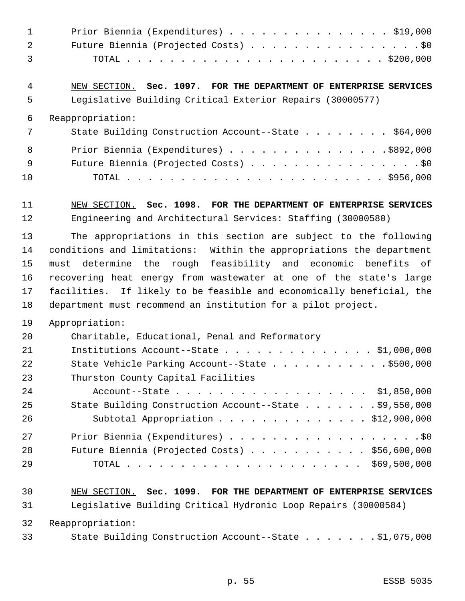| $\mathbf{1}$ | Prior Biennia (Expenditures) \$19,000                                 |
|--------------|-----------------------------------------------------------------------|
| 2            | Future Biennia (Projected Costs) \$0                                  |
| 3            |                                                                       |
| 4            | NEW SECTION. Sec. 1097. FOR THE DEPARTMENT OF ENTERPRISE SERVICES     |
| 5            | Legislative Building Critical Exterior Repairs (30000577)             |
| 6            | Reappropriation:                                                      |
| 7            | State Building Construction Account--State \$64,000                   |
| 8            | Prior Biennia (Expenditures) \$892,000                                |
| 9            | Future Biennia (Projected Costs) \$0                                  |
| 10           |                                                                       |
| 11           | NEW SECTION. Sec. 1098. FOR THE DEPARTMENT OF ENTERPRISE SERVICES     |
| 12           | Engineering and Architectural Services: Staffing (30000580)           |
| 13           | The appropriations in this section are subject to the following       |
| 14           | conditions and limitations: Within the appropriations the department  |
| 15           | must determine the rough feasibility and economic benefits of         |
| 16           | recovering heat energy from wastewater at one of the state's large    |
| 17           | facilities. If likely to be feasible and economically beneficial, the |
| 18           | department must recommend an institution for a pilot project.         |
| 19           | Appropriation:                                                        |
| 20           | Charitable, Educational, Penal and Reformatory                        |
| 21           | Institutions Account--State $\ldots$ \$1,000,000                      |
| 22           | State Vehicle Parking Account--State \$500,000                        |
| 23           | Thurston County Capital Facilities                                    |
| 24           | Account--State \$1,850,000                                            |
| 25           | State Building Construction Account--State \$9,550,000                |
| 26           | Subtotal Appropriation \$12,900,000                                   |
| 27           | Prior Biennia (Expenditures) \$0                                      |
| 28           | Future Biennia (Projected Costs) \$56,600,000                         |
| 29           |                                                                       |
| 30           | NEW SECTION. Sec. 1099. FOR THE DEPARTMENT OF ENTERPRISE SERVICES     |
| 31           | Legislative Building Critical Hydronic Loop Repairs (30000584)        |
| 32           | Reappropriation:                                                      |
| 33           | State Building Construction Account--State \$1,075,000                |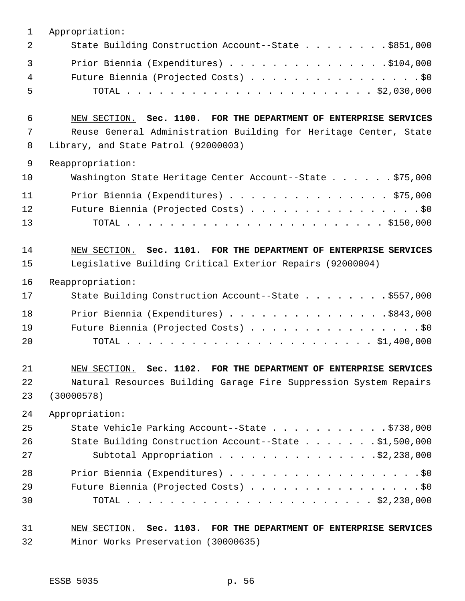| 2<br>3<br>4<br>5<br>6<br>7<br>8<br>Library, and State Patrol (92000003)<br>9<br>Reappropriation:<br>10<br>11<br>12<br>13<br>14<br>15<br>Legislative Building Critical Exterior Repairs (92000004)<br>16<br>Reappropriation:<br>17<br>18<br>19<br>20<br>21<br>22<br>23<br>(30000578)<br>24<br>Appropriation:<br>25<br>26<br>27<br>28<br>29<br>30<br>31 | $\mathbf 1$ | Appropriation:                                                                                           |
|-------------------------------------------------------------------------------------------------------------------------------------------------------------------------------------------------------------------------------------------------------------------------------------------------------------------------------------------------------|-------------|----------------------------------------------------------------------------------------------------------|
|                                                                                                                                                                                                                                                                                                                                                       |             | State Building Construction Account--State \$851,000                                                     |
|                                                                                                                                                                                                                                                                                                                                                       |             | Prior Biennia (Expenditures) \$104,000<br>Future Biennia (Projected Costs) \$0                           |
|                                                                                                                                                                                                                                                                                                                                                       |             | NEW SECTION. Sec. 1100. FOR THE DEPARTMENT OF ENTERPRISE SERVICES                                        |
|                                                                                                                                                                                                                                                                                                                                                       |             | Reuse General Administration Building for Heritage Center, State                                         |
|                                                                                                                                                                                                                                                                                                                                                       |             |                                                                                                          |
|                                                                                                                                                                                                                                                                                                                                                       |             | Washington State Heritage Center Account--State \$75,000                                                 |
|                                                                                                                                                                                                                                                                                                                                                       |             | Prior Biennia (Expenditures) \$75,000<br>Future Biennia (Projected Costs) \$0                            |
|                                                                                                                                                                                                                                                                                                                                                       |             | NEW SECTION. Sec. 1101. FOR THE DEPARTMENT OF ENTERPRISE SERVICES                                        |
|                                                                                                                                                                                                                                                                                                                                                       |             |                                                                                                          |
|                                                                                                                                                                                                                                                                                                                                                       |             | State Building Construction Account--State \$557,000                                                     |
|                                                                                                                                                                                                                                                                                                                                                       |             | Prior Biennia (Expenditures) \$843,000                                                                   |
|                                                                                                                                                                                                                                                                                                                                                       |             | Future Biennia (Projected Costs) \$0                                                                     |
|                                                                                                                                                                                                                                                                                                                                                       |             | NEW SECTION. Sec. 1102. FOR THE DEPARTMENT OF ENTERPRISE SERVICES                                        |
|                                                                                                                                                                                                                                                                                                                                                       |             | Natural Resources Building Garage Fire Suppression System Repairs                                        |
|                                                                                                                                                                                                                                                                                                                                                       |             |                                                                                                          |
|                                                                                                                                                                                                                                                                                                                                                       |             | State Vehicle Parking Account--State \$738,000                                                           |
|                                                                                                                                                                                                                                                                                                                                                       |             | State Building Construction Account--State \$1,500,000<br>Subtotal Appropriation \$2,238,000             |
|                                                                                                                                                                                                                                                                                                                                                       |             |                                                                                                          |
|                                                                                                                                                                                                                                                                                                                                                       |             | Future Biennia (Projected Costs) \$0                                                                     |
|                                                                                                                                                                                                                                                                                                                                                       | 32          | NEW SECTION. Sec. 1103. FOR THE DEPARTMENT OF ENTERPRISE SERVICES<br>Minor Works Preservation (30000635) |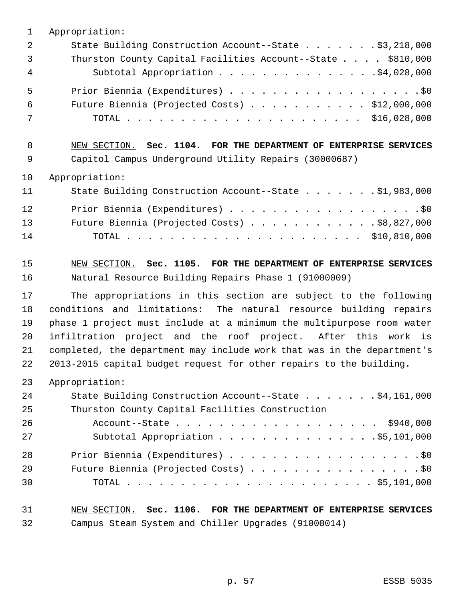| $\mathbf{1}$ | Appropriation:                                                          |
|--------------|-------------------------------------------------------------------------|
| 2            | State Building Construction Account--State \$3,218,000                  |
| 3            | Thurston County Capital Facilities Account--State \$810,000             |
| 4            | Subtotal Appropriation \$4,028,000                                      |
| 5            | Prior Biennia (Expenditures) \$0                                        |
| 6            | Future Biennia (Projected Costs) \$12,000,000                           |
| 7            |                                                                         |
| 8            | NEW SECTION. Sec. 1104. FOR THE DEPARTMENT OF ENTERPRISE SERVICES       |
| 9            | Capitol Campus Underground Utility Repairs (30000687)                   |
| 10           | Appropriation:                                                          |
| 11           | State Building Construction Account--State \$1,983,000                  |
| 12           |                                                                         |
| 13           | Future Biennia (Projected Costs) \$8,827,000                            |
| 14           |                                                                         |
| 15           | NEW SECTION. Sec. 1105. FOR THE DEPARTMENT OF ENTERPRISE SERVICES       |
| 16           | Natural Resource Building Repairs Phase 1 (91000009)                    |
| 17           | The appropriations in this section are subject to the following         |
| 18           | conditions and limitations: The natural resource building repairs       |
| 19           | phase 1 project must include at a minimum the multipurpose room water   |
| 20           | infiltration project and the roof project. After this work is           |
| 21           | completed, the department may include work that was in the department's |
| 22           | 2013-2015 capital budget request for other repairs to the building.     |
| 23           | Appropriation:                                                          |
| 24           | State Building Construction Account--State \$4,161,000                  |
| 25           | Thurston County Capital Facilities Construction                         |
| 26           | Account--State \$940,000                                                |
| 27           | Subtotal Appropriation \$5,101,000                                      |
| 28           | Prior Biennia (Expenditures) \$0                                        |
| 29           | Future Biennia (Projected Costs) \$0                                    |
| 30           |                                                                         |
| 31           | NEW SECTION. Sec. 1106. FOR THE DEPARTMENT OF ENTERPRISE SERVICES       |
| 32           | Campus Steam System and Chiller Upgrades (91000014)                     |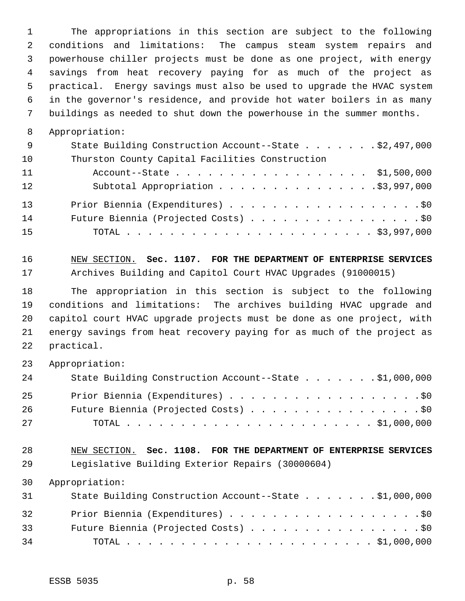The appropriations in this section are subject to the following conditions and limitations: The campus steam system repairs and powerhouse chiller projects must be done as one project, with energy savings from heat recovery paying for as much of the project as practical. Energy savings must also be used to upgrade the HVAC system in the governor's residence, and provide hot water boilers in as many buildings as needed to shut down the powerhouse in the summer months.

Appropriation:

| - 9 | State Building Construction Account--State \$2,497,000 |
|-----|--------------------------------------------------------|
| 10  | Thurston County Capital Facilities Construction        |
| 11  | Account--State \$1,500,000                             |
| 12  |                                                        |
| 13  | Prior Biennia (Expenditures) \$0                       |
| 14  | Future Biennia (Projected Costs) \$0                   |
| 15  |                                                        |

 NEW SECTION. **Sec. 1107. FOR THE DEPARTMENT OF ENTERPRISE SERVICES** Archives Building and Capitol Court HVAC Upgrades (91000015)

 The appropriation in this section is subject to the following conditions and limitations: The archives building HVAC upgrade and capitol court HVAC upgrade projects must be done as one project, with energy savings from heat recovery paying for as much of the project as practical.

Appropriation:

| 24  | State Building Construction Account--State \$1,000,000 |
|-----|--------------------------------------------------------|
| 25  | Prior Biennia (Expenditures) \$0                       |
| 26  | Future Biennia (Projected Costs) \$0                   |
| 2.7 |                                                        |

#### NEW SECTION. **Sec. 1108. FOR THE DEPARTMENT OF ENTERPRISE SERVICES** Legislative Building Exterior Repairs (30000604)

| 31 | State Building Construction Account--State \$1,000,000 |
|----|--------------------------------------------------------|
| 32 | Prior Biennia (Expenditures) \$0                       |
| 33 | Future Biennia (Projected Costs) \$0                   |
| 34 |                                                        |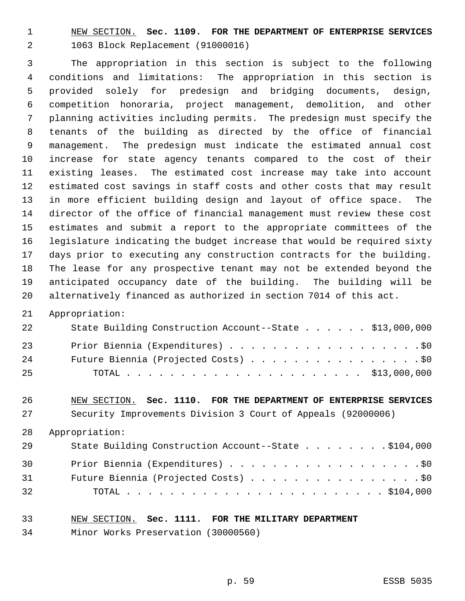NEW SECTION. **Sec. 1109. FOR THE DEPARTMENT OF ENTERPRISE SERVICES** 1063 Block Replacement (91000016)

 The appropriation in this section is subject to the following conditions and limitations: The appropriation in this section is provided solely for predesign and bridging documents, design, competition honoraria, project management, demolition, and other planning activities including permits. The predesign must specify the tenants of the building as directed by the office of financial management. The predesign must indicate the estimated annual cost increase for state agency tenants compared to the cost of their existing leases. The estimated cost increase may take into account estimated cost savings in staff costs and other costs that may result in more efficient building design and layout of office space. The director of the office of financial management must review these cost estimates and submit a report to the appropriate committees of the legislature indicating the budget increase that would be required sixty days prior to executing any construction contracts for the building. The lease for any prospective tenant may not be extended beyond the anticipated occupancy date of the building. The building will be alternatively financed as authorized in section 7014 of this act.

Appropriation:

| 22  | State Building Construction Account--State \$13,000,000 |
|-----|---------------------------------------------------------|
| 23  | Prior Biennia (Expenditures) \$0                        |
| 24  | Future Biennia (Projected Costs) \$0                    |
| -25 |                                                         |

# NEW SECTION. **Sec. 1110. FOR THE DEPARTMENT OF ENTERPRISE SERVICES**

Security Improvements Division 3 Court of Appeals (92000006)

Appropriation:

| 29 | State Building Construction Account--State \$104,000 |
|----|------------------------------------------------------|
| 30 | Prior Biennia (Expenditures) \$0                     |
| 31 | Future Biennia (Projected Costs) \$0                 |
| 32 |                                                      |

#### NEW SECTION. **Sec. 1111. FOR THE MILITARY DEPARTMENT**

Minor Works Preservation (30000560)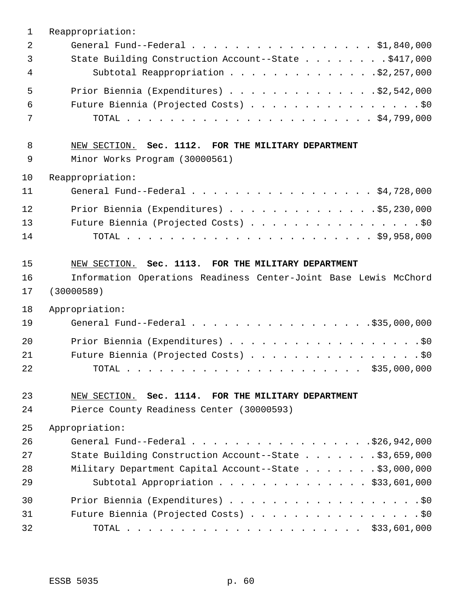| $\mathbf{1}$ | Reappropriation:                                                 |
|--------------|------------------------------------------------------------------|
| 2            | General Fund--Federal $\ldots$ \$1,840,000                       |
| 3            | State Building Construction Account--State \$417,000             |
| 4            | Subtotal Reappropriation \$2,257,000                             |
| 5            | Prior Biennia (Expenditures) $\ldots$ 92,542,000                 |
| 6            |                                                                  |
| 7            | Future Biennia (Projected Costs) \$0                             |
|              |                                                                  |
| 8            | NEW SECTION. Sec. 1112. FOR THE MILITARY DEPARTMENT              |
| 9            | Minor Works Program (30000561)                                   |
| 10           | Reappropriation:                                                 |
| 11           | General Fund--Federal \$4,728,000                                |
|              |                                                                  |
| 12           | Prior Biennia (Expenditures) \$5,230,000                         |
| 13           | Future Biennia (Projected Costs) \$0                             |
| 14           |                                                                  |
|              |                                                                  |
| 15           | NEW SECTION. Sec. 1113. FOR THE MILITARY DEPARTMENT              |
| 16           | Information Operations Readiness Center-Joint Base Lewis McChord |
| 17           | (30000589)                                                       |
| 18           | Appropriation:                                                   |
| 19           | General Fund--Federal \$35,000,000                               |
| 20           |                                                                  |
| 21           | Future Biennia (Projected Costs) \$0                             |
| 22           |                                                                  |
|              |                                                                  |
| 23           | NEW SECTION. Sec. 1114. FOR THE MILITARY DEPARTMENT              |
| 24           | Pierce County Readiness Center (30000593)                        |
| 25           | Appropriation:                                                   |
| 26           |                                                                  |
| 27           | State Building Construction Account--State \$3,659,000           |
| 28           | Military Department Capital Account--State \$3,000,000           |
| 29           | Subtotal Appropriation \$33,601,000                              |
| 30           |                                                                  |
| 31           | Future Biennia (Projected Costs) \$0                             |
| 32           |                                                                  |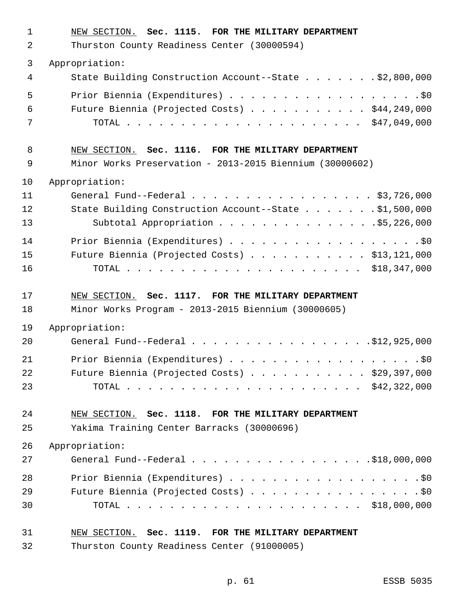| $\mathbf{1}$ | NEW SECTION. Sec. 1115. FOR THE MILITARY DEPARTMENT                                                   |
|--------------|-------------------------------------------------------------------------------------------------------|
| 2            | Thurston County Readiness Center (30000594)                                                           |
| 3            | Appropriation:                                                                                        |
| 4            | State Building Construction Account--State \$2,800,000                                                |
| 5            | Prior Biennia (Expenditures) \$0                                                                      |
| 6            | Future Biennia (Projected Costs) \$44,249,000                                                         |
| 7            |                                                                                                       |
| 8            | NEW SECTION. Sec. 1116. FOR THE MILITARY DEPARTMENT                                                   |
| 9            | Minor Works Preservation - 2013-2015 Biennium (30000602)                                              |
| 10           | Appropriation:                                                                                        |
| 11           | General Fund--Federal $\ldots$ , $\ldots$ , $\ldots$ , $\ldots$ , $\ldots$ , $\frac{1}{3}$ , 726, 000 |
| 12           | State Building Construction Account--State \$1,500,000                                                |
| 13           | Subtotal Appropriation \$5,226,000                                                                    |
| 14           |                                                                                                       |
| 15           | Future Biennia (Projected Costs) $\ldots$ \$13,121,000                                                |
| 16           |                                                                                                       |
| 17           | NEW SECTION. Sec. 1117. FOR THE MILITARY DEPARTMENT                                                   |
| 18           | Minor Works Program - 2013-2015 Biennium (30000605)                                                   |
| 19           | Appropriation:                                                                                        |
| 20           | General Fund--Federal \$12,925,000                                                                    |
| 21           | Prior Biennia (Expenditures) \$0                                                                      |
| 22           | Future Biennia (Projected Costs) $\ldots$ \$29,397,000                                                |
| 23           |                                                                                                       |
| 24           | NEW SECTION. Sec. 1118. FOR THE MILITARY DEPARTMENT                                                   |
| 25           | Yakima Training Center Barracks (30000696)                                                            |
| 26           | Appropriation:                                                                                        |
| 27           | General Fund--Federal \$18,000,000                                                                    |
| 28           | Prior Biennia (Expenditures) \$0                                                                      |
| 29           | Future Biennia (Projected Costs) \$0                                                                  |
| 30           |                                                                                                       |
| 31           | NEW SECTION. Sec. 1119. FOR THE MILITARY DEPARTMENT                                                   |
| 32           | Thurston County Readiness Center (91000005)                                                           |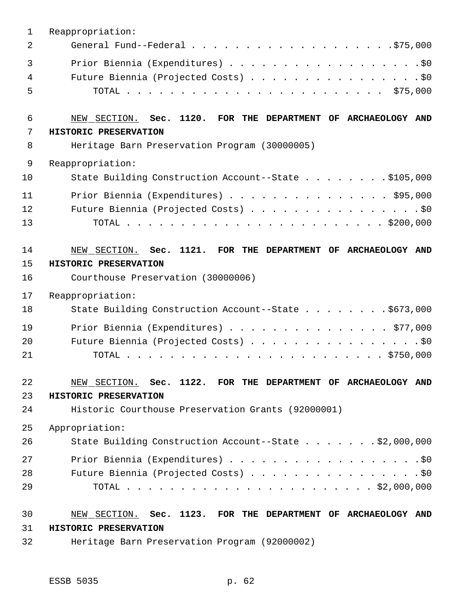| $\mathbf{1}$   | Reappropriation:                                              |
|----------------|---------------------------------------------------------------|
| $\overline{2}$ |                                                               |
| 3              |                                                               |
| $\overline{4}$ | Future Biennia (Projected Costs) \$0                          |
| 5              |                                                               |
| 6              | NEW SECTION. Sec. 1120. FOR THE DEPARTMENT OF ARCHAEOLOGY AND |
| 7              | HISTORIC PRESERVATION                                         |
| 8              | Heritage Barn Preservation Program (30000005)                 |
| 9              | Reappropriation:                                              |
| 10             | State Building Construction Account--State \$105,000          |
| 11             | Prior Biennia (Expenditures) \$95,000                         |
| 12             | Future Biennia (Projected Costs) \$0                          |
| 13             |                                                               |
| 14             | NEW SECTION. Sec. 1121. FOR THE DEPARTMENT OF ARCHAEOLOGY AND |
| 15             | HISTORIC PRESERVATION                                         |
| 16             | Courthouse Preservation (30000006)                            |
| 17             | Reappropriation:                                              |
| 18             | State Building Construction Account--State \$673,000          |
| 19             | Prior Biennia (Expenditures) \$77,000                         |
| 20             | Future Biennia (Projected Costs) \$0                          |
| 21             |                                                               |
| 22             | NEW SECTION. Sec. 1122. FOR THE DEPARTMENT OF ARCHAEOLOGY AND |
| 23             | HISTORIC PRESERVATION                                         |
| 24             | Historic Courthouse Preservation Grants (92000001)            |
| 25             | Appropriation:                                                |
| 26             | State Building Construction Account--State \$2,000,000        |
| 27             | Prior Biennia (Expenditures) \$0                              |
| 28             | Future Biennia (Projected Costs) \$0                          |
| 29             |                                                               |
| 30             | NEW SECTION. Sec. 1123. FOR THE DEPARTMENT OF ARCHAEOLOGY AND |
| 31             | HISTORIC PRESERVATION                                         |
| 32             | Heritage Barn Preservation Program (92000002)                 |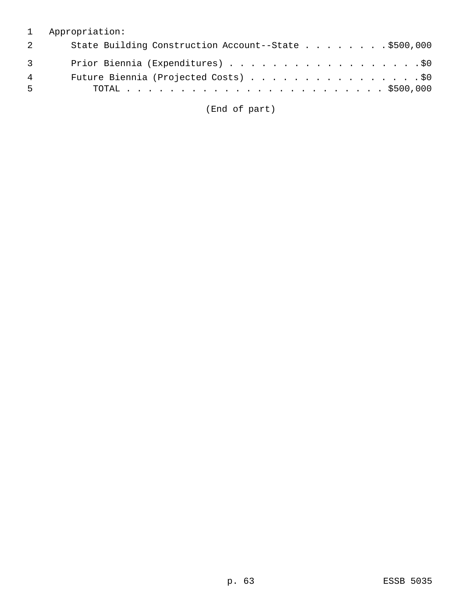### 1 Appropriation:

| 2           | State Building Construction Account--State \$500,000 |
|-------------|------------------------------------------------------|
| $3^{\circ}$ | Prior Biennia (Expenditures) \$0                     |
| 4           | Future Biennia (Projected Costs) \$0                 |
| - 5         |                                                      |

(End of part)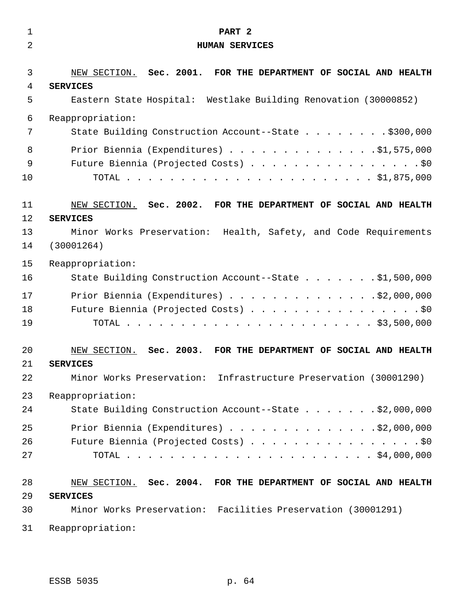| $\mathbf 1$    | PART <sub>2</sub>                                                                                                                                         |
|----------------|-----------------------------------------------------------------------------------------------------------------------------------------------------------|
| $\overline{a}$ | <b>HUMAN SERVICES</b>                                                                                                                                     |
| 3              | NEW SECTION. Sec. 2001. FOR THE DEPARTMENT OF SOCIAL AND HEALTH                                                                                           |
| 4              | <b>SERVICES</b>                                                                                                                                           |
| 5              | Eastern State Hospital: Westlake Building Renovation (30000852)                                                                                           |
| 6              | Reappropriation:                                                                                                                                          |
| 7              | State Building Construction Account--State \$300,000                                                                                                      |
| 8              | Prior Biennia (Expenditures) \$1,575,000                                                                                                                  |
| 9              | Future Biennia (Projected Costs) \$0                                                                                                                      |
| 10             |                                                                                                                                                           |
| 11             | NEW SECTION. Sec. 2002. FOR THE DEPARTMENT OF SOCIAL AND HEALTH                                                                                           |
| 12             | <b>SERVICES</b>                                                                                                                                           |
| 13             | Minor Works Preservation: Health, Safety, and Code Requirements                                                                                           |
| 14             | (30001264)                                                                                                                                                |
| 15             | Reappropriation:                                                                                                                                          |
| 16             | State Building Construction Account--State \$1,500,000                                                                                                    |
| 17             | Prior Biennia (Expenditures) \$2,000,000                                                                                                                  |
| 18             | Future Biennia (Projected Costs) \$0                                                                                                                      |
| 19             |                                                                                                                                                           |
| 20<br>21<br>22 | NEW SECTION.<br>Sec. 2003. FOR THE DEPARTMENT OF SOCIAL AND HEALTH<br><b>SERVICES</b><br>Minor Works Preservation: Infrastructure Preservation (30001290) |
| 23             | Reappropriation:                                                                                                                                          |
| 24             | State Building Construction Account--State \$2,000,000                                                                                                    |
| 25             | Prior Biennia (Expenditures) \$2,000,000                                                                                                                  |
| 26             | Future Biennia (Projected Costs) \$0                                                                                                                      |
| 27             |                                                                                                                                                           |
| 28             | NEW SECTION. Sec. 2004. FOR THE DEPARTMENT OF SOCIAL AND HEALTH                                                                                           |
| 29             | <b>SERVICES</b>                                                                                                                                           |
| 30             | Minor Works Preservation: Facilities Preservation (30001291)                                                                                              |
| 31             | Reappropriation:                                                                                                                                          |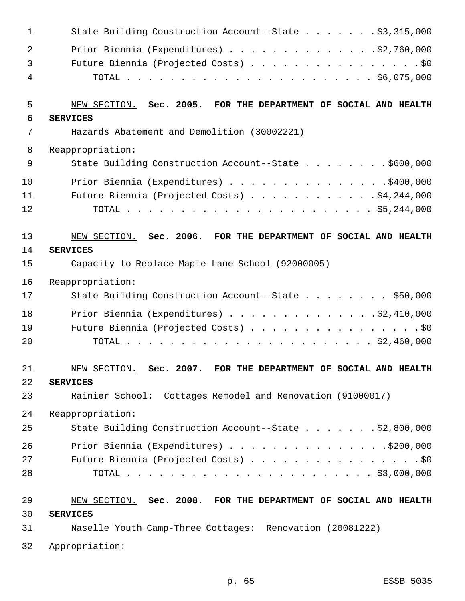| 1              | State Building Construction Account--State \$3,315,000          |
|----------------|-----------------------------------------------------------------|
| $\overline{a}$ | Prior Biennia (Expenditures) $\ldots$ 92,760,000                |
| 3              | Future Biennia (Projected Costs) \$0                            |
| 4              |                                                                 |
| 5              | NEW SECTION. Sec. 2005. FOR THE DEPARTMENT OF SOCIAL AND HEALTH |
| 6              | <b>SERVICES</b>                                                 |
| 7              | Hazards Abatement and Demolition (30002221)                     |
| 8              | Reappropriation:                                                |
| 9              | State Building Construction Account--State \$600,000            |
| 10             | Prior Biennia (Expenditures) \$400,000                          |
| 11             | Future Biennia (Projected Costs) \$4,244,000                    |
| 12             |                                                                 |
| 13             | NEW SECTION. Sec. 2006. FOR THE DEPARTMENT OF SOCIAL AND HEALTH |
| 14             | <b>SERVICES</b>                                                 |
| 15             | Capacity to Replace Maple Lane School (92000005)                |
| 16             | Reappropriation:                                                |
| 17             | State Building Construction Account--State \$50,000             |
| 18             | Prior Biennia (Expenditures) \$2,410,000                        |
| 19             | Future Biennia (Projected Costs) \$0                            |
| 20             |                                                                 |
| 21             | NEW SECTION. Sec. 2007. FOR THE DEPARTMENT OF SOCIAL AND HEALTH |
| 22             | <b>SERVICES</b>                                                 |
| 23             | Rainier School: Cottages Remodel and Renovation (91000017)      |
| 24             | Reappropriation:                                                |
| 25             | State Building Construction Account--State \$2,800,000          |
| 26             | Prior Biennia (Expenditures) \$200,000                          |
| 27             | Future Biennia (Projected Costs) \$0                            |
| 28             |                                                                 |
| 29             | NEW SECTION. Sec. 2008. FOR THE DEPARTMENT OF SOCIAL AND HEALTH |
| 30             | <b>SERVICES</b>                                                 |
| 31             | Naselle Youth Camp-Three Cottages: Renovation (20081222)        |
| 32             | Appropriation:                                                  |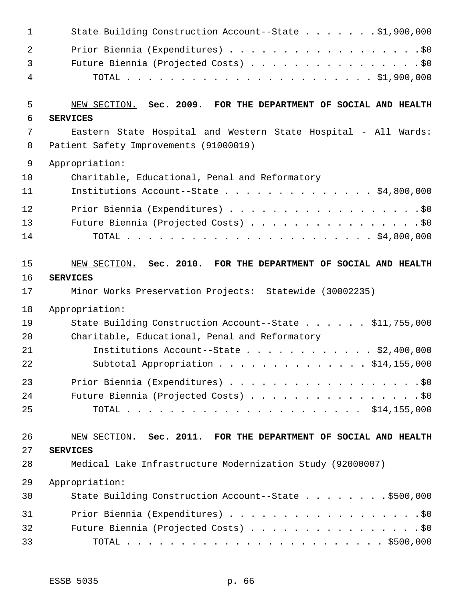| 1              | State Building Construction Account--State \$1,900,000                                                   |
|----------------|----------------------------------------------------------------------------------------------------------|
| $\overline{2}$ | Prior Biennia (Expenditures) \$0                                                                         |
| 3              | Future Biennia (Projected Costs) \$0                                                                     |
| 4              |                                                                                                          |
| 5              | NEW SECTION. Sec. 2009. FOR THE DEPARTMENT OF SOCIAL AND HEALTH                                          |
| 6              | <b>SERVICES</b>                                                                                          |
| 7<br>8         | Eastern State Hospital and Western State Hospital - All Wards:<br>Patient Safety Improvements (91000019) |
| 9              | Appropriation:                                                                                           |
| 10             | Charitable, Educational, Penal and Reformatory                                                           |
| 11             | Institutions Account--State \$4,800,000                                                                  |
| 12             |                                                                                                          |
| 13             | Future Biennia (Projected Costs) \$0                                                                     |
| 14             |                                                                                                          |
| 15             | NEW SECTION. Sec. 2010. FOR THE DEPARTMENT OF SOCIAL AND HEALTH                                          |
| 16             | <b>SERVICES</b>                                                                                          |
| 17             | Minor Works Preservation Projects: Statewide (30002235)                                                  |
| 18             | Appropriation:                                                                                           |
| 19             | State Building Construction Account--State \$11,755,000                                                  |
| 20             | Charitable, Educational, Penal and Reformatory                                                           |
| 21             | Institutions Account--State \$2,400,000                                                                  |
| 22             | \$14,155,000<br>Subtotal Appropriation                                                                   |
| 23             | Prior Biennia (Expenditures) \$0                                                                         |
| 24             | Future Biennia (Projected Costs) \$0                                                                     |
| 25             |                                                                                                          |
| 26             | NEW SECTION. Sec. 2011. FOR THE DEPARTMENT OF SOCIAL AND HEALTH                                          |
| 27             | <b>SERVICES</b>                                                                                          |
| 28             | Medical Lake Infrastructure Modernization Study (92000007)                                               |
| 29             | Appropriation:                                                                                           |
| 30             | State Building Construction Account--State \$500,000                                                     |
| 31             |                                                                                                          |
| 32             | Future Biennia (Projected Costs) \$0                                                                     |
| 33             |                                                                                                          |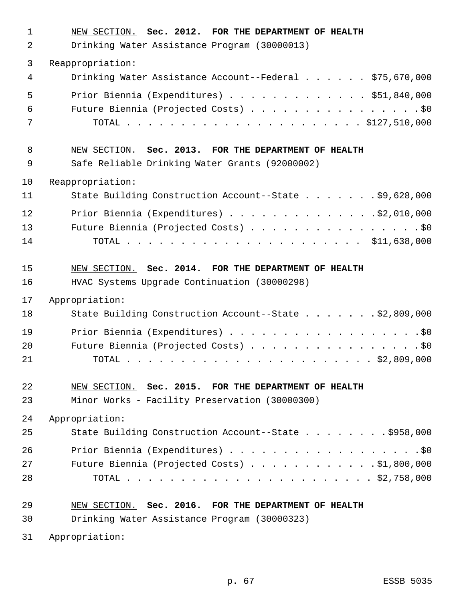| $\mathbf 1$ | NEW SECTION. Sec. 2012. FOR THE DEPARTMENT OF HEALTH    |
|-------------|---------------------------------------------------------|
| 2           | Drinking Water Assistance Program (30000013)            |
| 3           | Reappropriation:                                        |
| 4           | Drinking Water Assistance Account--Federal \$75,670,000 |
| 5           | Prior Biennia (Expenditures) $\ldots$ \$51,840,000      |
| 6           | Future Biennia (Projected Costs) \$0                    |
| 7           |                                                         |
| 8           | NEW SECTION. Sec. 2013. FOR THE DEPARTMENT OF HEALTH    |
| 9           | Safe Reliable Drinking Water Grants (92000002)          |
| 10          | Reappropriation:                                        |
| 11          | State Building Construction Account--State \$9,628,000  |
| 12          | Prior Biennia (Expenditures) $\ldots$ 92,010,000        |
| 13          | Future Biennia (Projected Costs) \$0                    |
| 14          |                                                         |
| 15          | NEW SECTION. Sec. 2014. FOR THE DEPARTMENT OF HEALTH    |
| 16          | HVAC Systems Upgrade Continuation (30000298)            |
| 17          | Appropriation:                                          |
| 18          | State Building Construction Account--State \$2,809,000  |
| 19          | Prior Biennia (Expenditures) \$0                        |
| 20          | Future Biennia (Projected Costs) \$0                    |
| 21          |                                                         |
| 22          | NEW SECTION. Sec. 2015. FOR THE DEPARTMENT OF HEALTH    |
| 23          | Minor Works - Facility Preservation (30000300)          |
| 24          | Appropriation:                                          |
| 25          | State Building Construction Account--State \$958,000    |
| 26          | Prior Biennia (Expenditures) \$0                        |
| 27          | Future Biennia (Projected Costs) $\ldots$ \$1,800,000   |
| 28          |                                                         |
| 29          | NEW SECTION. Sec. 2016. FOR THE DEPARTMENT OF HEALTH    |
| 30          | Drinking Water Assistance Program (30000323)            |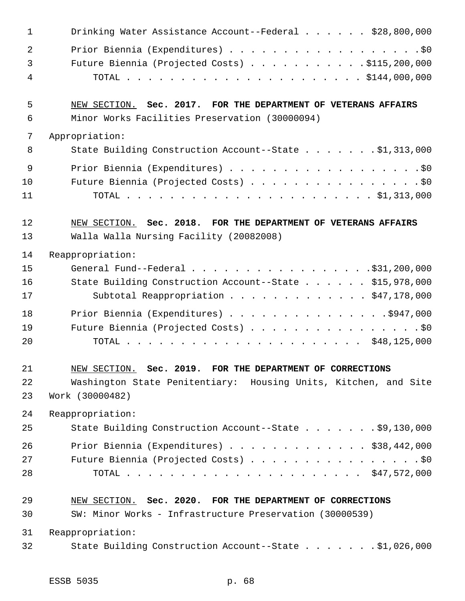| $\mathbf 1$    | Drinking Water Assistance Account--Federal \$28,800,000                                                |
|----------------|--------------------------------------------------------------------------------------------------------|
| $\overline{a}$ |                                                                                                        |
| 3              | Future Biennia (Projected Costs) \$115,200,000                                                         |
| 4              |                                                                                                        |
| 5              | NEW SECTION. Sec. 2017. FOR THE DEPARTMENT OF VETERANS AFFAIRS                                         |
| 6              | Minor Works Facilities Preservation (30000094)                                                         |
| 7              | Appropriation:                                                                                         |
| 8              | State Building Construction Account--State \$1,313,000                                                 |
| 9              |                                                                                                        |
| 10             | Future Biennia (Projected Costs) \$0                                                                   |
| 11             |                                                                                                        |
| 12             | NEW SECTION. Sec. 2018. FOR THE DEPARTMENT OF VETERANS AFFAIRS                                         |
| 13             | Walla Walla Nursing Facility (20082008)                                                                |
| 14             | Reappropriation:                                                                                       |
| 15             | General Fund--Federal $\ldots$ , $\ldots$ , $\ldots$ , $\ldots$ , $\ldots$ , $\frac{1}{31}$ , 200, 000 |
| 16             | State Building Construction Account--State \$15,978,000                                                |
| 17             | Subtotal Reappropriation \$47,178,000                                                                  |
| 18             | Prior Biennia (Expenditures) \$947,000                                                                 |
| 19             | Future Biennia (Projected Costs) \$0                                                                   |
| 20             |                                                                                                        |
| 21             | NEW SECTION. Sec. 2019. FOR THE DEPARTMENT OF CORRECTIONS                                              |
| 22             | Washington State Penitentiary: Housing Units, Kitchen, and Site                                        |
| 23             | Work (30000482)                                                                                        |
| 24             | Reappropriation:                                                                                       |
| 25             | State Building Construction Account--State \$9,130,000                                                 |
| 26             | Prior Biennia (Expenditures) \$38,442,000                                                              |
| 27             | Future Biennia (Projected Costs) \$0                                                                   |
| 28             |                                                                                                        |
| 29             | NEW SECTION. Sec. 2020. FOR THE DEPARTMENT OF CORRECTIONS                                              |
| 30             | SW: Minor Works - Infrastructure Preservation (30000539)                                               |
| 31             | Reappropriation:                                                                                       |
| 32             | State Building Construction Account--State \$1,026,000                                                 |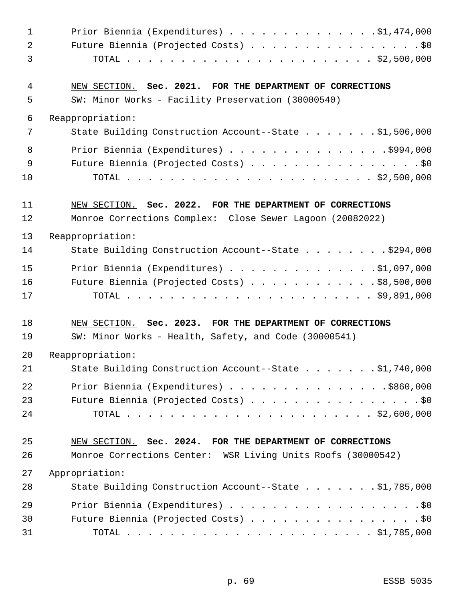| $\mathbf{1}$   | Prior Biennia (Expenditures) $\ldots$ 91,474,000             |
|----------------|--------------------------------------------------------------|
| $\overline{2}$ | Future Biennia (Projected Costs) \$0                         |
| 3              |                                                              |
| 4              | NEW SECTION. Sec. 2021. FOR THE DEPARTMENT OF CORRECTIONS    |
| 5              | SW: Minor Works - Facility Preservation (30000540)           |
| 6              | Reappropriation:                                             |
| 7              | State Building Construction Account--State \$1,506,000       |
| 8              | Prior Biennia (Expenditures) \$994,000                       |
| 9              | Future Biennia (Projected Costs) \$0                         |
| 10             |                                                              |
| 11             | NEW SECTION. Sec. 2022. FOR THE DEPARTMENT OF CORRECTIONS    |
| 12             | Monroe Corrections Complex: Close Sewer Lagoon (20082022)    |
| 13             | Reappropriation:                                             |
| 14             | State Building Construction Account--State \$294,000         |
| 15             | Prior Biennia (Expenditures) \$1,097,000                     |
| 16             | Future Biennia (Projected Costs) \$8,500,000                 |
| 17             |                                                              |
| 18             | NEW SECTION. Sec. 2023. FOR THE DEPARTMENT OF CORRECTIONS    |
| 19             | SW: Minor Works - Health, Safety, and Code (30000541)        |
| 20             | Reappropriation:                                             |
| 21             | State Building Construction Account--State \$1,740,000       |
| 22             | Prior Biennia (Expenditures) \$860,000                       |
| 23             | Future Biennia (Projected Costs) \$0                         |
| 24             |                                                              |
| 25             | NEW SECTION. Sec. 2024. FOR THE DEPARTMENT OF CORRECTIONS    |
| 26             | Monroe Corrections Center: WSR Living Units Roofs (30000542) |
| 27             | Appropriation:                                               |
| 28             | State Building Construction Account--State \$1,785,000       |
| 29             | Prior Biennia (Expenditures) \$0                             |
| 30             | Future Biennia (Projected Costs) \$0                         |
| 31             |                                                              |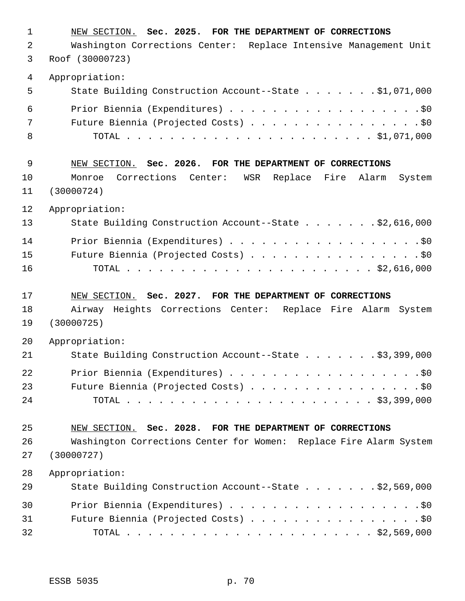| 1  | NEW SECTION. Sec. 2025. FOR THE DEPARTMENT OF CORRECTIONS               |
|----|-------------------------------------------------------------------------|
| 2  | Washington Corrections Center: Replace Intensive Management Unit        |
| 3  | Roof (30000723)                                                         |
| 4  | Appropriation:                                                          |
| 5  | State Building Construction Account--State \$1,071,000                  |
| 6  | Prior Biennia (Expenditures) \$0                                        |
| 7  | Future Biennia (Projected Costs) \$0                                    |
| 8  |                                                                         |
| 9  | NEW SECTION. Sec. 2026. FOR THE DEPARTMENT OF CORRECTIONS               |
| 10 | Corrections<br>WSR<br>Replace Fire Alarm<br>Monroe<br>Center:<br>System |
| 11 | (30000724)                                                              |
| 12 | Appropriation:                                                          |
| 13 | State Building Construction Account--State \$2,616,000                  |
| 14 | Prior Biennia (Expenditures) \$0                                        |
| 15 | Future Biennia (Projected Costs) \$0                                    |
| 16 |                                                                         |
|    |                                                                         |
| 17 | NEW SECTION. Sec. 2027. FOR THE DEPARTMENT OF CORRECTIONS               |
| 18 | Airway Heights Corrections Center: Replace Fire Alarm System            |
| 19 | (30000725)                                                              |
| 20 | Appropriation:                                                          |
| 21 | State Building Construction Account--State \$3,399,000                  |
| 22 | Prior Biennia (Expenditures) \$0                                        |
| 23 | Future Biennia (Projected Costs) \$0                                    |
| 24 |                                                                         |
| 25 | NEW SECTION. Sec. 2028. FOR THE DEPARTMENT OF CORRECTIONS               |
| 26 | Washington Corrections Center for Women: Replace Fire Alarm System      |
| 27 | (30000727)                                                              |
| 28 | Appropriation:                                                          |
| 29 | State Building Construction Account--State \$2,569,000                  |
| 30 | Prior Biennia (Expenditures) \$0                                        |
| 31 | Future Biennia (Projected Costs) \$0                                    |
| 32 |                                                                         |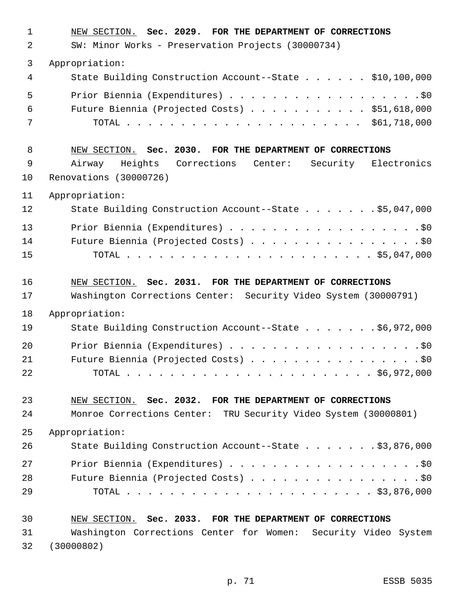| 1  | NEW SECTION. Sec. 2029. FOR THE DEPARTMENT OF CORRECTIONS       |
|----|-----------------------------------------------------------------|
| 2  | SW: Minor Works - Preservation Projects (30000734)              |
| 3  | Appropriation:                                                  |
| 4  | State Building Construction Account--State \$10,100,000         |
| 5  | Prior Biennia (Expenditures) \$0                                |
| 6  | Future Biennia (Projected Costs) \$51,618,000                   |
| 7  |                                                                 |
| 8  | NEW SECTION. Sec. 2030. FOR THE DEPARTMENT OF CORRECTIONS       |
| 9  | Airway Heights Corrections Center: Security Electronics         |
| 10 | Renovations (30000726)                                          |
| 11 | Appropriation:                                                  |
| 12 | State Building Construction Account--State \$5,047,000          |
| 13 | Prior Biennia (Expenditures) \$0                                |
| 14 | Future Biennia (Projected Costs) \$0                            |
| 15 |                                                                 |
| 16 | NEW SECTION. Sec. 2031. FOR THE DEPARTMENT OF CORRECTIONS       |
| 17 | Washington Corrections Center: Security Video System (30000791) |
| 18 | Appropriation:                                                  |
| 19 | State Building Construction Account--State \$6,972,000          |
| 20 | Prior Biennia (Expenditures) \$0                                |
| 21 | Future Biennia (Projected Costs) \$0                            |
| 22 |                                                                 |
| 23 | NEW SECTION. Sec. 2032. FOR THE DEPARTMENT OF CORRECTIONS       |
| 24 | Monroe Corrections Center: TRU Security Video System (30000801) |
| 25 | Appropriation:                                                  |
| 26 | State Building Construction Account--State \$3,876,000          |
| 27 | Prior Biennia (Expenditures) \$0                                |
| 28 | Future Biennia (Projected Costs) \$0                            |
| 29 |                                                                 |
| 30 | NEW SECTION. Sec. 2033. FOR THE DEPARTMENT OF CORRECTIONS       |
| 31 | Washington Corrections Center for Women: Security Video System  |
| 32 | (30000802)                                                      |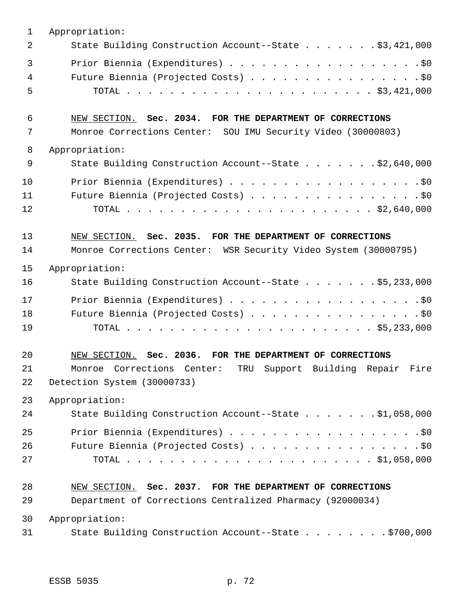| $\mathbf{1}$ | Appropriation:                                                  |
|--------------|-----------------------------------------------------------------|
| 2            | State Building Construction Account--State \$3,421,000          |
| 3            | Prior Biennia (Expenditures) \$0                                |
| 4            | Future Biennia (Projected Costs) \$0                            |
| 5            |                                                                 |
| 6            | NEW SECTION. Sec. 2034. FOR THE DEPARTMENT OF CORRECTIONS       |
| 7            | Monroe Corrections Center: SOU IMU Security Video (30000803)    |
| 8            | Appropriation:                                                  |
| 9            | State Building Construction Account--State \$2,640,000          |
| 10           | Prior Biennia (Expenditures) \$0                                |
| 11           | Future Biennia (Projected Costs) \$0                            |
| 12           |                                                                 |
| 13           | NEW SECTION. Sec. 2035. FOR THE DEPARTMENT OF CORRECTIONS       |
| 14           | Monroe Corrections Center: WSR Security Video System (30000795) |
| 15           | Appropriation:                                                  |
| 16           | State Building Construction Account--State \$5,233,000          |
| 17           | Prior Biennia (Expenditures) \$0                                |
| 18           | Future Biennia (Projected Costs) \$0                            |
| 19           |                                                                 |
| 20           | NEW SECTION. Sec. 2036. FOR THE DEPARTMENT OF CORRECTIONS       |
| 21           | Monroe Corrections Center: TRU Support Building Repair Fire     |
| 22           | Detection System (30000733)                                     |
| 23           | Appropriation:                                                  |
| 24           | State Building Construction Account--State \$1,058,000          |
| 25           |                                                                 |
| 26           | Future Biennia (Projected Costs) \$0                            |
| 27           |                                                                 |
| 28           | NEW SECTION. Sec. 2037. FOR THE DEPARTMENT OF CORRECTIONS       |
| 29           | Department of Corrections Centralized Pharmacy (92000034)       |
| 30           | Appropriation:                                                  |
| 31           | State Building Construction Account--State \$700,000            |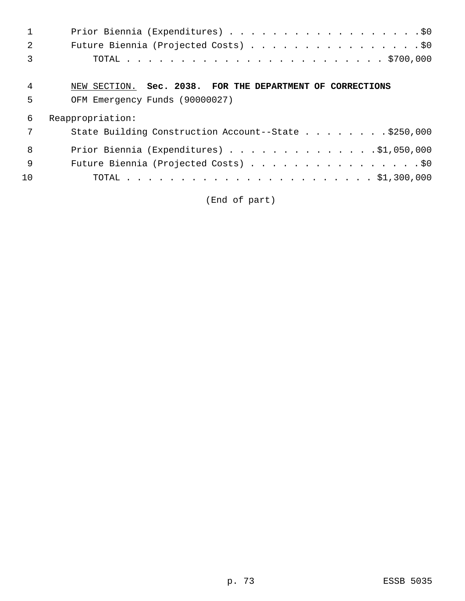|                | Prior Biennia (Expenditures) \$0                          |
|----------------|-----------------------------------------------------------|
| $\mathcal{L}$  | Future Biennia (Projected Costs) \$0                      |
| 3              |                                                           |
|                |                                                           |
| $\overline{4}$ | NEW SECTION. Sec. 2038. FOR THE DEPARTMENT OF CORRECTIONS |
| 5              | OFM Emergency Funds (90000027)                            |
| 6              | Reappropriation:                                          |
| 7              | State Building Construction Account--State \$250,000      |
| 8              | Prior Biennia (Expenditures) $\ldots$ 91,050,000          |
| 9              | Future Biennia (Projected Costs) \$0                      |

(End of part)

10 TOTAL . . . . . . . . . . . . . . . . . . . . . . . \$1,300,000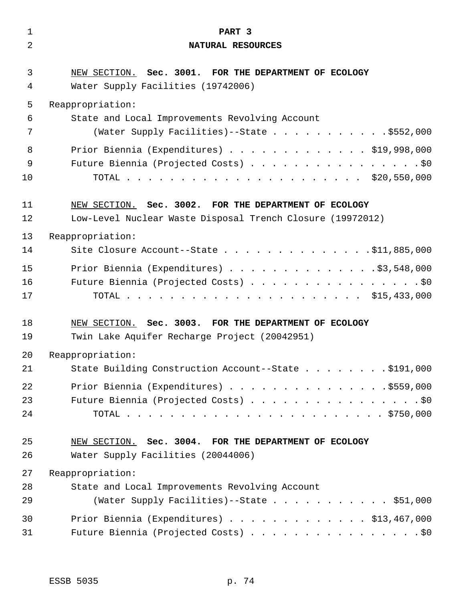| $\mathbf{1}$ | PART 3                                                                                      |
|--------------|---------------------------------------------------------------------------------------------|
| 2            | NATURAL RESOURCES                                                                           |
| 3<br>4       | NEW SECTION. Sec. 3001. FOR THE DEPARTMENT OF ECOLOGY<br>Water Supply Facilities (19742006) |
| 5            | Reappropriation:                                                                            |
| 6            | State and Local Improvements Revolving Account                                              |
| 7            | (Water Supply Facilities)--State \$552,000                                                  |
| 8            | Prior Biennia (Expenditures) \$19,998,000                                                   |
| 9            | Future Biennia (Projected Costs) \$0                                                        |
| 10           |                                                                                             |
| 11           | NEW SECTION. Sec. 3002. FOR THE DEPARTMENT OF ECOLOGY                                       |
| 12           | Low-Level Nuclear Waste Disposal Trench Closure (19972012)                                  |
| 13           | Reappropriation:                                                                            |
| 14           | Site Closure Account--State \$11,885,000                                                    |
| 15           |                                                                                             |
| 16           | Prior Biennia (Expenditures) \$3,548,000<br>Future Biennia (Projected Costs) \$0            |
| 17           |                                                                                             |
|              |                                                                                             |
| 18           | NEW SECTION. Sec. 3003. FOR THE DEPARTMENT OF ECOLOGY                                       |
| 19           | Twin Lake Aquifer Recharge Project (20042951)                                               |
| 20           | Reappropriation:                                                                            |
| 21           | State Building Construction Account--State \$191,000                                        |
| 22           | Prior Biennia (Expenditures) \$559,000                                                      |
| 23           | Future Biennia (Projected Costs) \$0                                                        |
| 24           |                                                                                             |
| 25           | NEW SECTION. Sec. 3004. FOR THE DEPARTMENT OF ECOLOGY                                       |
| 26           | Water Supply Facilities (20044006)                                                          |
| 27           | Reappropriation:                                                                            |
| 28           | State and Local Improvements Revolving Account                                              |
| 29           | (Water Supply Facilities)--State \$51,000                                                   |
| 30           | Prior Biennia (Expenditures) \$13,467,000                                                   |
| 31           | Future Biennia (Projected Costs) \$0                                                        |
|              |                                                                                             |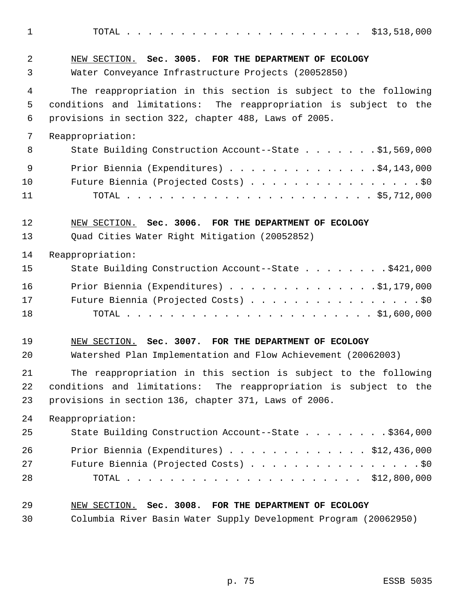TOTAL . . . . . . . . . . . . . . . . . . . . . . \$13,518,000 NEW SECTION. **Sec. 3005. FOR THE DEPARTMENT OF ECOLOGY** Water Conveyance Infrastructure Projects (20052850) The reappropriation in this section is subject to the following conditions and limitations: The reappropriation is subject to the provisions in section 322, chapter 488, Laws of 2005. Reappropriation: 8 State Building Construction Account--State . . . . . . \$1,569,000 9 Prior Biennia (Expenditures) . . . . . . . . . . . . . . \$4,143,000 10 Future Biennia (Projected Costs) . . . . . . . . . . . . . . . . \$0 TOTAL . . . . . . . . . . . . . . . . . . . . . . . \$5,712,000 NEW SECTION. **Sec. 3006. FOR THE DEPARTMENT OF ECOLOGY** Quad Cities Water Right Mitigation (20052852) Reappropriation: State Building Construction Account--State . . . . . . . . \$421,000 Prior Biennia (Expenditures) . . . . . . . . . . . . . .\$1,179,000 17 Future Biennia (Projected Costs) . . . . . . . . . . . . . . . . \$0 TOTAL . . . . . . . . . . . . . . . . . . . . . . . \$1,600,000 NEW SECTION. **Sec. 3007. FOR THE DEPARTMENT OF ECOLOGY** Watershed Plan Implementation and Flow Achievement (20062003) The reappropriation in this section is subject to the following conditions and limitations: The reappropriation is subject to the provisions in section 136, chapter 371, Laws of 2006. Reappropriation: 25 State Building Construction Account--State . . . . . . . . \$364,000 Prior Biennia (Expenditures) . . . . . . . . . . . . . \$12,436,000 27 Future Biennia (Projected Costs) . . . . . . . . . . . . . . . . \$0 TOTAL . . . . . . . . . . . . . . . . . . . . . . \$12,800,000 NEW SECTION. **Sec. 3008. FOR THE DEPARTMENT OF ECOLOGY** Columbia River Basin Water Supply Development Program (20062950)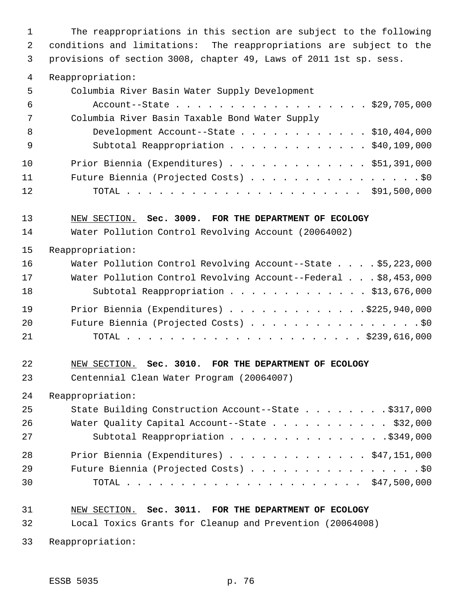The reappropriations in this section are subject to the following conditions and limitations: The reappropriations are subject to the provisions of section 3008, chapter 49, Laws of 2011 1st sp. sess.

Reappropriation:

| 5   | Columbia River Basin Water Supply Development  |
|-----|------------------------------------------------|
| -6  | Account--State \$29,705,000                    |
| 7   | Columbia River Basin Taxable Bond Water Supply |
| -8  | Development Account--State \$10,404,000        |
| - 9 | Subtotal Reappropriation \$40,109,000          |
| 10  | Prior Biennia (Expenditures) \$51,391,000      |
| 11  | Future Biennia (Projected Costs) \$0           |
| 12  |                                                |

#### NEW SECTION. **Sec. 3009. FOR THE DEPARTMENT OF ECOLOGY**

Water Pollution Control Revolving Account (20064002)

Reappropriation:

| 16 | Water Pollution Control Revolving Account--State \$5,223,000   |
|----|----------------------------------------------------------------|
| 17 | Water Pollution Control Revolving Account--Federal \$8,453,000 |
| 18 | Subtotal Reappropriation \$13,676,000                          |
| 19 | Prior Biennia (Expenditures) \$225,940,000                     |
| 20 | Future Biennia (Projected Costs) \$0                           |
| 21 |                                                                |

### NEW SECTION. **Sec. 3010. FOR THE DEPARTMENT OF ECOLOGY**

Centennial Clean Water Program (20064007)

Reappropriation:

| 25 | State Building Construction Account--State \$317,000 |  |
|----|------------------------------------------------------|--|
| 26 | Water Quality Capital Account--State \$32,000        |  |
| 27 | Subtotal Reappropriation \$349,000                   |  |
| 28 | Prior Biennia (Expenditures) \$47,151,000            |  |
| 29 | Future Biennia (Projected Costs) \$0                 |  |
| 30 |                                                      |  |

## NEW SECTION. **Sec. 3011. FOR THE DEPARTMENT OF ECOLOGY**

Local Toxics Grants for Cleanup and Prevention (20064008)

Reappropriation: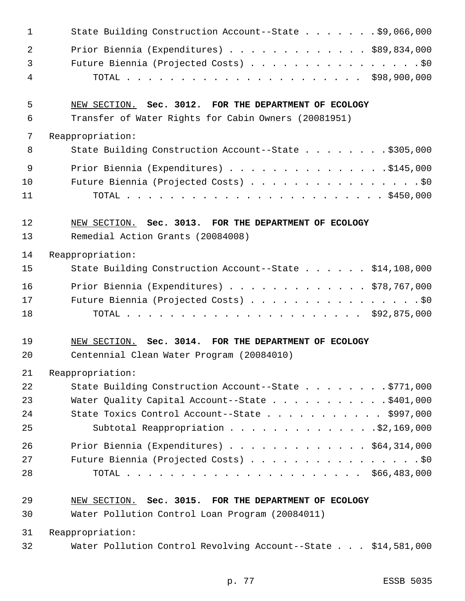| $\mathbf{1}$ | State Building Construction Account--State \$9,066,000        |
|--------------|---------------------------------------------------------------|
| 2            | Prior Biennia (Expenditures) $\ldots$ \$89,834,000            |
| $\mathbf{3}$ | Future Biennia (Projected Costs) \$0                          |
| 4            |                                                               |
| 5            | NEW SECTION. Sec. 3012. FOR THE DEPARTMENT OF ECOLOGY         |
| 6            | Transfer of Water Rights for Cabin Owners (20081951)          |
| 7            | Reappropriation:                                              |
| 8            | State Building Construction Account--State \$305,000          |
| 9            | Prior Biennia (Expenditures) \$145,000                        |
| 10           | Future Biennia (Projected Costs) \$0                          |
| 11           |                                                               |
| 12           | NEW SECTION. Sec. 3013. FOR THE DEPARTMENT OF ECOLOGY         |
| 13           | Remedial Action Grants (20084008)                             |
| 14           | Reappropriation:                                              |
| 15           | State Building Construction Account--State \$14,108,000       |
| 16           | Prior Biennia (Expenditures) $\ldots$ \$78,767,000            |
| 17           | Future Biennia (Projected Costs) \$0                          |
| 18           |                                                               |
| 19           | NEW SECTION. Sec. 3014. FOR THE DEPARTMENT OF ECOLOGY         |
| 20           | Centennial Clean Water Program (20084010)                     |
| 21           | Reappropriation:                                              |
| 22           | State Building Construction Account--State \$771,000          |
| 23           | Water Quality Capital Account--State \$401,000                |
| 24           | State Toxics Control Account--State $\ldots$ \$997,000        |
| 25           | Subtotal Reappropriation \$2,169,000                          |
| 26           | Prior Biennia (Expenditures) \$64,314,000                     |
| 27           | Future Biennia (Projected Costs) \$0                          |
| 28           |                                                               |
| 29           | NEW SECTION. Sec. 3015. FOR THE DEPARTMENT OF ECOLOGY         |
| 30           | Water Pollution Control Loan Program (20084011)               |
| 31           | Reappropriation:                                              |
| 32           | Water Pollution Control Revolving Account--State \$14,581,000 |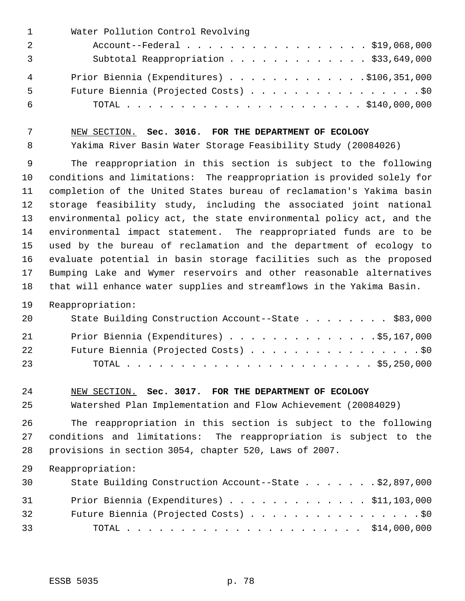| $\mathbf{1}$ | Water Pollution Control Revolving          |
|--------------|--------------------------------------------|
| 2            | Account--Federal \$19,068,000              |
|              | Subtotal Reappropriation \$33,649,000      |
| 4            | Prior Biennia (Expenditures) \$106,351,000 |
| 5            | Future Biennia (Projected Costs) \$0       |
| 6            |                                            |

NEW SECTION. **Sec. 3016. FOR THE DEPARTMENT OF ECOLOGY**

Yakima River Basin Water Storage Feasibility Study (20084026)

 The reappropriation in this section is subject to the following conditions and limitations: The reappropriation is provided solely for completion of the United States bureau of reclamation's Yakima basin storage feasibility study, including the associated joint national environmental policy act, the state environmental policy act, and the environmental impact statement. The reappropriated funds are to be used by the bureau of reclamation and the department of ecology to evaluate potential in basin storage facilities such as the proposed Bumping Lake and Wymer reservoirs and other reasonable alternatives that will enhance water supplies and streamflows in the Yakima Basin.

Reappropriation:

| 20 | State Building Construction Account--State \$83,000 |
|----|-----------------------------------------------------|
| 21 | Prior Biennia (Expenditures) \$5,167,000            |
| 22 | Future Biennia (Projected Costs) \$0                |
| 23 |                                                     |

### NEW SECTION. **Sec. 3017. FOR THE DEPARTMENT OF ECOLOGY**

Watershed Plan Implementation and Flow Achievement (20084029)

 The reappropriation in this section is subject to the following conditions and limitations: The reappropriation is subject to the provisions in section 3054, chapter 520, Laws of 2007.

Reappropriation:

| 30 | State Building Construction Account--State \$2,897,000 |  |
|----|--------------------------------------------------------|--|
| 31 | Prior Biennia (Expenditures) $\ldots$ \$11,103,000     |  |
| 32 | Future Biennia (Projected Costs) \$0                   |  |
| 33 |                                                        |  |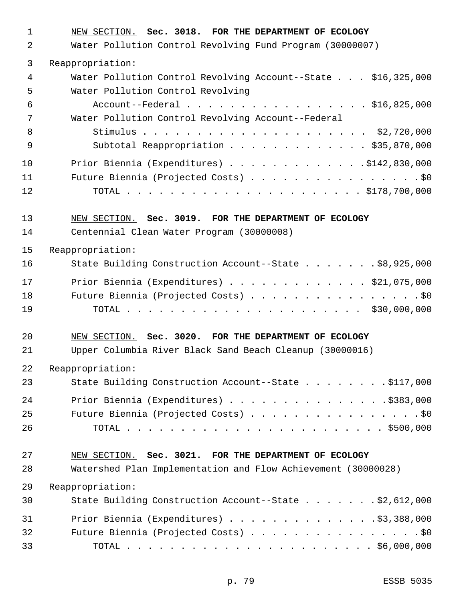| $\mathbf{1}$ | NEW SECTION. Sec. 3018. FOR THE DEPARTMENT OF ECOLOGY         |
|--------------|---------------------------------------------------------------|
| 2            | Water Pollution Control Revolving Fund Program (30000007)     |
| 3            | Reappropriation:                                              |
| 4            | Water Pollution Control Revolving Account--State \$16,325,000 |
| 5            | Water Pollution Control Revolving                             |
| 6            | Account--Federal \$16,825,000                                 |
| 7            | Water Pollution Control Revolving Account--Federal            |
| 8<br>9       | Subtotal Reappropriation \$35,870,000                         |
| 10           | Prior Biennia (Expenditures) \$142,830,000                    |
| 11           | Future Biennia (Projected Costs) \$0                          |
| 12           |                                                               |
| 13           | NEW SECTION. Sec. 3019. FOR THE DEPARTMENT OF ECOLOGY         |
| 14           | Centennial Clean Water Program (30000008)                     |
| 15           | Reappropriation:                                              |
| 16           | State Building Construction Account--State \$8,925,000        |
| 17           | Prior Biennia (Expenditures) \$21,075,000                     |
| 18           | Future Biennia (Projected Costs) \$0                          |
| 19           |                                                               |
| 20           | NEW SECTION. Sec. 3020. FOR THE DEPARTMENT OF ECOLOGY         |
| 21           | Upper Columbia River Black Sand Beach Cleanup (30000016)      |
| 22           | Reappropriation:                                              |
| 23           | State Building Construction Account--State \$117,000          |
| 24           | Prior Biennia (Expenditures) \$383,000                        |
| 25           | Future Biennia (Projected Costs) \$0                          |
| 26           |                                                               |
| 27           | NEW SECTION. Sec. 3021. FOR THE DEPARTMENT OF ECOLOGY         |
| 28           | Watershed Plan Implementation and Flow Achievement (30000028) |
| 29           | Reappropriation:                                              |
| 30           | State Building Construction Account--State \$2,612,000        |
| 31           | Prior Biennia (Expenditures) \$3,388,000                      |
| 32           | Future Biennia (Projected Costs) \$0                          |
| 33           |                                                               |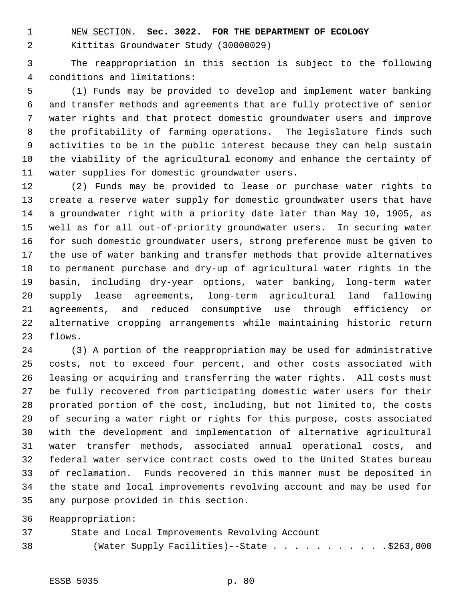NEW SECTION. **Sec. 3022. FOR THE DEPARTMENT OF ECOLOGY**

Kittitas Groundwater Study (30000029)

 The reappropriation in this section is subject to the following conditions and limitations:

 (1) Funds may be provided to develop and implement water banking and transfer methods and agreements that are fully protective of senior water rights and that protect domestic groundwater users and improve the profitability of farming operations. The legislature finds such activities to be in the public interest because they can help sustain the viability of the agricultural economy and enhance the certainty of water supplies for domestic groundwater users.

 (2) Funds may be provided to lease or purchase water rights to create a reserve water supply for domestic groundwater users that have a groundwater right with a priority date later than May 10, 1905, as well as for all out-of-priority groundwater users. In securing water for such domestic groundwater users, strong preference must be given to the use of water banking and transfer methods that provide alternatives to permanent purchase and dry-up of agricultural water rights in the basin, including dry-year options, water banking, long-term water supply lease agreements, long-term agricultural land fallowing agreements, and reduced consumptive use through efficiency or alternative cropping arrangements while maintaining historic return flows.

 (3) A portion of the reappropriation may be used for administrative costs, not to exceed four percent, and other costs associated with leasing or acquiring and transferring the water rights. All costs must be fully recovered from participating domestic water users for their prorated portion of the cost, including, but not limited to, the costs of securing a water right or rights for this purpose, costs associated with the development and implementation of alternative agricultural water transfer methods, associated annual operational costs, and federal water service contract costs owed to the United States bureau of reclamation. Funds recovered in this manner must be deposited in the state and local improvements revolving account and may be used for any purpose provided in this section.

Reappropriation:

 State and Local Improvements Revolving Account 38 (Water Supply Facilities) -- State . . . . . . . . . . . \$263,000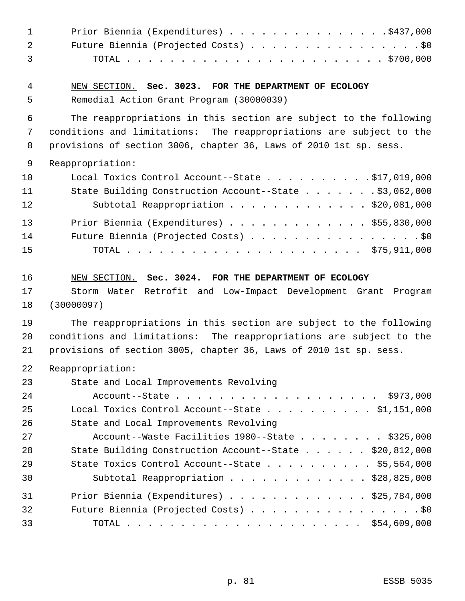| $\mathbf 1$ | Prior Biennia (Expenditures) \$437,000                              |
|-------------|---------------------------------------------------------------------|
| 2           | Future Biennia (Projected Costs) \$0                                |
| 3           |                                                                     |
| 4           | NEW SECTION. Sec. 3023. FOR THE DEPARTMENT OF ECOLOGY               |
| 5           | Remedial Action Grant Program (30000039)                            |
| 6           | The reappropriations in this section are subject to the following   |
| 7           | conditions and limitations: The reappropriations are subject to the |
| 8           | provisions of section 3006, chapter 36, Laws of 2010 1st sp. sess.  |
| 9           | Reappropriation:                                                    |
| 10          | Local Toxics Control Account--State \$17,019,000                    |
| 11          | State Building Construction Account--State \$3,062,000              |
| 12          | Subtotal Reappropriation \$20,081,000                               |
| 13          | Prior Biennia (Expenditures) \$55,830,000                           |
| 14          | Future Biennia (Projected Costs) \$0                                |
| 15          |                                                                     |
| 16          | NEW SECTION. Sec. 3024. FOR THE DEPARTMENT OF ECOLOGY               |
| 17          | Storm Water Retrofit and Low-Impact Development Grant Program       |
| 18          | (30000097)                                                          |
| 19          | The reappropriations in this section are subject to the following   |
| 20          | conditions and limitations: The reappropriations are subject to the |
| 21          | provisions of section 3005, chapter 36, Laws of 2010 1st sp. sess.  |
| 22          | Reappropriation:                                                    |
| 23          | State and Local Improvements Revolving                              |
| 24          | Account--State \$973,000                                            |
| 25          | Local Toxics Control Account--State $\ldots$ \$1,151,000            |
| 26          | State and Local Improvements Revolving                              |
| 27          | Account--Waste Facilities $1980$ --State \$325,000                  |
| 28          | State Building Construction Account--State \$20,812,000             |
| 29          | State Toxics Control Account--State $\ldots$ \$5,564,000            |
| 30          | Subtotal Reappropriation \$28,825,000                               |
| 31          | Prior Biennia (Expenditures) \$25,784,000                           |
| 32          | Future Biennia (Projected Costs) \$0                                |
| 33          |                                                                     |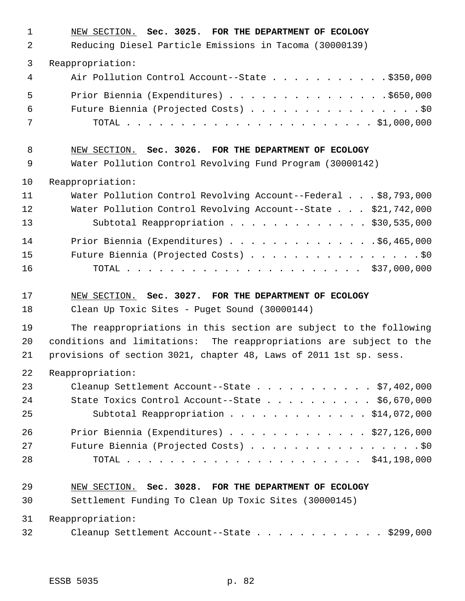| $\mathbf{1}$ | NEW SECTION. Sec. 3025. FOR THE DEPARTMENT OF ECOLOGY               |
|--------------|---------------------------------------------------------------------|
| 2            | Reducing Diesel Particle Emissions in Tacoma (30000139)             |
| 3            | Reappropriation:                                                    |
| 4            | Air Pollution Control Account--State \$350,000                      |
| 5            | Prior Biennia (Expenditures) \$650,000                              |
| 6            | Future Biennia (Projected Costs) \$0                                |
| 7            |                                                                     |
| 8            | NEW SECTION. Sec. 3026. FOR THE DEPARTMENT OF ECOLOGY               |
| 9            | Water Pollution Control Revolving Fund Program (30000142)           |
| 10           | Reappropriation:                                                    |
| 11           | Water Pollution Control Revolving Account--Federal \$8,793,000      |
| 12           | Water Pollution Control Revolving Account--State \$21,742,000       |
| 13           | Subtotal Reappropriation \$30,535,000                               |
| 14           | Prior Biennia (Expenditures) \$6,465,000                            |
| 15           | Future Biennia (Projected Costs) \$0                                |
| 16           |                                                                     |
|              |                                                                     |
| 17           | NEW SECTION. Sec. 3027. FOR THE DEPARTMENT OF ECOLOGY               |
| 18           | Clean Up Toxic Sites - Puget Sound (30000144)                       |
| 19           | The reappropriations in this section are subject to the following   |
| 20           | conditions and limitations: The reappropriations are subject to the |
| 21           | provisions of section 3021, chapter 48, Laws of 2011 1st sp. sess.  |
| 22           | Reappropriation:                                                    |
| 23           | Cleanup Settlement Account--State \$7,402,000                       |
| 24           | State Toxics Control Account--State $\ldots$ \$6,670,000            |
| 25           | Subtotal Reappropriation \$14,072,000                               |
| 26           | Prior Biennia (Expenditures) \$27,126,000                           |
| 27           | Future Biennia (Projected Costs) \$0                                |
| 28           |                                                                     |
| 29           | NEW SECTION. Sec. 3028. FOR THE DEPARTMENT OF ECOLOGY               |
| 30           | Settlement Funding To Clean Up Toxic Sites (30000145)               |
| 31           | Reappropriation:                                                    |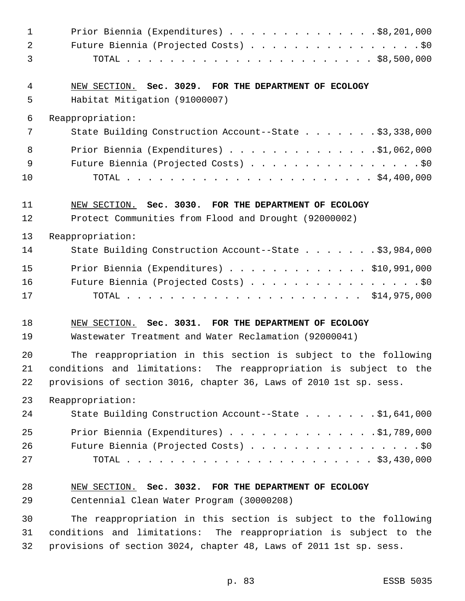| $\mathbf 1$ | Prior Biennia (Expenditures) $\ldots$ \$8,201,000                  |
|-------------|--------------------------------------------------------------------|
| 2           | Future Biennia (Projected Costs) \$0                               |
| 3           |                                                                    |
| 4           | NEW SECTION. Sec. 3029. FOR THE DEPARTMENT OF ECOLOGY              |
| 5           | Habitat Mitigation (91000007)                                      |
| 6           | Reappropriation:                                                   |
| 7           | State Building Construction Account--State \$3,338,000             |
| 8           | Prior Biennia (Expenditures) $\ldots$ 91,062,000                   |
| 9           | Future Biennia (Projected Costs) \$0                               |
| 10          |                                                                    |
| 11          | NEW SECTION. Sec. 3030. FOR THE DEPARTMENT OF ECOLOGY              |
| 12          | Protect Communities from Flood and Drought (92000002)              |
| 13          | Reappropriation:                                                   |
| 14          | State Building Construction Account--State \$3,984,000             |
| 15          | Prior Biennia (Expenditures) $\ldots$ \$10,991,000                 |
| 16          | Future Biennia (Projected Costs) \$0                               |
| 17          |                                                                    |
| 18          | NEW SECTION. Sec. 3031. FOR THE DEPARTMENT OF ECOLOGY              |
| 19          | Wastewater Treatment and Water Reclamation (92000041)              |
| 20          | The reappropriation in this section is subject to the following    |
| 21          | conditions and limitations: The reappropriation is subject to the  |
| 22          | provisions of section 3016, chapter 36, Laws of 2010 1st sp. sess. |
| 23          | Reappropriation:                                                   |
| 24          | State Building Construction Account--State \$1,641,000             |
| 25          | Prior Biennia (Expenditures) $\ldots$ 91,789,000                   |
| 26          | Future Biennia (Projected Costs) \$0                               |
| 27          |                                                                    |
| 28          | NEW SECTION. Sec. 3032. FOR THE DEPARTMENT OF ECOLOGY              |
| 29          | Centennial Clean Water Program (30000208)                          |
| 30          | The reappropriation in this section is subject to the following    |
| 31          | conditions and limitations: The reappropriation is subject to the  |
| 32          | provisions of section 3024, chapter 48, Laws of 2011 1st sp. sess. |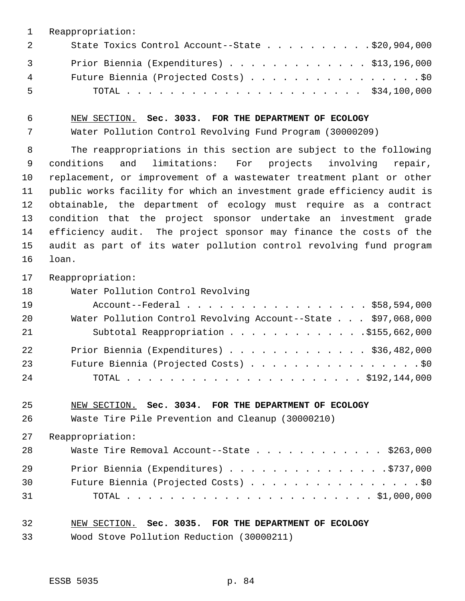|                | Reappropriation:                                   |  |
|----------------|----------------------------------------------------|--|
| $\overline{2}$ | State Toxics Control Account--State \$20,904,000   |  |
| $\overline{3}$ | Prior Biennia (Expenditures) $\ldots$ \$13,196,000 |  |
| 4              | Future Biennia (Projected Costs) \$0               |  |
| . 5            |                                                    |  |

NEW SECTION. **Sec. 3033. FOR THE DEPARTMENT OF ECOLOGY**

Water Pollution Control Revolving Fund Program (30000209)

 The reappropriations in this section are subject to the following conditions and limitations: For projects involving repair, replacement, or improvement of a wastewater treatment plant or other public works facility for which an investment grade efficiency audit is obtainable, the department of ecology must require as a contract condition that the project sponsor undertake an investment grade efficiency audit. The project sponsor may finance the costs of the audit as part of its water pollution control revolving fund program loan.

Reappropriation:

Water Pollution Control Revolving

| 19 | Account--Federal \$58,594,000                                 |
|----|---------------------------------------------------------------|
| 20 | Water Pollution Control Revolving Account--State \$97,068,000 |
| 21 | Subtotal Reappropriation 5155,662,000                         |
| 22 | Prior Biennia (Expenditures) \$36,482,000                     |
| 23 | Future Biennia (Projected Costs) \$0                          |
| 24 |                                                               |

#### NEW SECTION. **Sec. 3034. FOR THE DEPARTMENT OF ECOLOGY**

Waste Tire Pile Prevention and Cleanup (30000210)

Reappropriation:

| 28 | Waste Tire Removal Account--State \$263,000 |
|----|---------------------------------------------|
| 29 | Prior Biennia (Expenditures) \$737,000      |
| 30 | Future Biennia (Projected Costs) \$0        |
| 31 |                                             |

## NEW SECTION. **Sec. 3035. FOR THE DEPARTMENT OF ECOLOGY**

Wood Stove Pollution Reduction (30000211)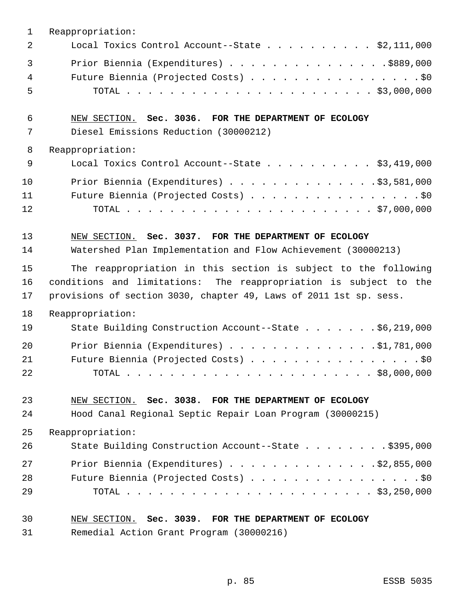| $\mathbf{1}$           | Reappropriation:                                                                                                                                                                                           |
|------------------------|------------------------------------------------------------------------------------------------------------------------------------------------------------------------------------------------------------|
| $\overline{2}$         | Local Toxics Control Account--State \$2,111,000                                                                                                                                                            |
| $\mathbf{3}$<br>4<br>5 | Prior Biennia (Expenditures) \$889,000<br>Future Biennia (Projected Costs) \$0                                                                                                                             |
| 6<br>7                 | NEW SECTION. Sec. 3036. FOR THE DEPARTMENT OF ECOLOGY<br>Diesel Emissions Reduction (30000212)                                                                                                             |
| 8                      | Reappropriation:                                                                                                                                                                                           |
| $\mathsf 9$            | Local Toxics Control Account--State $\ldots$ \$3,419,000                                                                                                                                                   |
| 10<br>11<br>12         | Prior Biennia (Expenditures) \$3,581,000<br>Future Biennia (Projected Costs) \$0                                                                                                                           |
| 13<br>14               | NEW SECTION. Sec. 3037. FOR THE DEPARTMENT OF ECOLOGY<br>Watershed Plan Implementation and Flow Achievement (30000213)                                                                                     |
| 15<br>16<br>17         | The reappropriation in this section is subject to the following<br>conditions and limitations: The reappropriation is subject to the<br>provisions of section 3030, chapter 49, Laws of 2011 1st sp. sess. |
| 18                     | Reappropriation:                                                                                                                                                                                           |
| 19                     | State Building Construction Account--State \$6,219,000                                                                                                                                                     |
| 20<br>21<br>22         | Prior Biennia (Expenditures) \$1,781,000<br>Future Biennia (Projected Costs) \$0                                                                                                                           |
| 23                     | NEW SECTION. Sec. 3038. FOR THE DEPARTMENT OF ECOLOGY                                                                                                                                                      |
| 24                     | Hood Canal Regional Septic Repair Loan Program (30000215)                                                                                                                                                  |
| 25                     | Reappropriation:                                                                                                                                                                                           |
| 26                     | State Building Construction Account--State \$395,000                                                                                                                                                       |
| 27                     | Prior Biennia (Expenditures) \$2,855,000                                                                                                                                                                   |
| 28<br>29               | Future Biennia (Projected Costs) \$0                                                                                                                                                                       |
| 30                     | NEW SECTION. Sec. 3039. FOR THE DEPARTMENT OF ECOLOGY                                                                                                                                                      |
|                        |                                                                                                                                                                                                            |

Remedial Action Grant Program (30000216)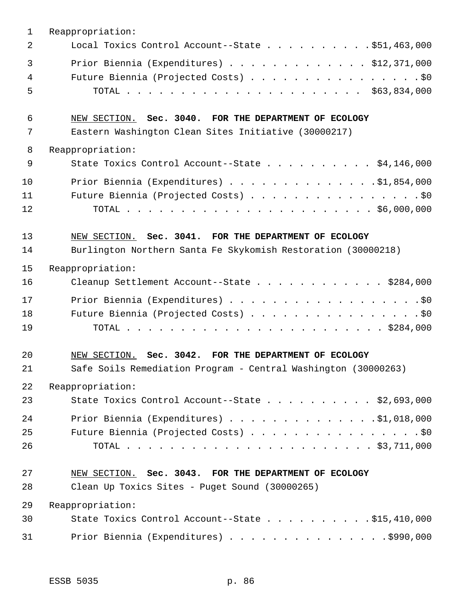| $\mathbf 1$ | Reappropriation:                                               |
|-------------|----------------------------------------------------------------|
| 2           | Local Toxics Control Account--State $\ldots$ \$51,463,000      |
| 3           | Prior Biennia (Expenditures) $\ldots$ \$12,371,000             |
| 4           | Future Biennia (Projected Costs) \$0                           |
| 5           |                                                                |
| 6           | NEW SECTION. Sec. 3040. FOR THE DEPARTMENT OF ECOLOGY          |
| 7           | Eastern Washington Clean Sites Initiative (30000217)           |
| 8           | Reappropriation:                                               |
| 9           | State Toxics Control Account--State \$4,146,000                |
| 10          | Prior Biennia (Expenditures) \$1,854,000                       |
| 11          | Future Biennia (Projected Costs) \$0                           |
| 12          |                                                                |
| 13          | NEW SECTION. Sec. 3041. FOR THE DEPARTMENT OF ECOLOGY          |
| 14          | Burlington Northern Santa Fe Skykomish Restoration (30000218)  |
| 15          | Reappropriation:                                               |
| 16          | Cleanup Settlement Account--State \$284,000                    |
| 17          | Prior Biennia (Expenditures) \$0                               |
| 18          | Future Biennia (Projected Costs) \$0                           |
| 19          |                                                                |
| 20          | NEW SECTION. Sec. 3042. FOR THE DEPARTMENT OF ECOLOGY          |
| 21          | Safe Soils Remediation Program - Central Washington (30000263) |
| 22          | Reappropriation:                                               |
| 23          | State Toxics Control Account--State \$2,693,000                |
| 24          | Prior Biennia (Expenditures) \$1,018,000                       |
| 25          | Future Biennia (Projected Costs) \$0                           |
| 26          |                                                                |
| 27          | NEW SECTION. Sec. 3043. FOR THE DEPARTMENT OF ECOLOGY          |
| 28          | Clean Up Toxics Sites - Puget Sound (30000265)                 |
| 29          | Reappropriation:                                               |
| 30          | State Toxics Control Account--State $\ldots$ \$15,410,000      |
| 31          | Prior Biennia (Expenditures) \$990,000                         |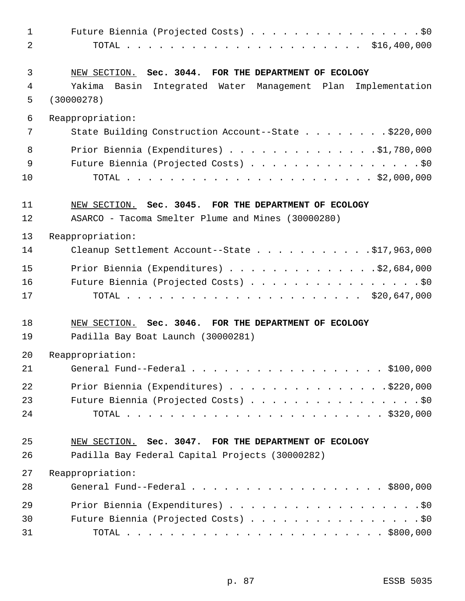|                                                                                                                | Future Biennia (Projected Costs) \$0 |
|----------------------------------------------------------------------------------------------------------------|--------------------------------------|
| 2                                                                                                              |                                      |
|                                                                                                                |                                      |
| 3<br>Sec. 3044. FOR THE DEPARTMENT OF ECOLOGY<br>NEW SECTION.                                                  |                                      |
| Yakima<br>4<br>Basin Integrated Water Management Plan Implementation                                           |                                      |
| 5<br>(30000278)                                                                                                |                                      |
| 6<br>Reappropriation:                                                                                          |                                      |
| 7<br>State Building Construction Account--State \$220,000                                                      |                                      |
| 8<br>Prior Biennia (Expenditures) \$1,780,000                                                                  |                                      |
| 9<br>Future Biennia (Projected Costs) \$0                                                                      |                                      |
| 10                                                                                                             |                                      |
|                                                                                                                |                                      |
| 11<br>NEW SECTION. Sec. 3045. FOR THE DEPARTMENT OF ECOLOGY                                                    |                                      |
| 12<br>ASARCO - Tacoma Smelter Plume and Mines (30000280)                                                       |                                      |
| 13<br>Reappropriation:                                                                                         |                                      |
| Cleanup Settlement Account--State \$17,963,000<br>14                                                           |                                      |
| 15<br>Prior Biennia (Expenditures) \$2,684,000                                                                 |                                      |
| 16<br>Future Biennia (Projected Costs) \$0                                                                     |                                      |
| 17                                                                                                             |                                      |
| 18<br>NEW SECTION. Sec. 3046. FOR THE DEPARTMENT OF ECOLOGY                                                    |                                      |
| 19<br>Padilla Bay Boat Launch (30000281)                                                                       |                                      |
| 20<br>Reappropriation:                                                                                         |                                      |
| 21<br>General Fund--Federal $\ldots$ \$100,000                                                                 |                                      |
|                                                                                                                |                                      |
| 22<br>Prior Biennia (Expenditures) \$220,000                                                                   |                                      |
| 23<br>Future Biennia (Projected Costs) \$0                                                                     |                                      |
| 24                                                                                                             |                                      |
|                                                                                                                |                                      |
| 25                                                                                                             |                                      |
| NEW SECTION. Sec. 3047. FOR THE DEPARTMENT OF ECOLOGY<br>26<br>Padilla Bay Federal Capital Projects (30000282) |                                      |
|                                                                                                                |                                      |
| 27<br>Reappropriation:<br>28                                                                                   |                                      |
| General Fund--Federal \$800,000                                                                                |                                      |
| 29<br>Prior Biennia (Expenditures) \$0<br>30<br>Future Biennia (Projected Costs) \$0                           |                                      |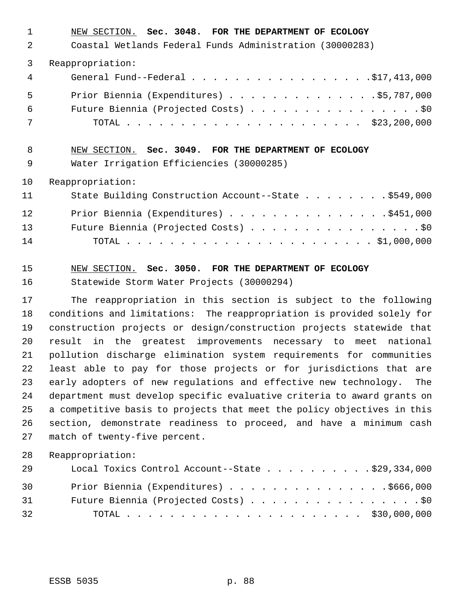| 1  | NEW SECTION. Sec. 3048. FOR THE DEPARTMENT OF ECOLOGY    |
|----|----------------------------------------------------------|
| 2  | Coastal Wetlands Federal Funds Administration (30000283) |
| 3  | Reappropriation:                                         |
| 4  | General Fund--Federal \$17,413,000                       |
| 5  | Prior Biennia (Expenditures) \$5,787,000                 |
| 6  | Future Biennia (Projected Costs) \$0                     |
| 7  |                                                          |
| 8  | NEW SECTION. Sec. 3049. FOR THE DEPARTMENT OF ECOLOGY    |
| 9  | Water Irrigation Efficiencies (30000285)                 |
| 10 | Reappropriation:                                         |
| 11 | State Building Construction Account--State \$549,000     |
| 12 | Prior Biennia (Expenditures) \$451,000                   |
|    |                                                          |
| 13 | Future Biennia (Projected Costs) \$0                     |

## NEW SECTION. **Sec. 3050. FOR THE DEPARTMENT OF ECOLOGY**

Statewide Storm Water Projects (30000294)

 The reappropriation in this section is subject to the following conditions and limitations: The reappropriation is provided solely for construction projects or design/construction projects statewide that result in the greatest improvements necessary to meet national pollution discharge elimination system requirements for communities least able to pay for those projects or for jurisdictions that are early adopters of new regulations and effective new technology. The department must develop specific evaluative criteria to award grants on a competitive basis to projects that meet the policy objectives in this section, demonstrate readiness to proceed, and have a minimum cash match of twenty-five percent.

Reappropriation:

| 29 | Local Toxics Control Account--State \$29,334,000 |  |
|----|--------------------------------------------------|--|
| 30 | Prior Biennia (Expenditures) \$666,000           |  |
| 31 | Future Biennia (Projected Costs) \$0             |  |
| 32 |                                                  |  |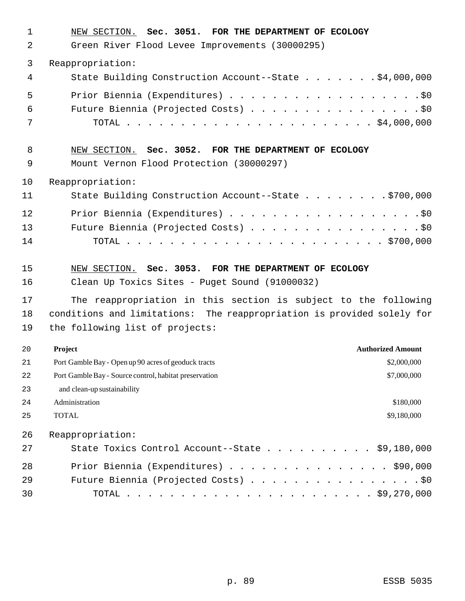| $\mathbf 1$<br>2 | NEW SECTION. Sec. 3051. FOR THE DEPARTMENT OF ECOLOGY<br>Green River Flood Levee Improvements (30000295) |
|------------------|----------------------------------------------------------------------------------------------------------|
| 3                | Reappropriation:                                                                                         |
| 4                | State Building Construction Account--State \$4,000,000                                                   |
| 5                |                                                                                                          |
| 6                | Future Biennia (Projected Costs) \$0                                                                     |
| 7                |                                                                                                          |
| 8                | NEW SECTION. Sec. 3052. FOR THE DEPARTMENT OF ECOLOGY                                                    |
| 9                | Mount Vernon Flood Protection (30000297)                                                                 |
| 10               | Reappropriation:                                                                                         |
| 11               | State Building Construction Account--State \$700,000                                                     |
| 12               | Prior Biennia (Expenditures) \$0                                                                         |
| 13               | Future Biennia (Projected Costs) \$0                                                                     |
| 14               |                                                                                                          |
| 15               | NEW SECTION. Sec. 3053. FOR THE DEPARTMENT OF ECOLOGY                                                    |
| 16               | Clean Up Toxics Sites - Puget Sound (91000032)                                                           |
| 17               | The reappropriation in this section is subject to the following                                          |
| 18               | conditions and limitations: The reappropriation is provided solely for                                   |
| 19               | the following list of projects:                                                                          |
| 20               | <b>Authorized Amount</b><br>Project                                                                      |
| 21               | Port Gamble Bay - Open up 90 acres of geoduck tracts<br>\$2,000,000                                      |
| 22               |                                                                                                          |
| 23               | Port Gamble Bay - Source control, habitat preservation<br>\$7,000,000                                    |
|                  | and clean-up sustainability                                                                              |
| 24               | Administration<br>\$180,000                                                                              |
| 25               | <b>TOTAL</b><br>\$9,180,000                                                                              |
| 26               | Reappropriation:                                                                                         |
| 27               | State Toxics Control Account--State \$9,180,000                                                          |
| 28               | Prior Biennia (Expenditures) \$90,000                                                                    |
| 29               | Future Biennia (Projected Costs) \$0                                                                     |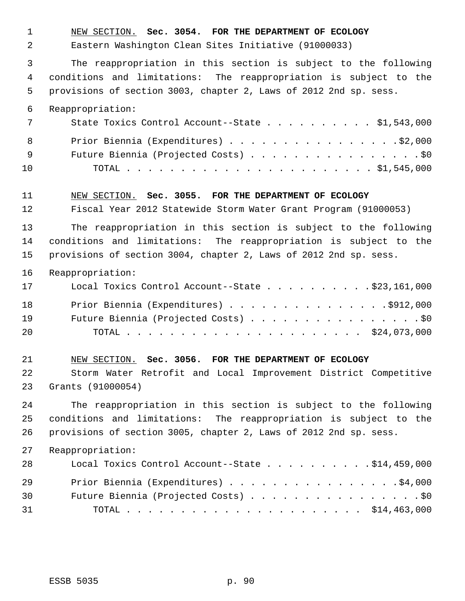NEW SECTION. **Sec. 3054. FOR THE DEPARTMENT OF ECOLOGY** Eastern Washington Clean Sites Initiative (91000033) The reappropriation in this section is subject to the following conditions and limitations: The reappropriation is subject to the provisions of section 3003, chapter 2, Laws of 2012 2nd sp. sess. Reappropriation: 7 State Toxics Control Account--State . . . . . . . . . \$1,543,000 8 Prior Biennia (Expenditures) . . . . . . . . . . . . . . . . \$2,000 9 Future Biennia (Projected Costs) . . . . . . . . . . . . . . . . \$0 TOTAL . . . . . . . . . . . . . . . . . . . . . . . \$1,545,000 NEW SECTION. **Sec. 3055. FOR THE DEPARTMENT OF ECOLOGY** Fiscal Year 2012 Statewide Storm Water Grant Program (91000053) The reappropriation in this section is subject to the following conditions and limitations: The reappropriation is subject to the provisions of section 3004, chapter 2, Laws of 2012 2nd sp. sess. Reappropriation: Local Toxics Control Account--State . . . . . . . . . . \$23,161,000 18 Prior Biennia (Expenditures) . . . . . . . . . . . . . . . . \$912,000 Future Biennia (Projected Costs) . . . . . . . . . . . . . . . . \$0 TOTAL . . . . . . . . . . . . . . . . . . . . . . \$24,073,000 NEW SECTION. **Sec. 3056. FOR THE DEPARTMENT OF ECOLOGY** Storm Water Retrofit and Local Improvement District Competitive Grants (91000054) The reappropriation in this section is subject to the following conditions and limitations: The reappropriation is subject to the provisions of section 3005, chapter 2, Laws of 2012 2nd sp. sess. Reappropriation: Local Toxics Control Account--State . . . . . . . . . . \$14,459,000 29 Prior Biennia (Expenditures) . . . . . . . . . . . . . . . . \$4,000 Future Biennia (Projected Costs) . . . . . . . . . . . . . . . . \$0 TOTAL . . . . . . . . . . . . . . . . . . . . . . \$14,463,000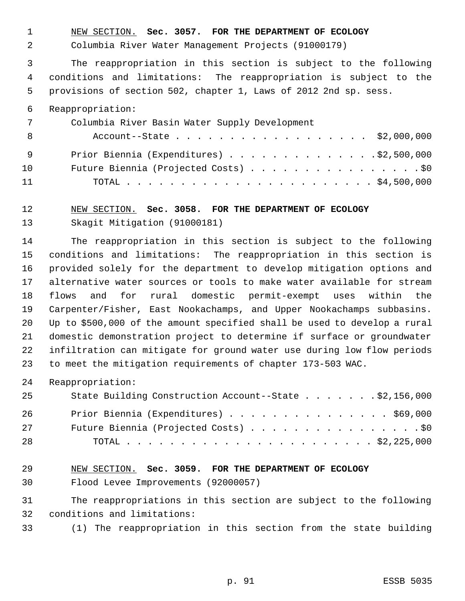NEW SECTION. **Sec. 3057. FOR THE DEPARTMENT OF ECOLOGY**

Columbia River Water Management Projects (91000179)

 The reappropriation in this section is subject to the following conditions and limitations: The reappropriation is subject to the provisions of section 502, chapter 1, Laws of 2012 2nd sp. sess.

#### Reappropriation:

| 7   | Columbia River Basin Water Supply Development |
|-----|-----------------------------------------------|
| - 8 | Account--State \$2,000,000                    |
| - 9 | Prior Biennia (Expenditures) \$2,500,000      |
| 10  | Future Biennia (Projected Costs) \$0          |
| 11  |                                               |

### NEW SECTION. **Sec. 3058. FOR THE DEPARTMENT OF ECOLOGY**

Skagit Mitigation (91000181)

 The reappropriation in this section is subject to the following conditions and limitations: The reappropriation in this section is provided solely for the department to develop mitigation options and alternative water sources or tools to make water available for stream flows and for rural domestic permit-exempt uses within the Carpenter/Fisher, East Nookachamps, and Upper Nookachamps subbasins. Up to \$500,000 of the amount specified shall be used to develop a rural domestic demonstration project to determine if surface or groundwater infiltration can mitigate for ground water use during low flow periods to meet the mitigation requirements of chapter 173-503 WAC.

Reappropriation:

| 25 | State Building Construction Account--State \$2,156,000 |
|----|--------------------------------------------------------|
| 26 | Prior Biennia (Expenditures) \$69,000                  |
| 27 | Future Biennia (Projected Costs) \$0                   |
| 28 |                                                        |

# NEW SECTION. **Sec. 3059. FOR THE DEPARTMENT OF ECOLOGY**

Flood Levee Improvements (92000057)

 The reappropriations in this section are subject to the following conditions and limitations:

(1) The reappropriation in this section from the state building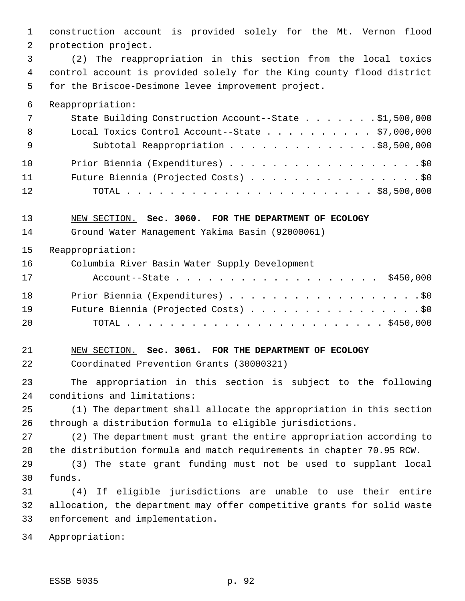construction account is provided solely for the Mt. Vernon flood protection project. (2) The reappropriation in this section from the local toxics control account is provided solely for the King county flood district for the Briscoe-Desimone levee improvement project. Reappropriation: State Building Construction Account--State . . . . . . . \$1,500,000 Local Toxics Control Account--State . . . . . . . . . . \$7,000,000 9 Subtotal Reappropriation . . . . . . . . . . . . . \$8,500,000 10 Prior Biennia (Expenditures) . . . . . . . . . . . . . . . . . . \$0 Future Biennia (Projected Costs) . . . . . . . . . . . . . . . . \$0 TOTAL . . . . . . . . . . . . . . . . . . . . . . . \$8,500,000 NEW SECTION. **Sec. 3060. FOR THE DEPARTMENT OF ECOLOGY** Ground Water Management Yakima Basin (92000061) Reappropriation: Columbia River Basin Water Supply Development Account--State . . . . . . . . . . . . . . . . . . . \$450,000 18 Prior Biennia (Expenditures) . . . . . . . . . . . . . . . . . . \$0 19 Future Biennia (Projected Costs) . . . . . . . . . . . . . . . . \$0 TOTAL . . . . . . . . . . . . . . . . . . . . . . . . \$450,000 NEW SECTION. **Sec. 3061. FOR THE DEPARTMENT OF ECOLOGY** Coordinated Prevention Grants (30000321) The appropriation in this section is subject to the following conditions and limitations: (1) The department shall allocate the appropriation in this section through a distribution formula to eligible jurisdictions. (2) The department must grant the entire appropriation according to the distribution formula and match requirements in chapter 70.95 RCW. (3) The state grant funding must not be used to supplant local funds. (4) If eligible jurisdictions are unable to use their entire allocation, the department may offer competitive grants for solid waste enforcement and implementation. Appropriation: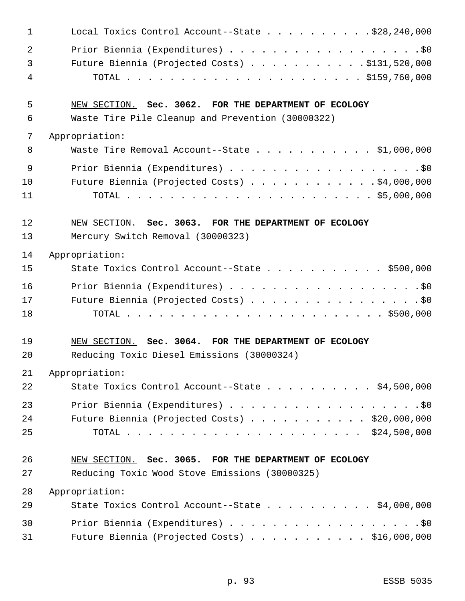| $\mathbf 1$ | Local Toxics Control Account--State \$28,240,000         |
|-------------|----------------------------------------------------------|
| 2           | Prior Biennia (Expenditures) \$0                         |
| 3           | Future Biennia (Projected Costs) \$131,520,000           |
| 4           |                                                          |
| 5           | NEW SECTION. Sec. 3062. FOR THE DEPARTMENT OF ECOLOGY    |
| 6           | Waste Tire Pile Cleanup and Prevention (30000322)        |
| 7           | Appropriation:                                           |
| 8           | Waste Tire Removal Account--State \$1,000,000            |
| 9           | Prior Biennia (Expenditures) \$0                         |
| 10          | Future Biennia (Projected Costs) $\ldots$ \$4,000,000    |
| 11          |                                                          |
| 12          | NEW SECTION. Sec. 3063. FOR THE DEPARTMENT OF ECOLOGY    |
| 13          | Mercury Switch Removal (30000323)                        |
| 14          | Appropriation:                                           |
| 15          | State Toxics Control Account--State $\ldots$ \$500,000   |
| 16          | Prior Biennia (Expenditures) \$0                         |
| 17          | Future Biennia (Projected Costs) \$0                     |
| 18          |                                                          |
| 19          | NEW SECTION. Sec. 3064. FOR THE DEPARTMENT OF ECOLOGY    |
| 20          | Reducing Toxic Diesel Emissions (30000324)               |
| 21          | Appropriation:                                           |
| 22          | State Toxics Control Account--State \$4,500,000          |
| 23          | Prior Biennia (Expenditures) \$0                         |
| 24          | Future Biennia (Projected Costs) $\ldots$ \$20,000,000   |
| 25          |                                                          |
| 26          | NEW SECTION. Sec. 3065. FOR THE DEPARTMENT OF ECOLOGY    |
| 27          | Reducing Toxic Wood Stove Emissions (30000325)           |
| 28          | Appropriation:                                           |
| 29          | State Toxics Control Account--State $\ldots$ \$4,000,000 |
| 30          | Prior Biennia (Expenditures) \$0                         |
| 31          | Future Biennia (Projected Costs) \$16,000,000            |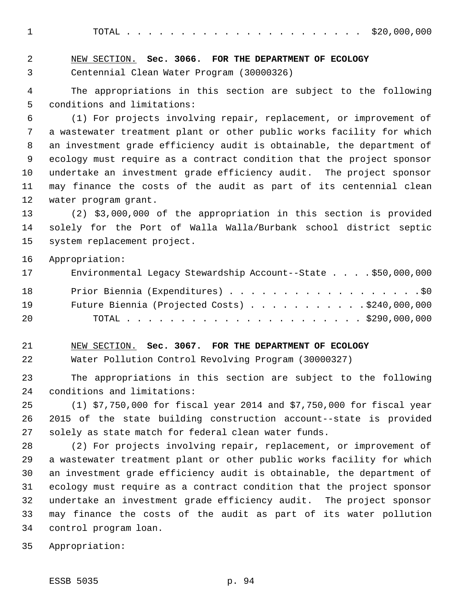TOTAL . . . . . . . . . . . . . . . . . . . . . . \$20,000,000

| $\overline{a}$ | NEW SECTION. Sec. 3066. FOR THE DEPARTMENT OF ECOLOGY                  |
|----------------|------------------------------------------------------------------------|
| 3              | Centennial Clean Water Program (30000326)                              |
| $\overline{4}$ | The appropriations in this section are subject to the following        |
| 5              | conditions and limitations:                                            |
| 6              | (1) For projects involving repair, replacement, or improvement of      |
| 7              | a wastewater treatment plant or other public works facility for which  |
| 8              | an investment grade efficiency audit is obtainable, the department of  |
| 9              | ecology must require as a contract condition that the project sponsor  |
| 10             | undertake an investment grade efficiency audit. The project sponsor    |
| 11             | may finance the costs of the audit as part of its centennial clean     |
| 12             | water program grant.                                                   |
| 13             | (2) \$3,000,000 of the appropriation in this section is provided       |
| 14             | solely for the Port of Walla Walla/Burbank school district septic      |
| 15             | system replacement project.                                            |
| 16             | Appropriation:                                                         |
| 17             | Environmental Legacy Stewardship Account--State \$50,000,000           |
| 18             | Prior Biennia (Expenditures) \$0                                       |
| 19             | Future Biennia (Projected Costs) \$240,000,000                         |
| 20             |                                                                        |
| 21             | NEW SECTION. Sec. 3067. FOR THE DEPARTMENT OF ECOLOGY                  |
| 22             | Water Pollution Control Revolving Program (30000327)                   |
| 23             | The appropriations in this section are subject to the following        |
| 24             | conditions and limitations:                                            |
| 25             | $(1)$ \$7,750,000 for fiscal year 2014 and \$7,750,000 for fiscal year |
| 26             | 2015 of the state building construction account--state is provided     |
| 27             | solely as state match for federal clean water funds.                   |
| 28             | (2) For projects involving repair, replacement, or improvement of      |
| 29             | a wastewater treatment plant or other public works facility for which  |
| 30             | an investment grade efficiency audit is obtainable, the department of  |
| 31             | ecology must require as a contract condition that the project sponsor  |
| 32             | undertake an investment grade efficiency audit. The project sponsor    |
| 33             | may finance the costs of the audit as part of its water pollution      |
| 34             | control program loan.                                                  |

Appropriation: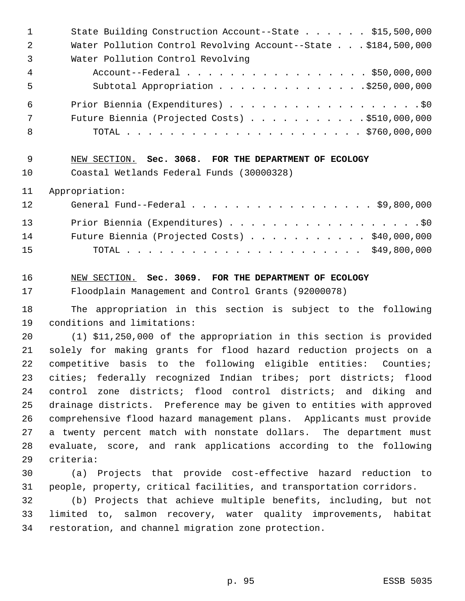| $\mathbf 1$ | State Building Construction Account--State \$15,500,000               |
|-------------|-----------------------------------------------------------------------|
| 2           | Water Pollution Control Revolving Account--State \$184,500,000        |
| 3           | Water Pollution Control Revolving                                     |
| 4           | Account--Federal \$50,000,000                                         |
| 5           | Subtotal Appropriation \$250,000,000                                  |
| 6           | Prior Biennia (Expenditures) \$0                                      |
| 7           | Future Biennia (Projected Costs) \$510,000,000                        |
| 8           |                                                                       |
| 9           | NEW SECTION. Sec. 3068. FOR THE DEPARTMENT OF ECOLOGY                 |
| 10          | Coastal Wetlands Federal Funds (30000328)                             |
| 11          | Appropriation:                                                        |
| 12          | General Fund--Federal \$9,800,000                                     |
| 13          | Prior Biennia (Expenditures) \$0                                      |
| 14          | Future Biennia (Projected Costs) \$40,000,000                         |
| 15          |                                                                       |
| 16          | NEW SECTION. Sec. 3069. FOR THE DEPARTMENT OF ECOLOGY                 |
| 17          | Floodplain Management and Control Grants (92000078)                   |
| 18          | The appropriation in this section is subject to the following         |
| 19          | conditions and limitations:                                           |
| 20          | (1) \$11,250,000 of the appropriation in this section is provided     |
| 21          | solely for making grants for flood hazard reduction projects on a     |
| 22          | competitive basis to the following eligible entities: Counties;       |
| 23          | cities; federally recognized Indian tribes; port districts; flood     |
| 24          | control zone districts; flood control districts; and diking and       |
| 25          | drainage districts. Preference may be given to entities with approved |
| 26          | comprehensive flood hazard management plans. Applicants must provide  |
| 27          | a twenty percent match with nonstate dollars. The department must     |
| 28          | evaluate, score, and rank applications according to the following     |
| 29          | criteria:                                                             |
| 30          | (a) Projects that provide cost-effective hazard reduction to          |
| 31          | people, property, critical facilities, and transportation corridors.  |
| 32          | (b) Projects that achieve multiple benefits, including, but not       |
| 33          | limited to, salmon recovery, water quality improvements, habitat      |
| 34          | restoration, and channel migration zone protection.                   |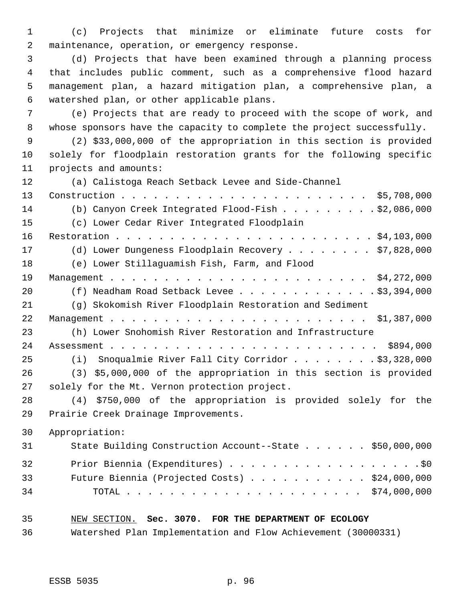(c) Projects that minimize or eliminate future costs for maintenance, operation, or emergency response.

 (d) Projects that have been examined through a planning process that includes public comment, such as a comprehensive flood hazard management plan, a hazard mitigation plan, a comprehensive plan, a watershed plan, or other applicable plans.

 (e) Projects that are ready to proceed with the scope of work, and whose sponsors have the capacity to complete the project successfully.

 (2) \$33,000,000 of the appropriation in this section is provided solely for floodplain restoration grants for the following specific projects and amounts:

 (a) Calistoga Reach Setback Levee and Side-Channel Construction . . . . . . . . . . . . . . . . . . . . . . . \$5,708,000 (b) Canyon Creek Integrated Flood-Fish . . . . . . . . . \$2,086,000 (c) Lower Cedar River Integrated Floodplain Restoration . . . . . . . . . . . . . . . . . . . . . . . . \$4,103,000 (d) Lower Dungeness Floodplain Recovery . . . . . . . . \$7,828,000 (e) Lower Stillaguamish Fish, Farm, and Flood Management . . . . . . . . . . . . . . . . . . . . . . . . \$4,272,000 20 (f) Neadham Road Setback Levee . . . . . . . . . . . . \$3,394,000 (g) Skokomish River Floodplain Restoration and Sediment Management . . . . . . . . . . . . . . . . . . . . . . . . \$1,387,000 (h) Lower Snohomish River Restoration and Infrastructure Assessment . . . . . . . . . . . . . . . . . . . . . . . . . \$894,000 25 (i) Snoqualmie River Fall City Corridor . . . . . . . \$3,328,000 (3) \$5,000,000 of the appropriation in this section is provided solely for the Mt. Vernon protection project. (4) \$750,000 of the appropriation is provided solely for the Prairie Creek Drainage Improvements.

Appropriation:

| 31 | State Building Construction Account--State \$50,000,000 |  |
|----|---------------------------------------------------------|--|
| 32 |                                                         |  |
| 33 | Future Biennia (Projected Costs) $\ldots$ \$24,000,000  |  |
| 34 |                                                         |  |

- NEW SECTION. **Sec. 3070. FOR THE DEPARTMENT OF ECOLOGY**
- Watershed Plan Implementation and Flow Achievement (30000331)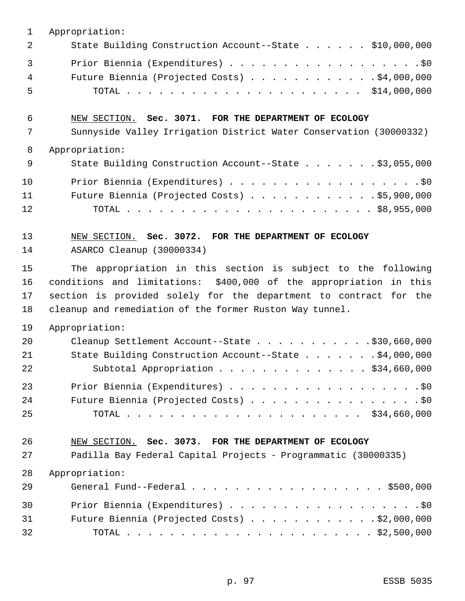| 1  | Appropriation:                                                     |
|----|--------------------------------------------------------------------|
| 2  | State Building Construction Account--State \$10,000,000            |
| 3  |                                                                    |
| 4  | Future Biennia (Projected Costs) \$4,000,000                       |
| 5  |                                                                    |
| 6  | NEW SECTION. Sec. 3071. FOR THE DEPARTMENT OF ECOLOGY              |
| 7  | Sunnyside Valley Irrigation District Water Conservation (30000332) |
| 8  | Appropriation:                                                     |
| 9  | State Building Construction Account--State \$3,055,000             |
| 10 | Prior Biennia (Expenditures) \$0                                   |
| 11 | Future Biennia (Projected Costs) \$5,900,000                       |
| 12 |                                                                    |
| 13 | NEW SECTION. Sec. 3072. FOR THE DEPARTMENT OF ECOLOGY              |
| 14 | ASARCO Cleanup (30000334)                                          |
| 15 | The appropriation in this section is subject to the following      |
| 16 | conditions and limitations: \$400,000 of the appropriation in this |
| 17 | section is provided solely for the department to contract for the  |
| 18 | cleanup and remediation of the former Ruston Way tunnel.           |
| 19 | Appropriation:                                                     |
| 20 | Cleanup Settlement Account--State \$30,660,000                     |
| 21 | State Building Construction Account--State \$4,000,000             |
| 22 | Subtotal Appropriation \$34,660,000                                |
| 23 | Prior Biennia (Expenditures) \$0                                   |
| 24 | Future Biennia (Projected Costs) \$0                               |
| 25 |                                                                    |
| 26 | NEW SECTION. Sec. 3073. FOR THE DEPARTMENT OF ECOLOGY              |
| 27 | Padilla Bay Federal Capital Projects - Programmatic (30000335)     |
| 28 | Appropriation:                                                     |
| 29 | General Fund--Federal \$500,000                                    |
| 30 | Prior Biennia (Expenditures) \$0                                   |
| 31 | Future Biennia (Projected Costs) \$2,000,000                       |
| 32 |                                                                    |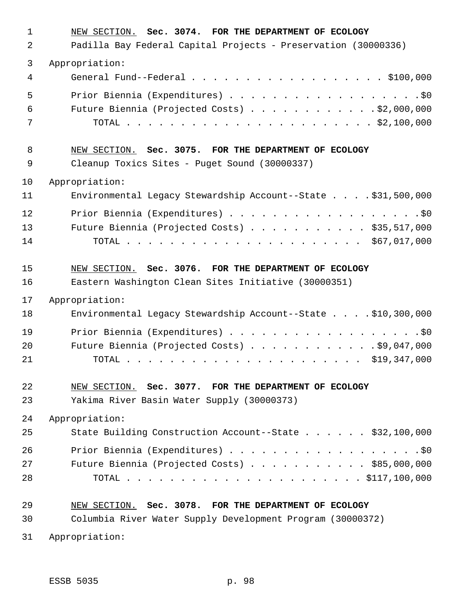| 1<br>2         | NEW SECTION. Sec. 3074. FOR THE DEPARTMENT OF ECOLOGY<br>Padilla Bay Federal Capital Projects - Preservation (30000336) |
|----------------|-------------------------------------------------------------------------------------------------------------------------|
|                |                                                                                                                         |
| 3<br>4         | Appropriation:<br>General Fund--Federal \$100,000                                                                       |
| 5<br>6<br>7    | Future Biennia (Projected Costs) \$2,000,000                                                                            |
| 8<br>9         | NEW SECTION. Sec. 3075. FOR THE DEPARTMENT OF ECOLOGY<br>Cleanup Toxics Sites - Puget Sound (30000337)                  |
| 10             | Appropriation:                                                                                                          |
| 11             | Environmental Legacy Stewardship Account--State \$31,500,000                                                            |
| 12<br>13<br>14 | Future Biennia (Projected Costs) \$35,517,000                                                                           |
| 15<br>16       | NEW SECTION. Sec. 3076. FOR THE DEPARTMENT OF ECOLOGY<br>Eastern Washington Clean Sites Initiative (30000351)           |
| 17             | Appropriation:                                                                                                          |
| 18             | Environmental Legacy Stewardship Account--State \$10,300,000                                                            |
| 19<br>20<br>21 | Future Biennia (Projected Costs) \$9,047,000                                                                            |
| 22<br>23       | NEW SECTION. Sec. 3077. FOR THE DEPARTMENT OF ECOLOGY<br>Yakima River Basin Water Supply (30000373)                     |
| 24             | Appropriation:                                                                                                          |
| 25             | State Building Construction Account--State \$32,100,000                                                                 |
| 26<br>27<br>28 | Prior Biennia (Expenditures) \$0<br>Future Biennia (Projected Costs) $\ldots$ \$85,000,000                              |
| 29             | NEW SECTION. Sec. 3078. FOR THE DEPARTMENT OF ECOLOGY                                                                   |
| 30             | Columbia River Water Supply Development Program (30000372)                                                              |
| 31             | Appropriation:                                                                                                          |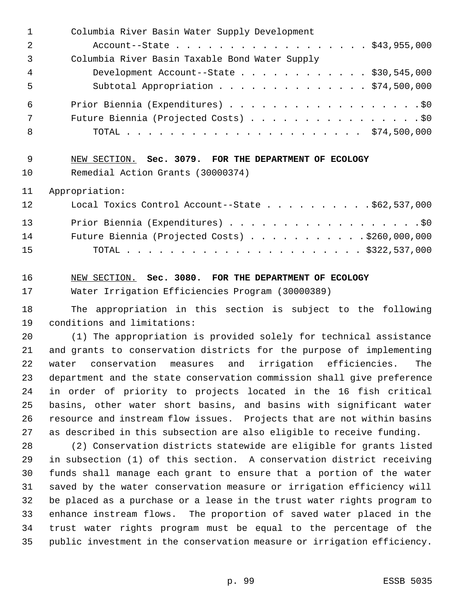| $\mathbf{1}$ | Columbia River Basin Water Supply Development                 |
|--------------|---------------------------------------------------------------|
| 2            | Account--State \$43,955,000                                   |
| 3            | Columbia River Basin Taxable Bond Water Supply                |
| 4            | Development Account--State \$30,545,000                       |
| 5            | Subtotal Appropriation \$74,500,000                           |
| 6            |                                                               |
| 7            | Future Biennia (Projected Costs) \$0                          |
| 8            |                                                               |
| 9            | NEW SECTION. Sec. 3079. FOR THE DEPARTMENT OF ECOLOGY         |
| 10           | Remedial Action Grants (30000374)                             |
| 11           | Appropriation:                                                |
| 12           | Local Toxics Control Account--State \$62,537,000              |
| 13           | Prior Biennia (Expenditures) \$0                              |
| 14           | Future Biennia (Projected Costs) \$260,000,000                |
| 15           |                                                               |
| 16           | NEW SECTION. Sec. 3080. FOR THE DEPARTMENT OF ECOLOGY         |
| 17           | Water Irrigation Efficiencies Program (30000389)              |
| 18           | The appropriation in this section is subject to the following |
| 19           |                                                               |

 (1) The appropriation is provided solely for technical assistance and grants to conservation districts for the purpose of implementing water conservation measures and irrigation efficiencies. The department and the state conservation commission shall give preference in order of priority to projects located in the 16 fish critical basins, other water short basins, and basins with significant water resource and instream flow issues. Projects that are not within basins as described in this subsection are also eligible to receive funding.

 (2) Conservation districts statewide are eligible for grants listed in subsection (1) of this section. A conservation district receiving funds shall manage each grant to ensure that a portion of the water saved by the water conservation measure or irrigation efficiency will be placed as a purchase or a lease in the trust water rights program to enhance instream flows. The proportion of saved water placed in the trust water rights program must be equal to the percentage of the public investment in the conservation measure or irrigation efficiency.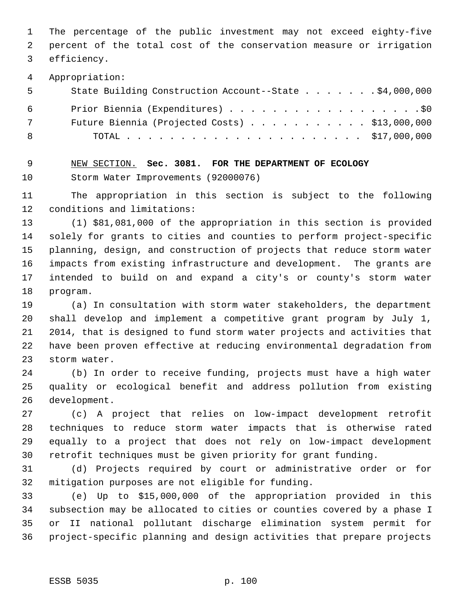The percentage of the public investment may not exceed eighty-five percent of the total cost of the conservation measure or irrigation efficiency.

Appropriation:

| - 5        | State Building Construction Account--State \$4,000,000 |  |
|------------|--------------------------------------------------------|--|
| 6          | Prior Biennia (Expenditures) \$0                       |  |
| $7\degree$ | Future Biennia (Projected Costs) $\ldots$ \$13,000,000 |  |
| - 8        |                                                        |  |

 NEW SECTION. **Sec. 3081. FOR THE DEPARTMENT OF ECOLOGY** Storm Water Improvements (92000076)

 The appropriation in this section is subject to the following conditions and limitations:

 (1) \$81,081,000 of the appropriation in this section is provided solely for grants to cities and counties to perform project-specific planning, design, and construction of projects that reduce storm water impacts from existing infrastructure and development. The grants are intended to build on and expand a city's or county's storm water program.

 (a) In consultation with storm water stakeholders, the department shall develop and implement a competitive grant program by July 1, 2014, that is designed to fund storm water projects and activities that have been proven effective at reducing environmental degradation from storm water.

 (b) In order to receive funding, projects must have a high water quality or ecological benefit and address pollution from existing development.

 (c) A project that relies on low-impact development retrofit techniques to reduce storm water impacts that is otherwise rated equally to a project that does not rely on low-impact development retrofit techniques must be given priority for grant funding.

 (d) Projects required by court or administrative order or for mitigation purposes are not eligible for funding.

 (e) Up to \$15,000,000 of the appropriation provided in this subsection may be allocated to cities or counties covered by a phase I or II national pollutant discharge elimination system permit for project-specific planning and design activities that prepare projects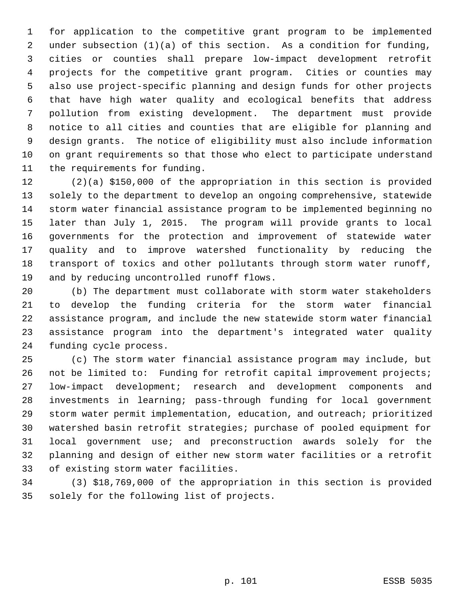for application to the competitive grant program to be implemented under subsection (1)(a) of this section. As a condition for funding, cities or counties shall prepare low-impact development retrofit projects for the competitive grant program. Cities or counties may also use project-specific planning and design funds for other projects that have high water quality and ecological benefits that address pollution from existing development. The department must provide notice to all cities and counties that are eligible for planning and design grants. The notice of eligibility must also include information on grant requirements so that those who elect to participate understand the requirements for funding.

 (2)(a) \$150,000 of the appropriation in this section is provided solely to the department to develop an ongoing comprehensive, statewide storm water financial assistance program to be implemented beginning no later than July 1, 2015. The program will provide grants to local governments for the protection and improvement of statewide water quality and to improve watershed functionality by reducing the transport of toxics and other pollutants through storm water runoff, and by reducing uncontrolled runoff flows.

 (b) The department must collaborate with storm water stakeholders to develop the funding criteria for the storm water financial assistance program, and include the new statewide storm water financial assistance program into the department's integrated water quality funding cycle process.

 (c) The storm water financial assistance program may include, but 26 not be limited to: Funding for retrofit capital improvement projects; low-impact development; research and development components and investments in learning; pass-through funding for local government storm water permit implementation, education, and outreach; prioritized watershed basin retrofit strategies; purchase of pooled equipment for local government use; and preconstruction awards solely for the planning and design of either new storm water facilities or a retrofit of existing storm water facilities.

 (3) \$18,769,000 of the appropriation in this section is provided solely for the following list of projects.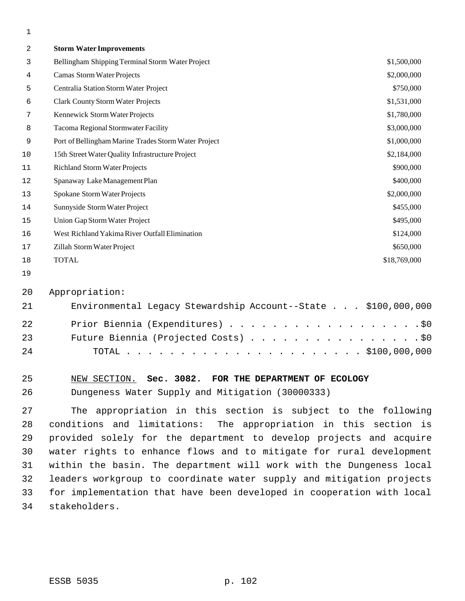| $\overline{a}$ | <b>Storm Water Improvements</b>                      |              |
|----------------|------------------------------------------------------|--------------|
| 3              | Bellingham Shipping Terminal Storm Water Project     | \$1,500,000  |
| 4              | Camas Storm Water Projects                           | \$2,000,000  |
| 5              | Centralia Station Storm Water Project                | \$750,000    |
| 6              | <b>Clark County Storm Water Projects</b>             | \$1,531,000  |
| 7              | Kennewick Storm Water Projects                       | \$1,780,000  |
| 8              | Tacoma Regional Stormwater Facility                  | \$3,000,000  |
| 9              | Port of Bellingham Marine Trades Storm Water Project | \$1,000,000  |
| 10             | 15th Street Water Quality Infrastructure Project     | \$2,184,000  |
| $11\,$         | <b>Richland Storm Water Projects</b>                 | \$900,000    |
| 12             | Spanaway Lake Management Plan                        | \$400,000    |
| 13             | Spokane Storm Water Projects                         | \$2,000,000  |
| 14             | Sunnyside Storm Water Project                        | \$455,000    |
| 15             | Union Gap Storm Water Project                        | \$495,000    |
| 16             | West Richland Yakima River Outfall Elimination       | \$124,000    |
| 17             | Zillah Storm Water Project                           | \$650,000    |
| 18             | <b>TOTAL</b>                                         | \$18,769,000 |
|                |                                                      |              |

#### Appropriation:

| 21 | Environmental Legacy Stewardship Account--State \$100,000,000 |
|----|---------------------------------------------------------------|
| 22 | Prior Biennia (Expenditures) \$0                              |
| 23 | Future Biennia (Projected Costs) \$0                          |
| 24 |                                                               |

## NEW SECTION. **Sec. 3082. FOR THE DEPARTMENT OF ECOLOGY**

Dungeness Water Supply and Mitigation (30000333)

 The appropriation in this section is subject to the following conditions and limitations: The appropriation in this section is provided solely for the department to develop projects and acquire water rights to enhance flows and to mitigate for rural development within the basin. The department will work with the Dungeness local leaders workgroup to coordinate water supply and mitigation projects for implementation that have been developed in cooperation with local stakeholders.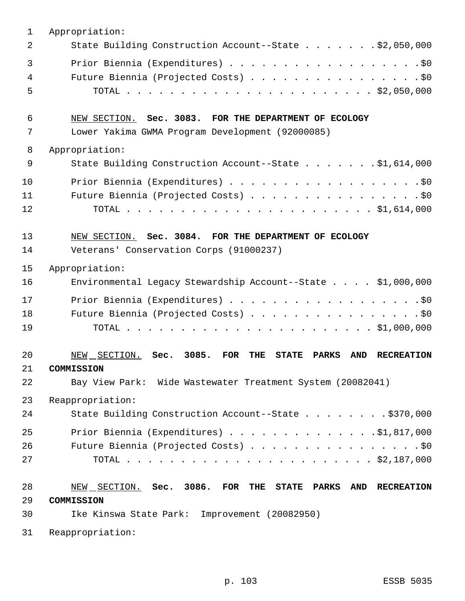| $\mathbf 1$    | Appropriation:                                                                                              |
|----------------|-------------------------------------------------------------------------------------------------------------|
| $\overline{2}$ | State Building Construction Account--State \$2,050,000                                                      |
| $\overline{3}$ | Prior Biennia (Expenditures) \$0                                                                            |
| 4              | Future Biennia (Projected Costs) \$0                                                                        |
| 5              |                                                                                                             |
| 6              | NEW SECTION. Sec. 3083. FOR THE DEPARTMENT OF ECOLOGY                                                       |
| 7              | Lower Yakima GWMA Program Development (92000085)                                                            |
| 8              | Appropriation:                                                                                              |
| 9              | State Building Construction Account--State \$1,614,000                                                      |
| 10             | Prior Biennia (Expenditures) \$0                                                                            |
| 11             | Future Biennia (Projected Costs) \$0                                                                        |
| 12             |                                                                                                             |
| 13             | NEW SECTION. Sec. 3084. FOR THE DEPARTMENT OF ECOLOGY                                                       |
| 14             | Veterans' Conservation Corps (91000237)                                                                     |
| 15             | Appropriation:                                                                                              |
| 16             | Environmental Legacy Stewardship Account--State \$1,000,000                                                 |
| 17             | Prior Biennia (Expenditures) \$0                                                                            |
| 18             | Future Biennia (Projected Costs) \$0                                                                        |
| 19             |                                                                                                             |
| 20             | 3085.<br>NEW SECTION. Sec.<br>FOR<br>THE<br><b>STATE</b><br><b>AND</b><br><b>RECREATION</b><br><b>PARKS</b> |
| 21             | <b>COMMISSION</b>                                                                                           |
| 22             | Bay View Park: Wide Wastewater Treatment System (20082041)                                                  |
| 23             | Reappropriation:                                                                                            |
| 24             | State Building Construction Account--State \$370,000                                                        |
| 25             | Prior Biennia (Expenditures) $\ldots$ 91,817,000                                                            |
| 26             | Future Biennia (Projected Costs) \$0                                                                        |
| 27             |                                                                                                             |
| 28             | NEW SECTION. Sec. 3086. FOR THE STATE PARKS<br><b>AND</b><br><b>RECREATION</b>                              |
| 29             | COMMISSION                                                                                                  |
| 30             | Improvement (20082950)<br>Ike Kinswa State Park:                                                            |
| 31             | Reappropriation:                                                                                            |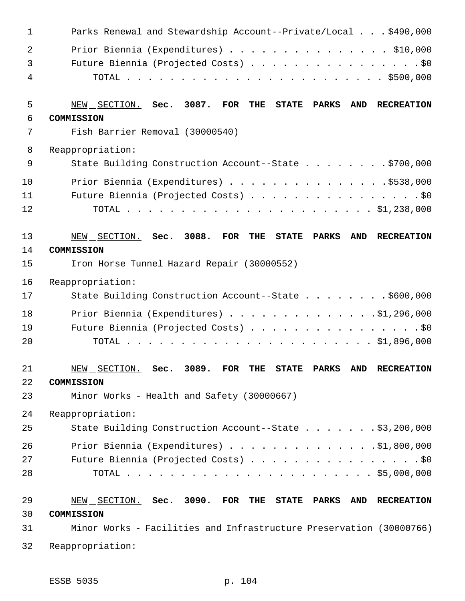| $\mathbf 1$    | Parks Renewal and Stewardship Account--Private/Local \$490,000                                    |
|----------------|---------------------------------------------------------------------------------------------------|
| $\overline{2}$ | Prior Biennia (Expenditures) \$10,000                                                             |
| 3              | Future Biennia (Projected Costs) \$0                                                              |
| 4              |                                                                                                   |
| 5              | NEW SECTION. Sec. 3087.<br>$\overline{\text{FOR}}$<br>THE<br><b>STATE PARKS</b><br>AND RECREATION |
| 6              | COMMISSION                                                                                        |
| 7              | Fish Barrier Removal (30000540)                                                                   |
| 8              | Reappropriation:                                                                                  |
| $\mathsf 9$    | State Building Construction Account--State \$700,000                                              |
| 10             | Prior Biennia (Expenditures) \$538,000                                                            |
| 11             | Future Biennia (Projected Costs) \$0                                                              |
| 12             |                                                                                                   |
| 13             | NEW SECTION. Sec. 3088.<br>FOR<br>THE<br>PARKS<br>AND RECREATION<br><b>STATE</b>                  |
| 14             | COMMISSION                                                                                        |
| 15             | Iron Horse Tunnel Hazard Repair (30000552)                                                        |
| 16             | Reappropriation:                                                                                  |
| 17             | State Building Construction Account--State \$600,000                                              |
| 18             | Prior Biennia (Expenditures) \$1,296,000                                                          |
| 19             | Future Biennia (Projected Costs) \$0                                                              |
| 20             |                                                                                                   |
| 21             | NEW SECTION. Sec. 3089. FOR THE STATE PARKS AND RECREATION                                        |
| 22             | COMMISSION                                                                                        |
| 23             | Minor Works - Health and Safety (30000667)                                                        |
| 24             | Reappropriation:                                                                                  |
| 25             | State Building Construction Account--State \$3,200,000                                            |
| 26             | Prior Biennia (Expenditures) \$1,800,000                                                          |
| 27             | Future Biennia (Projected Costs) \$0                                                              |
| 28             |                                                                                                   |
| 29             | NEW SECTION. Sec. 3090. FOR THE STATE PARKS<br>AND RECREATION                                     |
| 30             | COMMISSION                                                                                        |
| 31             | Minor Works - Facilities and Infrastructure Preservation (30000766)                               |
| 32             | Reappropriation:                                                                                  |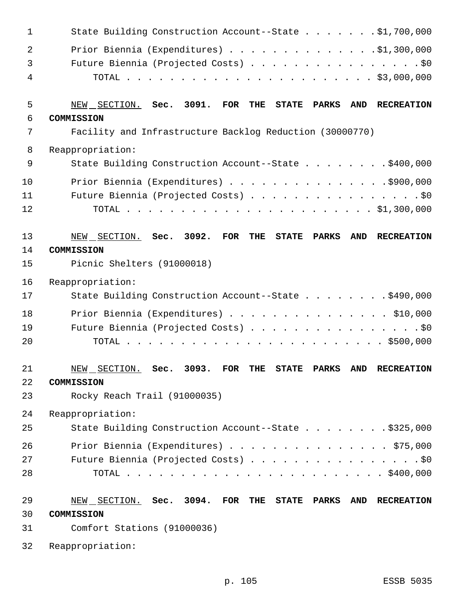| 1              | State Building Construction Account--State \$1,700,000                                                             |
|----------------|--------------------------------------------------------------------------------------------------------------------|
| $\overline{2}$ | Prior Biennia (Expenditures) \$1,300,000                                                                           |
| 3              | Future Biennia (Projected Costs) \$0                                                                               |
| 4              |                                                                                                                    |
| 5              | 3091.<br>NEW SECTION. Sec.<br>FOR<br><b>AND</b><br>THE<br><b>STATE</b><br>PARKS<br><b>RECREATION</b>               |
| 6              | COMMISSION                                                                                                         |
| 7              | Facility and Infrastructure Backlog Reduction (30000770)                                                           |
| 8              | Reappropriation:                                                                                                   |
| $\mathsf 9$    | State Building Construction Account--State \$400,000                                                               |
| 10             | Prior Biennia (Expenditures) \$900,000                                                                             |
| 11             | Future Biennia (Projected Costs) \$0                                                                               |
| 12             |                                                                                                                    |
| 13             | 3092.<br><b>FOR</b><br>NEW SECTION. Sec.<br>THE<br><b>STATE</b><br><b>PARKS</b><br><b>AND</b><br><b>RECREATION</b> |
| 14             | COMMISSION                                                                                                         |
| 15             | Picnic Shelters (91000018)                                                                                         |
| 16             | Reappropriation:                                                                                                   |
| 17             | State Building Construction Account--State \$490,000                                                               |
| 18             | Prior Biennia (Expenditures) \$10,000                                                                              |
| 19             | Future Biennia (Projected Costs) \$0                                                                               |
| 20             |                                                                                                                    |
| 21             | NEW SECTION. Sec. 3093. FOR THE STATE PARKS AND RECREATION                                                         |
| 22             | COMMISSION                                                                                                         |
| 23             | Rocky Reach Trail (91000035)                                                                                       |
| 24             | Reappropriation:                                                                                                   |
| 25             | State Building Construction Account--State \$325,000                                                               |
| 26             | Prior Biennia (Expenditures) \$75,000                                                                              |
| 27             | Future Biennia (Projected Costs) \$0                                                                               |
| 28             |                                                                                                                    |
| 29             | NEW SECTION. Sec. 3094. FOR THE<br><b>STATE PARKS</b><br><b>AND</b><br><b>RECREATION</b>                           |
| 30             | COMMISSION                                                                                                         |
| 31             | Comfort Stations (91000036)                                                                                        |
| 32             | Reappropriation:                                                                                                   |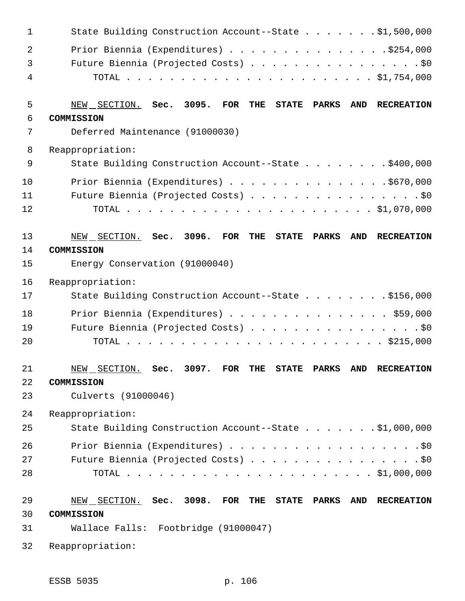| $\mathbf 1$    | State Building Construction Account--State \$1,500,000                                            |
|----------------|---------------------------------------------------------------------------------------------------|
| $\overline{2}$ | Prior Biennia (Expenditures) \$254,000                                                            |
| 3              | Future Biennia (Projected Costs) \$0                                                              |
| 4              |                                                                                                   |
| 5              | 3095.<br>NEW SECTION. Sec.<br><b>FOR</b><br>THE<br>STATE PARKS<br><b>AND</b><br><b>RECREATION</b> |
| 6              | COMMISSION                                                                                        |
| 7              | Deferred Maintenance (91000030)                                                                   |
| 8              | Reappropriation:                                                                                  |
| 9              | State Building Construction Account--State \$400,000                                              |
| 10             | Prior Biennia (Expenditures) \$670,000                                                            |
| 11             | Future Biennia (Projected Costs) \$0                                                              |
| 12             |                                                                                                   |
| 13             | 3096.<br><b>FOR</b><br>NEW SECTION. Sec.<br>THE<br><b>STATE</b><br><b>PARKS</b><br>AND RECREATION |
| 14             | COMMISSION                                                                                        |
| 15             | Energy Conservation (91000040)                                                                    |
| 16             | Reappropriation:                                                                                  |
| 17             | State Building Construction Account--State \$156,000                                              |
| 18             | Prior Biennia (Expenditures) \$59,000                                                             |
| 19             | Future Biennia (Projected Costs) \$0                                                              |
| 20             |                                                                                                   |
| 21             | FOR THE STATE PARKS AND RECREATION<br>3097.<br>NEW SECTION. Sec.                                  |
| 22             | COMMISSION                                                                                        |
| 23             | Culverts (91000046)                                                                               |
| 24             | Reappropriation:                                                                                  |
| 25             | State Building Construction Account--State \$1,000,000                                            |
| 26             | Prior Biennia (Expenditures) \$0                                                                  |
| 27             | Future Biennia (Projected Costs) \$0                                                              |
| 28             |                                                                                                   |
|                |                                                                                                   |
| 29             | NEW SECTION. Sec. 3098.<br>FOR<br>THE<br>STATE PARKS<br><b>AND</b><br><b>RECREATION</b>           |
| 30             | COMMISSION                                                                                        |
| 31             | Wallace Falls: Footbridge (91000047)                                                              |
| 32             | Reappropriation:                                                                                  |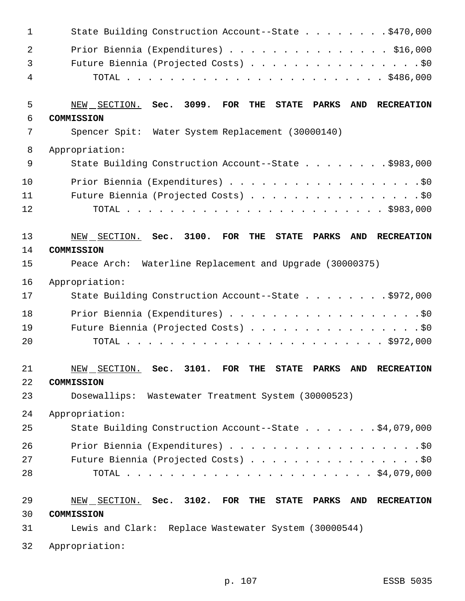| $\mathbf 1$ | State Building Construction Account--State \$470,000                                                                  |
|-------------|-----------------------------------------------------------------------------------------------------------------------|
| 2           | Prior Biennia (Expenditures) \$16,000                                                                                 |
| 3           | Future Biennia (Projected Costs) \$0                                                                                  |
| 4           |                                                                                                                       |
| 5           | 3099.<br>NEW SECTION.<br>Sec.<br>FOR<br><b>PARKS</b><br><b>AND</b><br><b>RECREATION</b><br>THE<br><b>STATE</b>        |
| 6           | COMMISSION                                                                                                            |
| 7           | Spencer Spit: Water System Replacement (30000140)                                                                     |
| 8           | Appropriation:                                                                                                        |
| 9           | State Building Construction Account--State \$983,000                                                                  |
| 10          | Prior Biennia (Expenditures) \$0                                                                                      |
| 11          | Future Biennia (Projected Costs) \$0                                                                                  |
| 12          |                                                                                                                       |
| 13          | 3100.<br>NEW SECTION.<br><b>FOR</b><br>Sec.<br><b>PARKS</b><br><b>AND</b><br><b>RECREATION</b><br>THE<br><b>STATE</b> |
| 14          | COMMISSION                                                                                                            |
| 15          | Peace Arch: Waterline Replacement and Upgrade (30000375)                                                              |
| 16          | Appropriation:                                                                                                        |
| 17          | State Building Construction Account--State \$972,000                                                                  |
| 18          |                                                                                                                       |
| 19          | Future Biennia (Projected Costs) \$0                                                                                  |
| 20          |                                                                                                                       |
| 21          | NEW SECTION. Sec. 3101. FOR THE STATE PARKS AND RECREATION                                                            |
| 22          | COMMISSION                                                                                                            |
| 23          | Dosewallips: Wastewater Treatment System (30000523)                                                                   |
| 24          | Appropriation:                                                                                                        |
| 25          | State Building Construction Account--State \$4,079,000                                                                |
| 26          | Prior Biennia (Expenditures) \$0                                                                                      |
| 27          | Future Biennia (Projected Costs) \$0                                                                                  |
| 28          |                                                                                                                       |
| 29          | NEW SECTION. Sec. 3102. FOR THE STATE PARKS<br>AND RECREATION                                                         |
| 30          | COMMISSION                                                                                                            |
| 31          | Lewis and Clark: Replace Wastewater System (30000544)                                                                 |
| 32          | Appropriation:                                                                                                        |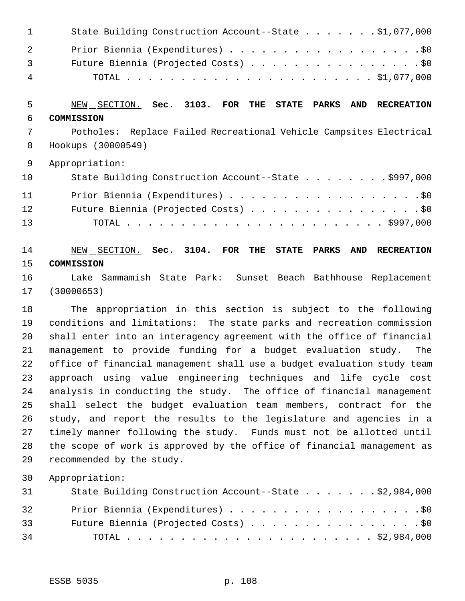| $\sim$ 1 $\sim$ $\sim$ | State Building Construction Account--State \$1,077,000 |
|------------------------|--------------------------------------------------------|
| $\overline{2}$         | Prior Biennia (Expenditures) \$0                       |
| $\overline{3}$         | Future Biennia (Projected Costs) \$0                   |
| - 4                    |                                                        |

# NEW SECTION. **Sec. 3103. FOR THE STATE PARKS AND RECREATION COMMISSION**

 Potholes: Replace Failed Recreational Vehicle Campsites Electrical Hookups (30000549)

Appropriation:

| 10 | State Building Construction Account--State \$997,000 |
|----|------------------------------------------------------|
| 11 | Prior Biennia (Expenditures) \$0                     |
| 12 | Future Biennia (Projected Costs) \$0                 |
| 13 |                                                      |

# NEW SECTION. **Sec. 3104. FOR THE STATE PARKS AND RECREATION COMMISSION**

 Lake Sammamish State Park: Sunset Beach Bathhouse Replacement (30000653)

 The appropriation in this section is subject to the following conditions and limitations: The state parks and recreation commission shall enter into an interagency agreement with the office of financial management to provide funding for a budget evaluation study. The office of financial management shall use a budget evaluation study team approach using value engineering techniques and life cycle cost analysis in conducting the study. The office of financial management shall select the budget evaluation team members, contract for the study, and report the results to the legislature and agencies in a timely manner following the study. Funds must not be allotted until the scope of work is approved by the office of financial management as recommended by the study.

Appropriation:

| 31 | State Building Construction Account--State \$2,984,000 |
|----|--------------------------------------------------------|
| 32 | Prior Biennia (Expenditures) \$0                       |
| 33 | Future Biennia (Projected Costs) \$0                   |
| 34 |                                                        |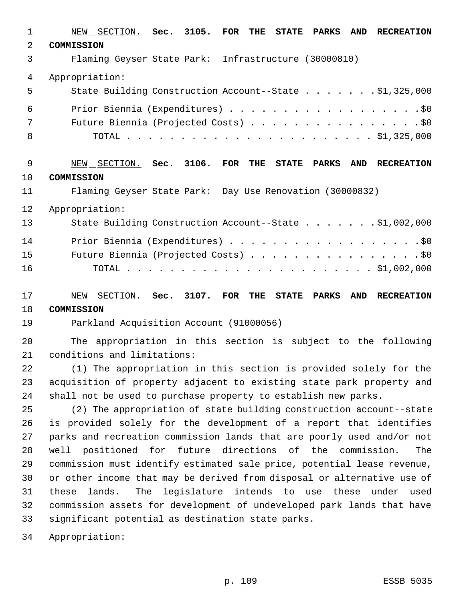| 1              | NEW SECTION. Sec. 3105.<br>$\overline{\text{FOR}}$<br>THE<br>STATE PARKS<br><b>AND</b><br><b>RECREATION</b> |
|----------------|-------------------------------------------------------------------------------------------------------------|
| $\overline{a}$ | COMMISSION                                                                                                  |
| 3              | Flaming Geyser State Park: Infrastructure (30000810)                                                        |
| 4              | Appropriation:                                                                                              |
| 5              | State Building Construction Account--State \$1,325,000                                                      |
| 6              |                                                                                                             |
| 7              | Future Biennia (Projected Costs) \$0                                                                        |
| 8              |                                                                                                             |
| 9              | NEW SECTION. Sec. 3106. FOR THE<br>STATE PARKS<br><b>RECREATION</b><br>AND                                  |
| 10             | COMMISSION                                                                                                  |
| 11             | Flaming Geyser State Park: Day Use Renovation (30000832)                                                    |
| 12             | Appropriation:                                                                                              |
| 13             | State Building Construction Account--State \$1,002,000                                                      |
| 14             | Prior Biennia (Expenditures) \$0                                                                            |
| 15             | Future Biennia (Projected Costs) \$0                                                                        |
| 16             |                                                                                                             |
| 17             | NEW SECTION. Sec. 3107. FOR<br>THE<br>STATE PARKS<br>AND RECREATION                                         |
| 18             | COMMISSION                                                                                                  |
| 19             | Parkland Acquisition Account (91000056)                                                                     |
| 20             | The appropriation in this section is subject to the following                                               |
| 21             | conditions and limitations:                                                                                 |
| 22             | (1) The appropriation in this section is provided solely for the                                            |
| 23             | acquisition of property adjacent to existing state park property and                                        |
| 24             | shall not be used to purchase property to establish new parks.                                              |
| 25             | (2) The appropriation of state building construction account--state                                         |
| 26             | is provided solely for the development of a report that identifies                                          |
| 27             | parks and recreation commission lands that are poorly used and/or not                                       |
| 28             | positioned for future directions of the commission.<br>The<br>well                                          |
| 29             | commission must identify estimated sale price, potential lease revenue,                                     |
| 30             | or other income that may be derived from disposal or alternative use of                                     |
| 31             | lands.<br>The legislature intends to use these under used<br>these                                          |
| 32<br>33       | commission assets for development of undeveloped park lands that have                                       |
|                | significant potential as destination state parks.                                                           |
| 34             | Appropriation:                                                                                              |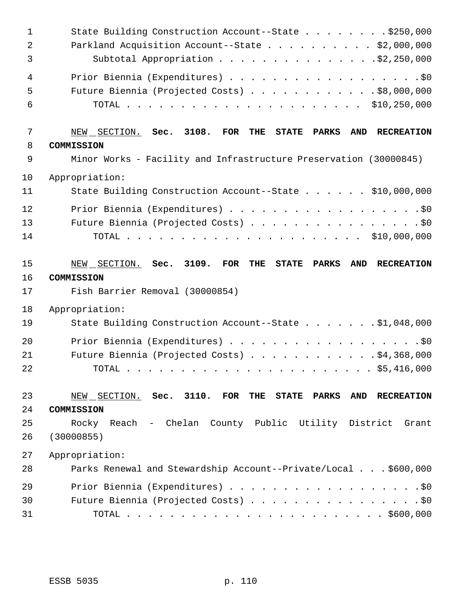| $\mathbf 1$<br>2<br>3    | State Building Construction Account--State \$250,000<br>Parkland Acquisition Account--State \$2,000,000<br>Subtotal Appropriation \$2,250,000 |
|--------------------------|-----------------------------------------------------------------------------------------------------------------------------------------------|
| $\overline{4}$<br>5<br>6 | Prior Biennia (Expenditures) \$0<br>Future Biennia (Projected Costs) \$8,000,000                                                              |
| 7                        | NEW SECTION. Sec. 3108.<br>FOR<br>THE<br><b>AND</b><br>STATE PARKS<br><b>RECREATION</b>                                                       |
| 8                        | COMMISSION                                                                                                                                    |
| 9                        | Minor Works - Facility and Infrastructure Preservation (30000845)                                                                             |
| 10                       | Appropriation:                                                                                                                                |
| 11                       | State Building Construction Account--State \$10,000,000                                                                                       |
| 12                       | Prior Biennia (Expenditures) \$0                                                                                                              |
| 13                       | Future Biennia (Projected Costs) \$0                                                                                                          |
| 14                       |                                                                                                                                               |
| 15<br>16<br>17           | NEW SECTION. Sec. 3109.<br>FOR<br>THE<br>AND RECREATION<br><b>STATE PARKS</b><br>COMMISSION<br>Fish Barrier Removal (30000854)                |
| 18                       | Appropriation:                                                                                                                                |
| 19                       | State Building Construction Account--State \$1,048,000                                                                                        |
| 20                       | Prior Biennia (Expenditures) \$0                                                                                                              |
| 21                       | Future Biennia (Projected Costs) \$4,368,000                                                                                                  |
| 22                       | . \$5,416,000<br>TOTAL                                                                                                                        |
| 23                       | NEW SECTION. Sec. 3110. FOR<br>AND RECREATION<br>THE<br><b>STATE PARKS</b>                                                                    |
| 24                       | COMMISSION                                                                                                                                    |
| 25                       | Rocky Reach - Chelan County Public Utility District<br>Grant                                                                                  |
| 26                       | (30000855)                                                                                                                                    |
|                          |                                                                                                                                               |
| 27                       | Appropriation:                                                                                                                                |
| 28                       | Parks Renewal and Stewardship Account--Private/Local \$600,000                                                                                |
| 29                       | Prior Biennia (Expenditures) \$0                                                                                                              |
| 30                       | Future Biennia (Projected Costs) \$0                                                                                                          |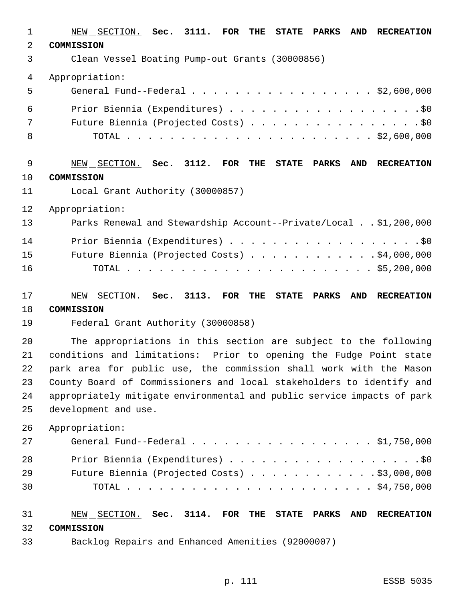NEW SECTION. **Sec. 3111. FOR THE STATE PARKS AND RECREATION COMMISSION** Clean Vessel Boating Pump-out Grants (30000856) Appropriation: General Fund--Federal . . . . . . . . . . . . . . . . . \$2,600,000 Prior Biennia (Expenditures) . . . . . . . . . . . . . . . . . .\$0 7 Future Biennia (Projected Costs) . . . . . . . . . . . . . . . . \$0 TOTAL . . . . . . . . . . . . . . . . . . . . . . . \$2,600,000 NEW SECTION. **Sec. 3112. FOR THE STATE PARKS AND RECREATION COMMISSION** Local Grant Authority (30000857) Appropriation: Parks Renewal and Stewardship Account--Private/Local . . \$1,200,000 14 Prior Biennia (Expenditures) . . . . . . . . . . . . . . . . . . \$0 Future Biennia (Projected Costs) . . . . . . . . . . . . \$4,000,000 TOTAL . . . . . . . . . . . . . . . . . . . . . . . \$5,200,000 NEW SECTION. **Sec. 3113. FOR THE STATE PARKS AND RECREATION COMMISSION** Federal Grant Authority (30000858) The appropriations in this section are subject to the following conditions and limitations: Prior to opening the Fudge Point state park area for public use, the commission shall work with the Mason County Board of Commissioners and local stakeholders to identify and appropriately mitigate environmental and public service impacts of park development and use. Appropriation: 27 General Fund--Federal . . . . . . . . . . . . . . . . \$1,750,000 28 Prior Biennia (Expenditures) . . . . . . . . . . . . . . . . . . \$0 Future Biennia (Projected Costs) . . . . . . . . . . . . \$3,000,000 TOTAL . . . . . . . . . . . . . . . . . . . . . . . \$4,750,000 NEW SECTION. **Sec. 3114. FOR THE STATE PARKS AND RECREATION COMMISSION** Backlog Repairs and Enhanced Amenities (92000007)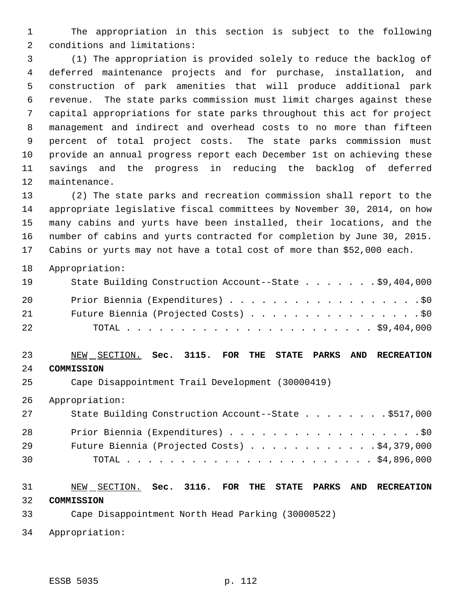The appropriation in this section is subject to the following conditions and limitations:

 (1) The appropriation is provided solely to reduce the backlog of deferred maintenance projects and for purchase, installation, and construction of park amenities that will produce additional park revenue. The state parks commission must limit charges against these capital appropriations for state parks throughout this act for project management and indirect and overhead costs to no more than fifteen percent of total project costs. The state parks commission must provide an annual progress report each December 1st on achieving these savings and the progress in reducing the backlog of deferred maintenance.

 (2) The state parks and recreation commission shall report to the appropriate legislative fiscal committees by November 30, 2014, on how many cabins and yurts have been installed, their locations, and the number of cabins and yurts contracted for completion by June 30, 2015. Cabins or yurts may not have a total cost of more than \$52,000 each.

Appropriation:

| 19 | State Building Construction Account--State \$9,404,000 |
|----|--------------------------------------------------------|
| 20 | Prior Biennia (Expenditures) \$0                       |
| 21 | Future Biennia (Projected Costs) \$0                   |
| 22 |                                                        |

## NEW SECTION. **Sec. 3115. FOR THE STATE PARKS AND RECREATION COMMISSION**

Cape Disappointment Trail Development (30000419)

Appropriation:

| 27 | State Building Construction Account--State \$517,000 |
|----|------------------------------------------------------|
| 28 | Prior Biennia (Expenditures) \$0                     |
| 29 | Future Biennia (Projected Costs) $\ldots$ 94,379,000 |
| 30 |                                                      |

# NEW SECTION. **Sec. 3116. FOR THE STATE PARKS AND RECREATION**

**COMMISSION**

- Cape Disappointment North Head Parking (30000522)
- Appropriation: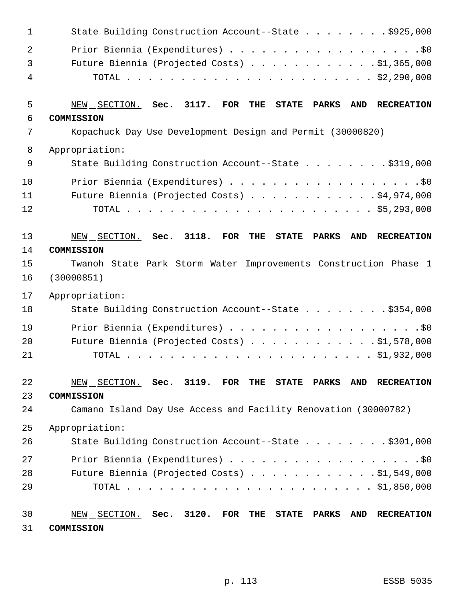| 1              | State Building Construction Account--State \$925,000                                                                      |
|----------------|---------------------------------------------------------------------------------------------------------------------------|
| $\overline{a}$ | Prior Biennia (Expenditures) \$0                                                                                          |
| 3              | Future Biennia (Projected Costs) $\ldots$ 91,365,000                                                                      |
| 4              |                                                                                                                           |
|                |                                                                                                                           |
| 5              | NEW SECTION. Sec. 3117.<br>$_{\rm FOR}$<br>THE<br><b>STATE</b><br><b>PARKS</b><br><b>AND</b><br><b>RECREATION</b>         |
| 6              | COMMISSION                                                                                                                |
| 7              | Kopachuck Day Use Development Design and Permit (30000820)                                                                |
| 8              | Appropriation:                                                                                                            |
| 9              | State Building Construction Account--State \$319,000                                                                      |
| 10             | Prior Biennia (Expenditures) \$0                                                                                          |
| 11             | Future Biennia (Projected Costs) \$4,974,000                                                                              |
| 12             |                                                                                                                           |
|                |                                                                                                                           |
| 13             | 3118.<br><b>FOR</b><br>NEW SECTION. Sec.<br><b>THE</b><br><b>STATE</b><br><b>PARKS</b><br><b>AND</b><br><b>RECREATION</b> |
| 14             | COMMISSION                                                                                                                |
| 15             | Twanoh State Park Storm Water Improvements Construction Phase 1                                                           |
| 16             | (30000851)                                                                                                                |
| 17             | Appropriation:                                                                                                            |
| 18             | State Building Construction Account--State \$354,000                                                                      |
| 19             | Prior Biennia (Expenditures) \$0                                                                                          |
| 20             | Future Biennia (Projected Costs) \$1,578,000                                                                              |
| 21             |                                                                                                                           |
|                |                                                                                                                           |
| 22             | $NEW$ SECTION. Sec. 3119. FOR THE STATE PARKS<br><b>AND</b><br><b>RECREATION</b>                                          |
| 23             | COMMISSION                                                                                                                |
| 24             | Camano Island Day Use Access and Facility Renovation (30000782)                                                           |
| 25             | Appropriation:                                                                                                            |
| 26             | State Building Construction Account--State \$301,000                                                                      |
| 27             | Prior Biennia (Expenditures) \$0                                                                                          |
| 28             | Future Biennia (Projected Costs) \$1,549,000                                                                              |
| 29             |                                                                                                                           |
|                |                                                                                                                           |
| 30             | NEW SECTION. Sec. 3120. FOR THE<br><b>STATE</b><br><b>PARKS</b><br><b>AND</b><br><b>RECREATION</b>                        |
| 31             | COMMISSION                                                                                                                |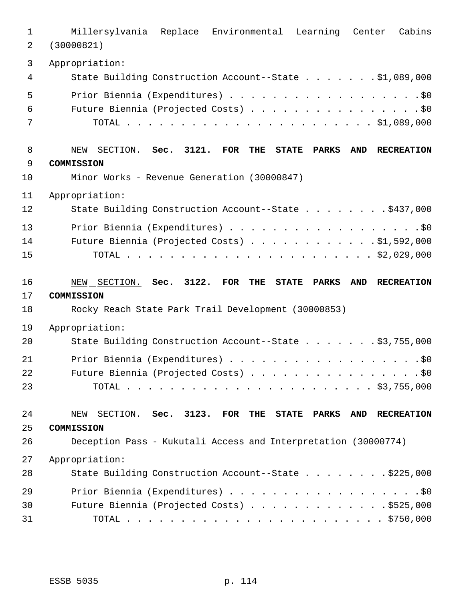| $\mathbf 1$<br>$\overline{2}$ | Millersylvania Replace Environmental Learning Center<br>Cabins<br>(30000821)                                        |
|-------------------------------|---------------------------------------------------------------------------------------------------------------------|
| 3                             | Appropriation:                                                                                                      |
| 4                             | State Building Construction Account--State \$1,089,000                                                              |
| 5                             |                                                                                                                     |
| 6                             | Future Biennia (Projected Costs) \$0                                                                                |
| 7                             |                                                                                                                     |
| 8                             | NEW SECTION. Sec. 3121. FOR<br>THE<br><b>STATE</b><br><b>PARKS</b><br>AND<br><b>RECREATION</b>                      |
| $\mathsf 9$                   | <b>COMMISSION</b>                                                                                                   |
| 10                            | Minor Works - Revenue Generation (30000847)                                                                         |
| 11                            | Appropriation:                                                                                                      |
| 12                            | State Building Construction Account--State \$437,000                                                                |
| 13                            |                                                                                                                     |
| 14                            | Future Biennia (Projected Costs) \$1,592,000                                                                        |
| 15                            |                                                                                                                     |
|                               |                                                                                                                     |
|                               |                                                                                                                     |
| 16<br>17                      | NEW SECTION. Sec. 3122. FOR<br>THE<br><b>PARKS</b><br><b>AND</b><br><b>RECREATION</b><br><b>STATE</b><br>COMMISSION |
| 18                            | Rocky Reach State Park Trail Development (30000853)                                                                 |
| 19                            | Appropriation:                                                                                                      |
| 20                            | State Building Construction Account--State \$3,755,000                                                              |
| 21                            | Prior Biennia (Expenditures) \$0                                                                                    |
| 22                            | Future Biennia (Projected Costs) \$0                                                                                |
| 23                            |                                                                                                                     |
|                               |                                                                                                                     |
| 24<br>25                      | NEW SECTION. Sec. 3123. FOR THE STATE PARKS<br>AND RECREATION<br>COMMISSION                                         |
| 26                            | Deception Pass - Kukutali Access and Interpretation (30000774)                                                      |
| 27                            | Appropriation:                                                                                                      |
| 28                            | State Building Construction Account--State \$225,000                                                                |
| 29                            |                                                                                                                     |
| 30                            | Future Biennia (Projected Costs) \$525,000                                                                          |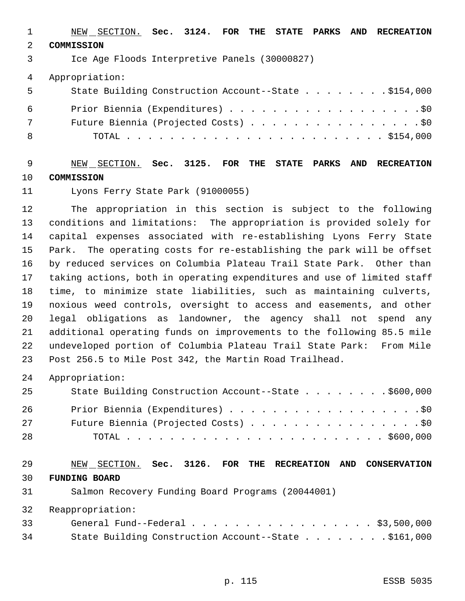|               | NEW SECTION. Sec. 3124. FOR THE STATE PARKS AND RECREATION |
|---------------|------------------------------------------------------------|
| $\mathcal{L}$ | COMMISSION                                                 |
| 3             | Ice Age Floods Interpretive Panels (30000827)              |
| 4             | Appropriation:                                             |
| 5             | State Building Construction Account--State \$154,000       |
| 6             | Prior Biennia (Expenditures) \$0                           |
| 7             | Future Biennia (Projected Costs) \$0                       |
| 8             |                                                            |

 NEW SECTION. **Sec. 3125. FOR THE STATE PARKS AND RECREATION COMMISSION**

## Lyons Ferry State Park (91000055)

 The appropriation in this section is subject to the following conditions and limitations: The appropriation is provided solely for capital expenses associated with re-establishing Lyons Ferry State Park. The operating costs for re-establishing the park will be offset by reduced services on Columbia Plateau Trail State Park. Other than taking actions, both in operating expenditures and use of limited staff time, to minimize state liabilities, such as maintaining culverts, noxious weed controls, oversight to access and easements, and other legal obligations as landowner, the agency shall not spend any additional operating funds on improvements to the following 85.5 mile undeveloped portion of Columbia Plateau Trail State Park: From Mile Post 256.5 to Mile Post 342, the Martin Road Trailhead.

Appropriation:

| 25 | State Building Construction Account--State \$600,000 |
|----|------------------------------------------------------|
| 26 | Prior Biennia (Expenditures) \$0                     |
| 27 | Future Biennia (Projected Costs) \$0                 |
| 28 |                                                      |

#### NEW SECTION. **Sec. 3126. FOR THE RECREATION AND CONSERVATION FUNDING BOARD**

Salmon Recovery Funding Board Programs (20044001)

| 33 | General Fund--Federal \$3,500,000                    |  |
|----|------------------------------------------------------|--|
| 34 | State Building Construction Account--State \$161,000 |  |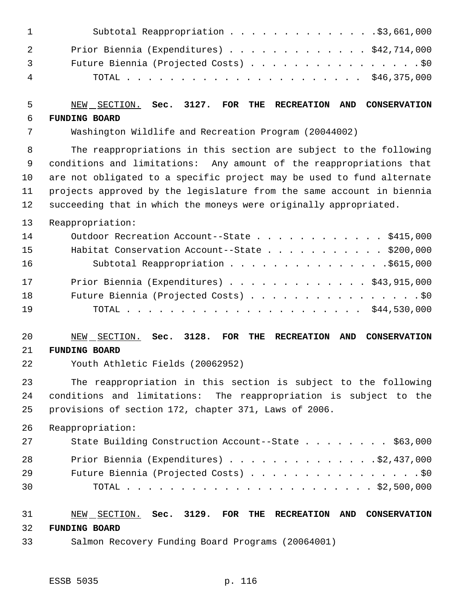| $\mathbf{1}$   | Subtotal Reappropriation \$3,661,000      |
|----------------|-------------------------------------------|
|                | Prior Biennia (Expenditures) \$42,714,000 |
| $\overline{3}$ | Future Biennia (Projected Costs) \$0      |
| $\overline{4}$ |                                           |

#### NEW SECTION. **Sec. 3127. FOR THE RECREATION AND CONSERVATION FUNDING BOARD**

Washington Wildlife and Recreation Program (20044002)

 The reappropriations in this section are subject to the following conditions and limitations: Any amount of the reappropriations that are not obligated to a specific project may be used to fund alternate projects approved by the legislature from the same account in biennia succeeding that in which the moneys were originally appropriated.

Reappropriation:

| 14 | Outdoor Recreation Account--State \$415,000   |
|----|-----------------------------------------------|
| 15 | Habitat Conservation Account--State \$200,000 |
| 16 | Subtotal Reappropriation \$615,000            |
| 17 | Prior Biennia (Expenditures) \$43,915,000     |
| 18 | Future Biennia (Projected Costs) \$0          |
| 19 |                                               |

#### NEW SECTION. **Sec. 3128. FOR THE RECREATION AND CONSERVATION FUNDING BOARD**

Youth Athletic Fields (20062952)

 The reappropriation in this section is subject to the following conditions and limitations: The reappropriation is subject to the provisions of section 172, chapter 371, Laws of 2006.

Reappropriation:

| 27 | State Building Construction Account--State \$63,000 |
|----|-----------------------------------------------------|
| 28 | Prior Biennia (Expenditures) $\ldots$ 92,437,000    |
| 29 | Future Biennia (Projected Costs) \$0                |
| 30 |                                                     |

#### NEW SECTION. **Sec. 3129. FOR THE RECREATION AND CONSERVATION FUNDING BOARD**

Salmon Recovery Funding Board Programs (20064001)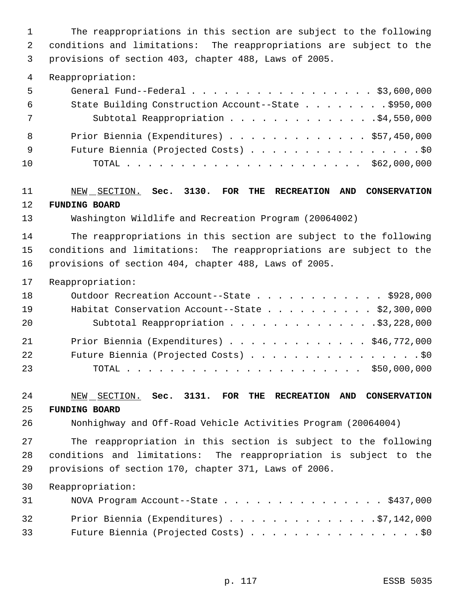The reappropriations in this section are subject to the following conditions and limitations: The reappropriations are subject to the provisions of section 403, chapter 488, Laws of 2005.

#### Reappropriation:

| - 5 | General Fund--Federal $\ldots$ , $\ldots$ , $\ldots$ , $\ldots$ , $\ldots$ , $\frac{1}{3}$ , 600, 000 |
|-----|-------------------------------------------------------------------------------------------------------|
| 6   | State Building Construction Account--State \$950,000                                                  |
| 7   | Subtotal Reappropriation 54,550,000                                                                   |
| - 8 | Prior Biennia (Expenditures) \$57,450,000                                                             |
| - 9 | Future Biennia (Projected Costs) \$0                                                                  |
| 10  |                                                                                                       |

#### NEW SECTION. **Sec. 3130. FOR THE RECREATION AND CONSERVATION FUNDING BOARD**

Washington Wildlife and Recreation Program (20064002)

 The reappropriations in this section are subject to the following conditions and limitations: The reappropriations are subject to the provisions of section 404, chapter 488, Laws of 2005.

Reappropriation:

| 18 | Outdoor Recreation Account--State \$928,000     |
|----|-------------------------------------------------|
| 19 | Habitat Conservation Account--State \$2,300,000 |
| 20 | Subtotal Reappropriation \$3,228,000            |
| 21 | Prior Biennia (Expenditures) \$46,772,000       |
| 22 | Future Biennia (Projected Costs) \$0            |
| 23 |                                                 |

#### NEW SECTION. **Sec. 3131. FOR THE RECREATION AND CONSERVATION FUNDING BOARD**

Nonhighway and Off-Road Vehicle Activities Program (20064004)

 The reappropriation in this section is subject to the following conditions and limitations: The reappropriation is subject to the provisions of section 170, chapter 371, Laws of 2006.

| 31 — 1 | NOVA Program Account--State \$437,000    |
|--------|------------------------------------------|
| 32     | Prior Biennia (Expenditures) \$7,142,000 |
| 33     | Future Biennia (Projected Costs) \$0     |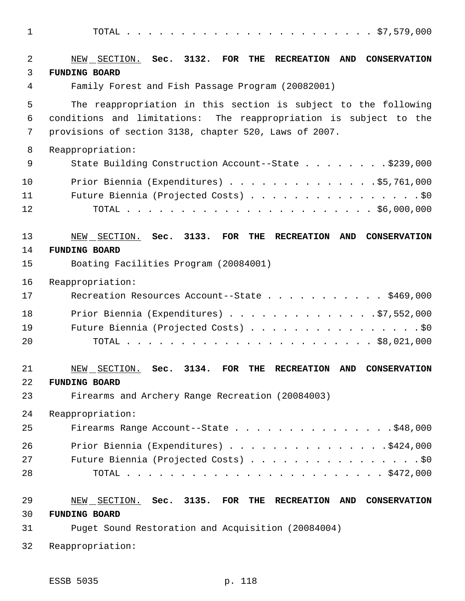TOTAL . . . . . . . . . . . . . . . . . . . . . . . \$7,579,000 NEW SECTION. **Sec. 3132. FOR THE RECREATION AND CONSERVATION FUNDING BOARD** Family Forest and Fish Passage Program (20082001) The reappropriation in this section is subject to the following conditions and limitations: The reappropriation is subject to the provisions of section 3138, chapter 520, Laws of 2007. Reappropriation: 9 State Building Construction Account--State . . . . . . . \$239,000 Prior Biennia (Expenditures) . . . . . . . . . . . . . .\$5,761,000 11 Future Biennia (Projected Costs) . . . . . . . . . . . . . . . . \$0 TOTAL . . . . . . . . . . . . . . . . . . . . . . . \$6,000,000 NEW SECTION. **Sec. 3133. FOR THE RECREATION AND CONSERVATION FUNDING BOARD** Boating Facilities Program (20084001) Reappropriation: 17 Recreation Resources Account--State . . . . . . . . . . \$469,000 Prior Biennia (Expenditures) . . . . . . . . . . . . . .\$7,552,000 Future Biennia (Projected Costs) . . . . . . . . . . . . . . . . \$0 TOTAL . . . . . . . . . . . . . . . . . . . . . . . \$8,021,000 NEW SECTION. **Sec. 3134. FOR THE RECREATION AND CONSERVATION FUNDING BOARD** Firearms and Archery Range Recreation (20084003) Reappropriation: 25 Firearms Range Account--State . . . . . . . . . . . . . . \$48,000 26 Prior Biennia (Expenditures) . . . . . . . . . . . . . . . \$424,000 27 Future Biennia (Projected Costs) . . . . . . . . . . . . . . . . \$0 TOTAL . . . . . . . . . . . . . . . . . . . . . . . . \$472,000 NEW SECTION. **Sec. 3135. FOR THE RECREATION AND CONSERVATION FUNDING BOARD** Puget Sound Restoration and Acquisition (20084004)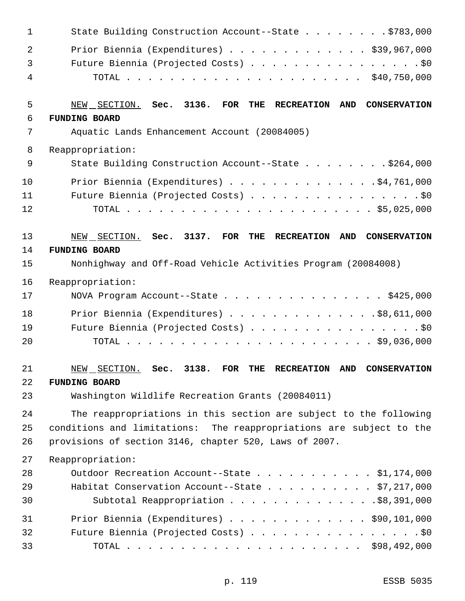| 1  | State Building Construction Account--State \$783,000                     |
|----|--------------------------------------------------------------------------|
| 2  | Prior Biennia (Expenditures) $\ldots$ \$39,967,000                       |
| 3  | Future Biennia (Projected Costs) \$0                                     |
| 4  |                                                                          |
| 5  | NEW SECTION. Sec. 3136. FOR THE<br>AND CONSERVATION<br><b>RECREATION</b> |
| 6  | <b>FUNDING BOARD</b>                                                     |
| 7  | Aquatic Lands Enhancement Account (20084005)                             |
| 8  | Reappropriation:                                                         |
| 9  | State Building Construction Account--State \$264,000                     |
| 10 | Prior Biennia (Expenditures) \$4,761,000                                 |
| 11 | Future Biennia (Projected Costs) \$0                                     |
| 12 |                                                                          |
| 13 | NEW SECTION. Sec. 3137. FOR THE RECREATION<br>AND<br><b>CONSERVATION</b> |
| 14 | <b>FUNDING BOARD</b>                                                     |
| 15 | Nonhighway and Off-Road Vehicle Activities Program (20084008)            |
| 16 | Reappropriation:                                                         |
| 17 | NOVA Program Account--State \$425,000                                    |
| 18 | Prior Biennia (Expenditures) $\ldots$ \$8,611,000                        |
| 19 | Future Biennia (Projected Costs) \$0                                     |
| 20 |                                                                          |
| 21 | NEW SECTION. Sec. 3138. FOR THE RECREATION AND CONSERVATION              |
| 22 | <b>FUNDING BOARD</b>                                                     |
| 23 | Washington Wildlife Recreation Grants (20084011)                         |
| 24 | The reappropriations in this section are subject to the following        |
| 25 | conditions and limitations: The reappropriations are subject to the      |
| 26 | provisions of section 3146, chapter 520, Laws of 2007.                   |
| 27 | Reappropriation:                                                         |
| 28 | Outdoor Recreation Account--State \$1,174,000                            |
| 29 | Habitat Conservation Account--State $\ldots$ \$7,217,000                 |
| 30 | Subtotal Reappropriation \$8,391,000                                     |
| 31 | Prior Biennia (Expenditures) \$90,101,000                                |
| 32 | Future Biennia (Projected Costs) \$0                                     |
| 33 |                                                                          |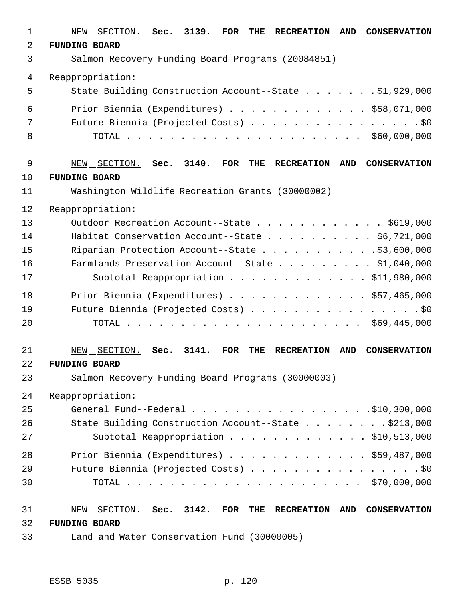| $\mathbf 1$ | 3139.<br>SECTION.<br>Sec.<br>FOR<br><b>RECREATION</b><br><b>AND</b><br><b>CONSERVATION</b><br>NEW<br>THE        |
|-------------|-----------------------------------------------------------------------------------------------------------------|
| 2           | <b>FUNDING BOARD</b>                                                                                            |
| 3           | Salmon Recovery Funding Board Programs (20084851)                                                               |
| 4           | Reappropriation:                                                                                                |
| 5           | State Building Construction Account--State \$1,929,000                                                          |
| 6           | Prior Biennia (Expenditures) \$58,071,000                                                                       |
| 7           | Future Biennia (Projected Costs) \$0                                                                            |
| 8           |                                                                                                                 |
| $\mathsf 9$ | 3140.<br>SECTION. Sec.<br><b>FOR</b><br>THE<br><b>RECREATION</b><br>AND<br><b>CONSERVATION</b><br>NEW           |
| 10          | <b>FUNDING BOARD</b>                                                                                            |
| 11          | Washington Wildlife Recreation Grants (30000002)                                                                |
| 12          | Reappropriation:                                                                                                |
| 13          | Outdoor Recreation Account--State \$619,000                                                                     |
| 14          | Habitat Conservation Account--State \$6,721,000                                                                 |
| 15          | Riparian Protection Account--State \$3,600,000                                                                  |
| 16          | Farmlands Preservation Account--State \$1,040,000                                                               |
| 17          | Subtotal Reappropriation \$11,980,000                                                                           |
| 18          | Prior Biennia (Expenditures) \$57,465,000                                                                       |
| 19          | Future Biennia (Projected Costs) \$0                                                                            |
| 20          |                                                                                                                 |
| 21          | 3141.<br>SECTION.<br><b>FOR</b><br><b>AND</b><br>Sec.<br>THE<br><b>RECREATION</b><br><b>CONSERVATION</b><br>NEW |
| 22          | <b>FUNDING BOARD</b>                                                                                            |
| 23          | Salmon Recovery Funding Board Programs (30000003)                                                               |
| 24          | Reappropriation:                                                                                                |
| 25          |                                                                                                                 |
| 26          | State Building Construction Account--State \$213,000                                                            |
| 27          | Subtotal Reappropriation \$10,513,000                                                                           |
| 28          | Prior Biennia (Expenditures) \$59,487,000                                                                       |
| 29          | Future Biennia (Projected Costs) \$0                                                                            |
| 30          |                                                                                                                 |
| 31          | NEW SECTION. Sec. 3142. FOR THE<br>RECREATION AND CONSERVATION                                                  |
| 32          | <b>FUNDING BOARD</b>                                                                                            |
| 33          | Land and Water Conservation Fund (30000005)                                                                     |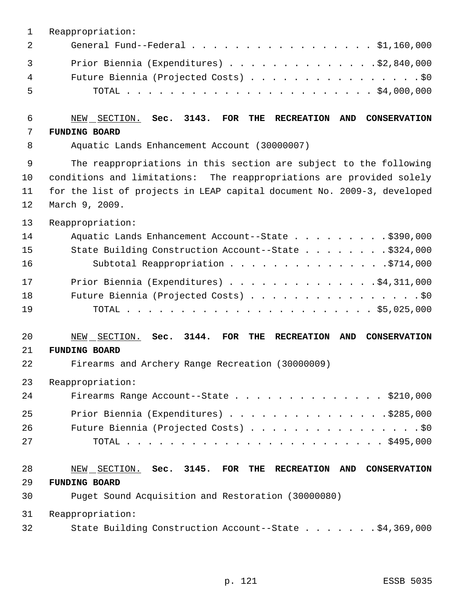| 1           | Reappropriation:                                                                                   |
|-------------|----------------------------------------------------------------------------------------------------|
| 2           | General Fund--Federal \$1,160,000                                                                  |
| 3           | Prior Biennia (Expenditures) \$2,840,000                                                           |
| 4           | Future Biennia (Projected Costs) \$0                                                               |
| 5           |                                                                                                    |
| 6           | NEW SECTION.<br>Sec. 3143.<br>FOR<br>THE<br><b>RECREATION</b><br>AND<br><b>CONSERVATION</b>        |
| 7           | <b>FUNDING BOARD</b>                                                                               |
| 8           | Aquatic Lands Enhancement Account (30000007)                                                       |
| $\mathsf 9$ | The reappropriations in this section are subject to the following                                  |
| 10          | conditions and limitations: The reappropriations are provided solely                               |
| 11          | for the list of projects in LEAP capital document No. 2009-3, developed                            |
| 12          | March 9, 2009.                                                                                     |
| 13          | Reappropriation:                                                                                   |
| 14          | Aquatic Lands Enhancement Account--State \$390,000                                                 |
| 15          | State Building Construction Account--State \$324,000                                               |
| 16          | Subtotal Reappropriation \$714,000                                                                 |
| 17          | Prior Biennia (Expenditures) $\ldots$ 94, 311, 000                                                 |
| 18          | Future Biennia (Projected Costs) \$0                                                               |
| 19          |                                                                                                    |
| 20          | Sec. 3144.<br>NEW SECTION.<br>FOR<br><b>AND</b><br>THE<br><b>RECREATION</b><br><b>CONSERVATION</b> |
| 21          | <b>FUNDING BOARD</b>                                                                               |
| 22          | Firearms and Archery Range Recreation (30000009)                                                   |
| 23          | Reappropriation:                                                                                   |
| 24          | Firearms Range Account--State \$210,000                                                            |
| 25          | Prior Biennia (Expenditures) \$285,000                                                             |
| 26          | Future Biennia (Projected Costs) \$0                                                               |
| 27          |                                                                                                    |
| 28          | NEW SECTION. Sec. 3145. FOR THE RECREATION AND CONSERVATION                                        |
| 29          | <b>FUNDING BOARD</b>                                                                               |
| 30          | Puget Sound Acquisition and Restoration (30000080)                                                 |
| 31          | Reappropriation:                                                                                   |
| 32          | State Building Construction Account--State \$4,369,000                                             |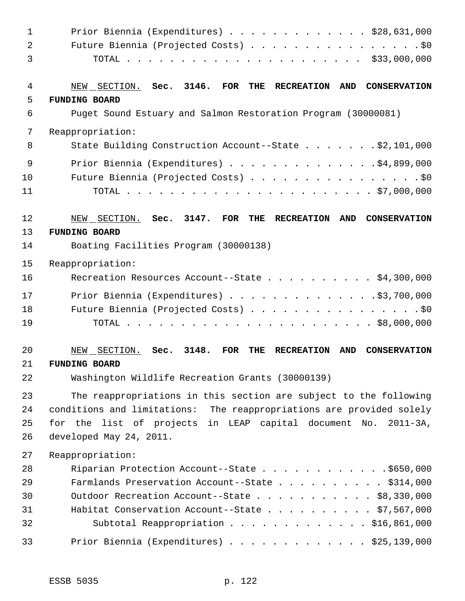| 1              | Prior Biennia (Expenditures) $\ldots$ \$28,631,000                                                                  |
|----------------|---------------------------------------------------------------------------------------------------------------------|
| $\overline{a}$ | Future Biennia (Projected Costs) \$0                                                                                |
| 3              |                                                                                                                     |
| 4              | NEW SECTION. Sec. 3146.<br>$\overline{\text{FOR}}$<br>THE<br><b>RECREATION</b><br><b>AND</b><br><b>CONSERVATION</b> |
| 5              | <b>FUNDING BOARD</b>                                                                                                |
| 6              | Puget Sound Estuary and Salmon Restoration Program (30000081)                                                       |
| 7              | Reappropriation:                                                                                                    |
| 8              | State Building Construction Account--State \$2,101,000                                                              |
| 9              | Prior Biennia (Expenditures) \$4,899,000                                                                            |
| 10             | Future Biennia (Projected Costs) \$0                                                                                |
| 11             |                                                                                                                     |
| 12             | NEW SECTION. Sec. 3147.<br><b>FOR</b><br>THE<br><b>RECREATION</b><br>AND<br><b>CONSERVATION</b>                     |
| 13             | <b>FUNDING BOARD</b>                                                                                                |
| 14             | Boating Facilities Program (30000138)                                                                               |
| 15             | Reappropriation:                                                                                                    |
| 16             | Recreation Resources Account--State \$4,300,000                                                                     |
| 17             | Prior Biennia (Expenditures) \$3,700,000                                                                            |
| 18             | Future Biennia (Projected Costs) \$0                                                                                |
| 19             |                                                                                                                     |
| 20             | 3148.<br>NEW SECTION.<br><b>FOR</b><br>AND<br>Sec.<br>THE<br><b>RECREATION</b><br><b>CONSERVATION</b>               |
| 21             | <b>FUNDING BOARD</b>                                                                                                |
| 22             | Washington Wildlife Recreation Grants (30000139)                                                                    |
| 23             | The reappropriations in this section are subject to the following                                                   |
| 24             | conditions and limitations: The reappropriations are provided solely                                                |
| 25             | for the list of projects in LEAP capital document No.<br>$2011 - 3A$ ,                                              |
| 26             | developed May 24, 2011.                                                                                             |
| 27             | Reappropriation:                                                                                                    |
| 28             | Riparian Protection Account--State \$650,000                                                                        |
| 29             | Farmlands Preservation Account--State \$314,000                                                                     |
| 30             | Outdoor Recreation Account--State \$8,330,000                                                                       |
| 31             | Habitat Conservation Account--State \$7,567,000                                                                     |
| 32             | Subtotal Reappropriation \$16,861,000                                                                               |
| 33             | Prior Biennia (Expenditures) \$25,139,000                                                                           |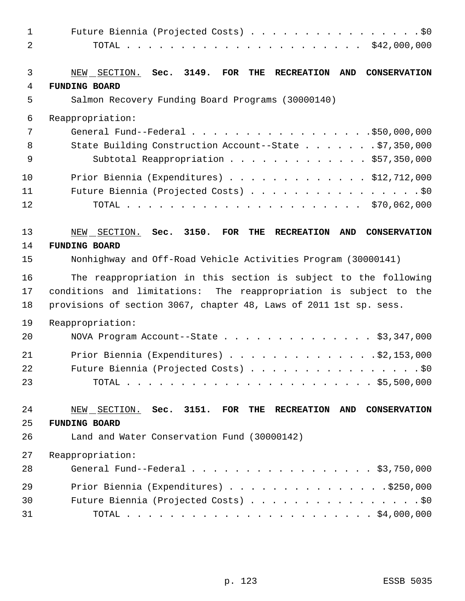| $\mathbf{1}$<br>2 | Future Biennia (Projected Costs) \$0                                                         |
|-------------------|----------------------------------------------------------------------------------------------|
|                   |                                                                                              |
| 3                 | NEW SECTION. Sec. 3149.<br>FOR<br>THE<br><b>RECREATION</b><br>AND<br><b>CONSERVATION</b>     |
| 4                 | <b>FUNDING BOARD</b>                                                                         |
| 5                 | Salmon Recovery Funding Board Programs (30000140)                                            |
| 6                 | Reappropriation:                                                                             |
| 7                 | General Fund--Federal \$50,000,000                                                           |
| 8                 | State Building Construction Account--State \$7,350,000                                       |
| 9                 | Subtotal Reappropriation \$57,350,000                                                        |
| 10                | Prior Biennia (Expenditures) $\ldots$ \$12,712,000                                           |
| 11                | Future Biennia (Projected Costs) \$0                                                         |
| 12                |                                                                                              |
| 13                | NEW SECTION. Sec. 3150.<br>FOR THE<br><b>RECREATION</b><br><b>AND</b><br><b>CONSERVATION</b> |
| 14                | <b>FUNDING BOARD</b>                                                                         |
| 15                | Nonhighway and Off-Road Vehicle Activities Program (30000141)                                |
| 16                | The reappropriation in this section is subject to the following                              |
| 17                | conditions and limitations: The reappropriation is subject to the                            |
| 18                | provisions of section 3067, chapter 48, Laws of 2011 1st sp. sess.                           |
| 19                | Reappropriation:                                                                             |
| 20                | NOVA Program Account--State \$3,347,000                                                      |
| 21                | Prior Biennia (Expenditures) $\ldots$ 92, 153, 000                                           |
| 22                | Future Biennia (Projected Costs) \$0                                                         |
| 23                |                                                                                              |
| 24                | NEW SECTION. Sec. 3151. FOR THE RECREATION AND CONSERVATION                                  |
| 25                | <b>FUNDING BOARD</b>                                                                         |
| 26                | Land and Water Conservation Fund (30000142)                                                  |
| 27                | Reappropriation:                                                                             |
| 28                | General Fund--Federal \$3,750,000                                                            |
| 29                | Prior Biennia (Expenditures) \$250,000                                                       |
| 30                | Future Biennia (Projected Costs) \$0                                                         |
| 31                |                                                                                              |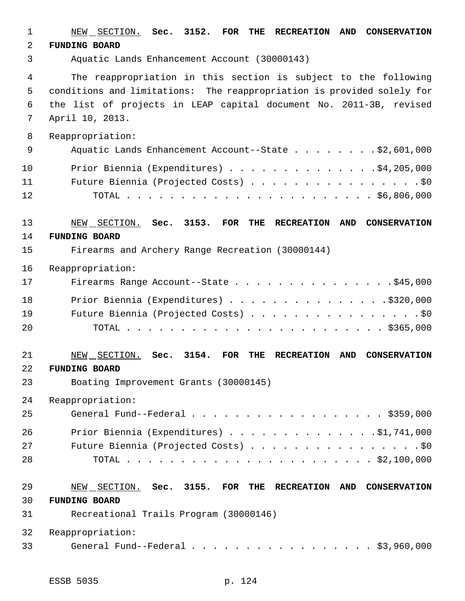| 1  | NEW SECTION. Sec. 3152. FOR<br>THE<br>AND<br><b>RECREATION</b><br><b>CONSERVATION</b>              |
|----|----------------------------------------------------------------------------------------------------|
| 2  | <b>FUNDING BOARD</b>                                                                               |
| 3  | Aquatic Lands Enhancement Account (30000143)                                                       |
| 4  | The reappropriation in this section is subject to the following                                    |
| 5  | conditions and limitations: The reappropriation is provided solely for                             |
| 6  | the list of projects in LEAP capital document No. 2011-3B, revised                                 |
| 7  | April 10, 2013.                                                                                    |
| 8  | Reappropriation:                                                                                   |
| 9  | Aquatic Lands Enhancement Account--State \$2,601,000                                               |
| 10 | Prior Biennia (Expenditures) $\ldots$ 94, 205, 000                                                 |
| 11 | Future Biennia (Projected Costs) \$0                                                               |
| 12 |                                                                                                    |
| 13 | NEW SECTION. Sec. 3153. FOR<br>THE<br><b>RECREATION</b><br>AND CONSERVATION                        |
| 14 | <b>FUNDING BOARD</b>                                                                               |
| 15 | Firearms and Archery Range Recreation (30000144)                                                   |
| 16 | Reappropriation:                                                                                   |
| 17 | Firearms Range Account--State \$45,000                                                             |
| 18 | Prior Biennia (Expenditures) $\ldots$ 9320,000                                                     |
| 19 | Future Biennia (Projected Costs) \$0                                                               |
| 20 |                                                                                                    |
| 21 | 3154.<br>FOR<br><b>CONSERVATION</b><br>NEW SECTION. Sec.<br>THE<br><b>RECREATION</b><br><b>AND</b> |
| 22 | <b>FUNDING BOARD</b>                                                                               |
| 23 | Boating Improvement Grants (30000145)                                                              |
| 24 | Reappropriation:                                                                                   |
| 25 | General Fund--Federal \$359,000                                                                    |
| 26 | Prior Biennia (Expenditures) \$1,741,000                                                           |
| 27 | Future Biennia (Projected Costs) \$0                                                               |
| 28 |                                                                                                    |
| 29 | NEW SECTION. Sec. 3155. FOR THE RECREATION<br>AND CONSERVATION                                     |
| 30 | <b>FUNDING BOARD</b>                                                                               |
| 31 | Recreational Trails Program (30000146)                                                             |
| 32 | Reappropriation:                                                                                   |
| 33 | General Fund--Federal \$3,960,000                                                                  |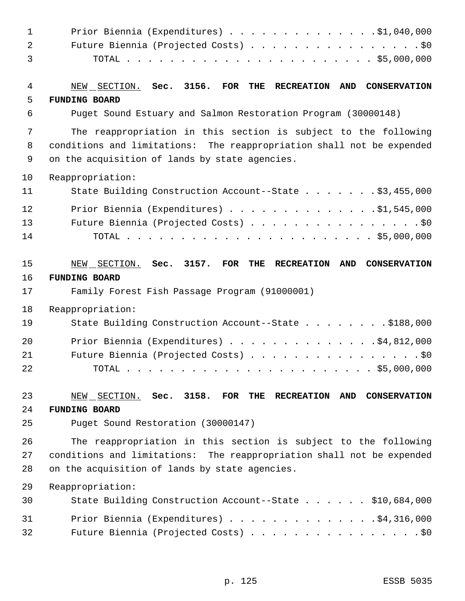| Prior Biennia (Expenditures) $\ldots$ 91,040,000                                          |
|-------------------------------------------------------------------------------------------|
| Future Biennia (Projected Costs) \$0                                                      |
|                                                                                           |
| NEW SECTION. Sec. 3156. FOR THE<br>AND CONSERVATION<br><b>RECREATION</b>                  |
| <b>FUNDING BOARD</b>                                                                      |
| Puget Sound Estuary and Salmon Restoration Program (30000148)                             |
| The reappropriation in this section is subject to the following                           |
| conditions and limitations: The reappropriation shall not be expended                     |
| on the acquisition of lands by state agencies.                                            |
| Reappropriation:                                                                          |
| State Building Construction Account--State \$3,455,000                                    |
| Prior Biennia (Expenditures) $\ldots$ 91,545,000                                          |
| Future Biennia (Projected Costs) \$0                                                      |
|                                                                                           |
| NEW SECTION. Sec. 3157. FOR THE<br><b>RECREATION</b><br><b>AND</b><br><b>CONSERVATION</b> |
| <b>FUNDING BOARD</b>                                                                      |
| Family Forest Fish Passage Program (91000001)                                             |
| Reappropriation:                                                                          |
| State Building Construction Account--State \$188,000                                      |
| Prior Biennia (Expenditures) \$4,812,000                                                  |
| Future Biennia (Projected Costs) \$0                                                      |
|                                                                                           |
| NEW SECTION. Sec. 3158. FOR THE RECREATION<br>AND CONSERVATION                            |
| <b>FUNDING BOARD</b>                                                                      |
| Puget Sound Restoration (30000147)                                                        |
| The reappropriation in this section is subject to the following                           |
| conditions and limitations: The reappropriation shall not be expended                     |
| on the acquisition of lands by state agencies.                                            |
| Reappropriation:                                                                          |
|                                                                                           |
| State Building Construction Account--State \$10,684,000                                   |
| Prior Biennia (Expenditures) \$4,316,000                                                  |
|                                                                                           |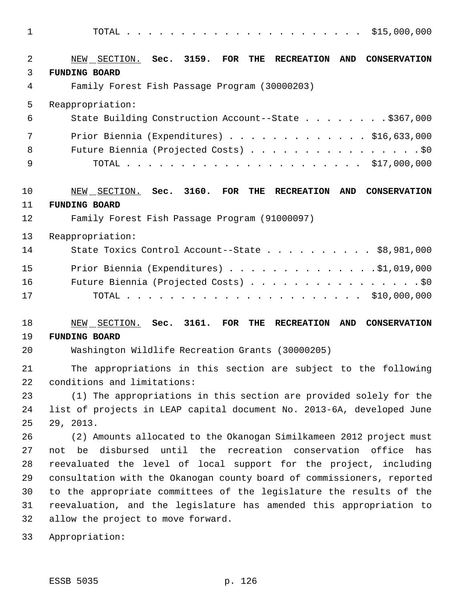| 1                   |                                                                                                  |
|---------------------|--------------------------------------------------------------------------------------------------|
| $\overline{2}$<br>3 | NEW SECTION. Sec. 3159. FOR THE<br>RECREATION AND<br><b>CONSERVATION</b><br><b>FUNDING BOARD</b> |
| 4                   | Family Forest Fish Passage Program (30000203)                                                    |
| 5                   | Reappropriation:                                                                                 |
| 6                   | State Building Construction Account--State \$367,000                                             |
| 7                   | Prior Biennia (Expenditures) $\ldots$ \$16,633,000                                               |
| 8                   | Future Biennia (Projected Costs) \$0                                                             |
| 9                   |                                                                                                  |
| 10                  | NEW SECTION. Sec. 3160. FOR THE<br><b>RECREATION</b><br>AND<br><b>CONSERVATION</b>               |
| 11                  | <b>FUNDING BOARD</b>                                                                             |
| 12                  | Family Forest Fish Passage Program (91000097)                                                    |
| 13                  | Reappropriation:                                                                                 |
| 14                  | State Toxics Control Account--State $\ldots$ \$8,981,000                                         |
| 15                  | Prior Biennia (Expenditures) \$1,019,000                                                         |
| 16                  | Future Biennia (Projected Costs) \$0                                                             |
| 17                  |                                                                                                  |
| 18                  | NEW SECTION. Sec. 3161. FOR THE<br>RECREATION AND<br><b>CONSERVATION</b>                         |
| 19                  | <b>FUNDING BOARD</b>                                                                             |
| 20                  | Washington Wildlife Recreation Grants (30000205)                                                 |
| 21                  | The appropriations in this section are subject to the following                                  |
| 22                  | conditions and limitations:                                                                      |
| 23                  | (1) The appropriations in this section are provided solely for the                               |
| 24<br>25            | list of projects in LEAP capital document No. 2013-6A, developed June                            |
| 26                  | 29, 2013.<br>(2) Amounts allocated to the Okanogan Similkameen 2012 project must                 |
| 27                  | not be disbursed until the recreation conservation office<br>has                                 |
| 28                  | reevaluated the level of local support for the project, including                                |
| 29                  | consultation with the Okanogan county board of commissioners, reported                           |
| 30                  | to the appropriate committees of the legislature the results of the                              |
| 31                  | reevaluation, and the legislature has amended this appropriation to                              |
| 32                  | allow the project to move forward.                                                               |
| 33                  | Appropriation:                                                                                   |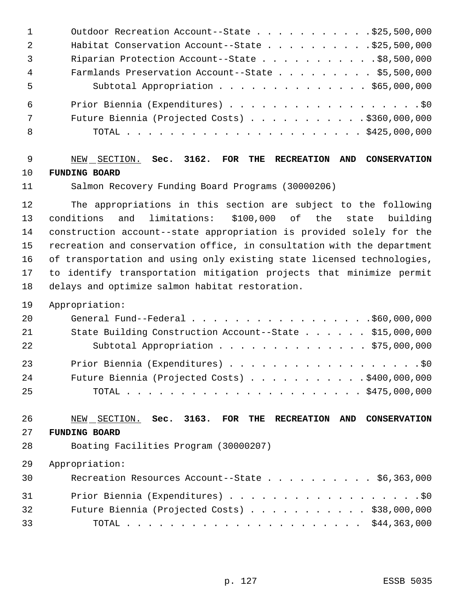| $\mathbf{1}$   | Outdoor Recreation Account--State \$25,500,000            |
|----------------|-----------------------------------------------------------|
| -2             | Habitat Conservation Account--State $\ldots$ \$25,500,000 |
| 3              | Riparian Protection Account--State \$8,500,000            |
| $\overline{4}$ | Farmlands Preservation Account--State \$5,500,000         |
| 5              | Subtotal Appropriation \$65,000,000                       |
| 6              |                                                           |
| 7              | Future Biennia (Projected Costs) $\ldots$ \$360,000,000   |
| 8              |                                                           |
|                |                                                           |

## NEW SECTION. **Sec. 3162. FOR THE RECREATION AND CONSERVATION FUNDING BOARD**

Salmon Recovery Funding Board Programs (30000206)

 The appropriations in this section are subject to the following conditions and limitations: \$100,000 of the state building construction account--state appropriation is provided solely for the recreation and conservation office, in consultation with the department of transportation and using only existing state licensed technologies, to identify transportation mitigation projects that minimize permit delays and optimize salmon habitat restoration.

#### Appropriation:

| 20 |                                                         |
|----|---------------------------------------------------------|
| 21 | State Building Construction Account--State \$15,000,000 |
| 22 | Subtotal Appropriation \$75,000,000                     |
| 23 | Prior Biennia (Expenditures) \$0                        |
| 24 | Future Biennia (Projected Costs) \$400,000,000          |
| 25 |                                                         |

#### NEW SECTION. **Sec. 3163. FOR THE RECREATION AND CONSERVATION FUNDING BOARD**

Boating Facilities Program (30000207)

| 30 | Recreation Resources Account--State \$6,363,000        |  |
|----|--------------------------------------------------------|--|
| 31 | Prior Biennia (Expenditures) \$0                       |  |
| 32 | Future Biennia (Projected Costs) $\ldots$ \$38,000,000 |  |
| 33 |                                                        |  |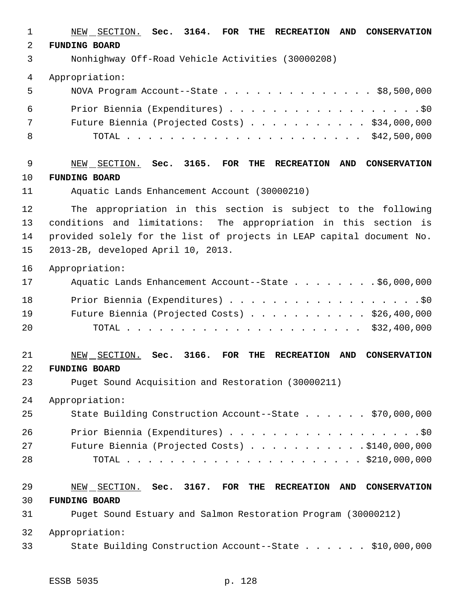| 1           | 3164. FOR<br>NEW SECTION. Sec.<br>AND<br><b>CONSERVATION</b><br>THE<br><b>RECREATION</b>              |
|-------------|-------------------------------------------------------------------------------------------------------|
| 2           | <b>FUNDING BOARD</b>                                                                                  |
| 3           | Nonhighway Off-Road Vehicle Activities (30000208)                                                     |
| 4           | Appropriation:                                                                                        |
| 5           | NOVA Program Account--State \$8,500,000                                                               |
| 6           | Prior Biennia (Expenditures) \$0                                                                      |
| 7           | Future Biennia (Projected Costs) \$34,000,000                                                         |
| 8           |                                                                                                       |
| $\mathsf 9$ | NEW SECTION. Sec. 3165. FOR THE RECREATION<br>AND CONSERVATION                                        |
| 10          | <b>FUNDING BOARD</b>                                                                                  |
| 11          | Aquatic Lands Enhancement Account (30000210)                                                          |
| 12          | The appropriation in this section is subject to the following                                         |
| 13          | conditions and limitations: The appropriation in this section is                                      |
| 14          | provided solely for the list of projects in LEAP capital document No.                                 |
| 15          | 2013-2B, developed April 10, 2013.                                                                    |
| 16          | Appropriation:                                                                                        |
| 17          | Aquatic Lands Enhancement Account--State \$6,000,000                                                  |
| 18          | Prior Biennia (Expenditures) \$0                                                                      |
| 19          | Future Biennia (Projected Costs) \$26,400,000                                                         |
| 20          |                                                                                                       |
| 21          | NEW SECTION.<br>3166.<br>Sec.<br><b>FOR</b><br><b>RECREATION</b><br>AND<br><b>CONSERVATION</b><br>THE |
| 22          | <b>FUNDING BOARD</b>                                                                                  |
| 23          | Puget Sound Acquisition and Restoration (30000211)                                                    |
| 24          | Appropriation:                                                                                        |
| 25          | State Building Construction Account--State \$70,000,000                                               |
| 26          |                                                                                                       |
| 27          | Future Biennia (Projected Costs) \$140,000,000                                                        |
| 28          |                                                                                                       |
| 29          | NEW SECTION. Sec. 3167. FOR THE RECREATION AND CONSERVATION                                           |
| 30          | <b>FUNDING BOARD</b>                                                                                  |
| 31          | Puget Sound Estuary and Salmon Restoration Program (30000212)                                         |
| 32          | Appropriation:                                                                                        |
| 33          | State Building Construction Account--State \$10,000,000                                               |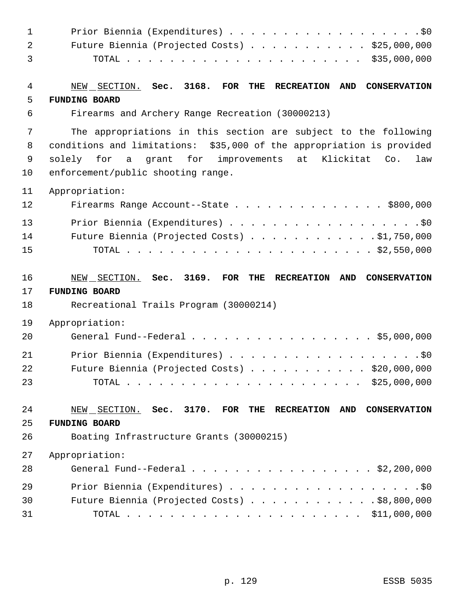| $\mathbf{1}$   | Prior Biennia (Expenditures) \$0                                                                      |
|----------------|-------------------------------------------------------------------------------------------------------|
| 2              | Future Biennia (Projected Costs) \$25,000,000                                                         |
| 3              |                                                                                                       |
| $\overline{4}$ | NEW SECTION. Sec. 3168. FOR THE<br><b>RECREATION AND</b><br><b>CONSERVATION</b>                       |
| 5              | <b>FUNDING BOARD</b>                                                                                  |
| 6              | Firearms and Archery Range Recreation (30000213)                                                      |
| 7              | The appropriations in this section are subject to the following                                       |
| 8              | conditions and limitations: \$35,000 of the appropriation is provided                                 |
| 9              | a grant for improvements at Klickitat<br>solely for<br>Co.<br>law                                     |
| 10             | enforcement/public shooting range.                                                                    |
| 11             | Appropriation:                                                                                        |
| 12             | Firearms Range Account--State \$800,000                                                               |
| 13             | Prior Biennia (Expenditures) \$0                                                                      |
| 14             | Future Biennia (Projected Costs) $\ldots$ \$1,750,000                                                 |
| 15             |                                                                                                       |
| 16             | NEW SECTION. Sec. 3169. FOR THE<br><b>RECREATION</b><br><b>AND</b><br><b>CONSERVATION</b>             |
| 17             | <b>FUNDING BOARD</b>                                                                                  |
| 18             | Recreational Trails Program (30000214)                                                                |
| 19             | Appropriation:                                                                                        |
| 20             | General Fund--Federal \$5,000,000                                                                     |
| 21             | Prior Biennia (Expenditures) \$0                                                                      |
| 22             | Future Biennia (Projected Costs) \$20,000,000                                                         |
| 23             |                                                                                                       |
| 24             | NEW SECTION. Sec. 3170. FOR THE RECREATION AND<br><b>CONSERVATION</b>                                 |
| 25             | <b>FUNDING BOARD</b>                                                                                  |
| 26             | Boating Infrastructure Grants (30000215)                                                              |
| 27             | Appropriation:                                                                                        |
| 28             | General Fund--Federal $\ldots$ , $\ldots$ , $\ldots$ , $\ldots$ , $\ldots$ , $\frac{2}{2}$ , 200, 000 |
| 29             | Prior Biennia (Expenditures) \$0                                                                      |
| 30             | Future Biennia (Projected Costs) \$8,800,000                                                          |
| 31             |                                                                                                       |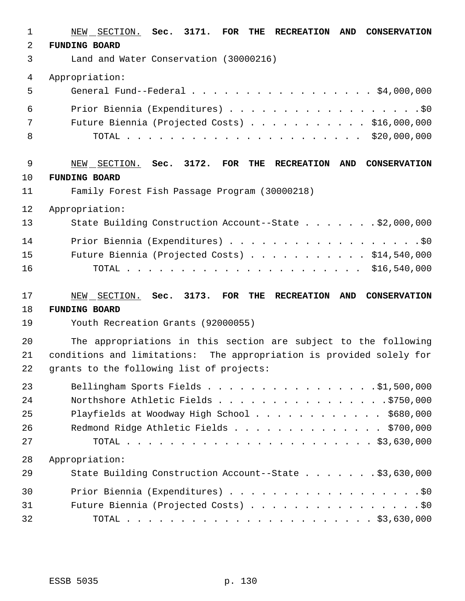| $\mathbf{1}$   | NEW SECTION. Sec. 3171. FOR<br>THE<br><b>RECREATION</b><br><b>AND</b><br><b>CONSERVATION</b> |
|----------------|----------------------------------------------------------------------------------------------|
| $\overline{2}$ | <b>FUNDING BOARD</b>                                                                         |
| 3              | Land and Water Conservation (30000216)                                                       |
| 4              | Appropriation:                                                                               |
| 5              | General Fund--Federal \$4,000,000                                                            |
| 6              | Prior Biennia (Expenditures) \$0                                                             |
| 7              | Future Biennia (Projected Costs) \$16,000,000                                                |
| 8              |                                                                                              |
| 9              | NEW SECTION. Sec. 3172. FOR THE<br><b>RECREATION</b><br><b>AND</b><br><b>CONSERVATION</b>    |
| 10             | <b>FUNDING BOARD</b>                                                                         |
| 11             | Family Forest Fish Passage Program (30000218)                                                |
| 12             | Appropriation:                                                                               |
| 13             | State Building Construction Account--State \$2,000,000                                       |
| 14             | Prior Biennia (Expenditures) \$0                                                             |
| 15             | Future Biennia (Projected Costs) $\ldots$ \$14,540,000                                       |
| 16             |                                                                                              |
| 17             | NEW SECTION. Sec. 3173. FOR THE<br><b>RECREATION</b><br>AND CONSERVATION                     |
| 18             | <b>FUNDING BOARD</b>                                                                         |
| 19             | Youth Recreation Grants (92000055)                                                           |
| 20             | The appropriations in this section are subject to the following                              |
| 21             | conditions and limitations: The appropriation is provided solely for                         |
| 22             | grants to the following list of projects:                                                    |
| 23             | Bellingham Sports Fields 51,500,000                                                          |
| 24             | Northshore Athletic Fields \$750,000                                                         |
| 25             | Playfields at Woodway High School \$680,000                                                  |
| 26             | Redmond Ridge Athletic Fields \$700,000                                                      |
| 27             |                                                                                              |
| 28             | Appropriation:                                                                               |
| 29             | State Building Construction Account--State \$3,630,000                                       |
| 30             | Prior Biennia (Expenditures) \$0                                                             |
| 31             | Future Biennia (Projected Costs) \$0                                                         |
| 32             |                                                                                              |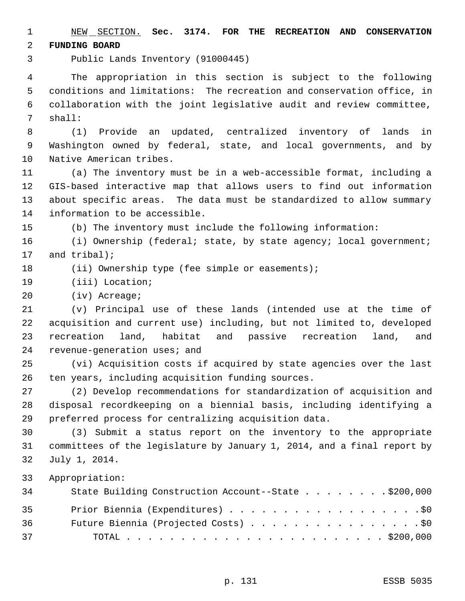NEW SECTION. **Sec. 3174. FOR THE RECREATION AND CONSERVATION FUNDING BOARD**

Public Lands Inventory (91000445)

 The appropriation in this section is subject to the following conditions and limitations: The recreation and conservation office, in collaboration with the joint legislative audit and review committee, shall:

 (1) Provide an updated, centralized inventory of lands in Washington owned by federal, state, and local governments, and by Native American tribes.

 (a) The inventory must be in a web-accessible format, including a GIS-based interactive map that allows users to find out information about specific areas. The data must be standardized to allow summary information to be accessible.

(b) The inventory must include the following information:

16 (i) Ownership (federal; state, by state agency; local government; and tribal);

- 18 (ii) Ownership type (fee simple or easements);
- (iii) Location;

(iv) Acreage;

 (v) Principal use of these lands (intended use at the time of acquisition and current use) including, but not limited to, developed recreation land, habitat and passive recreation land, and revenue-generation uses; and

 (vi) Acquisition costs if acquired by state agencies over the last ten years, including acquisition funding sources.

 (2) Develop recommendations for standardization of acquisition and disposal recordkeeping on a biennial basis, including identifying a preferred process for centralizing acquisition data.

 (3) Submit a status report on the inventory to the appropriate committees of the legislature by January 1, 2014, and a final report by July 1, 2014.

| 34 | State Building Construction Account--State \$200,000 |
|----|------------------------------------------------------|
| 35 | Prior Biennia (Expenditures) \$0                     |
| 36 | Future Biennia (Projected Costs) \$0                 |
| 37 |                                                      |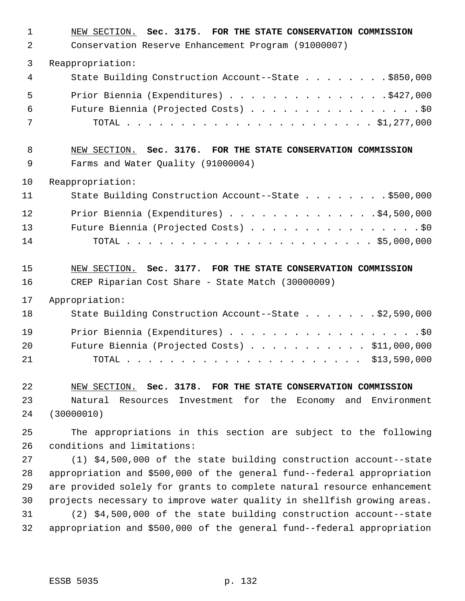| $\mathbf{1}$   | NEW SECTION. Sec. 3175. FOR THE STATE CONSERVATION COMMISSION           |
|----------------|-------------------------------------------------------------------------|
| $\overline{2}$ | Conservation Reserve Enhancement Program (91000007)                     |
| 3              | Reappropriation:                                                        |
| 4              | State Building Construction Account--State \$850,000                    |
| 5              | Prior Biennia (Expenditures) \$427,000                                  |
| 6              | Future Biennia (Projected Costs) \$0                                    |
| 7              |                                                                         |
| 8              | NEW SECTION. Sec. 3176. FOR THE STATE CONSERVATION COMMISSION           |
| 9              | Farms and Water Quality (91000004)                                      |
| 10             | Reappropriation:                                                        |
| 11             | State Building Construction Account--State \$500,000                    |
| 12             | Prior Biennia (Expenditures) \$4,500,000                                |
| 13             | Future Biennia (Projected Costs) \$0                                    |
| 14             |                                                                         |
| 15             | NEW SECTION. Sec. 3177. FOR THE STATE CONSERVATION COMMISSION           |
| 16             | CREP Riparian Cost Share - State Match (30000009)                       |
| 17             | Appropriation:                                                          |
| 18             | State Building Construction Account--State \$2,590,000                  |
| 19             |                                                                         |
| 20             | Future Biennia (Projected Costs) \$11,000,000                           |
| 21             |                                                                         |
| 22             | NEW SECTION. Sec. 3178. FOR THE STATE CONSERVATION COMMISSION           |
| 23             | Natural Resources Investment for the Economy and Environment            |
| 24             | (30000010)                                                              |
| 25             | The appropriations in this section are subject to the following         |
| 26             | conditions and limitations:                                             |
| 27             | (1) \$4,500,000 of the state building construction account--state       |
| 28             | appropriation and \$500,000 of the general fund--federal appropriation  |
| 29             | are provided solely for grants to complete natural resource enhancement |
| 30             | projects necessary to improve water quality in shellfish growing areas. |
| 31             | (2) \$4,500,000 of the state building construction account--state       |
| 32             | appropriation and \$500,000 of the general fund--federal appropriation  |
|                |                                                                         |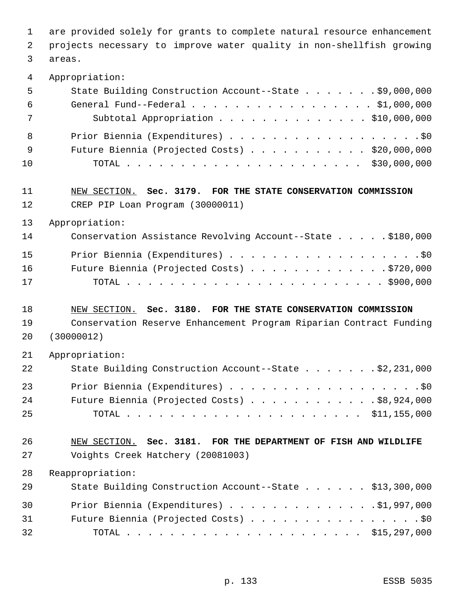are provided solely for grants to complete natural resource enhancement projects necessary to improve water quality in non-shellfish growing areas.

Appropriation:

| 5   | State Building Construction Account--State \$9,000,000                                             |
|-----|----------------------------------------------------------------------------------------------------|
| -6  | General Fund--Federal $\ldots$ , $\ldots$ , $\ldots$ , $\ldots$ , $\ldots$ , $\frac{1}{900}$ , 000 |
| 7   | Subtotal Appropriation \$10,000,000                                                                |
| - 8 | Prior Biennia (Expenditures) \$0                                                                   |
| - 9 | Future Biennia (Projected Costs) \$20,000,000                                                      |
| 10  |                                                                                                    |
| 11  | NEW SECTION. Sec. 3179. FOR THE STATE CONSERVATION COMMISSION                                      |

CREP PIP Loan Program (30000011)

Appropriation:

| 14 | Conservation Assistance Revolving Account--State \$180,000 |
|----|------------------------------------------------------------|
| 15 | Prior Biennia (Expenditures) \$0                           |
| 16 | Future Biennia (Projected Costs) 9720,000                  |
| 17 |                                                            |

#### NEW SECTION. **Sec. 3180. FOR THE STATE CONSERVATION COMMISSION**

 Conservation Reserve Enhancement Program Riparian Contract Funding (30000012)

| - 21 | Appropriation:                                         |  |
|------|--------------------------------------------------------|--|
| 22   | State Building Construction Account--State \$2,231,000 |  |
| 23   | Prior Biennia (Expenditures) \$0                       |  |
| - 24 | Future Biennia (Projected Costs) $\ldots$ \$8,924,000  |  |
| - 25 |                                                        |  |

## NEW SECTION. **Sec. 3181. FOR THE DEPARTMENT OF FISH AND WILDLIFE** Voights Creek Hatchery (20081003)

| 29 | State Building Construction Account--State \$13,300,000 |  |
|----|---------------------------------------------------------|--|
| 30 | Prior Biennia (Expenditures) \$1,997,000                |  |
| 31 | Future Biennia (Projected Costs) \$0                    |  |
| 32 |                                                         |  |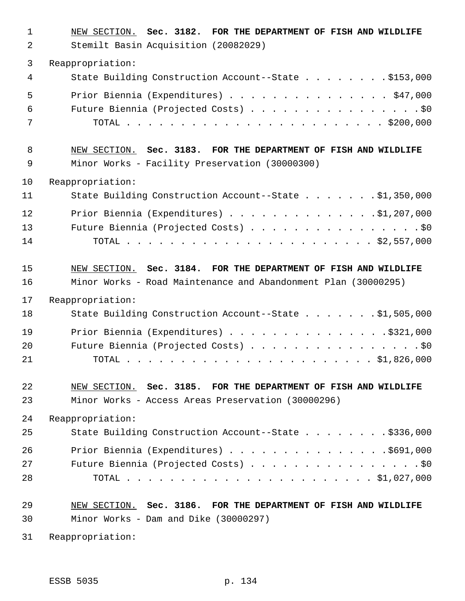| 1  | NEW SECTION. Sec. 3182. FOR THE DEPARTMENT OF FISH AND WILDLIFE |
|----|-----------------------------------------------------------------|
| 2  | Stemilt Basin Acquisition (20082029)                            |
| 3  | Reappropriation:                                                |
| 4  | State Building Construction Account--State \$153,000            |
| 5  | Prior Biennia (Expenditures) \$47,000                           |
| 6  | Future Biennia (Projected Costs) \$0                            |
| 7  |                                                                 |
| 8  | NEW SECTION. Sec. 3183. FOR THE DEPARTMENT OF FISH AND WILDLIFE |
| 9  | Minor Works - Facility Preservation (30000300)                  |
| 10 | Reappropriation:                                                |
| 11 | State Building Construction Account--State \$1,350,000          |
| 12 | Prior Biennia (Expenditures) \$1,207,000                        |
| 13 | Future Biennia (Projected Costs) \$0                            |
| 14 |                                                                 |
| 15 | NEW SECTION. Sec. 3184. FOR THE DEPARTMENT OF FISH AND WILDLIFE |
| 16 | Minor Works - Road Maintenance and Abandonment Plan (30000295)  |
| 17 | Reappropriation:                                                |
| 18 | State Building Construction Account--State \$1,505,000          |
| 19 | Prior Biennia (Expenditures) $\ldots$ 9321,000                  |
| 20 | Future Biennia (Projected Costs) \$0                            |
| 21 |                                                                 |
| 22 | NEW SECTION. Sec. 3185. FOR THE DEPARTMENT OF FISH AND WILDLIFE |
| 23 | Minor Works - Access Areas Preservation (30000296)              |
| 24 | Reappropriation:                                                |
| 25 |                                                                 |
|    | State Building Construction Account--State \$336,000            |
| 26 | Prior Biennia (Expenditures) \$691,000                          |
| 27 | Future Biennia (Projected Costs) \$0                            |
| 28 |                                                                 |
| 29 | NEW SECTION. Sec. 3186. FOR THE DEPARTMENT OF FISH AND WILDLIFE |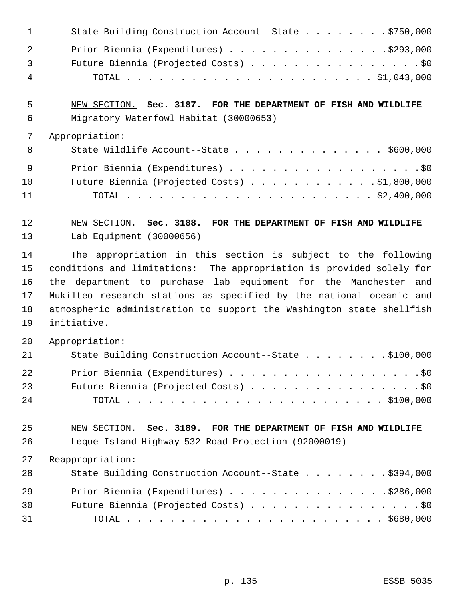| $\sim$ 1       | State Building Construction Account--State \$750,000 |
|----------------|------------------------------------------------------|
| $\overline{2}$ | Prior Biennia (Expenditures) \$293,000               |
| $\overline{3}$ | Future Biennia (Projected Costs) \$0                 |
| - 4            |                                                      |

 NEW SECTION. **Sec. 3187. FOR THE DEPARTMENT OF FISH AND WILDLIFE** Migratory Waterfowl Habitat (30000653)

#### Appropriation:

| 8               | State Wildlife Account--State $\ldots$ \$600,000     |
|-----------------|------------------------------------------------------|
| - 9             | Prior Biennia (Expenditures) \$0                     |
| 10 <sup>°</sup> | Future Biennia (Projected Costs) $\ldots$ 91,800,000 |
| 11              |                                                      |

 NEW SECTION. **Sec. 3188. FOR THE DEPARTMENT OF FISH AND WILDLIFE** Lab Equipment (30000656)

 The appropriation in this section is subject to the following conditions and limitations: The appropriation is provided solely for the department to purchase lab equipment for the Manchester and Mukilteo research stations as specified by the national oceanic and atmospheric administration to support the Washington state shellfish initiative.

Appropriation:

| 21 | State Building Construction Account--State \$100,000 |
|----|------------------------------------------------------|
| 22 | Prior Biennia (Expenditures) \$0                     |
| 23 | Future Biennia (Projected Costs) \$0                 |
| 24 |                                                      |

## NEW SECTION. **Sec. 3189. FOR THE DEPARTMENT OF FISH AND WILDLIFE** Leque Island Highway 532 Road Protection (92000019)

| 28 | State Building Construction Account--State \$394,000 |
|----|------------------------------------------------------|
| 29 | Prior Biennia (Expenditures) \$286,000               |
| 30 | Future Biennia (Projected Costs) \$0                 |
| 31 |                                                      |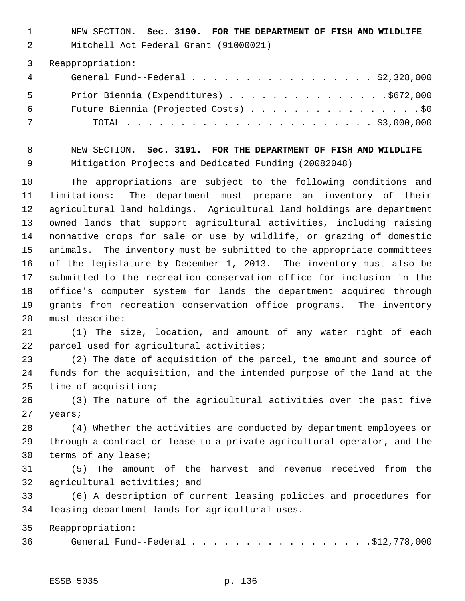NEW SECTION. **Sec. 3190. FOR THE DEPARTMENT OF FISH AND WILDLIFE**

Mitchell Act Federal Grant (91000021)

Reappropriation:

| $\overline{4}$ | General Fund--Federal $\ldots$ , $\ldots$ , $\ldots$ , $\ldots$ , $\ldots$ , $\frac{2}{328,000}$ |
|----------------|--------------------------------------------------------------------------------------------------|
| $5 - 5$        | Prior Biennia (Expenditures) \$672,000                                                           |
| 6              | Future Biennia (Projected Costs) \$0                                                             |
| 7              |                                                                                                  |

 NEW SECTION. **Sec. 3191. FOR THE DEPARTMENT OF FISH AND WILDLIFE** Mitigation Projects and Dedicated Funding (20082048)

 The appropriations are subject to the following conditions and limitations: The department must prepare an inventory of their agricultural land holdings. Agricultural land holdings are department owned lands that support agricultural activities, including raising nonnative crops for sale or use by wildlife, or grazing of domestic animals. The inventory must be submitted to the appropriate committees of the legislature by December 1, 2013. The inventory must also be submitted to the recreation conservation office for inclusion in the office's computer system for lands the department acquired through grants from recreation conservation office programs. The inventory must describe:

 (1) The size, location, and amount of any water right of each parcel used for agricultural activities;

 (2) The date of acquisition of the parcel, the amount and source of funds for the acquisition, and the intended purpose of the land at the time of acquisition;

 (3) The nature of the agricultural activities over the past five years;

 (4) Whether the activities are conducted by department employees or through a contract or lease to a private agricultural operator, and the terms of any lease;

 (5) The amount of the harvest and revenue received from the agricultural activities; and

 (6) A description of current leasing policies and procedures for leasing department lands for agricultural uses.

Reappropriation:

General Fund--Federal . . . . . . . . . . . . . . . . .\$12,778,000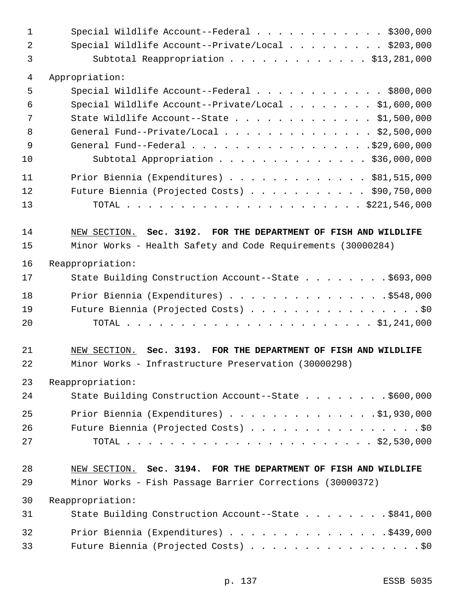| $\mathbf{1}$   | Special Wildlife Account--Federal \$300,000                     |
|----------------|-----------------------------------------------------------------|
| $\overline{a}$ | Special Wildlife Account--Private/Local \$203,000               |
| 3              | Subtotal Reappropriation \$13,281,000                           |
| 4              | Appropriation:                                                  |
| 5              | Special Wildlife Account--Federal \$800,000                     |
| 6              | Special Wildlife Account--Private/Local \$1,600,000             |
| 7              | State Wildlife Account--State \$1,500,000                       |
| 8              | General Fund--Private/Local \$2,500,000                         |
| 9              | General Fund--Federal \$29,600,000                              |
| 10             | Subtotal Appropriation \$36,000,000                             |
| 11             | Prior Biennia (Expenditures) \$81,515,000                       |
| 12             | Future Biennia (Projected Costs) \$90,750,000                   |
| 13             |                                                                 |
| 14             | NEW SECTION. Sec. 3192. FOR THE DEPARTMENT OF FISH AND WILDLIFE |
| 15             | Minor Works - Health Safety and Code Requirements (30000284)    |
| 16             | Reappropriation:                                                |
| 17             | State Building Construction Account--State \$693,000            |
| 18             | Prior Biennia (Expenditures) \$548,000                          |
| 19             | Future Biennia (Projected Costs) \$0                            |
| 20             |                                                                 |
| 21             | NEW SECTION. Sec. 3193. FOR THE DEPARTMENT OF FISH AND WILDLIFE |
| 22             | Minor Works - Infrastructure Preservation (30000298)            |
| 23             | Reappropriation:                                                |
| 24             | State Building Construction Account--State \$600,000            |
| 25             | Prior Biennia (Expenditures) \$1,930,000                        |
| 26             | Future Biennia (Projected Costs) \$0                            |
| 27             |                                                                 |
| 28             | NEW SECTION. Sec. 3194. FOR THE DEPARTMENT OF FISH AND WILDLIFE |
| 29             | Minor Works - Fish Passage Barrier Corrections (30000372)       |
| 30             | Reappropriation:                                                |
| 31             | State Building Construction Account--State \$841,000            |
| 32             | Prior Biennia (Expenditures) \$439,000                          |
| 33             | Future Biennia (Projected Costs) \$0                            |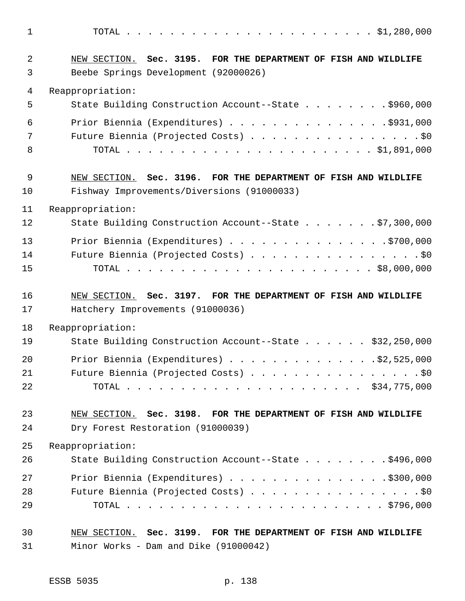TOTAL . . . . . . . . . . . . . . . . . . . . . . . \$1,280,000 NEW SECTION. **Sec. 3195. FOR THE DEPARTMENT OF FISH AND WILDLIFE** Beebe Springs Development (92000026) Reappropriation: State Building Construction Account--State . . . . . . . . \$960,000 Prior Biennia (Expenditures) . . . . . . . . . . . . . . .\$931,000 Future Biennia (Projected Costs) . . . . . . . . . . . . . . . . \$0 TOTAL . . . . . . . . . . . . . . . . . . . . . . . \$1,891,000 NEW SECTION. **Sec. 3196. FOR THE DEPARTMENT OF FISH AND WILDLIFE** Fishway Improvements/Diversions (91000033) Reappropriation: State Building Construction Account--State . . . . . . . \$7,300,000 13 Prior Biennia (Expenditures) . . . . . . . . . . . . . . . \$700,000 14 Future Biennia (Projected Costs) . . . . . . . . . . . . . . . . \$0 TOTAL . . . . . . . . . . . . . . . . . . . . . . . \$8,000,000 NEW SECTION. **Sec. 3197. FOR THE DEPARTMENT OF FISH AND WILDLIFE** Hatchery Improvements (91000036) Reappropriation: 19 State Building Construction Account--State . . . . . \$32,250,000 Prior Biennia (Expenditures) . . . . . . . . . . . . . .\$2,525,000 21 Future Biennia (Projected Costs) . . . . . . . . . . . . . . . . \$0 TOTAL . . . . . . . . . . . . . . . . . . . . . . \$34,775,000 NEW SECTION. **Sec. 3198. FOR THE DEPARTMENT OF FISH AND WILDLIFE** Dry Forest Restoration (91000039) Reappropriation: State Building Construction Account--State . . . . . . . . \$496,000 Prior Biennia (Expenditures) . . . . . . . . . . . . . . .\$300,000 28 Future Biennia (Projected Costs) . . . . . . . . . . . . . . . . \$0 TOTAL . . . . . . . . . . . . . . . . . . . . . . . . \$796,000 NEW SECTION. **Sec. 3199. FOR THE DEPARTMENT OF FISH AND WILDLIFE** Minor Works - Dam and Dike (91000042)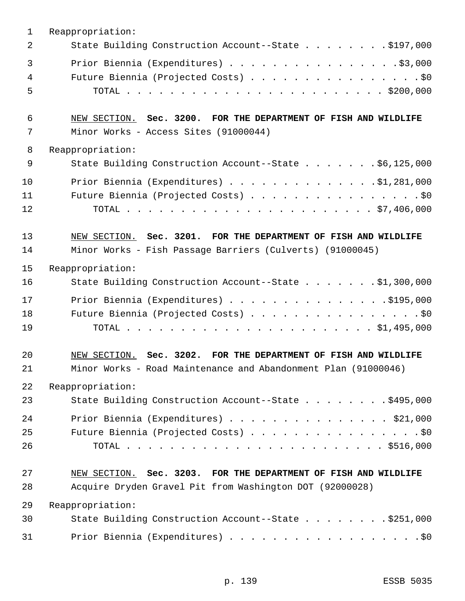| $\mathbf{1}$   | Reappropriation:                                                                                                                  |
|----------------|-----------------------------------------------------------------------------------------------------------------------------------|
| 2              | State Building Construction Account--State \$197,000                                                                              |
| 3<br>4<br>5    | Prior Biennia (Expenditures) \$3,000<br>Future Biennia (Projected Costs) \$0                                                      |
| 6<br>7         | NEW SECTION. Sec. 3200. FOR THE DEPARTMENT OF FISH AND WILDLIFE<br>Minor Works - Access Sites (91000044)                          |
| 8              | Reappropriation:                                                                                                                  |
| 9              | State Building Construction Account--State \$6,125,000                                                                            |
| 10<br>11<br>12 | Prior Biennia (Expenditures) $\ldots$ 91,281,000<br>Future Biennia (Projected Costs) \$0                                          |
| 13             | NEW SECTION. Sec. 3201. FOR THE DEPARTMENT OF FISH AND WILDLIFE                                                                   |
| 14             | Minor Works - Fish Passage Barriers (Culverts) (91000045)                                                                         |
| 15             | Reappropriation:                                                                                                                  |
| 16             | State Building Construction Account--State \$1,300,000                                                                            |
| 17<br>18<br>19 | Prior Biennia (Expenditures) \$195,000<br>Future Biennia (Projected Costs) \$0                                                    |
| 20<br>21       | NEW SECTION. Sec. 3202. FOR THE DEPARTMENT OF FISH AND WILDLIFE<br>Minor Works - Road Maintenance and Abandonment Plan (91000046) |
| 22             | Reappropriation:                                                                                                                  |
| 23             | State Building Construction Account--State \$495,000                                                                              |
| 24             | Prior Biennia (Expenditures) \$21,000                                                                                             |
| 25<br>26       | Future Biennia (Projected Costs) \$0                                                                                              |
| 27             | NEW SECTION. Sec. 3203. FOR THE DEPARTMENT OF FISH AND WILDLIFE                                                                   |
| 28             | Acquire Dryden Gravel Pit from Washington DOT (92000028)                                                                          |
| 29             | Reappropriation:                                                                                                                  |
| 30             | State Building Construction Account--State \$251,000                                                                              |
| 31             | Prior Biennia (Expenditures) \$0                                                                                                  |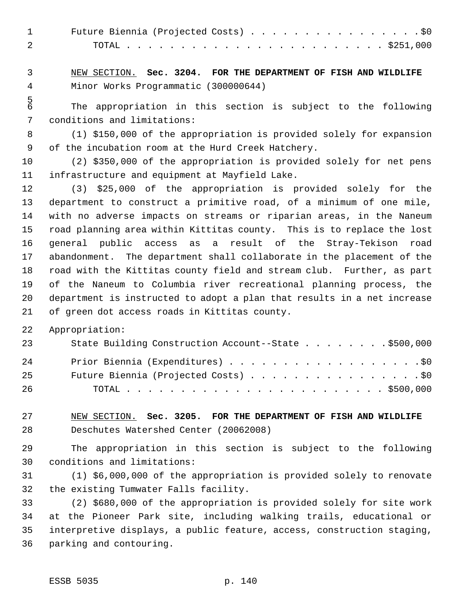| Future Biennia (Projected Costs) \$0 |  |
|--------------------------------------|--|
|                                      |  |

 NEW SECTION. **Sec. 3204. FOR THE DEPARTMENT OF FISH AND WILDLIFE** Minor Works Programmatic (300000644)

 The appropriation in this section is subject to the following conditions and limitations:

 (1) \$150,000 of the appropriation is provided solely for expansion of the incubation room at the Hurd Creek Hatchery.

 (2) \$350,000 of the appropriation is provided solely for net pens infrastructure and equipment at Mayfield Lake.

 (3) \$25,000 of the appropriation is provided solely for the department to construct a primitive road, of a minimum of one mile, with no adverse impacts on streams or riparian areas, in the Naneum road planning area within Kittitas county. This is to replace the lost general public access as a result of the Stray-Tekison road abandonment. The department shall collaborate in the placement of the road with the Kittitas county field and stream club. Further, as part of the Naneum to Columbia river recreational planning process, the department is instructed to adopt a plan that results in a net increase of green dot access roads in Kittitas county.

Appropriation:

| 23 | State Building Construction Account--State \$500,000 |
|----|------------------------------------------------------|
| 24 | Prior Biennia (Expenditures) \$0                     |
| 25 | Future Biennia (Projected Costs) \$0                 |
| 26 |                                                      |

 NEW SECTION. **Sec. 3205. FOR THE DEPARTMENT OF FISH AND WILDLIFE** Deschutes Watershed Center (20062008)

 The appropriation in this section is subject to the following conditions and limitations:

 (1) \$6,000,000 of the appropriation is provided solely to renovate the existing Tumwater Falls facility.

 (2) \$680,000 of the appropriation is provided solely for site work at the Pioneer Park site, including walking trails, educational or interpretive displays, a public feature, access, construction staging, parking and contouring.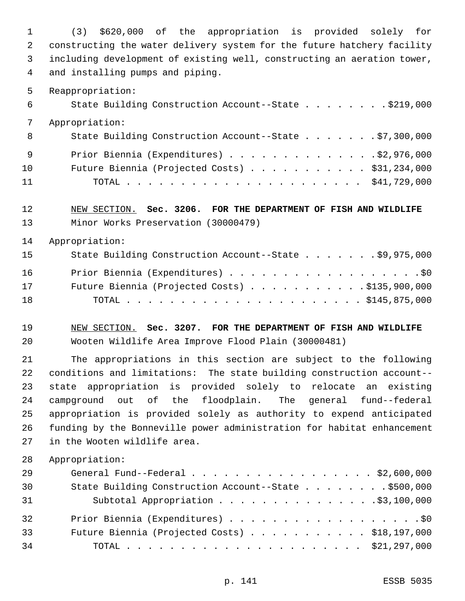(3) \$620,000 of the appropriation is provided solely for constructing the water delivery system for the future hatchery facility including development of existing well, constructing an aeration tower, and installing pumps and piping.

Reappropriation:

| 6   | State Building Construction Account--State \$219,000   |  |
|-----|--------------------------------------------------------|--|
|     | Appropriation:                                         |  |
| - 8 | State Building Construction Account--State \$7,300,000 |  |
| - 9 | Prior Biennia (Expenditures) \$2,976,000               |  |
| 10  | Future Biennia (Projected Costs) $\ldots$ \$31,234,000 |  |
| 11  |                                                        |  |

 NEW SECTION. **Sec. 3206. FOR THE DEPARTMENT OF FISH AND WILDLIFE** Minor Works Preservation (30000479)

Appropriation:

| 15 | State Building Construction Account--State \$9,975,000  |
|----|---------------------------------------------------------|
| 16 | Prior Biennia (Expenditures) \$0                        |
| 17 | Future Biennia (Projected Costs) $\ldots$ \$135,900,000 |
| 18 |                                                         |

 NEW SECTION. **Sec. 3207. FOR THE DEPARTMENT OF FISH AND WILDLIFE** Wooten Wildlife Area Improve Flood Plain (30000481)

 The appropriations in this section are subject to the following conditions and limitations: The state building construction account-- state appropriation is provided solely to relocate an existing campground out of the floodplain. The general fund--federal appropriation is provided solely as authority to expend anticipated funding by the Bonneville power administration for habitat enhancement in the Wooten wildlife area.

| 29 | General Fund--Federal $\ldots$ , \$2,600,000           |  |
|----|--------------------------------------------------------|--|
| 30 | State Building Construction Account--State \$500,000   |  |
| 31 | Subtotal Appropriation \$3,100,000                     |  |
| 32 | Prior Biennia (Expenditures) \$0                       |  |
| 33 | Future Biennia (Projected Costs) $\ldots$ \$18,197,000 |  |
| 34 |                                                        |  |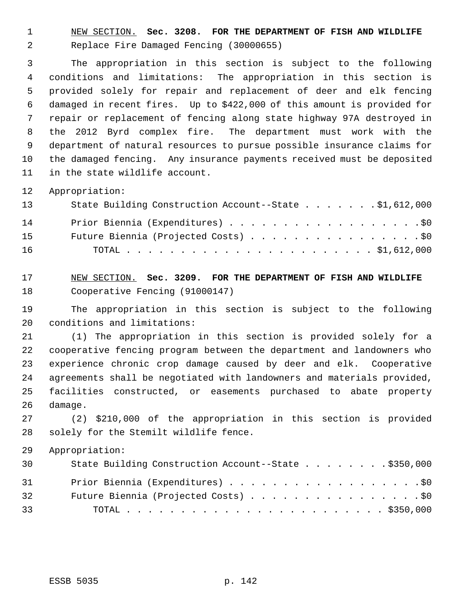NEW SECTION. **Sec. 3208. FOR THE DEPARTMENT OF FISH AND WILDLIFE** Replace Fire Damaged Fencing (30000655)

 The appropriation in this section is subject to the following conditions and limitations: The appropriation in this section is provided solely for repair and replacement of deer and elk fencing damaged in recent fires. Up to \$422,000 of this amount is provided for repair or replacement of fencing along state highway 97A destroyed in the 2012 Byrd complex fire. The department must work with the department of natural resources to pursue possible insurance claims for the damaged fencing. Any insurance payments received must be deposited in the state wildlife account.

Appropriation:

| 13 | State Building Construction Account--State \$1,612,000 |
|----|--------------------------------------------------------|
| 14 | Prior Biennia (Expenditures) \$0                       |
| 15 | Future Biennia (Projected Costs) \$0                   |
| 16 |                                                        |

 NEW SECTION. **Sec. 3209. FOR THE DEPARTMENT OF FISH AND WILDLIFE** Cooperative Fencing (91000147)

 The appropriation in this section is subject to the following conditions and limitations:

 (1) The appropriation in this section is provided solely for a cooperative fencing program between the department and landowners who experience chronic crop damage caused by deer and elk. Cooperative agreements shall be negotiated with landowners and materials provided, facilities constructed, or easements purchased to abate property damage.

 (2) \$210,000 of the appropriation in this section is provided solely for the Stemilt wildlife fence.

| 30 | State Building Construction Account--State \$350,000 |
|----|------------------------------------------------------|
| 31 | Prior Biennia (Expenditures) \$0                     |
| 32 | Future Biennia (Projected Costs) \$0                 |
| 33 |                                                      |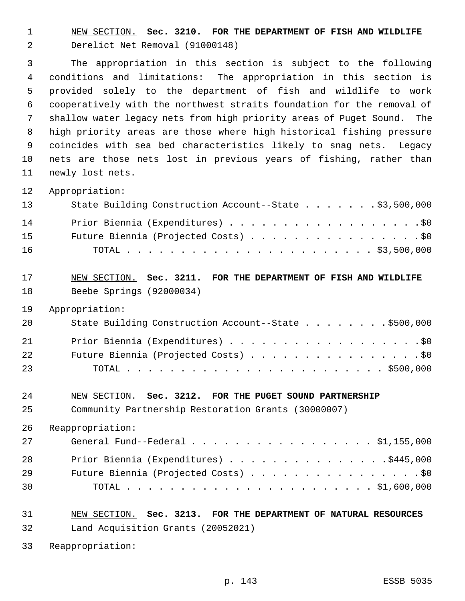NEW SECTION. **Sec. 3210. FOR THE DEPARTMENT OF FISH AND WILDLIFE** Derelict Net Removal (91000148)

 The appropriation in this section is subject to the following conditions and limitations: The appropriation in this section is provided solely to the department of fish and wildlife to work cooperatively with the northwest straits foundation for the removal of shallow water legacy nets from high priority areas of Puget Sound. The high priority areas are those where high historical fishing pressure coincides with sea bed characteristics likely to snag nets. Legacy nets are those nets lost in previous years of fishing, rather than newly lost nets.

Appropriation:

| 13 | State Building Construction Account--State \$3,500,000 |
|----|--------------------------------------------------------|
| 14 | Prior Biennia (Expenditures) \$0                       |
| 15 | Future Biennia (Projected Costs) \$0                   |
| 16 |                                                        |

## NEW SECTION. **Sec. 3211. FOR THE DEPARTMENT OF FISH AND WILDLIFE** Beebe Springs (92000034)

Appropriation:

| -20 | State Building Construction Account--State \$500,000 |
|-----|------------------------------------------------------|
| 21  | Prior Biennia (Expenditures) \$0                     |
| 22  | Future Biennia (Projected Costs) \$0                 |
| 23  |                                                      |

#### NEW SECTION. **Sec. 3212. FOR THE PUGET SOUND PARTNERSHIP**

Community Partnership Restoration Grants (30000007)

Reappropriation:

| 27 | General Fund--Federal $\ldots$ , $\ldots$ , $\ldots$ , $\ldots$ , $\ldots$ , $\frac{1}{155,000}$ |
|----|--------------------------------------------------------------------------------------------------|
| 28 | Prior Biennia (Expenditures) \$445,000                                                           |
| 29 | Future Biennia (Projected Costs) \$0                                                             |
| 30 |                                                                                                  |

 NEW SECTION. **Sec. 3213. FOR THE DEPARTMENT OF NATURAL RESOURCES** Land Acquisition Grants (20052021)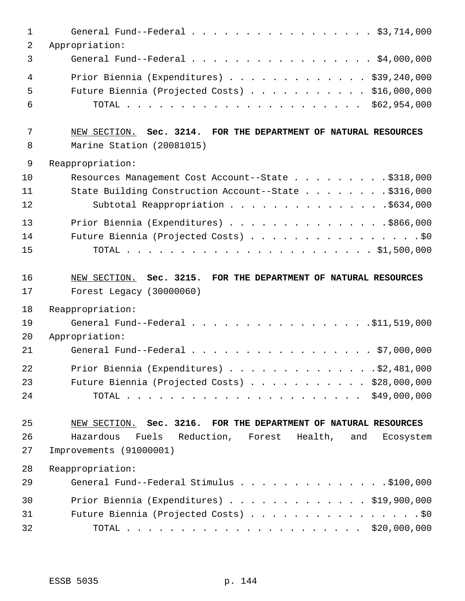| $\mathbf 1$    | General Fund--Federal \$3,714,000                                |
|----------------|------------------------------------------------------------------|
| $\overline{2}$ | Appropriation:                                                   |
| 3              | General Fund--Federal \$4,000,000                                |
| $\overline{4}$ | Prior Biennia (Expenditures) \$39,240,000                        |
| 5              | Future Biennia (Projected Costs) \$16,000,000                    |
| 6              |                                                                  |
| 7              | NEW SECTION. Sec. 3214. FOR THE DEPARTMENT OF NATURAL RESOURCES  |
| 8              | Marine Station (20081015)                                        |
| $\mathsf 9$    | Reappropriation:                                                 |
| 10             | Resources Management Cost Account--State \$318,000               |
| 11             | State Building Construction Account--State \$316,000             |
| 12             | Subtotal Reappropriation \$634,000                               |
| 13             | Prior Biennia (Expenditures) \$866,000                           |
| 14             | Future Biennia (Projected Costs) \$0                             |
| 15             |                                                                  |
| 16             | NEW SECTION. Sec. 3215. FOR THE DEPARTMENT OF NATURAL RESOURCES  |
| 17             | Forest Legacy (30000060)                                         |
| 18             | Reappropriation:                                                 |
| 19             |                                                                  |
| 20             | Appropriation:                                                   |
| 21             | General Fund--Federal \$7,000,000                                |
| 22             | Prior Biennia (Expenditures) \$2,481,000                         |
| 23             | Future Biennia (Projected Costs) \$28,000,000                    |
| 24             |                                                                  |
|                |                                                                  |
| 25             | NEW SECTION. Sec. 3216. FOR THE DEPARTMENT OF NATURAL RESOURCES  |
| 26             | Hazardous<br>Fuels Reduction, Forest Health,<br>and<br>Ecosystem |
| 27             | Improvements (91000001)                                          |
| 28             | Reappropriation:                                                 |
| 29             | General Fund--Federal Stimulus \$100,000                         |
| 30             | Prior Biennia (Expenditures) \$19,900,000                        |
| 31             | Future Biennia (Projected Costs) \$0                             |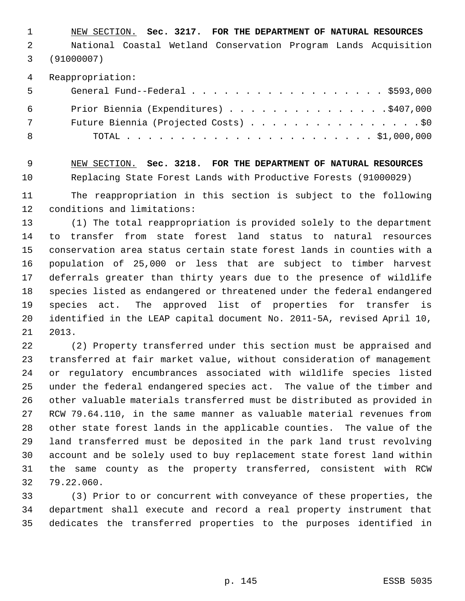NEW SECTION. **Sec. 3217. FOR THE DEPARTMENT OF NATURAL RESOURCES** National Coastal Wetland Conservation Program Lands Acquisition (91000007)

Reappropriation:

| $5^{\circ}$ | General Fund--Federal $\ldots$ , \$593,000 |
|-------------|--------------------------------------------|
| 6           | Prior Biennia (Expenditures) \$407,000     |
| 7           | Future Biennia (Projected Costs) \$0       |
| - 8         |                                            |

 NEW SECTION. **Sec. 3218. FOR THE DEPARTMENT OF NATURAL RESOURCES** Replacing State Forest Lands with Productive Forests (91000029)

 The reappropriation in this section is subject to the following conditions and limitations:

 (1) The total reappropriation is provided solely to the department to transfer from state forest land status to natural resources conservation area status certain state forest lands in counties with a population of 25,000 or less that are subject to timber harvest deferrals greater than thirty years due to the presence of wildlife species listed as endangered or threatened under the federal endangered species act. The approved list of properties for transfer is identified in the LEAP capital document No. 2011-5A, revised April 10, 2013.

 (2) Property transferred under this section must be appraised and transferred at fair market value, without consideration of management or regulatory encumbrances associated with wildlife species listed under the federal endangered species act. The value of the timber and other valuable materials transferred must be distributed as provided in RCW 79.64.110, in the same manner as valuable material revenues from other state forest lands in the applicable counties. The value of the land transferred must be deposited in the park land trust revolving account and be solely used to buy replacement state forest land within the same county as the property transferred, consistent with RCW 79.22.060.

 (3) Prior to or concurrent with conveyance of these properties, the department shall execute and record a real property instrument that dedicates the transferred properties to the purposes identified in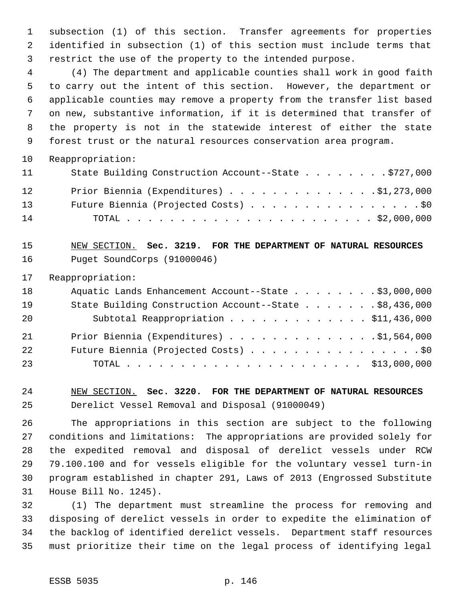subsection (1) of this section. Transfer agreements for properties identified in subsection (1) of this section must include terms that restrict the use of the property to the intended purpose.

 (4) The department and applicable counties shall work in good faith to carry out the intent of this section. However, the department or applicable counties may remove a property from the transfer list based on new, substantive information, if it is determined that transfer of the property is not in the statewide interest of either the state forest trust or the natural resources conservation area program.

Reappropriation:

| 11                | State Building Construction Account--State \$727,000 |
|-------------------|------------------------------------------------------|
| $12 \overline{ }$ | Prior Biennia (Expenditures) \$1,273,000             |
| 13 <sup>7</sup>   | Future Biennia (Projected Costs) \$0                 |
| 14                |                                                      |

 NEW SECTION. **Sec. 3219. FOR THE DEPARTMENT OF NATURAL RESOURCES** Puget SoundCorps (91000046)

Reappropriation:

| 18 | Aquatic Lands Enhancement Account--State \$3,000,000   |  |
|----|--------------------------------------------------------|--|
| 19 | State Building Construction Account--State \$8,436,000 |  |
| 20 | Subtotal Reappropriation \$11,436,000                  |  |
| 21 | Prior Biennia (Expenditures) \$1,564,000               |  |
| 22 | Future Biennia (Projected Costs) \$0                   |  |
| 23 |                                                        |  |

 NEW SECTION. **Sec. 3220. FOR THE DEPARTMENT OF NATURAL RESOURCES** Derelict Vessel Removal and Disposal (91000049)

 The appropriations in this section are subject to the following conditions and limitations: The appropriations are provided solely for the expedited removal and disposal of derelict vessels under RCW 79.100.100 and for vessels eligible for the voluntary vessel turn-in program established in chapter 291, Laws of 2013 (Engrossed Substitute House Bill No. 1245).

 (1) The department must streamline the process for removing and disposing of derelict vessels in order to expedite the elimination of the backlog of identified derelict vessels. Department staff resources must prioritize their time on the legal process of identifying legal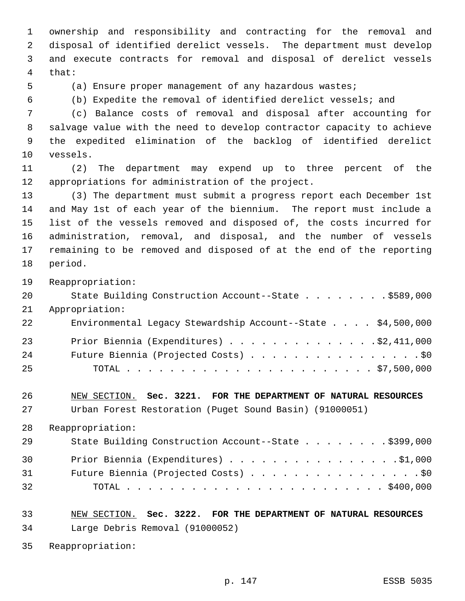ownership and responsibility and contracting for the removal and disposal of identified derelict vessels. The department must develop and execute contracts for removal and disposal of derelict vessels that:

(a) Ensure proper management of any hazardous wastes;

(b) Expedite the removal of identified derelict vessels; and

 (c) Balance costs of removal and disposal after accounting for salvage value with the need to develop contractor capacity to achieve the expedited elimination of the backlog of identified derelict vessels.

 (2) The department may expend up to three percent of the appropriations for administration of the project.

 (3) The department must submit a progress report each December 1st and May 1st of each year of the biennium. The report must include a list of the vessels removed and disposed of, the costs incurred for administration, removal, and disposal, and the number of vessels remaining to be removed and disposed of at the end of the reporting period.

Reappropriation:

| 20 | State Building Construction Account--State \$589,000        |
|----|-------------------------------------------------------------|
| 21 | Appropriation:                                              |
| 22 | Environmental Legacy Stewardship Account--State \$4,500,000 |
| 23 | Prior Biennia (Expenditures) \$2,411,000                    |
| 24 | Future Biennia (Projected Costs) \$0                        |
| 25 |                                                             |

 NEW SECTION. **Sec. 3221. FOR THE DEPARTMENT OF NATURAL RESOURCES** Urban Forest Restoration (Puget Sound Basin) (91000051)

Reappropriation:

| 29 | State Building Construction Account--State \$399,000 |
|----|------------------------------------------------------|
| 30 | Prior Biennia (Expenditures) \$1,000                 |
| 31 | Future Biennia (Projected Costs) \$0                 |
| 32 |                                                      |

 NEW SECTION. **Sec. 3222. FOR THE DEPARTMENT OF NATURAL RESOURCES** Large Debris Removal (91000052)

Reappropriation: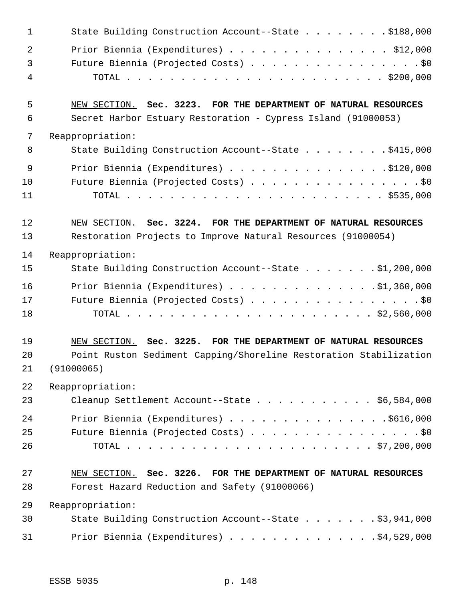| $\mathbf 1$ | State Building Construction Account--State \$188,000              |
|-------------|-------------------------------------------------------------------|
| 2           | Prior Biennia (Expenditures) $\ldots$ \$12,000                    |
| 3           | Future Biennia (Projected Costs) \$0                              |
| 4           |                                                                   |
| 5           | NEW SECTION. Sec. 3223. FOR THE DEPARTMENT OF NATURAL RESOURCES   |
| 6           | Secret Harbor Estuary Restoration - Cypress Island (91000053)     |
| 7           | Reappropriation:                                                  |
| 8           | State Building Construction Account--State \$415,000              |
| 9           | Prior Biennia (Expenditures) \$120,000                            |
| 10          | Future Biennia (Projected Costs) \$0                              |
| 11          |                                                                   |
| 12          | NEW SECTION. Sec. 3224. FOR THE DEPARTMENT OF NATURAL RESOURCES   |
| 13          | Restoration Projects to Improve Natural Resources (91000054)      |
| 14          | Reappropriation:                                                  |
| 15          | State Building Construction Account--State \$1,200,000            |
| 16          | Prior Biennia (Expenditures) $\ldots$ 91,360,000                  |
| 17          | Future Biennia (Projected Costs) \$0                              |
| 18          |                                                                   |
| 19          | NEW SECTION. Sec. 3225. FOR THE DEPARTMENT OF NATURAL RESOURCES   |
| 20          | Point Ruston Sediment Capping/Shoreline Restoration Stabilization |
| 21          | (91000065)                                                        |
| 22          | Reappropriation:                                                  |
|             |                                                                   |
| 23          | Cleanup Settlement Account--State \$6,584,000                     |
| 24          | Prior Biennia (Expenditures) \$616,000                            |
| 25          | Future Biennia (Projected Costs) \$0                              |
| 26          |                                                                   |
| 27          | NEW SECTION. Sec. 3226. FOR THE DEPARTMENT OF NATURAL RESOURCES   |
| 28          | Forest Hazard Reduction and Safety (91000066)                     |
| 29          | Reappropriation:                                                  |
| 30          | State Building Construction Account--State \$3,941,000            |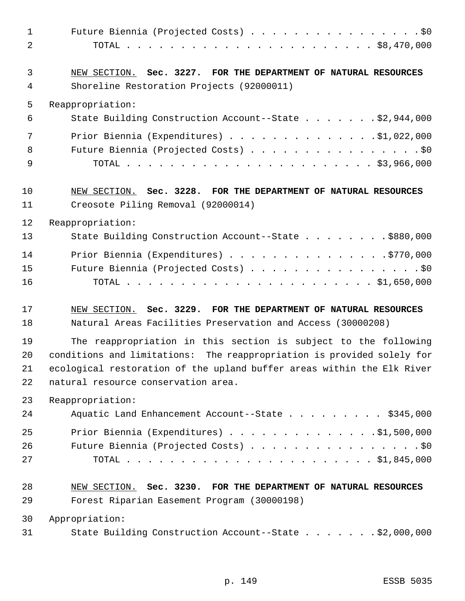| 1<br>$\overline{2}$ | Future Biennia (Projected Costs) \$0                                                                         |
|---------------------|--------------------------------------------------------------------------------------------------------------|
| 3<br>4              | NEW SECTION. Sec. 3227. FOR THE DEPARTMENT OF NATURAL RESOURCES<br>Shoreline Restoration Projects (92000011) |
| 5                   | Reappropriation:                                                                                             |
| 6                   | State Building Construction Account--State \$2,944,000                                                       |
| 7                   | Prior Biennia (Expenditures) $\ldots$ \$1,022,000                                                            |
| 8                   | Future Biennia (Projected Costs) \$0                                                                         |
| 9                   |                                                                                                              |
| 10                  | NEW SECTION. Sec. 3228. FOR THE DEPARTMENT OF NATURAL RESOURCES                                              |
| 11                  | Creosote Piling Removal (92000014)                                                                           |
| 12                  | Reappropriation:                                                                                             |
| 13                  | State Building Construction Account--State \$880,000                                                         |
| 14                  | Prior Biennia (Expenditures) \$770,000                                                                       |
| 15                  | Future Biennia (Projected Costs) \$0                                                                         |
| 16                  |                                                                                                              |
| 17                  | NEW SECTION. Sec. 3229. FOR THE DEPARTMENT OF NATURAL RESOURCES                                              |
| 18                  | Natural Areas Facilities Preservation and Access (30000208)                                                  |
| 19                  | The reappropriation in this section is subject to the following                                              |
| 20                  | conditions and limitations: The reappropriation is provided solely for                                       |
| 21                  | ecological restoration of the upland buffer areas within the Elk River                                       |
| 22                  | natural resource conservation area.                                                                          |
| 23                  | Reappropriation:                                                                                             |
| 24                  | Aquatic Land Enhancement Account--State \$345,000                                                            |
| 25                  | Prior Biennia (Expenditures) $\ldots$ 91,500,000                                                             |
| 26<br>27            | Future Biennia (Projected Costs) \$0                                                                         |
|                     |                                                                                                              |
| 28                  | NEW SECTION. Sec. 3230. FOR THE DEPARTMENT OF NATURAL RESOURCES                                              |
| 29                  | Forest Riparian Easement Program (30000198)                                                                  |
| 30                  | Appropriation:                                                                                               |
| 31                  | State Building Construction Account--State \$2,000,000                                                       |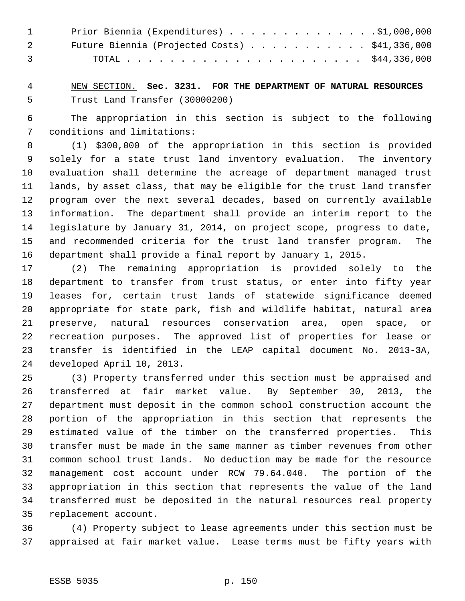| $\mathbf{1}$   | Prior Biennia (Expenditures) \$1,000,000               |  |
|----------------|--------------------------------------------------------|--|
|                | Future Biennia (Projected Costs) $\ldots$ \$41,336,000 |  |
| $\overline{3}$ |                                                        |  |

 NEW SECTION. **Sec. 3231. FOR THE DEPARTMENT OF NATURAL RESOURCES** Trust Land Transfer (30000200)

 The appropriation in this section is subject to the following conditions and limitations:

 (1) \$300,000 of the appropriation in this section is provided solely for a state trust land inventory evaluation. The inventory evaluation shall determine the acreage of department managed trust lands, by asset class, that may be eligible for the trust land transfer program over the next several decades, based on currently available information. The department shall provide an interim report to the legislature by January 31, 2014, on project scope, progress to date, and recommended criteria for the trust land transfer program. The department shall provide a final report by January 1, 2015.

 (2) The remaining appropriation is provided solely to the department to transfer from trust status, or enter into fifty year leases for, certain trust lands of statewide significance deemed appropriate for state park, fish and wildlife habitat, natural area preserve, natural resources conservation area, open space, or recreation purposes. The approved list of properties for lease or transfer is identified in the LEAP capital document No. 2013-3A, developed April 10, 2013.

 (3) Property transferred under this section must be appraised and transferred at fair market value. By September 30, 2013, the department must deposit in the common school construction account the portion of the appropriation in this section that represents the estimated value of the timber on the transferred properties. This transfer must be made in the same manner as timber revenues from other common school trust lands. No deduction may be made for the resource management cost account under RCW 79.64.040. The portion of the appropriation in this section that represents the value of the land transferred must be deposited in the natural resources real property replacement account.

 (4) Property subject to lease agreements under this section must be appraised at fair market value. Lease terms must be fifty years with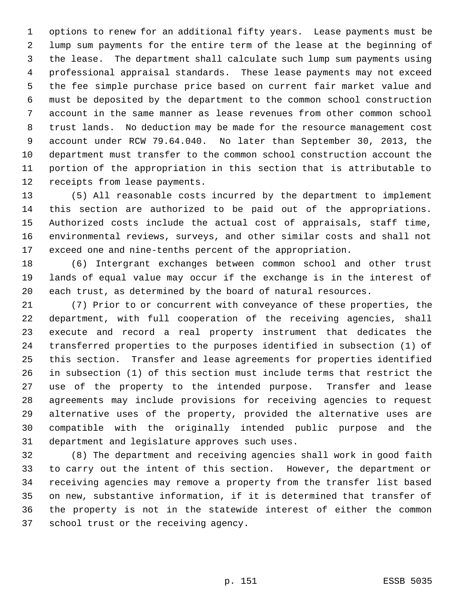options to renew for an additional fifty years. Lease payments must be lump sum payments for the entire term of the lease at the beginning of the lease. The department shall calculate such lump sum payments using professional appraisal standards. These lease payments may not exceed the fee simple purchase price based on current fair market value and must be deposited by the department to the common school construction account in the same manner as lease revenues from other common school trust lands. No deduction may be made for the resource management cost account under RCW 79.64.040. No later than September 30, 2013, the department must transfer to the common school construction account the portion of the appropriation in this section that is attributable to receipts from lease payments.

 (5) All reasonable costs incurred by the department to implement this section are authorized to be paid out of the appropriations. Authorized costs include the actual cost of appraisals, staff time, environmental reviews, surveys, and other similar costs and shall not exceed one and nine-tenths percent of the appropriation.

 (6) Intergrant exchanges between common school and other trust lands of equal value may occur if the exchange is in the interest of each trust, as determined by the board of natural resources.

 (7) Prior to or concurrent with conveyance of these properties, the department, with full cooperation of the receiving agencies, shall execute and record a real property instrument that dedicates the transferred properties to the purposes identified in subsection (1) of this section. Transfer and lease agreements for properties identified in subsection (1) of this section must include terms that restrict the use of the property to the intended purpose. Transfer and lease agreements may include provisions for receiving agencies to request alternative uses of the property, provided the alternative uses are compatible with the originally intended public purpose and the department and legislature approves such uses.

 (8) The department and receiving agencies shall work in good faith to carry out the intent of this section. However, the department or receiving agencies may remove a property from the transfer list based on new, substantive information, if it is determined that transfer of the property is not in the statewide interest of either the common school trust or the receiving agency.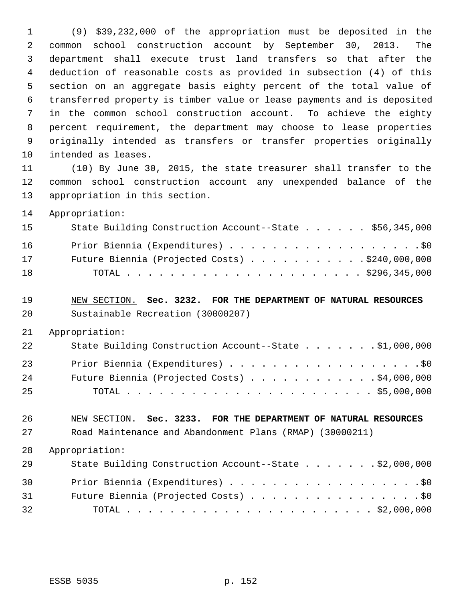(9) \$39,232,000 of the appropriation must be deposited in the common school construction account by September 30, 2013. The department shall execute trust land transfers so that after the deduction of reasonable costs as provided in subsection (4) of this section on an aggregate basis eighty percent of the total value of transferred property is timber value or lease payments and is deposited in the common school construction account. To achieve the eighty percent requirement, the department may choose to lease properties originally intended as transfers or transfer properties originally intended as leases.

 (10) By June 30, 2015, the state treasurer shall transfer to the common school construction account any unexpended balance of the appropriation in this section.

Appropriation:

| 15 | State Building Construction Account--State \$56,345,000 |
|----|---------------------------------------------------------|
| 16 | Prior Biennia (Expenditures) \$0                        |
| 17 | Future Biennia (Projected Costs) $\ldots$ \$240,000,000 |
| 18 |                                                         |

 NEW SECTION. **Sec. 3232. FOR THE DEPARTMENT OF NATURAL RESOURCES** Sustainable Recreation (30000207)

Appropriation:

| 22 | State Building Construction Account--State \$1,000,000 |
|----|--------------------------------------------------------|
| 23 | Prior Biennia (Expenditures) \$0                       |
| 24 | Future Biennia (Projected Costs) \$4,000,000           |
| 25 |                                                        |

## NEW SECTION. **Sec. 3233. FOR THE DEPARTMENT OF NATURAL RESOURCES** Road Maintenance and Abandonment Plans (RMAP) (30000211)

 Appropriation: 29 State Building Construction Account--State . . . . . . \$2,000,000 30 Prior Biennia (Expenditures) . . . . . . . . . . . . . . . . . . \$0 31 Future Biennia (Projected Costs) . . . . . . . . . . . . . . . . \$0 TOTAL . . . . . . . . . . . . . . . . . . . . . . . \$2,000,000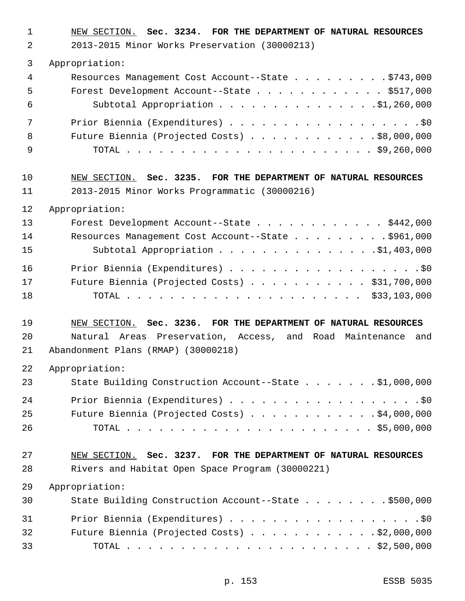| $\mathbf{1}$<br>$\overline{2}$ | NEW SECTION. Sec. 3234. FOR THE DEPARTMENT OF NATURAL RESOURCES<br>2013-2015 Minor Works Preservation (30000213) |
|--------------------------------|------------------------------------------------------------------------------------------------------------------|
| $\mathfrak{Z}$                 | Appropriation:                                                                                                   |
| 4                              | Resources Management Cost Account--State \$743,000                                                               |
| 5                              | Forest Development Account--State \$517,000                                                                      |
| 6                              | Subtotal Appropriation \$1,260,000                                                                               |
| 7                              |                                                                                                                  |
| 8                              | Future Biennia (Projected Costs) \$8,000,000                                                                     |
| 9                              |                                                                                                                  |
| 10                             | NEW SECTION. Sec. 3235. FOR THE DEPARTMENT OF NATURAL RESOURCES                                                  |
| 11                             | 2013-2015 Minor Works Programmatic (30000216)                                                                    |
| 12                             | Appropriation:                                                                                                   |
| 13                             | Forest Development Account--State \$442,000                                                                      |
| 14                             | Resources Management Cost Account--State \$961,000                                                               |
| 15                             | Subtotal Appropriation 91,403,000                                                                                |
| 16                             | Prior Biennia (Expenditures) \$0                                                                                 |
| 17                             | Future Biennia (Projected Costs) \$31,700,000                                                                    |
| 18                             |                                                                                                                  |
| 19                             | NEW SECTION. Sec. 3236. FOR THE DEPARTMENT OF NATURAL RESOURCES                                                  |
| 20                             | Natural Areas Preservation, Access, and Road Maintenance<br>and                                                  |
| 21                             | Abandonment Plans (RMAP) (30000218)                                                                              |
| 22                             | Appropriation:                                                                                                   |
| 23                             | State Building Construction Account--State \$1,000,000                                                           |
| 24                             | Prior Biennia (Expenditures) \$0                                                                                 |
| 25                             | Future Biennia (Projected Costs) \$4,000,000                                                                     |
| 26                             |                                                                                                                  |
| 27                             | NEW SECTION. Sec. 3237. FOR THE DEPARTMENT OF NATURAL RESOURCES                                                  |
| 28                             | Rivers and Habitat Open Space Program (30000221)                                                                 |
| 29                             | Appropriation:                                                                                                   |
| 30                             | State Building Construction Account--State \$500,000                                                             |
| 31                             | Prior Biennia (Expenditures) \$0                                                                                 |
| 32                             | Future Biennia (Projected Costs) $\ldots$ \$2,000,000                                                            |
| 33                             |                                                                                                                  |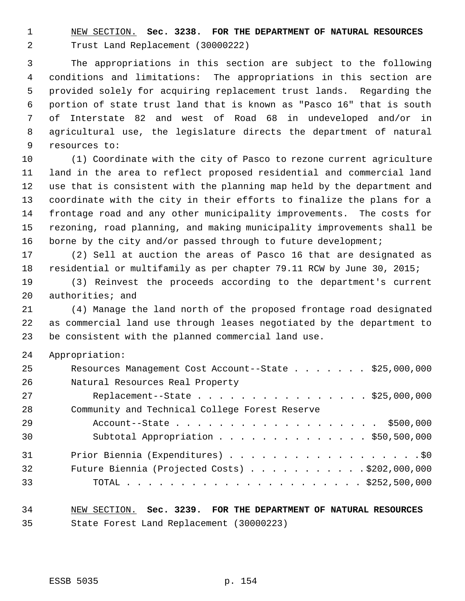NEW SECTION. **Sec. 3238. FOR THE DEPARTMENT OF NATURAL RESOURCES** Trust Land Replacement (30000222)

 The appropriations in this section are subject to the following conditions and limitations: The appropriations in this section are provided solely for acquiring replacement trust lands. Regarding the portion of state trust land that is known as "Pasco 16" that is south of Interstate 82 and west of Road 68 in undeveloped and/or in agricultural use, the legislature directs the department of natural resources to:

 (1) Coordinate with the city of Pasco to rezone current agriculture land in the area to reflect proposed residential and commercial land use that is consistent with the planning map held by the department and coordinate with the city in their efforts to finalize the plans for a frontage road and any other municipality improvements. The costs for rezoning, road planning, and making municipality improvements shall be 16 borne by the city and/or passed through to future development;

 (2) Sell at auction the areas of Pasco 16 that are designated as residential or multifamily as per chapter 79.11 RCW by June 30, 2015;

 (3) Reinvest the proceeds according to the department's current authorities; and

 (4) Manage the land north of the proposed frontage road designated as commercial land use through leases negotiated by the department to be consistent with the planned commercial land use.

Appropriation:

| 25 | Resources Management Cost Account--State \$25,000,000   |
|----|---------------------------------------------------------|
| 26 | Natural Resources Real Property                         |
| 27 | Replacement--State \$25,000,000                         |
| 28 | Community and Technical College Forest Reserve          |
| 29 | Account--State \$500,000                                |
| 30 | Subtotal Appropriation \$50,500,000                     |
| 31 | Prior Biennia (Expenditures) \$0                        |
| 32 | Future Biennia (Projected Costs) $\ldots$ \$202,000,000 |
| 33 |                                                         |

# NEW SECTION. **Sec. 3239. FOR THE DEPARTMENT OF NATURAL RESOURCES** State Forest Land Replacement (30000223)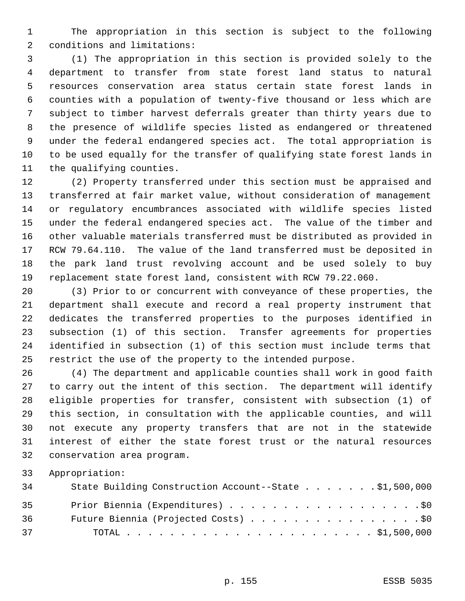The appropriation in this section is subject to the following conditions and limitations:

 (1) The appropriation in this section is provided solely to the department to transfer from state forest land status to natural resources conservation area status certain state forest lands in counties with a population of twenty-five thousand or less which are subject to timber harvest deferrals greater than thirty years due to the presence of wildlife species listed as endangered or threatened under the federal endangered species act. The total appropriation is to be used equally for the transfer of qualifying state forest lands in the qualifying counties.

 (2) Property transferred under this section must be appraised and transferred at fair market value, without consideration of management or regulatory encumbrances associated with wildlife species listed under the federal endangered species act. The value of the timber and other valuable materials transferred must be distributed as provided in RCW 79.64.110. The value of the land transferred must be deposited in the park land trust revolving account and be used solely to buy replacement state forest land, consistent with RCW 79.22.060.

 (3) Prior to or concurrent with conveyance of these properties, the department shall execute and record a real property instrument that dedicates the transferred properties to the purposes identified in subsection (1) of this section. Transfer agreements for properties identified in subsection (1) of this section must include terms that restrict the use of the property to the intended purpose.

 (4) The department and applicable counties shall work in good faith to carry out the intent of this section. The department will identify eligible properties for transfer, consistent with subsection (1) of this section, in consultation with the applicable counties, and will not execute any property transfers that are not in the statewide interest of either the state forest trust or the natural resources conservation area program.

Appropriation:

| 34 | State Building Construction Account--State \$1,500,000 |
|----|--------------------------------------------------------|
| 35 | Prior Biennia (Expenditures) \$0                       |
| 36 | Future Biennia (Projected Costs) \$0                   |
| 37 |                                                        |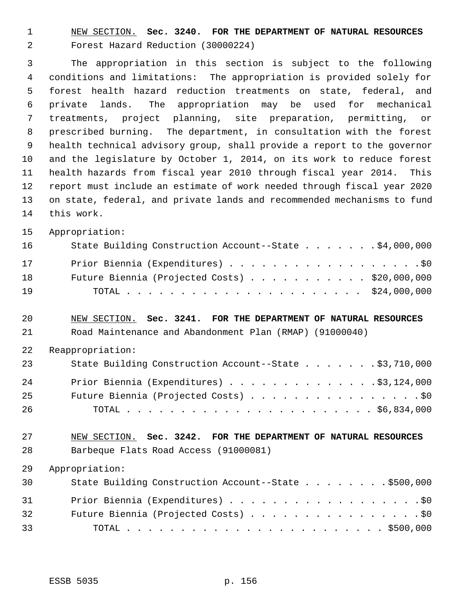NEW SECTION. **Sec. 3240. FOR THE DEPARTMENT OF NATURAL RESOURCES** Forest Hazard Reduction (30000224)

 The appropriation in this section is subject to the following conditions and limitations: The appropriation is provided solely for forest health hazard reduction treatments on state, federal, and private lands. The appropriation may be used for mechanical treatments, project planning, site preparation, permitting, or prescribed burning. The department, in consultation with the forest health technical advisory group, shall provide a report to the governor and the legislature by October 1, 2014, on its work to reduce forest health hazards from fiscal year 2010 through fiscal year 2014. This report must include an estimate of work needed through fiscal year 2020 on state, federal, and private lands and recommended mechanisms to fund this work.

Appropriation:

| 16 | State Building Construction Account--State \$4,000,000 |  |
|----|--------------------------------------------------------|--|
| 17 | Prior Biennia (Expenditures) \$0                       |  |
| 18 | Future Biennia (Projected Costs) \$20,000,000          |  |
| 19 |                                                        |  |

- NEW SECTION. **Sec. 3241. FOR THE DEPARTMENT OF NATURAL RESOURCES** Road Maintenance and Abandonment Plan (RMAP) (91000040)
- Reappropriation:

| 23 | State Building Construction Account--State \$3,710,000 |
|----|--------------------------------------------------------|
| 24 | Prior Biennia (Expenditures) $\ldots$ 93, 124, 000     |
| 25 | Future Biennia (Projected Costs) \$0                   |
| 26 |                                                        |

 NEW SECTION. **Sec. 3242. FOR THE DEPARTMENT OF NATURAL RESOURCES** Barbeque Flats Road Access (91000081)

Appropriation:

| 30 | State Building Construction Account--State \$500,000 |
|----|------------------------------------------------------|
| 31 | Prior Biennia (Expenditures) \$0                     |
| 32 | Future Biennia (Projected Costs) \$0                 |
| 33 |                                                      |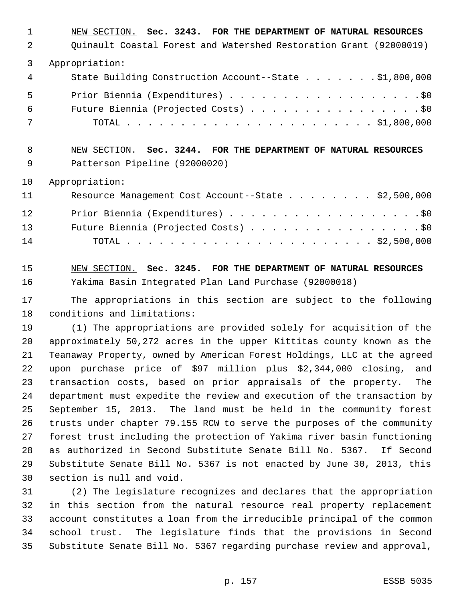| 1              | NEW SECTION. Sec. 3243. FOR THE DEPARTMENT OF NATURAL RESOURCES    |
|----------------|--------------------------------------------------------------------|
| $\mathfrak{D}$ | Quinault Coastal Forest and Watershed Restoration Grant (92000019) |
| 3              | Appropriation:                                                     |
| 4              | State Building Construction Account--State \$1,800,000             |
| 5              | Prior Biennia (Expenditures) \$0                                   |
| 6              | Future Biennia (Projected Costs) \$0                               |
| 7              |                                                                    |
| 8              | NEW SECTION. Sec. 3244. FOR THE DEPARTMENT OF NATURAL RESOURCES    |
| 9              | Patterson Pipeline (92000020)                                      |
| 10             | Appropriation:                                                     |

| 11              | Resource Management Cost Account--State \$2,500,000 |  |
|-----------------|-----------------------------------------------------|--|
| 12 <sup>°</sup> |                                                     |  |
| 13              | Future Biennia (Projected Costs) \$0                |  |
| 14              |                                                     |  |

 NEW SECTION. **Sec. 3245. FOR THE DEPARTMENT OF NATURAL RESOURCES** Yakima Basin Integrated Plan Land Purchase (92000018)

 The appropriations in this section are subject to the following conditions and limitations:

 (1) The appropriations are provided solely for acquisition of the approximately 50,272 acres in the upper Kittitas county known as the Teanaway Property, owned by American Forest Holdings, LLC at the agreed upon purchase price of \$97 million plus \$2,344,000 closing, and transaction costs, based on prior appraisals of the property. The department must expedite the review and execution of the transaction by September 15, 2013. The land must be held in the community forest trusts under chapter 79.155 RCW to serve the purposes of the community forest trust including the protection of Yakima river basin functioning as authorized in Second Substitute Senate Bill No. 5367. If Second Substitute Senate Bill No. 5367 is not enacted by June 30, 2013, this section is null and void.

 (2) The legislature recognizes and declares that the appropriation in this section from the natural resource real property replacement account constitutes a loan from the irreducible principal of the common school trust. The legislature finds that the provisions in Second Substitute Senate Bill No. 5367 regarding purchase review and approval,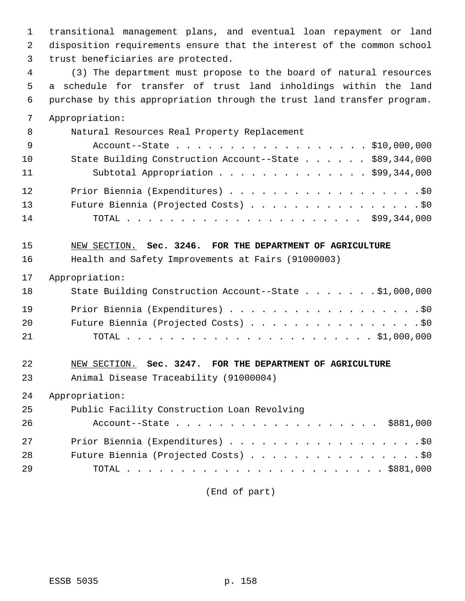transitional management plans, and eventual loan repayment or land disposition requirements ensure that the interest of the common school trust beneficiaries are protected.

 (3) The department must propose to the board of natural resources a schedule for transfer of trust land inholdings within the land purchase by this appropriation through the trust land transfer program. Appropriation:

| 8               | Natural Resources Real Property Replacement             |
|-----------------|---------------------------------------------------------|
| 9               | Account--State \$10,000,000                             |
| 10 <sub>1</sub> | State Building Construction Account--State \$89,344,000 |
| 11              | Subtotal Appropriation \$99,344,000                     |
| 12              | Prior Biennia (Expenditures) \$0                        |
| 13              | Future Biennia (Projected Costs) \$0                    |
| 14              |                                                         |

 NEW SECTION. **Sec. 3246. FOR THE DEPARTMENT OF AGRICULTURE** Health and Safety Improvements at Fairs (91000003)

#### Appropriation:

| 18 | State Building Construction Account--State \$1,000,000 |
|----|--------------------------------------------------------|
| 19 | Prior Biennia (Expenditures) \$0                       |
| 20 | Future Biennia (Projected Costs) \$0                   |
| 21 |                                                        |

# NEW SECTION. **Sec. 3247. FOR THE DEPARTMENT OF AGRICULTURE** Animal Disease Traceability (91000004)

Appropriation:

| 25 | Public Facility Construction Loan Revolving |
|----|---------------------------------------------|
| 26 | Account--State \$881,000                    |
| 27 | Prior Biennia (Expenditures) \$0            |
| 28 | Future Biennia (Projected Costs) \$0        |
| 29 |                                             |

(End of part)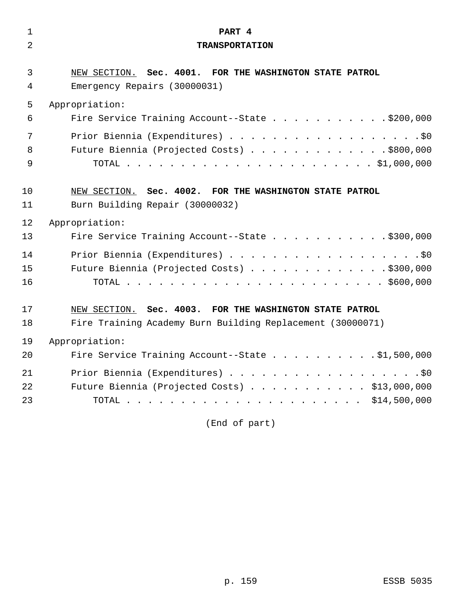| $\mathbf 1$    | PART 4                                                     |
|----------------|------------------------------------------------------------|
| $\overline{2}$ | <b>TRANSPORTATION</b>                                      |
|                |                                                            |
| 3              | NEW SECTION. Sec. 4001. FOR THE WASHINGTON STATE PATROL    |
| 4              | Emergency Repairs (30000031)                               |
| 5              | Appropriation:                                             |
| 6              | Fire Service Training Account--State \$200,000             |
| 7              | Prior Biennia (Expenditures) \$0                           |
| 8              | Future Biennia (Projected Costs) \$800,000                 |
| 9              |                                                            |
|                |                                                            |
| 10             | NEW SECTION. Sec. 4002. FOR THE WASHINGTON STATE PATROL    |
| 11             | Burn Building Repair (30000032)                            |
| 12             | Appropriation:                                             |
| 13             | Fire Service Training Account--State \$300,000             |
| 14             | Prior Biennia (Expenditures) \$0                           |
| 15             | Future Biennia (Projected Costs) \$300,000                 |
| 16             |                                                            |
|                |                                                            |
| 17             | NEW SECTION. Sec. 4003. FOR THE WASHINGTON STATE PATROL    |
| 18             | Fire Training Academy Burn Building Replacement (30000071) |
| 19             | Appropriation:                                             |
| 20             | Fire Service Training Account--State \$1,500,000           |
| 21             | Prior Biennia (Expenditures) \$0                           |
| 22             | Future Biennia (Projected Costs) \$13,000,000              |
| 23             |                                                            |
|                |                                                            |

(End of part)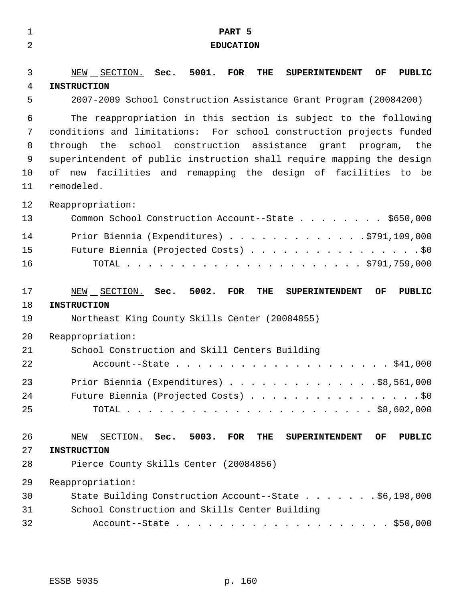| $\mathbf 1$    | PART 5                                                                                |
|----------------|---------------------------------------------------------------------------------------|
| $\overline{2}$ | <b>EDUCATION</b>                                                                      |
|                |                                                                                       |
| 3              | NEW SECTION. Sec. 5001. FOR<br>THE<br><b>SUPERINTENDENT</b><br>OF<br><b>PUBLIC</b>    |
| 4              | <b>INSTRUCTION</b>                                                                    |
| 5              | 2007-2009 School Construction Assistance Grant Program (20084200)                     |
| 6              | The reappropriation in this section is subject to the following                       |
| 7              | conditions and limitations: For school construction projects funded                   |
| 8              | school construction assistance grant program, the<br>through the                      |
| 9              | superintendent of public instruction shall require mapping the design                 |
| 10             | of new facilities and remapping the design of facilities to be                        |
| 11             | remodeled.                                                                            |
| 12             | Reappropriation:                                                                      |
| 13             | Common School Construction Account--State \$650,000                                   |
| 14             | Prior Biennia (Expenditures) \$791,109,000                                            |
| 15             | Future Biennia (Projected Costs) \$0                                                  |
| 16             |                                                                                       |
|                |                                                                                       |
| 17             | NEW SECTION. Sec. 5002.<br>FOR<br>THE<br><b>SUPERINTENDENT</b><br>OF<br><b>PUBLIC</b> |
| 18             | <b>INSTRUCTION</b>                                                                    |
| 19             | Northeast King County Skills Center (20084855)                                        |
| 20             | Reappropriation:                                                                      |
| 21             | School Construction and Skill Centers Building                                        |
| 22             |                                                                                       |
| 23             | Prior Biennia (Expenditures) $\ldots$ \$8,561,000                                     |
| 24             |                                                                                       |
|                | Future Biennia (Projected Costs) \$0                                                  |
| 25             |                                                                                       |
|                |                                                                                       |
| 26             | NEW SECTION. Sec. 5003. FOR<br><b>PUBLIC</b><br>THE<br><b>SUPERINTENDENT</b><br>OF    |
| 27             | <b>INSTRUCTION</b>                                                                    |
| 28             | Pierce County Skills Center (20084856)                                                |
| 29             | Reappropriation:                                                                      |
| 30             | State Building Construction Account--State \$6,198,000                                |
| 31             | School Construction and Skills Center Building                                        |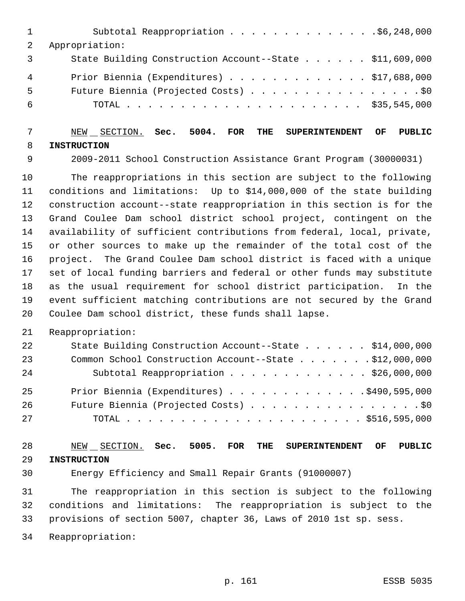| 1              | Subtotal Reappropriation \$6,248,000                    |
|----------------|---------------------------------------------------------|
|                | Appropriation:                                          |
| $\overline{3}$ | State Building Construction Account--State \$11,609,000 |
| 4              | Prior Biennia (Expenditures) $\ldots$ \$17,688,000      |
| 5              | Future Biennia (Projected Costs) \$0                    |
| 6              |                                                         |
|                |                                                         |

### NEW SECTION. **Sec. 5004. FOR THE SUPERINTENDENT OF PUBLIC INSTRUCTION**

2009-2011 School Construction Assistance Grant Program (30000031)

 The reappropriations in this section are subject to the following conditions and limitations: Up to \$14,000,000 of the state building construction account--state reappropriation in this section is for the Grand Coulee Dam school district school project, contingent on the availability of sufficient contributions from federal, local, private, or other sources to make up the remainder of the total cost of the project. The Grand Coulee Dam school district is faced with a unique set of local funding barriers and federal or other funds may substitute as the usual requirement for school district participation. In the event sufficient matching contributions are not secured by the Grand Coulee Dam school district, these funds shall lapse.

#### Reappropriation:

| 22 | State Building Construction Account--State \$14,000,000 |
|----|---------------------------------------------------------|
| 23 | Common School Construction Account--State \$12,000,000  |
| 24 | Subtotal Reappropriation \$26,000,000                   |
| 25 | Prior Biennia (Expenditures) \$490,595,000              |
| 26 | Future Biennia (Projected Costs) \$0                    |
| 27 |                                                         |

## NEW SECTION. **Sec. 5005. FOR THE SUPERINTENDENT OF PUBLIC INSTRUCTION**

Energy Efficiency and Small Repair Grants (91000007)

 The reappropriation in this section is subject to the following conditions and limitations: The reappropriation is subject to the provisions of section 5007, chapter 36, Laws of 2010 1st sp. sess.

Reappropriation: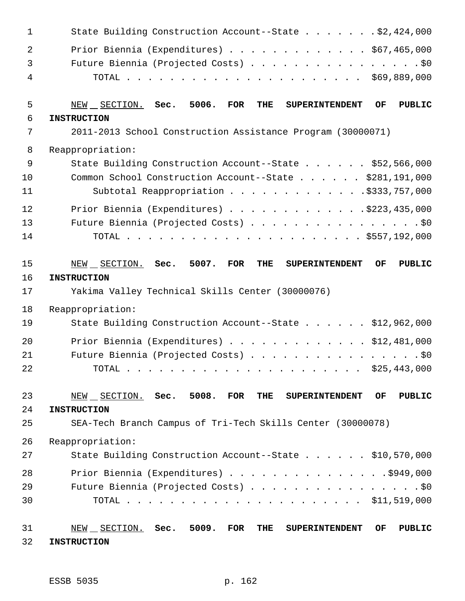| $\mathbf{1}$   | State Building Construction Account--State \$2,424,000                                                                       |
|----------------|------------------------------------------------------------------------------------------------------------------------------|
| $\overline{2}$ | Prior Biennia (Expenditures) \$67,465,000                                                                                    |
| 3              | Future Biennia (Projected Costs) \$0                                                                                         |
| 4              |                                                                                                                              |
| 5              | 5006.<br><b>FOR</b><br><b>PUBLIC</b><br>NEW SECTION. Sec.<br>THE<br><b>SUPERINTENDENT</b><br>OF                              |
| 6              | <b>INSTRUCTION</b>                                                                                                           |
| 7              | 2011-2013 School Construction Assistance Program (30000071)                                                                  |
| 8              | Reappropriation:                                                                                                             |
| 9              | State Building Construction Account--State \$52,566,000                                                                      |
| 10             | Common School Construction Account--State \$281,191,000                                                                      |
| 11             | Subtotal Reappropriation \$333,757,000                                                                                       |
| 12             | Prior Biennia (Expenditures) \$223,435,000                                                                                   |
| 13             | Future Biennia (Projected Costs) \$0                                                                                         |
| 14             |                                                                                                                              |
| 15<br>16       | Sec. 5007.<br><b>FOR</b><br>NEW SECTION.<br><b>THE</b><br><b>SUPERINTENDENT</b><br>OF<br><b>PUBLIC</b><br><b>INSTRUCTION</b> |
| 17             | Yakima Valley Technical Skills Center (30000076)                                                                             |
| 18             | Reappropriation:                                                                                                             |
| 19             | State Building Construction Account--State \$12,962,000                                                                      |
| 20             | Prior Biennia (Expenditures) \$12,481,000                                                                                    |
| 21             | Future Biennia (Projected Costs) \$0                                                                                         |
| 22             | TOTAL<br>\$25,443,000<br>$\frac{1}{2}$                                                                                       |
| 23<br>24       | NEW SECTION. Sec. 5008.<br>FOR<br>THE<br><b>PUBLIC</b><br>OF<br><b>SUPERINTENDENT</b><br><b>INSTRUCTION</b>                  |
| 25             | SEA-Tech Branch Campus of Tri-Tech Skills Center (30000078)                                                                  |
| 26             | Reappropriation:                                                                                                             |
| 27             | State Building Construction Account--State \$10,570,000                                                                      |
| 28             | Prior Biennia (Expenditures) \$949,000                                                                                       |
| 29             | Future Biennia (Projected Costs) \$0                                                                                         |
| 30             |                                                                                                                              |
| 31<br>32       | $NEW$ $SECTION.$ Sec. 5009.<br>FOR<br><b>PUBLIC</b><br>THE<br>OF<br><b>SUPERINTENDENT</b><br><b>INSTRUCTION</b>              |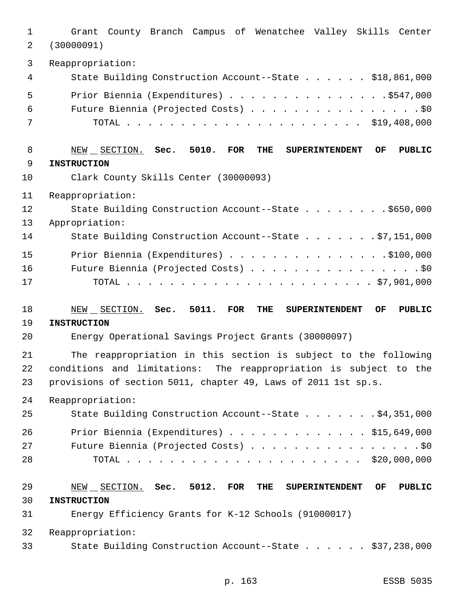Grant County Branch Campus of Wenatchee Valley Skills Center (30000091) Reappropriation: State Building Construction Account--State . . . . . . \$18,861,000 5 Prior Biennia (Expenditures) . . . . . . . . . . . . . . . \$547,000 Future Biennia (Projected Costs) . . . . . . . . . . . . . . . . \$0 TOTAL . . . . . . . . . . . . . . . . . . . . . . \$19,408,000 NEW SECTION. **Sec. 5010. FOR THE SUPERINTENDENT OF PUBLIC INSTRUCTION** Clark County Skills Center (30000093) Reappropriation: 12 State Building Construction Account--State . . . . . . . \$650,000 Appropriation: State Building Construction Account--State . . . . . . . \$7,151,000 15 Prior Biennia (Expenditures) . . . . . . . . . . . . . . . \$100,000 Future Biennia (Projected Costs) . . . . . . . . . . . . . . . . \$0 TOTAL . . . . . . . . . . . . . . . . . . . . . . . \$7,901,000 NEW SECTION. **Sec. 5011. FOR THE SUPERINTENDENT OF PUBLIC INSTRUCTION** Energy Operational Savings Project Grants (30000097) The reappropriation in this section is subject to the following conditions and limitations: The reappropriation is subject to the provisions of section 5011, chapter 49, Laws of 2011 1st sp.s. Reappropriation: State Building Construction Account--State . . . . . . . \$4,351,000 Prior Biennia (Expenditures) . . . . . . . . . . . . . \$15,649,000 27 Future Biennia (Projected Costs) . . . . . . . . . . . . . . . . \$0 TOTAL . . . . . . . . . . . . . . . . . . . . . . \$20,000,000 NEW SECTION. **Sec. 5012. FOR THE SUPERINTENDENT OF PUBLIC INSTRUCTION** Energy Efficiency Grants for K-12 Schools (91000017) Reappropriation: State Building Construction Account--State . . . . . . \$37,238,000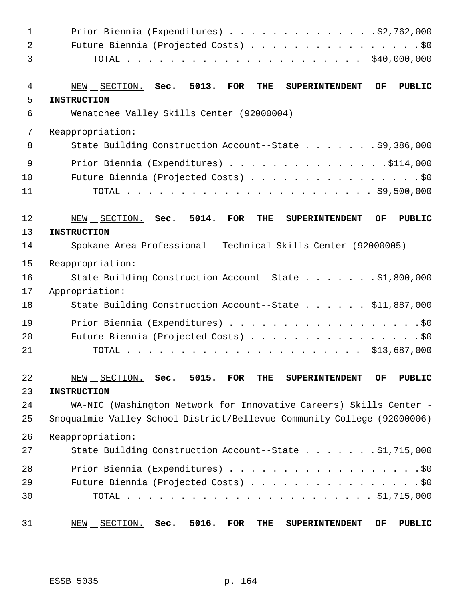| $\mathbf 1$    | Prior Biennia (Expenditures) $\ldots$ 92,762,000                                                   |
|----------------|----------------------------------------------------------------------------------------------------|
| $\overline{a}$ | Future Biennia (Projected Costs) \$0                                                               |
| 3              |                                                                                                    |
| 4              | 5013.<br>$NEW$ $SECTION.$ Sec.<br>FOR<br>THE<br><b>SUPERINTENDENT</b><br>OF.<br>PUBLIC             |
| 5              | <b>INSTRUCTION</b>                                                                                 |
| 6              | Wenatchee Valley Skills Center (92000004)                                                          |
| 7              | Reappropriation:                                                                                   |
| 8              | State Building Construction Account--State \$9,386,000                                             |
| 9              | Prior Biennia (Expenditures) $\ldots$ 9114,000                                                     |
| 10             | Future Biennia (Projected Costs) \$0                                                               |
| 11             |                                                                                                    |
| 12             | 5014.<br><b>FOR</b><br><b>PUBLIC</b><br>NEW SECTION. Sec.<br>THE<br><b>SUPERINTENDENT</b><br>OF    |
| 13             | <b>INSTRUCTION</b>                                                                                 |
| 14             | Spokane Area Professional - Technical Skills Center (92000005)                                     |
| 15             | Reappropriation:                                                                                   |
| 16             | State Building Construction Account--State \$1,800,000                                             |
| 17             | Appropriation:                                                                                     |
| 18             | State Building Construction Account--State \$11,887,000                                            |
| 19             | Prior Biennia (Expenditures) \$0                                                                   |
| 20             | Future Biennia (Projected Costs) \$0                                                               |
| 21             |                                                                                                    |
| 22             | $NEW$ $SECTION$ . Sec. 5015.<br><b>FOR</b><br>THE<br><b>PUBLIC</b><br><b>SUPERINTENDENT</b><br>OF. |
| 23             | <b>INSTRUCTION</b>                                                                                 |
| 24             | WA-NIC (Washington Network for Innovative Careers) Skills Center -                                 |
| 25             | Snoqualmie Valley School District/Bellevue Community College (92000006)                            |
| 26             | Reappropriation:                                                                                   |
| 27             | State Building Construction Account--State \$1,715,000                                             |
| 28             | Prior Biennia (Expenditures) \$0                                                                   |
| 29             |                                                                                                    |
| 30             |                                                                                                    |
| 31             | 5016.<br>$NEW$ $SECTION.$ Sec.<br>FOR<br><b>PUBLIC</b><br>THE<br><b>SUPERINTENDENT</b><br>OF.      |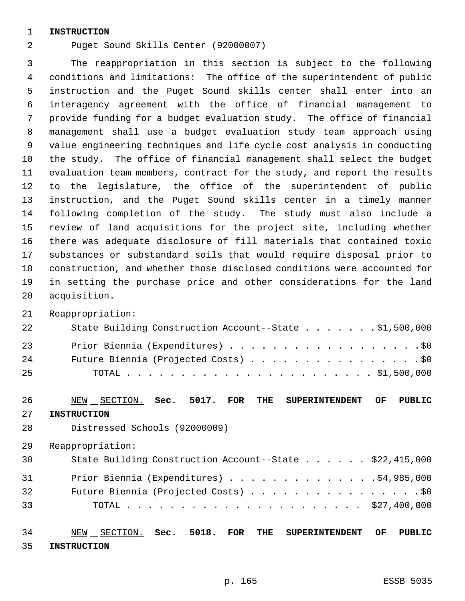#### **INSTRUCTION**

Puget Sound Skills Center (92000007)

 The reappropriation in this section is subject to the following conditions and limitations: The office of the superintendent of public instruction and the Puget Sound skills center shall enter into an interagency agreement with the office of financial management to provide funding for a budget evaluation study. The office of financial management shall use a budget evaluation study team approach using value engineering techniques and life cycle cost analysis in conducting the study. The office of financial management shall select the budget evaluation team members, contract for the study, and report the results to the legislature, the office of the superintendent of public instruction, and the Puget Sound skills center in a timely manner following completion of the study. The study must also include a review of land acquisitions for the project site, including whether there was adequate disclosure of fill materials that contained toxic substances or substandard soils that would require disposal prior to construction, and whether those disclosed conditions were accounted for in setting the purchase price and other considerations for the land acquisition.

Reappropriation:

| 22  | State Building Construction Account--State \$1,500,000 |
|-----|--------------------------------------------------------|
| 23  | Prior Biennia (Expenditures) \$0                       |
| 24  | Future Biennia (Projected Costs) \$0                   |
| -25 |                                                        |

### NEW SECTION. **Sec. 5017. FOR THE SUPERINTENDENT OF PUBLIC**

**INSTRUCTION**

- Distressed Schools (92000009)
- Reappropriation:

| 30 | State Building Construction Account--State \$22,415,000 |  |
|----|---------------------------------------------------------|--|
| 31 | Prior Biennia (Expenditures) \$4,985,000                |  |
| 32 | Future Biennia (Projected Costs) \$0                    |  |
| 33 |                                                         |  |
|    |                                                         |  |

 NEW SECTION. **Sec. 5018. FOR THE SUPERINTENDENT OF PUBLIC INSTRUCTION**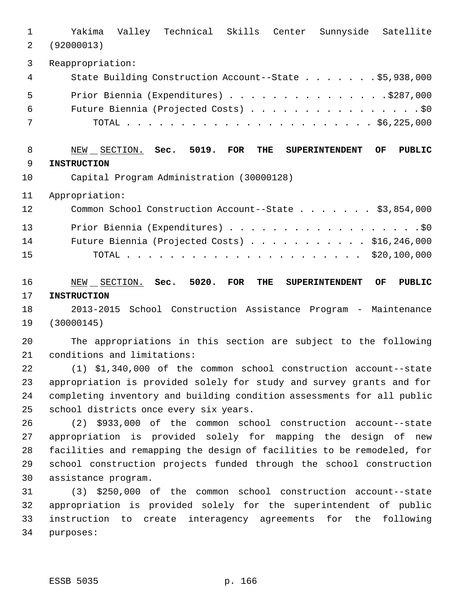Yakima Valley Technical Skills Center Sunnyside Satellite (92000013) Reappropriation: State Building Construction Account--State . . . . . . . \$5,938,000 Prior Biennia (Expenditures) . . . . . . . . . . . . . . .\$287,000 Future Biennia (Projected Costs) . . . . . . . . . . . . . . . . \$0 TOTAL . . . . . . . . . . . . . . . . . . . . . . . \$6,225,000 NEW SECTION. **Sec. 5019. FOR THE SUPERINTENDENT OF PUBLIC INSTRUCTION** Capital Program Administration (30000128) Appropriation: Common School Construction Account--State . . . . . . . \$3,854,000

13 Prior Biennia (Expenditures) . . . . . . . . . . . . . . . . . . \$0 Future Biennia (Projected Costs) . . . . . . . . . . . \$16,246,000 TOTAL . . . . . . . . . . . . . . . . . . . . . . \$20,100,000

 NEW SECTION. **Sec. 5020. FOR THE SUPERINTENDENT OF PUBLIC INSTRUCTION**

 2013-2015 School Construction Assistance Program - Maintenance (30000145)

 The appropriations in this section are subject to the following conditions and limitations:

 (1) \$1,340,000 of the common school construction account--state appropriation is provided solely for study and survey grants and for completing inventory and building condition assessments for all public school districts once every six years.

 (2) \$933,000 of the common school construction account--state appropriation is provided solely for mapping the design of new facilities and remapping the design of facilities to be remodeled, for school construction projects funded through the school construction assistance program.

 (3) \$250,000 of the common school construction account--state appropriation is provided solely for the superintendent of public instruction to create interagency agreements for the following purposes: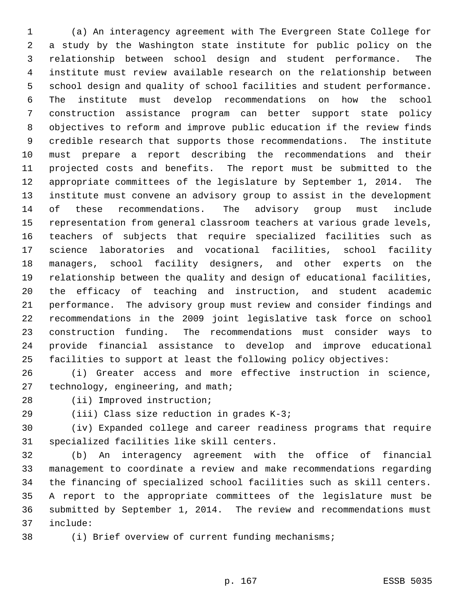(a) An interagency agreement with The Evergreen State College for a study by the Washington state institute for public policy on the relationship between school design and student performance. The institute must review available research on the relationship between school design and quality of school facilities and student performance. The institute must develop recommendations on how the school construction assistance program can better support state policy objectives to reform and improve public education if the review finds credible research that supports those recommendations. The institute must prepare a report describing the recommendations and their projected costs and benefits. The report must be submitted to the appropriate committees of the legislature by September 1, 2014. The institute must convene an advisory group to assist in the development of these recommendations. The advisory group must include representation from general classroom teachers at various grade levels, teachers of subjects that require specialized facilities such as science laboratories and vocational facilities, school facility managers, school facility designers, and other experts on the relationship between the quality and design of educational facilities, the efficacy of teaching and instruction, and student academic performance. The advisory group must review and consider findings and recommendations in the 2009 joint legislative task force on school construction funding. The recommendations must consider ways to provide financial assistance to develop and improve educational facilities to support at least the following policy objectives:

- (i) Greater access and more effective instruction in science, 27 technology, engineering, and math;
- 

(ii) Improved instruction;

(iii) Class size reduction in grades K-3;

 (iv) Expanded college and career readiness programs that require specialized facilities like skill centers.

 (b) An interagency agreement with the office of financial management to coordinate a review and make recommendations regarding the financing of specialized school facilities such as skill centers. A report to the appropriate committees of the legislature must be submitted by September 1, 2014. The review and recommendations must include:

(i) Brief overview of current funding mechanisms;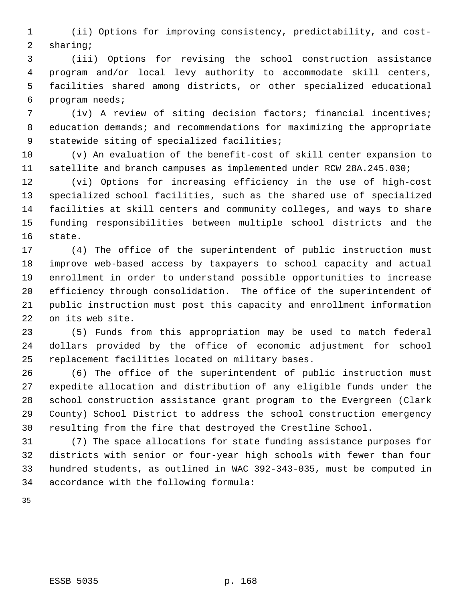(ii) Options for improving consistency, predictability, and cost- sharing;

 (iii) Options for revising the school construction assistance program and/or local levy authority to accommodate skill centers, facilities shared among districts, or other specialized educational program needs;

 (iv) A review of siting decision factors; financial incentives; education demands; and recommendations for maximizing the appropriate statewide siting of specialized facilities;

 (v) An evaluation of the benefit-cost of skill center expansion to satellite and branch campuses as implemented under RCW 28A.245.030;

 (vi) Options for increasing efficiency in the use of high-cost specialized school facilities, such as the shared use of specialized facilities at skill centers and community colleges, and ways to share funding responsibilities between multiple school districts and the state.

 (4) The office of the superintendent of public instruction must improve web-based access by taxpayers to school capacity and actual enrollment in order to understand possible opportunities to increase efficiency through consolidation. The office of the superintendent of public instruction must post this capacity and enrollment information on its web site.

 (5) Funds from this appropriation may be used to match federal dollars provided by the office of economic adjustment for school replacement facilities located on military bases.

 (6) The office of the superintendent of public instruction must expedite allocation and distribution of any eligible funds under the school construction assistance grant program to the Evergreen (Clark County) School District to address the school construction emergency resulting from the fire that destroyed the Crestline School.

 (7) The space allocations for state funding assistance purposes for districts with senior or four-year high schools with fewer than four hundred students, as outlined in WAC 392-343-035, must be computed in accordance with the following formula: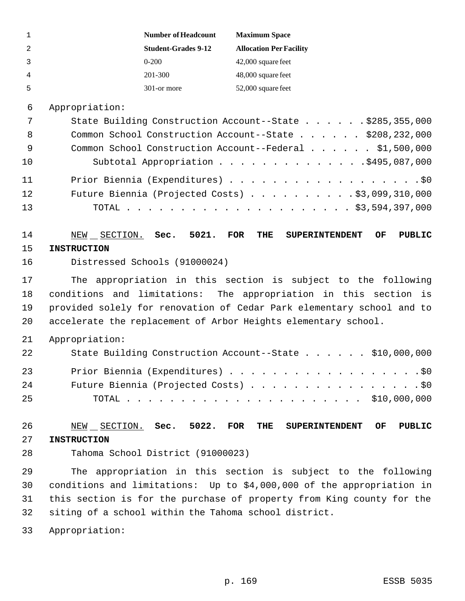| 1  |                    | <b>Number of Headcount</b>        | <b>Maximum Space</b>                                                  |
|----|--------------------|-----------------------------------|-----------------------------------------------------------------------|
| 2  |                    | <b>Student-Grades 9-12</b>        | <b>Allocation Per Facility</b>                                        |
| 3  |                    | $0 - 200$                         | 42,000 square feet                                                    |
| 4  |                    | 201-300                           | 48,000 square feet                                                    |
| 5  |                    | 301-or more                       | 52,000 square feet                                                    |
| 6  | Appropriation:     |                                   |                                                                       |
| 7  |                    |                                   | State Building Construction Account--State \$285,355,000              |
| 8  |                    |                                   | Common School Construction Account--State \$208,232,000               |
| 9  |                    |                                   | Common School Construction Account--Federal \$1,500,000               |
| 10 |                    |                                   | Subtotal Appropriation \$495,087,000                                  |
| 11 |                    |                                   |                                                                       |
| 12 |                    |                                   | Future Biennia (Projected Costs) \$3,099,310,000                      |
| 13 |                    |                                   |                                                                       |
|    |                    |                                   |                                                                       |
| 14 | NEW __ SECTION.    | Sec.<br>5021.                     | <b>FOR</b><br>THE<br><b>SUPERINTENDENT</b><br>OF<br><b>PUBLIC</b>     |
| 15 | <b>INSTRUCTION</b> |                                   |                                                                       |
| 16 |                    | Distressed Schools (91000024)     |                                                                       |
| 17 |                    |                                   | The appropriation in this section is subject to the following         |
| 18 |                    |                                   | conditions and limitations: The appropriation in this section is      |
| 19 |                    |                                   | provided solely for renovation of Cedar Park elementary school and to |
| 20 |                    |                                   | accelerate the replacement of Arbor Heights elementary school.        |
| 21 | Appropriation:     |                                   |                                                                       |
| 22 |                    |                                   | State Building Construction Account--State \$10,000,000               |
| 23 |                    |                                   | Prior Biennia (Expenditures) \$0                                      |
| 24 |                    |                                   | Future Biennia (Projected Costs) \$0                                  |
| 25 |                    |                                   |                                                                       |
|    |                    |                                   |                                                                       |
| 26 |                    | NEW SECTION. Sec. 5022.           | <b>PUBLIC</b><br><b>FOR</b><br>THE<br><b>SUPERINTENDENT</b><br>OF     |
| 27 | <b>INSTRUCTION</b> |                                   |                                                                       |
| 28 |                    | Tahoma School District (91000023) |                                                                       |
| 29 |                    |                                   | The appropriation in this section is subject to the following         |
| 30 |                    |                                   | conditions and limitations: Up to \$4,000,000 of the appropriation in |
| 31 |                    |                                   | this section is for the purchase of property from King county for the |
| 32 |                    |                                   | siting of a school within the Tahoma school district.                 |
| 33 | Appropriation:     |                                   |                                                                       |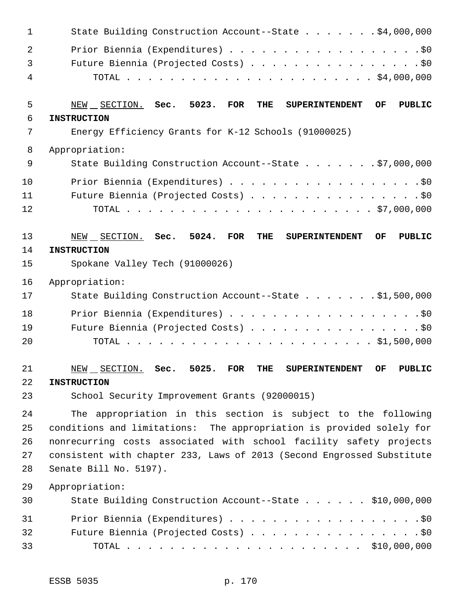| 1              | State Building Construction Account--State \$4,000,000                                          |
|----------------|-------------------------------------------------------------------------------------------------|
| $\overline{2}$ | Prior Biennia (Expenditures) \$0                                                                |
| 3              | Future Biennia (Projected Costs) \$0                                                            |
| 4              |                                                                                                 |
| 5              | NEW SECTION. Sec.<br>5023.<br>FOR<br>THE<br><b>OF</b><br>PUBLIC<br><b>SUPERINTENDENT</b>        |
| 6<br>7         | <b>INSTRUCTION</b><br>Energy Efficiency Grants for K-12 Schools (91000025)                      |
|                |                                                                                                 |
| 8<br>9         | Appropriation:<br>State Building Construction Account--State \$7,000,000                        |
|                |                                                                                                 |
| 10             | Prior Biennia (Expenditures) \$0                                                                |
| 11<br>12       | Future Biennia (Projected Costs) \$0                                                            |
|                |                                                                                                 |
| 13             | 5024.<br><b>FOR</b><br><b>PUBLIC</b><br>NEW SECTION. Sec.<br>THE<br><b>SUPERINTENDENT</b><br>OF |
| 14             | <b>INSTRUCTION</b>                                                                              |
| 15             | Spokane Valley Tech (91000026)                                                                  |
| 16             | Appropriation:                                                                                  |
| 17             | State Building Construction Account--State \$1,500,000                                          |
| 18             | Prior Biennia (Expenditures) \$0                                                                |
| 19             | Future Biennia (Projected Costs) \$0                                                            |
| 20             |                                                                                                 |
| 21             | $NEW$ SECTION. Sec. 5025. FOR THE SUPERINTENDENT OF PUBLIC                                      |
| 22             | <b>INSTRUCTION</b>                                                                              |
| 23             | School Security Improvement Grants (92000015)                                                   |
| 24             | The appropriation in this section is subject to the following                                   |
| 25             | conditions and limitations: The appropriation is provided solely for                            |
| 26             | nonrecurring costs associated with school facility safety projects                              |
| 27             | consistent with chapter 233, Laws of 2013 (Second Engrossed Substitute                          |
| 28             | Senate Bill No. 5197).                                                                          |
| 29             | Appropriation:                                                                                  |
| 30             | State Building Construction Account--State \$10,000,000                                         |
| 31             | Prior Biennia (Expenditures) \$0                                                                |
| 32             | Future Biennia (Projected Costs) \$0                                                            |
| 33             |                                                                                                 |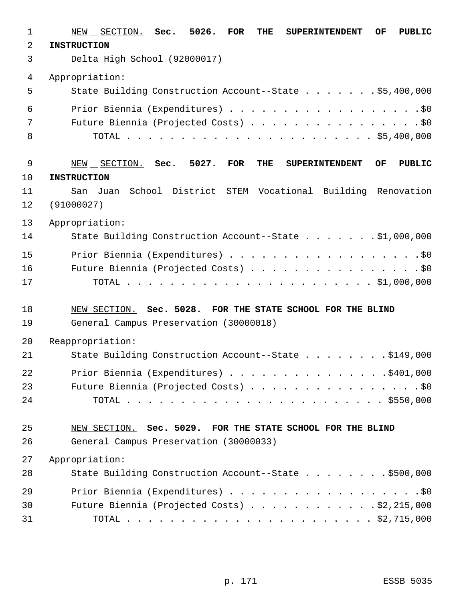| $\mathbf{1}$   | NEW SECTION. Sec. 5026. FOR<br>THE<br>OF<br><b>PUBLIC</b><br><b>SUPERINTENDENT</b>                 |
|----------------|----------------------------------------------------------------------------------------------------|
| $\overline{a}$ | <b>INSTRUCTION</b>                                                                                 |
| 3              | Delta High School (92000017)                                                                       |
| 4              | Appropriation:                                                                                     |
| 5              | State Building Construction Account--State \$5,400,000                                             |
| 6              | Prior Biennia (Expenditures) \$0                                                                   |
| 7              | Future Biennia (Projected Costs) \$0                                                               |
| 8              |                                                                                                    |
| 9              | 5027.<br>Sec.<br><b>FOR</b><br>THE<br>OF<br><b>PUBLIC</b><br>NEW SECTION.<br><b>SUPERINTENDENT</b> |
| 10             | <b>INSTRUCTION</b>                                                                                 |
| 11             | School District STEM Vocational Building Renovation<br>San<br>Juan                                 |
| 12             | (91000027)                                                                                         |
| 13             | Appropriation:                                                                                     |
| 14             | State Building Construction Account--State \$1,000,000                                             |
| 15             |                                                                                                    |
| 16             | Future Biennia (Projected Costs) \$0                                                               |
| 17             |                                                                                                    |
| 18             | NEW SECTION. Sec. 5028. FOR THE STATE SCHOOL FOR THE BLIND                                         |
| 19             | General Campus Preservation (30000018)                                                             |
| 20             | Reappropriation:                                                                                   |
| 21             | State Building Construction Account--State \$149,000                                               |
| 22             | Prior Biennia (Expenditures) $\ldots$ 9401,000                                                     |
| 23             | Future Biennia (Projected Costs) \$0                                                               |
| 24             |                                                                                                    |
| 25             | NEW SECTION. Sec. 5029. FOR THE STATE SCHOOL FOR THE BLIND                                         |
| 26             | General Campus Preservation (30000033)                                                             |
| 27             | Appropriation:                                                                                     |
| 28             | State Building Construction Account--State \$500,000                                               |
| 29             |                                                                                                    |
| 30             | Future Biennia (Projected Costs) \$2,215,000                                                       |
| 31             |                                                                                                    |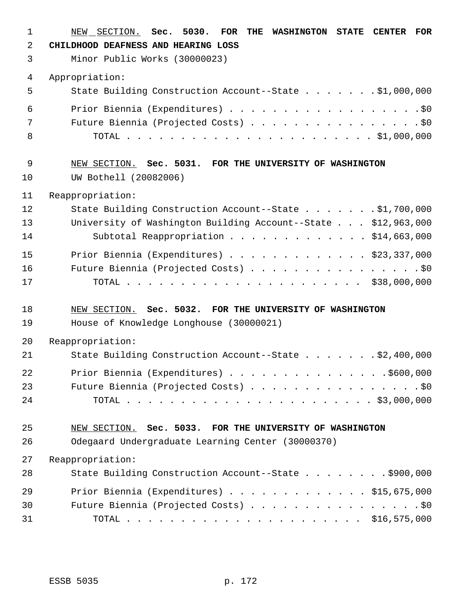| $\mathbf{1}$ | NEW SECTION. Sec. 5030.<br>FOR THE WASHINGTON STATE<br><b>CENTER</b><br><b>FOR</b> |
|--------------|------------------------------------------------------------------------------------|
| 2            | CHILDHOOD DEAFNESS AND HEARING LOSS                                                |
| 3            | Minor Public Works (30000023)                                                      |
| 4            | Appropriation:                                                                     |
| 5            | State Building Construction Account--State \$1,000,000                             |
| 6            | Prior Biennia (Expenditures) \$0                                                   |
| 7            | Future Biennia (Projected Costs) \$0                                               |
| 8            |                                                                                    |
| 9            | NEW SECTION. Sec. 5031. FOR THE UNIVERSITY OF WASHINGTON                           |
| 10           | UW Bothell (20082006)                                                              |
| 11           | Reappropriation:                                                                   |
| 12           | State Building Construction Account--State \$1,700,000                             |
| 13           | University of Washington Building Account--State \$12,963,000                      |
| 14           | Subtotal Reappropriation \$14,663,000                                              |
| 15           | Prior Biennia (Expenditures) \$23,337,000                                          |
| 16           | Future Biennia (Projected Costs) \$0                                               |
| 17           |                                                                                    |
| 18           | NEW SECTION. Sec. 5032. FOR THE UNIVERSITY OF WASHINGTON                           |
| 19           | House of Knowledge Longhouse (30000021)                                            |
| 20           | Reappropriation:                                                                   |
| 21           | State Building Construction Account--State \$2,400,000                             |
| 22           |                                                                                    |
| 23           | Future Biennia (Projected Costs) \$0                                               |
| 24           |                                                                                    |
| 25           | NEW SECTION. Sec. 5033. FOR THE UNIVERSITY OF WASHINGTON                           |
| 26           | Odegaard Undergraduate Learning Center (30000370)                                  |
| 27           | Reappropriation:                                                                   |
| 28           | State Building Construction Account--State \$900,000                               |
| 29           | Prior Biennia (Expenditures) $\ldots$ \$15,675,000                                 |
| 30           | Future Biennia (Projected Costs) \$0                                               |
| 31           |                                                                                    |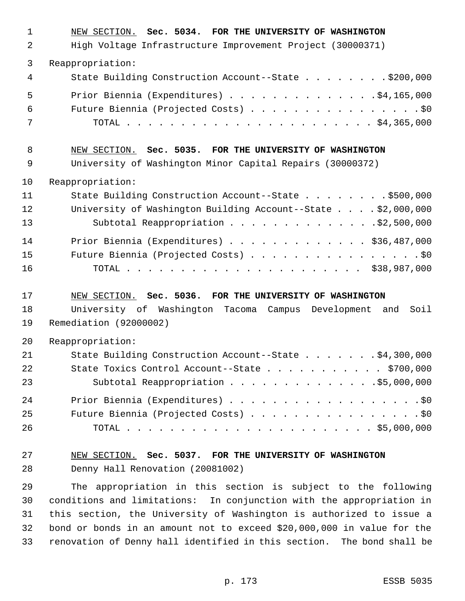| $\mathbf 1$    | NEW SECTION. Sec. 5034. FOR THE UNIVERSITY OF WASHINGTON                                                |
|----------------|---------------------------------------------------------------------------------------------------------|
| $\overline{2}$ | High Voltage Infrastructure Improvement Project (30000371)                                              |
| 3              | Reappropriation:                                                                                        |
| 4              | State Building Construction Account--State \$200,000                                                    |
| 5              | Prior Biennia (Expenditures) \$4,165,000                                                                |
| 6              | Future Biennia (Projected Costs) \$0                                                                    |
| 7              |                                                                                                         |
| 8              | NEW SECTION. Sec. 5035. FOR THE UNIVERSITY OF WASHINGTON                                                |
| 9              | University of Washington Minor Capital Repairs (30000372)                                               |
| 10             | Reappropriation:                                                                                        |
| 11             | State Building Construction Account--State \$500,000                                                    |
| 12             | University of Washington Building Account--State \$2,000,000                                            |
| 13             | Subtotal Reappropriation \$2,500,000                                                                    |
| 14             | Prior Biennia (Expenditures) \$36,487,000                                                               |
| 15             | Future Biennia (Projected Costs) \$0                                                                    |
| 16             |                                                                                                         |
| 17             |                                                                                                         |
|                |                                                                                                         |
|                | NEW SECTION. Sec. 5036. FOR THE UNIVERSITY OF WASHINGTON                                                |
| 18<br>19       | University of Washington Tacoma Campus Development and<br>Soil<br>Remediation (92000002)                |
|                |                                                                                                         |
| 20             | Reappropriation:                                                                                        |
| 21<br>22       | State Building Construction Account--State \$4,300,000<br>State Toxics Control Account--State \$700,000 |
| 23             | Subtotal Reappropriation \$5,000,000                                                                    |
| 24             |                                                                                                         |
| 25             | Prior Biennia (Expenditures) \$0<br>Future Biennia (Projected Costs) \$0                                |
| 26             |                                                                                                         |
| 27             | NEW SECTION. Sec. 5037. FOR THE UNIVERSITY OF WASHINGTON                                                |
| 28             | Denny Hall Renovation (20081002)                                                                        |
| 29             | The appropriation in this section is subject to the following                                           |
| 30             | conditions and limitations: In conjunction with the appropriation in                                    |
| 31             | this section, the University of Washington is authorized to issue a                                     |
| 32             | bond or bonds in an amount not to exceed \$20,000,000 in value for the                                  |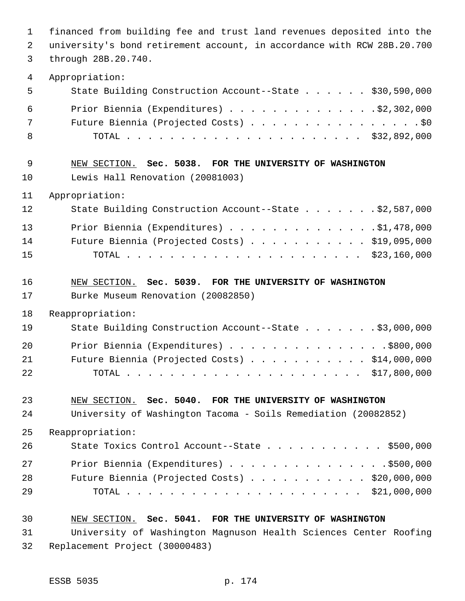financed from building fee and trust land revenues deposited into the university's bond retirement account, in accordance with RCW 28B.20.700 through 28B.20.740. Appropriation: State Building Construction Account--State . . . . . . \$30,590,000 Prior Biennia (Expenditures) . . . . . . . . . . . . . .\$2,302,000 Future Biennia (Projected Costs) . . . . . . . . . . . . . . . . \$0 TOTAL . . . . . . . . . . . . . . . . . . . . . . \$32,892,000 NEW SECTION. **Sec. 5038. FOR THE UNIVERSITY OF WASHINGTON** Lewis Hall Renovation (20081003) Appropriation: State Building Construction Account--State . . . . . . . \$2,587,000 Prior Biennia (Expenditures) . . . . . . . . . . . . . .\$1,478,000 Future Biennia (Projected Costs) . . . . . . . . . . . \$19,095,000 TOTAL . . . . . . . . . . . . . . . . . . . . . . \$23,160,000 NEW SECTION. **Sec. 5039. FOR THE UNIVERSITY OF WASHINGTON** Burke Museum Renovation (20082850) Reappropriation: State Building Construction Account--State . . . . . . . \$3,000,000 Prior Biennia (Expenditures) . . . . . . . . . . . . . . .\$800,000 Future Biennia (Projected Costs) . . . . . . . . . . . \$14,000,000 TOTAL . . . . . . . . . . . . . . . . . . . . . . \$17,800,000 NEW SECTION. **Sec. 5040. FOR THE UNIVERSITY OF WASHINGTON** University of Washington Tacoma - Soils Remediation (20082852) Reappropriation: 26 State Toxics Control Account--State . . . . . . . . . . \$500,000 27 Prior Biennia (Expenditures) . . . . . . . . . . . . . . . . \$500,000 Future Biennia (Projected Costs) . . . . . . . . . . . \$20,000,000 TOTAL . . . . . . . . . . . . . . . . . . . . . . \$21,000,000 NEW SECTION. **Sec. 5041. FOR THE UNIVERSITY OF WASHINGTON** University of Washington Magnuson Health Sciences Center Roofing

Replacement Project (30000483)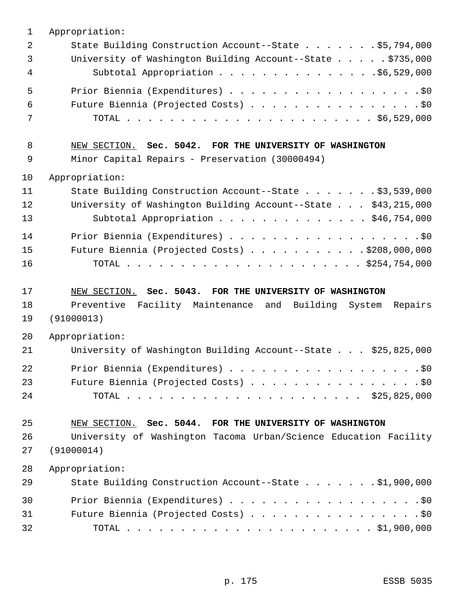| 1              | Appropriation:                                                                 |
|----------------|--------------------------------------------------------------------------------|
| $\overline{2}$ | State Building Construction Account--State \$5,794,000                         |
| 3              | University of Washington Building Account--State \$735,000                     |
| 4              | Subtotal Appropriation \$6,529,000                                             |
| 5              | Prior Biennia (Expenditures) \$0                                               |
| 6              | Future Biennia (Projected Costs) \$0                                           |
| 7              |                                                                                |
| 8              | NEW SECTION. Sec. 5042. FOR THE UNIVERSITY OF WASHINGTON                       |
| 9              | Minor Capital Repairs - Preservation (30000494)                                |
| 10             | Appropriation:                                                                 |
| 11             | State Building Construction Account--State \$3,539,000                         |
| 12             | University of Washington Building Account--State \$43,215,000                  |
| 13             | Subtotal Appropriation \$46,754,000                                            |
| 14             | Prior Biennia (Expenditures) \$0                                               |
| 15             | Future Biennia (Projected Costs) \$208,000,000                                 |
| 16             |                                                                                |
|                |                                                                                |
|                |                                                                                |
| 17             | NEW SECTION. Sec. 5043. FOR THE UNIVERSITY OF WASHINGTON                       |
| 18<br>19       | Preventive Facility Maintenance and Building System<br>Repairs<br>(91000013)   |
| 20             | Appropriation:                                                                 |
| 21             | University of Washington Building Account--State \$25,825,000                  |
| 22             | Prior Biennia (Expenditures) \$0                                               |
| 23             | Future Biennia (Projected Costs) \$0                                           |
| 24             |                                                                                |
|                |                                                                                |
| 25             | NEW SECTION. Sec. 5044. FOR THE UNIVERSITY OF WASHINGTON                       |
| 26<br>27       | University of Washington Tacoma Urban/Science Education Facility<br>(91000014) |
| 28             | Appropriation:                                                                 |
| 29             | State Building Construction Account--State \$1,900,000                         |
| 30             |                                                                                |
| 31             | Future Biennia (Projected Costs) \$0                                           |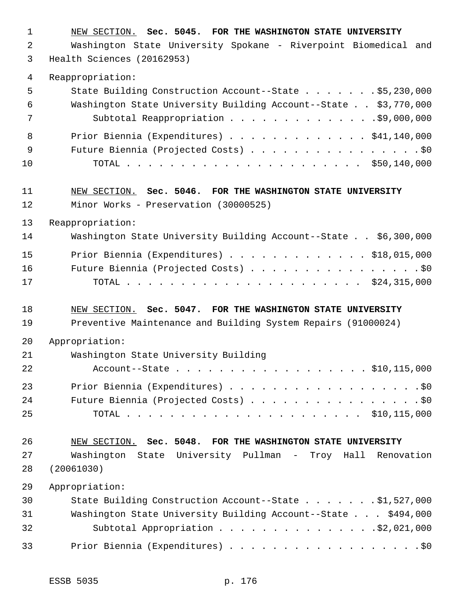| $\mathbf 1$    | NEW SECTION. Sec. 5045. FOR THE WASHINGTON STATE UNIVERSITY     |
|----------------|-----------------------------------------------------------------|
| $\overline{2}$ | Washington State University Spokane - Riverpoint Biomedical and |
| 3              | Health Sciences (20162953)                                      |
| 4              | Reappropriation:                                                |
| 5              | State Building Construction Account--State \$5,230,000          |
| 6              | Washington State University Building Account--State \$3,770,000 |
| 7              | Subtotal Reappropriation \$9,000,000                            |
| 8              | Prior Biennia (Expenditures) \$41,140,000                       |
| 9              | Future Biennia (Projected Costs) \$0                            |
| 10             |                                                                 |
| 11             | NEW SECTION. Sec. 5046. FOR THE WASHINGTON STATE UNIVERSITY     |
| 12             | Minor Works - Preservation (30000525)                           |
| 13             | Reappropriation:                                                |
| 14             | Washington State University Building Account--State \$6,300,000 |
| 15             | Prior Biennia (Expenditures) \$18,015,000                       |
| 16             | Future Biennia (Projected Costs) \$0                            |
| 17             |                                                                 |
|                |                                                                 |
| 18             | NEW SECTION. Sec. 5047. FOR THE WASHINGTON STATE UNIVERSITY     |
| 19             | Preventive Maintenance and Building System Repairs (91000024)   |
| 20             | Appropriation:                                                  |
| 21             | Washington State University Building                            |
| 22             | Account--State \$10,115,000                                     |
| 23             | Prior Biennia (Expenditures) \$0                                |
| 24             | Future Biennia (Projected Costs) \$0                            |
| 25             |                                                                 |
| 26             | NEW SECTION. Sec. 5048. FOR THE WASHINGTON STATE UNIVERSITY     |
| 27             | Washington State University Pullman - Troy Hall Renovation      |
| 28             | (20061030)                                                      |
| 29             | Appropriation:                                                  |
| 30             | State Building Construction Account--State \$1,527,000          |
| 31             | Washington State University Building Account--State \$494,000   |
| 32             | Subtotal Appropriation \$2,021,000                              |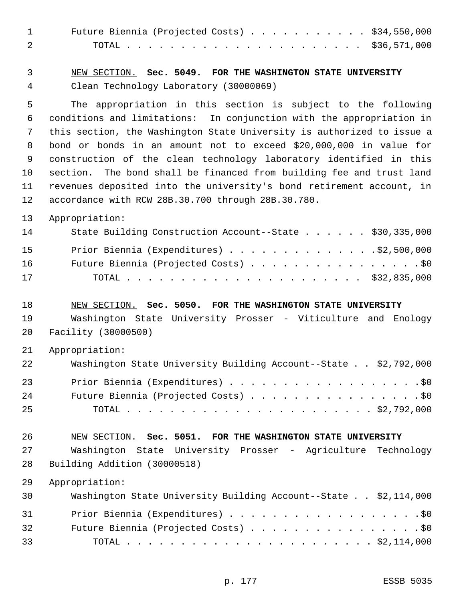| $\mathbf{1}$                            | Future Biennia (Projected Costs) $\ldots$ \$34,550,000                                                                                                                                                                                                                                                                                                                                                                                                                                                                                                               |
|-----------------------------------------|----------------------------------------------------------------------------------------------------------------------------------------------------------------------------------------------------------------------------------------------------------------------------------------------------------------------------------------------------------------------------------------------------------------------------------------------------------------------------------------------------------------------------------------------------------------------|
| 2                                       |                                                                                                                                                                                                                                                                                                                                                                                                                                                                                                                                                                      |
| 3                                       | NEW SECTION. Sec. 5049. FOR THE WASHINGTON STATE UNIVERSITY                                                                                                                                                                                                                                                                                                                                                                                                                                                                                                          |
| 4                                       | Clean Technology Laboratory (30000069)                                                                                                                                                                                                                                                                                                                                                                                                                                                                                                                               |
| 5<br>6<br>7<br>8<br>9<br>10<br>11<br>12 | The appropriation in this section is subject to the following<br>conditions and limitations: In conjunction with the appropriation in<br>this section, the Washington State University is authorized to issue a<br>bond or bonds in an amount not to exceed \$20,000,000 in value for<br>construction of the clean technology laboratory identified in this<br>The bond shall be financed from building fee and trust land<br>section.<br>revenues deposited into the university's bond retirement account, in<br>accordance with RCW 28B.30.700 through 28B.30.780. |
| 13                                      | Appropriation:                                                                                                                                                                                                                                                                                                                                                                                                                                                                                                                                                       |
| 14                                      | State Building Construction Account--State \$30,335,000                                                                                                                                                                                                                                                                                                                                                                                                                                                                                                              |
| 15                                      | Prior Biennia (Expenditures) $\ldots$ 92,500,000                                                                                                                                                                                                                                                                                                                                                                                                                                                                                                                     |
| 16                                      | Future Biennia (Projected Costs) \$0                                                                                                                                                                                                                                                                                                                                                                                                                                                                                                                                 |
| 17                                      |                                                                                                                                                                                                                                                                                                                                                                                                                                                                                                                                                                      |
| 18                                      | NEW SECTION. Sec. 5050. FOR THE WASHINGTON STATE UNIVERSITY                                                                                                                                                                                                                                                                                                                                                                                                                                                                                                          |
| 19                                      | Washington State University Prosser - Viticulture and Enology                                                                                                                                                                                                                                                                                                                                                                                                                                                                                                        |
| 20                                      | Facility (30000500)                                                                                                                                                                                                                                                                                                                                                                                                                                                                                                                                                  |
| 21                                      | Appropriation:                                                                                                                                                                                                                                                                                                                                                                                                                                                                                                                                                       |
| 22                                      | Washington State University Building Account--State \$2,792,000                                                                                                                                                                                                                                                                                                                                                                                                                                                                                                      |
| 23                                      | Prior Biennia (Expenditures) \$0                                                                                                                                                                                                                                                                                                                                                                                                                                                                                                                                     |
| 24                                      | Future Biennia (Projected Costs) \$0                                                                                                                                                                                                                                                                                                                                                                                                                                                                                                                                 |
| 25                                      |                                                                                                                                                                                                                                                                                                                                                                                                                                                                                                                                                                      |
| 26                                      | NEW SECTION. Sec. 5051. FOR THE WASHINGTON STATE UNIVERSITY                                                                                                                                                                                                                                                                                                                                                                                                                                                                                                          |
| 27                                      | Washington State University Prosser - Agriculture Technology                                                                                                                                                                                                                                                                                                                                                                                                                                                                                                         |
| 28                                      | Building Addition (30000518)                                                                                                                                                                                                                                                                                                                                                                                                                                                                                                                                         |
| 29                                      | Appropriation:                                                                                                                                                                                                                                                                                                                                                                                                                                                                                                                                                       |
| 30                                      | Washington State University Building Account--State \$2,114,000                                                                                                                                                                                                                                                                                                                                                                                                                                                                                                      |
| 31                                      | Prior Biennia (Expenditures) \$0                                                                                                                                                                                                                                                                                                                                                                                                                                                                                                                                     |
| 32                                      | Future Biennia (Projected Costs) \$0                                                                                                                                                                                                                                                                                                                                                                                                                                                                                                                                 |
| 33                                      |                                                                                                                                                                                                                                                                                                                                                                                                                                                                                                                                                                      |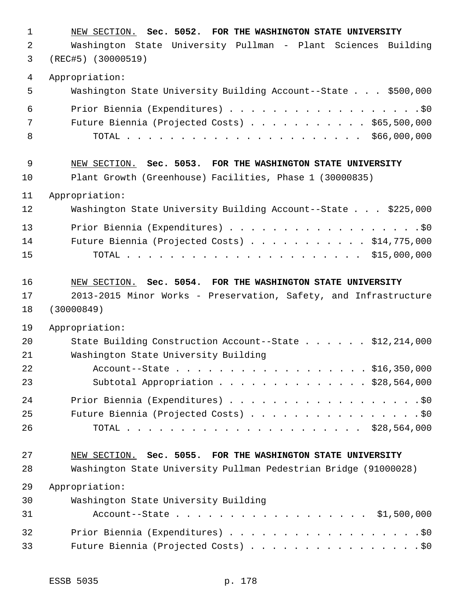| $\mathbf 1$ | NEW SECTION. Sec. 5052. FOR THE WASHINGTON STATE UNIVERSITY      |  |  |
|-------------|------------------------------------------------------------------|--|--|
| 2           | Washington State University Pullman - Plant Sciences Building    |  |  |
| 3           | $(REC#5)$ (30000519)                                             |  |  |
| 4           | Appropriation:                                                   |  |  |
| 5           | Washington State University Building Account--State \$500,000    |  |  |
| 6           | Prior Biennia (Expenditures) \$0                                 |  |  |
| 7           | Future Biennia (Projected Costs) $\ldots$ \$65,500,000           |  |  |
| 8           |                                                                  |  |  |
| 9           | NEW SECTION. Sec. 5053. FOR THE WASHINGTON STATE UNIVERSITY      |  |  |
| 10          | Plant Growth (Greenhouse) Facilities, Phase 1 (30000835)         |  |  |
| 11          | Appropriation:                                                   |  |  |
| 12          | Washington State University Building Account--State \$225,000    |  |  |
| 13          | Prior Biennia (Expenditures) \$0                                 |  |  |
| 14          | Future Biennia (Projected Costs) $\ldots$ \$14,775,000           |  |  |
| 15          |                                                                  |  |  |
| 16          | NEW SECTION. Sec. 5054. FOR THE WASHINGTON STATE UNIVERSITY      |  |  |
| 17          | 2013-2015 Minor Works - Preservation, Safety, and Infrastructure |  |  |
| 18          | (30000849)                                                       |  |  |
| 19          | Appropriation:                                                   |  |  |
| 20          | State Building Construction Account--State \$12,214,000          |  |  |
| 21          | Washington State University Building                             |  |  |
| 22          | Account--State \$16,350,000                                      |  |  |
| 23          | Subtotal Appropriation \$28,564,000                              |  |  |
| 24          | Prior Biennia (Expenditures) \$0                                 |  |  |
| 25          | Future Biennia (Projected Costs) \$0                             |  |  |
| 26          |                                                                  |  |  |
| 27          | NEW SECTION. Sec. 5055. FOR THE WASHINGTON STATE UNIVERSITY      |  |  |
| 28          | Washington State University Pullman Pedestrian Bridge (91000028) |  |  |
| 29          | Appropriation:                                                   |  |  |
| 30          | Washington State University Building                             |  |  |
| 31          | Account--State \$1,500,000                                       |  |  |
| 32          | Prior Biennia (Expenditures) \$0                                 |  |  |
| 33          | Future Biennia (Projected Costs) \$0                             |  |  |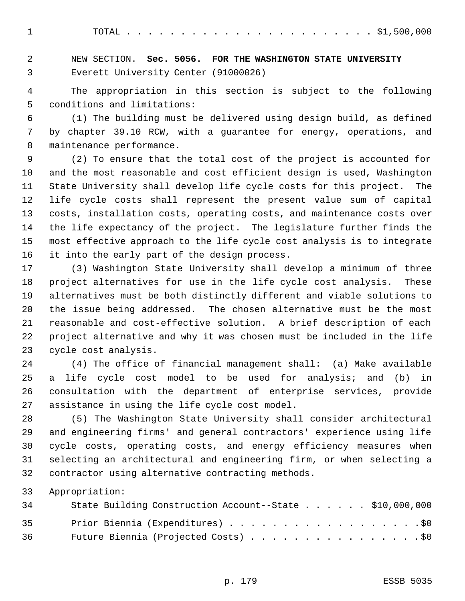TOTAL . . . . . . . . . . . . . . . . . . . . . . . \$1,500,000

 NEW SECTION. **Sec. 5056. FOR THE WASHINGTON STATE UNIVERSITY** Everett University Center (91000026)

 The appropriation in this section is subject to the following conditions and limitations:

 (1) The building must be delivered using design build, as defined by chapter 39.10 RCW, with a guarantee for energy, operations, and maintenance performance.

 (2) To ensure that the total cost of the project is accounted for and the most reasonable and cost efficient design is used, Washington State University shall develop life cycle costs for this project. The life cycle costs shall represent the present value sum of capital costs, installation costs, operating costs, and maintenance costs over the life expectancy of the project. The legislature further finds the most effective approach to the life cycle cost analysis is to integrate it into the early part of the design process.

 (3) Washington State University shall develop a minimum of three project alternatives for use in the life cycle cost analysis. These alternatives must be both distinctly different and viable solutions to the issue being addressed. The chosen alternative must be the most reasonable and cost-effective solution. A brief description of each project alternative and why it was chosen must be included in the life cycle cost analysis.

 (4) The office of financial management shall: (a) Make available a life cycle cost model to be used for analysis; and (b) in consultation with the department of enterprise services, provide assistance in using the life cycle cost model.

 (5) The Washington State University shall consider architectural and engineering firms' and general contractors' experience using life cycle costs, operating costs, and energy efficiency measures when selecting an architectural and engineering firm, or when selecting a contractor using alternative contracting methods.

Appropriation:

| 34 | State Building Construction Account--State \$10,000,000 |  |
|----|---------------------------------------------------------|--|
| 35 | Prior Biennia (Expenditures) \$0                        |  |
| 36 | Future Biennia (Projected Costs) \$0                    |  |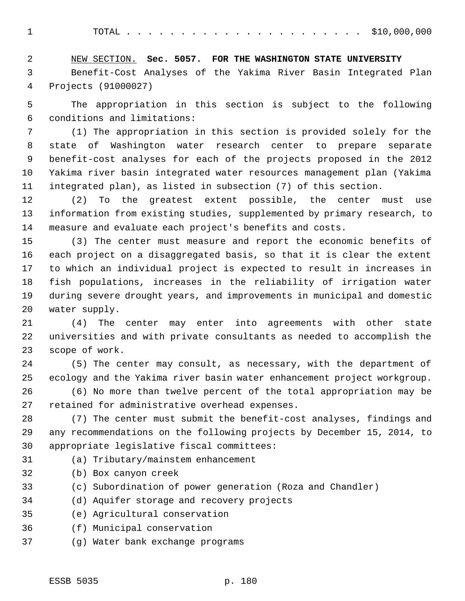TOTAL . . . . . . . . . . . . . . . . . . . . . . \$10,000,000

 NEW SECTION. **Sec. 5057. FOR THE WASHINGTON STATE UNIVERSITY** Benefit-Cost Analyses of the Yakima River Basin Integrated Plan Projects (91000027)

 The appropriation in this section is subject to the following conditions and limitations:

 (1) The appropriation in this section is provided solely for the state of Washington water research center to prepare separate benefit-cost analyses for each of the projects proposed in the 2012 Yakima river basin integrated water resources management plan (Yakima integrated plan), as listed in subsection (7) of this section.

 (2) To the greatest extent possible, the center must use information from existing studies, supplemented by primary research, to measure and evaluate each project's benefits and costs.

 (3) The center must measure and report the economic benefits of each project on a disaggregated basis, so that it is clear the extent to which an individual project is expected to result in increases in fish populations, increases in the reliability of irrigation water during severe drought years, and improvements in municipal and domestic water supply.

 (4) The center may enter into agreements with other state universities and with private consultants as needed to accomplish the scope of work.

 (5) The center may consult, as necessary, with the department of ecology and the Yakima river basin water enhancement project workgroup.

 (6) No more than twelve percent of the total appropriation may be retained for administrative overhead expenses.

 (7) The center must submit the benefit-cost analyses, findings and any recommendations on the following projects by December 15, 2014, to appropriate legislative fiscal committees:

- (a) Tributary/mainstem enhancement
- (b) Box canyon creek
- (c) Subordination of power generation (Roza and Chandler)
- (d) Aquifer storage and recovery projects
- (e) Agricultural conservation
- (f) Municipal conservation
- (g) Water bank exchange programs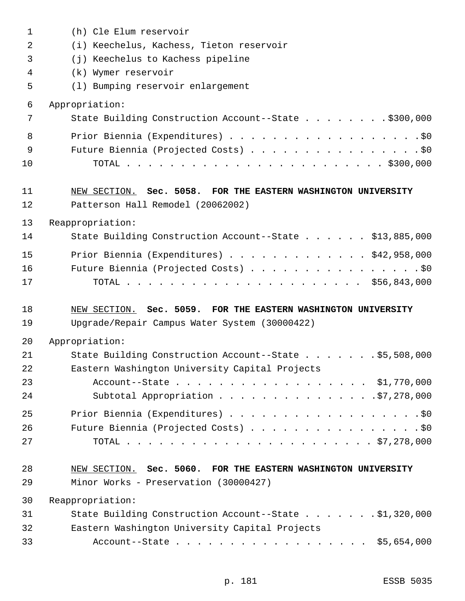| $\mathbf 1$    | (h) Cle Elum reservoir                                                                                 |
|----------------|--------------------------------------------------------------------------------------------------------|
| $\overline{2}$ | (i) Keechelus, Kachess, Tieton reservoir                                                               |
| 3              | (j) Keechelus to Kachess pipeline                                                                      |
| 4              | (k) Wymer reservoir                                                                                    |
| 5              | (1) Bumping reservoir enlargement                                                                      |
| 6              | Appropriation:                                                                                         |
| 7              | State Building Construction Account--State \$300,000                                                   |
| 8              | Prior Biennia (Expenditures) \$0                                                                       |
| 9              | Future Biennia (Projected Costs) \$0                                                                   |
| 10             |                                                                                                        |
| 11             | NEW SECTION. Sec. 5058. FOR THE EASTERN WASHINGTON UNIVERSITY                                          |
| 12             | Patterson Hall Remodel (20062002)                                                                      |
| 13             | Reappropriation:                                                                                       |
| 14             | State Building Construction Account--State \$13,885,000                                                |
| 15             | Prior Biennia (Expenditures) $\ldots$ \$42,958,000                                                     |
| 16             | Future Biennia (Projected Costs) \$0                                                                   |
| 17             |                                                                                                        |
|                |                                                                                                        |
| 18             | NEW SECTION. Sec. 5059. FOR THE EASTERN WASHINGTON UNIVERSITY                                          |
| 19             | Upgrade/Repair Campus Water System (30000422)                                                          |
| 20             | Appropriation:                                                                                         |
| 21             | State Building Construction Account--State \$5,508,000                                                 |
| 22             | Eastern Washington University Capital Projects                                                         |
| 23             | Account--State \$1,770,000                                                                             |
| 24             | Subtotal Appropriation 57,278,000                                                                      |
| 25             | Prior Biennia (Expenditures) \$0                                                                       |
| 26             | Future Biennia (Projected Costs) \$0                                                                   |
| 27             |                                                                                                        |
|                |                                                                                                        |
| 28<br>29       | NEW SECTION. Sec. 5060. FOR THE EASTERN WASHINGTON UNIVERSITY<br>Minor Works - Preservation (30000427) |
| 30             | Reappropriation:                                                                                       |
| 31             | State Building Construction Account--State \$1,320,000                                                 |
| 32             | Eastern Washington University Capital Projects                                                         |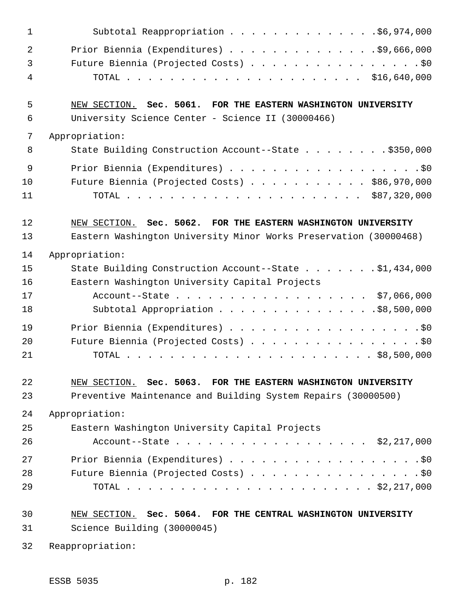| $\mathbf 1$    | Subtotal Reappropriation \$6,974,000                              |
|----------------|-------------------------------------------------------------------|
| $\overline{2}$ | Prior Biennia (Expenditures) \$9,666,000                          |
| 3              | Future Biennia (Projected Costs) \$0                              |
| 4              |                                                                   |
| 5              | NEW SECTION. Sec. 5061. FOR THE EASTERN WASHINGTON UNIVERSITY     |
| 6              | University Science Center - Science II (30000466)                 |
| 7              | Appropriation:                                                    |
| 8              | State Building Construction Account--State \$350,000              |
| 9              | Prior Biennia (Expenditures) \$0                                  |
| 10             | Future Biennia (Projected Costs) \$86,970,000                     |
| 11             |                                                                   |
| 12             | NEW SECTION. Sec. 5062. FOR THE EASTERN WASHINGTON UNIVERSITY     |
| 13             | Eastern Washington University Minor Works Preservation (30000468) |
| 14             | Appropriation:                                                    |
| 15             | State Building Construction Account--State \$1,434,000            |
| 16             | Eastern Washington University Capital Projects                    |
| 17             | Account--State \$7,066,000                                        |
| 18             | Subtotal Appropriation \$8,500,000                                |
| 19             |                                                                   |
| 20             | Future Biennia (Projected Costs) \$0                              |
| 21             |                                                                   |
| 22             | NEW SECTION. Sec. 5063. FOR THE EASTERN WASHINGTON UNIVERSITY     |
| 23             | Preventive Maintenance and Building System Repairs (30000500)     |
| 24             | Appropriation:                                                    |
| 25             | Eastern Washington University Capital Projects                    |
| 26             | Account--State \$2,217,000                                        |
| 27             | Prior Biennia (Expenditures) \$0                                  |
| 28             | Future Biennia (Projected Costs) \$0                              |
| 29             |                                                                   |
| 30             | NEW SECTION. Sec. 5064. FOR THE CENTRAL WASHINGTON UNIVERSITY     |
| 31             | Science Building (30000045)                                       |
| 32             | Reappropriation:                                                  |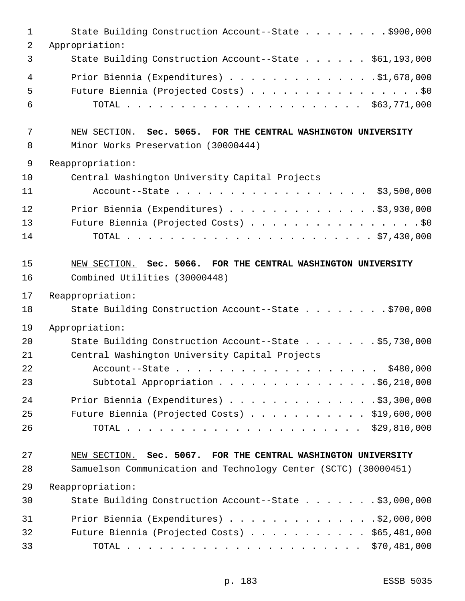| $\mathbf{1}$ | State Building Construction Account--State \$900,000            |
|--------------|-----------------------------------------------------------------|
| 2            | Appropriation:                                                  |
| 3            | State Building Construction Account--State \$61,193,000         |
| 4            | Prior Biennia (Expenditures) \$1,678,000                        |
| 5            | Future Biennia (Projected Costs) \$0                            |
| 6            |                                                                 |
| 7            | NEW SECTION. Sec. 5065. FOR THE CENTRAL WASHINGTON UNIVERSITY   |
| 8            | Minor Works Preservation (30000444)                             |
| 9            | Reappropriation:                                                |
| 10           | Central Washington University Capital Projects                  |
| 11           | Account--State \$3,500,000                                      |
| 12           | Prior Biennia (Expenditures) \$3,930,000                        |
| 13           | Future Biennia (Projected Costs) \$0                            |
| 14           |                                                                 |
| 15           | NEW SECTION. Sec. 5066. FOR THE CENTRAL WASHINGTON UNIVERSITY   |
| 16           | Combined Utilities (30000448)                                   |
| 17           | Reappropriation:                                                |
| 18           | State Building Construction Account--State \$700,000            |
| 19           | Appropriation:                                                  |
| 20           | State Building Construction Account--State \$5,730,000          |
| 21           | Central Washington University Capital Projects                  |
| 22           | Account--State \$480,000                                        |
| 23           |                                                                 |
| 24           | Prior Biennia (Expenditures) $\ldots$ \$3,300,000               |
| 25           | Future Biennia (Projected Costs) \$19,600,000                   |
| 26           |                                                                 |
| 27           | NEW SECTION. Sec. 5067. FOR THE CENTRAL WASHINGTON UNIVERSITY   |
| 28           | Samuelson Communication and Technology Center (SCTC) (30000451) |
| 29           | Reappropriation:                                                |
| 30           | State Building Construction Account--State \$3,000,000          |
| 31           | Prior Biennia (Expenditures) \$2,000,000                        |
| 32           | Future Biennia (Projected Costs) \$65,481,000                   |
| 33           |                                                                 |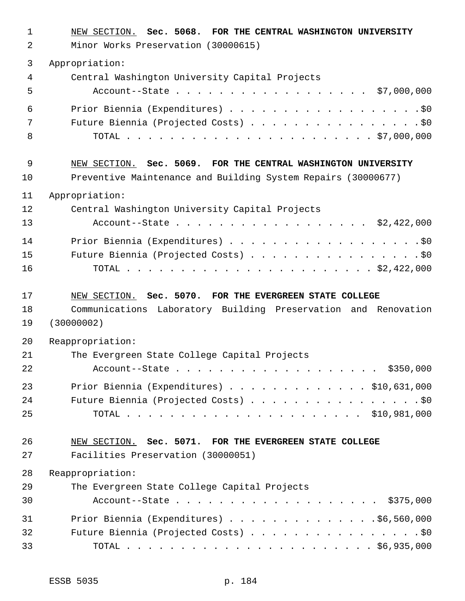| 1  | NEW SECTION. Sec. 5068. FOR THE CENTRAL WASHINGTON UNIVERSITY  |
|----|----------------------------------------------------------------|
| 2  | Minor Works Preservation (30000615)                            |
| 3  | Appropriation:                                                 |
| 4  | Central Washington University Capital Projects                 |
| 5  | Account--State \$7,000,000                                     |
| 6  | Prior Biennia (Expenditures) \$0                               |
| 7  | Future Biennia (Projected Costs) \$0                           |
| 8  |                                                                |
| 9  | NEW SECTION. Sec. 5069. FOR THE CENTRAL WASHINGTON UNIVERSITY  |
| 10 | Preventive Maintenance and Building System Repairs (30000677)  |
| 11 | Appropriation:                                                 |
| 12 | Central Washington University Capital Projects                 |
| 13 | Account--State \$2,422,000                                     |
| 14 | Prior Biennia (Expenditures) \$0                               |
| 15 | Future Biennia (Projected Costs) \$0                           |
| 16 |                                                                |
| 17 | NEW SECTION. Sec. 5070. FOR THE EVERGREEN STATE COLLEGE        |
| 18 | Communications Laboratory Building Preservation and Renovation |
| 19 | (30000002)                                                     |
| 20 | Reappropriation:                                               |
| 21 | The Evergreen State College Capital Projects                   |
| 22 | Account--State \$350,000                                       |
| 23 | Prior Biennia (Expenditures) $\ldots$ \$10,631,000             |
| 24 | Future Biennia (Projected Costs) \$0                           |
| 25 |                                                                |
| 26 | NEW SECTION. Sec. 5071. FOR THE EVERGREEN STATE COLLEGE        |
| 27 | Facilities Preservation (30000051)                             |
| 28 | Reappropriation:                                               |
| 29 | The Evergreen State College Capital Projects                   |
| 30 | Account--State \$375,000                                       |
| 31 | Prior Biennia (Expenditures) \$6,560,000                       |
| 32 | Future Biennia (Projected Costs) \$0                           |
| 33 |                                                                |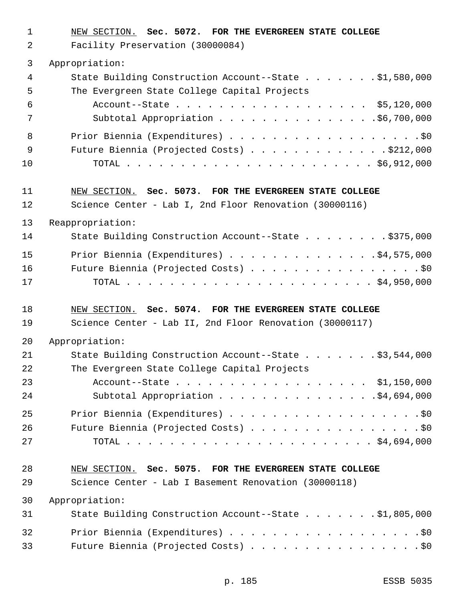- NEW SECTION. **Sec. 5072. FOR THE EVERGREEN STATE COLLEGE**
- Facility Preservation (30000084)

### Appropriation:

| 4   | State Building Construction Account--State \$1,580,000 |
|-----|--------------------------------------------------------|
| .5  | The Evergreen State College Capital Projects           |
| 6   | Account--State \$5,120,000                             |
| 7   |                                                        |
| - 8 |                                                        |
| - 9 | Future Biennia (Projected Costs) \$212,000             |
| 10  |                                                        |
|     |                                                        |

## NEW SECTION. **Sec. 5073. FOR THE EVERGREEN STATE COLLEGE**

Science Center - Lab I, 2nd Floor Renovation (30000116)

Reappropriation:

| 14 | State Building Construction Account--State \$375,000 |
|----|------------------------------------------------------|
| 15 | Prior Biennia (Expenditures) \$4,575,000             |
| 16 | Future Biennia (Projected Costs) \$0                 |
| 17 |                                                      |

## NEW SECTION. **Sec. 5074. FOR THE EVERGREEN STATE COLLEGE**

Science Center - Lab II, 2nd Floor Renovation (30000117)

Appropriation:

| 21 | State Building Construction Account--State \$3,544,000 |
|----|--------------------------------------------------------|
| 22 | The Evergreen State College Capital Projects           |
| 23 | Account--State \$1,150,000                             |
| 24 |                                                        |
| 25 | Prior Biennia (Expenditures) \$0                       |
| 26 | Future Biennia (Projected Costs) \$0                   |
| 27 |                                                        |

## NEW SECTION. **Sec. 5075. FOR THE EVERGREEN STATE COLLEGE**

Science Center - Lab I Basement Renovation (30000118)

Appropriation:

| 31 | State Building Construction Account--State \$1,805,000 |
|----|--------------------------------------------------------|
| 32 | Prior Biennia (Expenditures) \$0                       |
| 33 | Future Biennia (Projected Costs) \$0                   |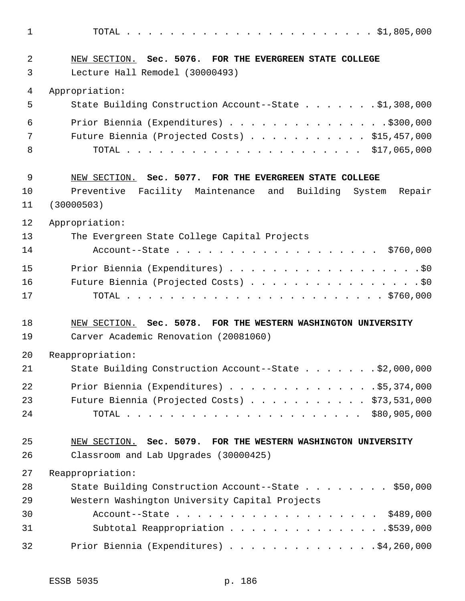TOTAL . . . . . . . . . . . . . . . . . . . . . . . \$1,805,000 NEW SECTION. **Sec. 5076. FOR THE EVERGREEN STATE COLLEGE** Lecture Hall Remodel (30000493) Appropriation: State Building Construction Account--State . . . . . . . \$1,308,000 Prior Biennia (Expenditures) . . . . . . . . . . . . . . .\$300,000 7 Future Biennia (Projected Costs) . . . . . . . . . . \$15,457,000 TOTAL . . . . . . . . . . . . . . . . . . . . . . \$17,065,000 NEW SECTION. **Sec. 5077. FOR THE EVERGREEN STATE COLLEGE** Preventive Facility Maintenance and Building System Repair (30000503) Appropriation: The Evergreen State College Capital Projects 14 Account--State . . . . . . . . . . . . . . . . . \$760,000 15 Prior Biennia (Expenditures) . . . . . . . . . . . . . . . . . . \$0 Future Biennia (Projected Costs) . . . . . . . . . . . . . . . . \$0 TOTAL . . . . . . . . . . . . . . . . . . . . . . . . \$760,000 NEW SECTION. **Sec. 5078. FOR THE WESTERN WASHINGTON UNIVERSITY** Carver Academic Renovation (20081060) Reappropriation: State Building Construction Account--State . . . . . . . \$2,000,000 Prior Biennia (Expenditures) . . . . . . . . . . . . . .\$5,374,000 Future Biennia (Projected Costs) . . . . . . . . . . . \$73,531,000 TOTAL . . . . . . . . . . . . . . . . . . . . . . \$80,905,000 NEW SECTION. **Sec. 5079. FOR THE WESTERN WASHINGTON UNIVERSITY** Classroom and Lab Upgrades (30000425) Reappropriation: State Building Construction Account--State . . . . . . . . \$50,000 Western Washington University Capital Projects Account--State . . . . . . . . . . . . . . . . . . . \$489,000 31 Subtotal Reappropriation . . . . . . . . . . . . . . \$539,000 Prior Biennia (Expenditures) . . . . . . . . . . . . . .\$4,260,000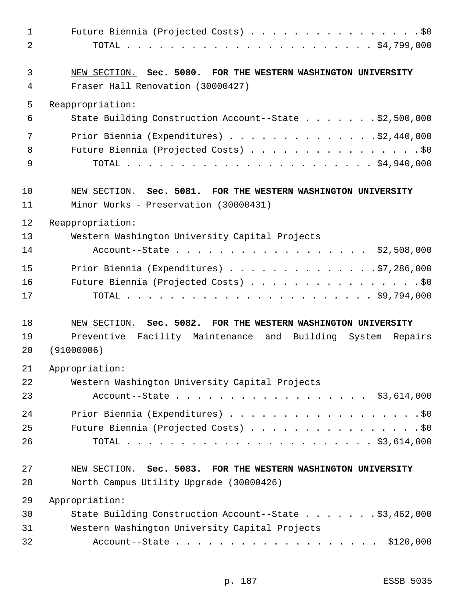| $\mathbf 1$    | Future Biennia (Projected Costs) \$0                           |
|----------------|----------------------------------------------------------------|
| $\overline{2}$ |                                                                |
| 3              | NEW SECTION. Sec. 5080. FOR THE WESTERN WASHINGTON UNIVERSITY  |
| 4              | Fraser Hall Renovation (30000427)                              |
| 5              | Reappropriation:                                               |
| 6              | State Building Construction Account--State \$2,500,000         |
| 7              | Prior Biennia (Expenditures) \$2,440,000                       |
| 8              | Future Biennia (Projected Costs) \$0                           |
| 9              |                                                                |
| 10             | NEW SECTION. Sec. 5081. FOR THE WESTERN WASHINGTON UNIVERSITY  |
| 11             | Minor Works - Preservation (30000431)                          |
| 12             | Reappropriation:                                               |
| 13             | Western Washington University Capital Projects                 |
| 14             | Account--State \$2,508,000                                     |
| 15             | Prior Biennia (Expenditures) \$7,286,000                       |
| 16             | Future Biennia (Projected Costs) \$0                           |
| 17             |                                                                |
| 18             | NEW SECTION. Sec. 5082. FOR THE WESTERN WASHINGTON UNIVERSITY  |
| 19             | Preventive Facility Maintenance and Building System<br>Repairs |
| 20             | (91000006)                                                     |
| 21             | Appropriation:                                                 |
| 22             | Western Washington University Capital Projects                 |
| 23             | Account--State \$3,614,000                                     |
| 24             |                                                                |
| 25             | Future Biennia (Projected Costs) \$0                           |
| 26             |                                                                |
| 27             | NEW SECTION. Sec. 5083. FOR THE WESTERN WASHINGTON UNIVERSITY  |
| 28             | North Campus Utility Upgrade (30000426)                        |
| 29             | Appropriation:                                                 |
| 30             | State Building Construction Account--State \$3,462,000         |
| 31             | Western Washington University Capital Projects                 |
| 32             | \$120,000                                                      |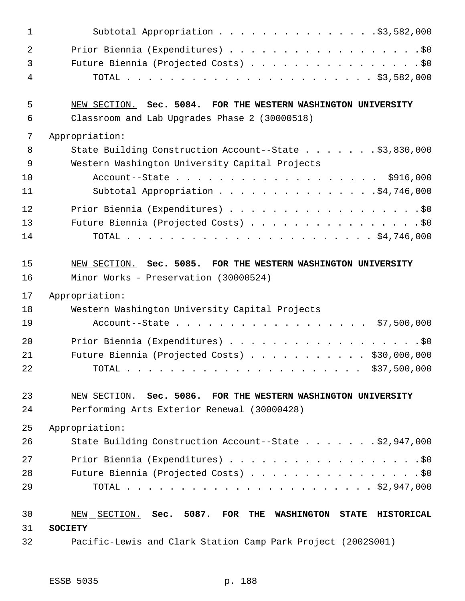| $\mathbf 1$ | Subtotal Appropriation \$3,582,000                                                                    |
|-------------|-------------------------------------------------------------------------------------------------------|
| 2           | Prior Biennia (Expenditures) \$0                                                                      |
| 3           | Future Biennia (Projected Costs) \$0                                                                  |
| 4           |                                                                                                       |
| 5           | NEW SECTION. Sec. 5084. FOR THE WESTERN WASHINGTON UNIVERSITY                                         |
| 6           | Classroom and Lab Upgrades Phase 2 (30000518)                                                         |
| 7           | Appropriation:                                                                                        |
| 8           | State Building Construction Account--State \$3,830,000                                                |
| 9           | Western Washington University Capital Projects                                                        |
| 10          | Account--State \$916,000                                                                              |
| 11          | Subtotal Appropriation \$4,746,000                                                                    |
| 12          | Prior Biennia (Expenditures) \$0                                                                      |
| 13          | Future Biennia (Projected Costs) \$0                                                                  |
| 14          |                                                                                                       |
| 15          | NEW SECTION. Sec. 5085. FOR THE WESTERN WASHINGTON UNIVERSITY                                         |
| 16          | Minor Works - Preservation (30000524)                                                                 |
|             |                                                                                                       |
| 17          | Appropriation:                                                                                        |
| 18          | Western Washington University Capital Projects                                                        |
| 19          | Account--State \$7,500,000                                                                            |
| 20          | Prior Biennia (Expenditures) \$0                                                                      |
| 21          | Future Biennia (Projected Costs) \$30,000,000                                                         |
| 22          |                                                                                                       |
| 23          | NEW SECTION. Sec. 5086. FOR THE WESTERN WASHINGTON UNIVERSITY                                         |
| 24          | Performing Arts Exterior Renewal (30000428)                                                           |
| 25          |                                                                                                       |
| 26          | Appropriation:<br>State Building Construction Account--State \$2,947,000                              |
| 27          | Prior Biennia (Expenditures) \$0                                                                      |
| 28          | Future Biennia (Projected Costs) \$0                                                                  |
| 29          |                                                                                                       |
| 30          | 5087.<br>FOR THE<br><b>HISTORICAL</b><br>NEW<br>SECTION.<br>Sec.<br><b>WASHINGTON</b><br><b>STATE</b> |
| 31          | <b>SOCIETY</b>                                                                                        |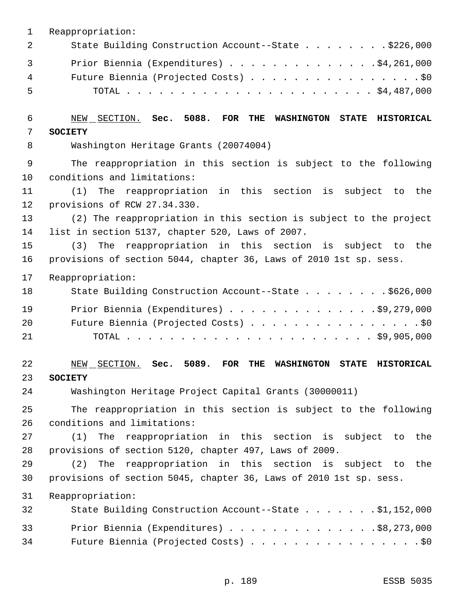| $\mathbf 1$ | Reappropriation:                                                                                                                  |
|-------------|-----------------------------------------------------------------------------------------------------------------------------------|
| 2           | State Building Construction Account--State \$226,000                                                                              |
| 3           | Prior Biennia (Expenditures) \$4,261,000                                                                                          |
| 4           | Future Biennia (Projected Costs) \$0                                                                                              |
| 5           |                                                                                                                                   |
|             |                                                                                                                                   |
| 6           | NEW SECTION. Sec. 5088.<br>$_{\rm FOR}$<br>THE<br><b>WASHINGTON</b><br>STATE HISTORICAL                                           |
| 7           | <b>SOCIETY</b>                                                                                                                    |
| 8           | Washington Heritage Grants (20074004)                                                                                             |
| $\mathsf 9$ | The reappropriation in this section is subject to the following                                                                   |
| 10          | conditions and limitations:                                                                                                       |
| 11          | The reappropriation in this section is subject to<br>(1)<br>the                                                                   |
| 12          | provisions of RCW 27.34.330.                                                                                                      |
| 13          | (2) The reappropriation in this section is subject to the project                                                                 |
| 14          | list in section 5137, chapter 520, Laws of 2007.                                                                                  |
| 15          | reappropriation in this section is subject to<br>(3)<br>The<br>the                                                                |
| 16          | provisions of section 5044, chapter 36, Laws of 2010 1st sp. sess.                                                                |
| 17          | Reappropriation:                                                                                                                  |
| 18          | State Building Construction Account--State \$626,000                                                                              |
| 19          | Prior Biennia (Expenditures) \$9,279,000                                                                                          |
| 20          | Future Biennia (Projected Costs) \$0                                                                                              |
| 21          |                                                                                                                                   |
|             |                                                                                                                                   |
| 22<br>23    | 5089.<br>SECTION.<br>Sec.<br><b>FOR</b><br><b>HISTORICAL</b><br>NEW<br>THE<br><b>WASHINGTON</b><br><b>STATE</b><br><b>SOCIETY</b> |
| 24          | Washington Heritage Project Capital Grants (30000011)                                                                             |
| 25          | The reappropriation in this section is subject to the following                                                                   |
| 26          | conditions and limitations:                                                                                                       |
| 27          | The reappropriation in this section is subject to the<br>(1)                                                                      |
| 28          | provisions of section 5120, chapter 497, Laws of 2009.                                                                            |
| 29          | The reappropriation in this section is subject to the<br>(2)                                                                      |
| 30          | provisions of section 5045, chapter 36, Laws of 2010 1st sp. sess.                                                                |
| 31          | Reappropriation:                                                                                                                  |
| 32          | State Building Construction Account--State \$1,152,000                                                                            |
| 33          | Prior Biennia (Expenditures) \$8,273,000                                                                                          |
| 34          | Future Biennia (Projected Costs) \$0                                                                                              |
|             |                                                                                                                                   |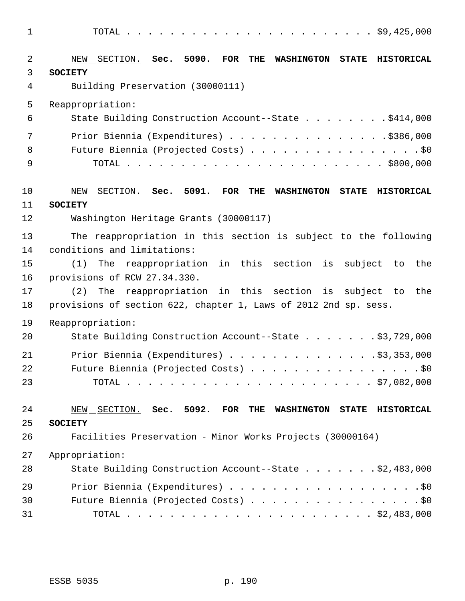TOTAL . . . . . . . . . . . . . . . . . . . . . . . \$9,425,000 NEW SECTION. **Sec. 5090. FOR THE WASHINGTON STATE HISTORICAL SOCIETY** Building Preservation (30000111) Reappropriation: State Building Construction Account--State . . . . . . . . \$414,000 Prior Biennia (Expenditures) . . . . . . . . . . . . . . .\$386,000 8 Future Biennia (Projected Costs) . . . . . . . . . . . . . . . . \$0 TOTAL . . . . . . . . . . . . . . . . . . . . . . . . \$800,000 NEW SECTION. **Sec. 5091. FOR THE WASHINGTON STATE HISTORICAL SOCIETY** Washington Heritage Grants (30000117) The reappropriation in this section is subject to the following conditions and limitations: (1) The reappropriation in this section is subject to the provisions of RCW 27.34.330. (2) The reappropriation in this section is subject to the provisions of section 622, chapter 1, Laws of 2012 2nd sp. sess. Reappropriation: State Building Construction Account--State . . . . . . . \$3,729,000

| 20 - | State Building Construction Account--State $S377297000$ |
|------|---------------------------------------------------------|
| 21   | Prior Biennia (Expenditures) $\ldots$ \$3,353,000       |
| 22   | Future Biennia (Projected Costs) \$0                    |
| 23   |                                                         |

# NEW SECTION. **Sec. 5092. FOR THE WASHINGTON STATE HISTORICAL SOCIETY**

 Facilities Preservation - Minor Works Projects (30000164) Appropriation: State Building Construction Account--State . . . . . . . \$2,483,000 Prior Biennia (Expenditures) . . . . . . . . . . . . . . . . . .\$0 30 Future Biennia (Projected Costs) . . . . . . . . . . . . . . . . \$0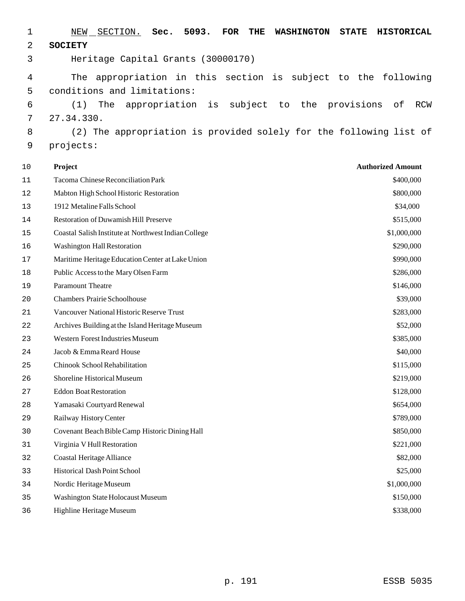| 1        | 5093.<br>NEW<br>SECTION.<br>Sec.<br><b>FOR</b><br>THE<br><b>WASHINGTON</b><br><b>STATE</b><br><b>HISTORICAL</b> |
|----------|-----------------------------------------------------------------------------------------------------------------|
| 2        | <b>SOCIETY</b>                                                                                                  |
| 3        | Heritage Capital Grants (30000170)                                                                              |
| 4        | appropriation in this section is subject to the following<br>The                                                |
| 5        | conditions and limitations:                                                                                     |
| 6        | subject<br>the<br>(1)<br>The<br>appropriation<br>provisions<br>оf<br>is<br>to<br>RCW                            |
| 7        | 27.34.330.                                                                                                      |
| 8        | (2) The appropriation is provided solely for the following list of                                              |
| 9        | projects:                                                                                                       |
|          |                                                                                                                 |
| 10       | <b>Authorized Amount</b><br>Project                                                                             |
| 11       | Tacoma Chinese Reconciliation Park<br>\$400,000                                                                 |
| 12       | \$800,000<br>Mabton High School Historic Restoration                                                            |
| 13       | 1912 Metaline Falls School<br>\$34,000                                                                          |
| 14       | Restoration of Duwamish Hill Preserve<br>\$515,000                                                              |
| 15       | Coastal Salish Institute at Northwest Indian College<br>\$1,000,000                                             |
| 16       | \$290,000<br><b>Washington Hall Restoration</b>                                                                 |
| 17       | Maritime Heritage Education Center at Lake Union<br>\$990,000                                                   |
| 18       | Public Access to the Mary Olsen Farm<br>\$286,000<br><b>Paramount Theatre</b>                                   |
| 19       | \$146,000<br><b>Chambers Prairie Schoolhouse</b>                                                                |
| 20       | \$39,000                                                                                                        |
| 21       | Vancouver National Historic Reserve Trust<br>\$283,000                                                          |
| 22       | Archives Building at the Island Heritage Museum<br>\$52,000<br><b>Western Forest Industries Museum</b>          |
| 23       | \$385,000<br>Jacob & Emma Reard House                                                                           |
| 24<br>25 | \$40,000<br>Chinook School Rehabilitation<br>\$115,000                                                          |
| 26       | Shoreline Historical Museum<br>\$219,000                                                                        |
| 27       | <b>Eddon Boat Restoration</b><br>\$128,000                                                                      |
| 28       | Yamasaki Courtyard Renewal<br>\$654,000                                                                         |
| 29       | Railway History Center<br>\$789,000                                                                             |
| 30       | Covenant Beach Bible Camp Historic Dining Hall<br>\$850,000                                                     |
| 31       | Virginia V Hull Restoration<br>\$221,000                                                                        |
| 32       | <b>Coastal Heritage Alliance</b><br>\$82,000                                                                    |
| 33       | Historical Dash Point School<br>\$25,000                                                                        |
| 34       | Nordic Heritage Museum<br>\$1,000,000                                                                           |
| 35       | Washington State Holocaust Museum<br>\$150,000                                                                  |
| 36       | Highline Heritage Museum<br>\$338,000                                                                           |
|          |                                                                                                                 |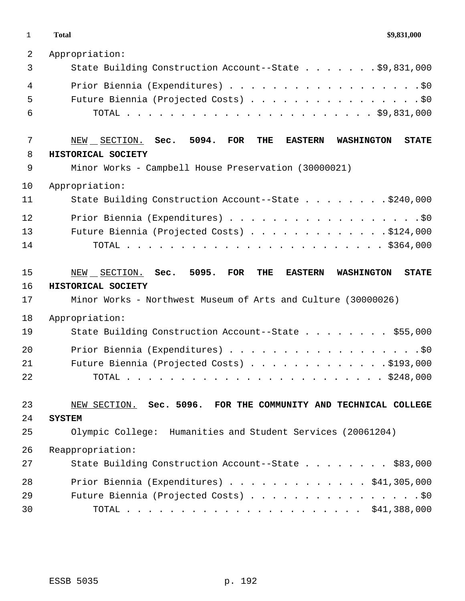**Total \$9,831,000**

| $\overline{2}$ | Appropriation:                                                                                         |
|----------------|--------------------------------------------------------------------------------------------------------|
| 3              | State Building Construction Account--State \$9,831,000                                                 |
| $\overline{4}$ | Prior Biennia (Expenditures) \$0                                                                       |
| 5              | Future Biennia (Projected Costs) \$0                                                                   |
| 6              |                                                                                                        |
| 7              | 5094.<br><b>STATE</b><br>NEW SECTION. Sec.<br><b>FOR</b><br>THE<br><b>EASTERN</b><br><b>WASHINGTON</b> |
| 8              | HISTORICAL SOCIETY                                                                                     |
| 9              | Minor Works - Campbell House Preservation (30000021)                                                   |
| 10             | Appropriation:                                                                                         |
| 11             | State Building Construction Account--State \$240,000                                                   |
| 12             | Prior Biennia (Expenditures) \$0                                                                       |
| 13             | Future Biennia (Projected Costs) \$124,000                                                             |
| 14             |                                                                                                        |
| 15             | NEW SECTION. Sec. 5095.<br>FOR<br>THE<br><b>STATE</b><br><b>EASTERN</b><br><b>WASHINGTON</b>           |
| 16             | HISTORICAL SOCIETY                                                                                     |
| 17             | Minor Works - Northwest Museum of Arts and Culture (30000026)                                          |
| 18             |                                                                                                        |
|                | Appropriation:                                                                                         |
| 19             | State Building Construction Account--State \$55,000                                                    |
| 20             | Prior Biennia (Expenditures) \$0                                                                       |
| 21             | Future Biennia (Projected Costs) \$193,000                                                             |
| 22             | TOTAL                                                                                                  |
| 23             | NEW SECTION. Sec. 5096. FOR THE COMMUNITY AND TECHNICAL COLLEGE                                        |
| 24             | <b>SYSTEM</b>                                                                                          |
| 25             | Olympic College: Humanities and Student Services (20061204)                                            |
| 26             | Reappropriation:                                                                                       |
| 27             | State Building Construction Account--State \$83,000                                                    |
| 28             | Prior Biennia (Expenditures) \$41,305,000                                                              |
| 29             | Future Biennia (Projected Costs) \$0                                                                   |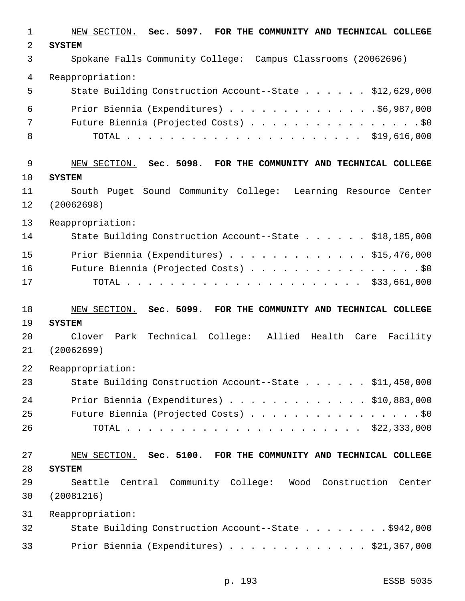NEW SECTION. **Sec. 5097. FOR THE COMMUNITY AND TECHNICAL COLLEGE SYSTEM** Spokane Falls Community College: Campus Classrooms (20062696) Reappropriation: 5 State Building Construction Account--State . . . . . \$12,629,000 Prior Biennia (Expenditures) . . . . . . . . . . . . . .\$6,987,000 Future Biennia (Projected Costs) . . . . . . . . . . . . . . . . \$0 TOTAL . . . . . . . . . . . . . . . . . . . . . . \$19,616,000 NEW SECTION. **Sec. 5098. FOR THE COMMUNITY AND TECHNICAL COLLEGE SYSTEM** South Puget Sound Community College: Learning Resource Center (20062698) Reappropriation: 14 State Building Construction Account--State . . . . . \$18,185,000 Prior Biennia (Expenditures) . . . . . . . . . . . . . \$15,476,000 Future Biennia (Projected Costs) . . . . . . . . . . . . . . . . \$0 TOTAL . . . . . . . . . . . . . . . . . . . . . . \$33,661,000 NEW SECTION. **Sec. 5099. FOR THE COMMUNITY AND TECHNICAL COLLEGE SYSTEM** Clover Park Technical College: Allied Health Care Facility (20062699) Reappropriation: 23 State Building Construction Account--State . . . . . \$11,450,000 Prior Biennia (Expenditures) . . . . . . . . . . . . . \$10,883,000 25 Future Biennia (Projected Costs) . . . . . . . . . . . . . . . . \$0 TOTAL . . . . . . . . . . . . . . . . . . . . . . \$22,333,000 NEW SECTION. **Sec. 5100. FOR THE COMMUNITY AND TECHNICAL COLLEGE SYSTEM** Seattle Central Community College: Wood Construction Center (20081216) Reappropriation: 32 State Building Construction Account--State . . . . . . . . \$942,000 Prior Biennia (Expenditures) . . . . . . . . . . . . . \$21,367,000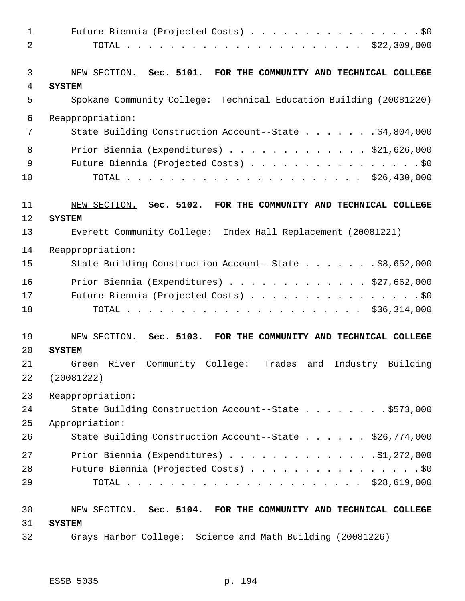| 2<br>3<br>4<br><b>SYSTEM</b><br>5<br>$\epsilon$<br>Reappropriation:<br>7<br>8<br>9<br>10<br>11<br>NEW SECTION. Sec. 5102. FOR THE COMMUNITY AND TECHNICAL COLLEGE<br>12<br><b>SYSTEM</b><br>13<br>Everett Community College: Index Hall Replacement (20081221)<br>14<br>Reappropriation:<br>15<br>16<br>17<br>18<br>19<br>NEW SECTION. Sec. 5103. FOR THE COMMUNITY AND TECHNICAL COLLEGE<br>20<br><b>SYSTEM</b><br>Industry Building<br>Green River Community College:<br>Trades and<br>21<br>(20081222)<br>22<br>23<br>Reappropriation:<br>24<br>25<br>Appropriation:<br>26<br>27 | $\mathbf{1}$ | Future Biennia (Projected Costs) \$0                               |
|-------------------------------------------------------------------------------------------------------------------------------------------------------------------------------------------------------------------------------------------------------------------------------------------------------------------------------------------------------------------------------------------------------------------------------------------------------------------------------------------------------------------------------------------------------------------------------------|--------------|--------------------------------------------------------------------|
|                                                                                                                                                                                                                                                                                                                                                                                                                                                                                                                                                                                     |              |                                                                    |
|                                                                                                                                                                                                                                                                                                                                                                                                                                                                                                                                                                                     |              |                                                                    |
|                                                                                                                                                                                                                                                                                                                                                                                                                                                                                                                                                                                     |              | NEW SECTION. Sec. 5101. FOR THE COMMUNITY AND TECHNICAL COLLEGE    |
|                                                                                                                                                                                                                                                                                                                                                                                                                                                                                                                                                                                     |              |                                                                    |
|                                                                                                                                                                                                                                                                                                                                                                                                                                                                                                                                                                                     |              | Spokane Community College: Technical Education Building (20081220) |
|                                                                                                                                                                                                                                                                                                                                                                                                                                                                                                                                                                                     |              |                                                                    |
|                                                                                                                                                                                                                                                                                                                                                                                                                                                                                                                                                                                     |              | State Building Construction Account--State \$4,804,000             |
|                                                                                                                                                                                                                                                                                                                                                                                                                                                                                                                                                                                     |              | Prior Biennia (Expenditures) \$21,626,000                          |
|                                                                                                                                                                                                                                                                                                                                                                                                                                                                                                                                                                                     |              | Future Biennia (Projected Costs) \$0                               |
|                                                                                                                                                                                                                                                                                                                                                                                                                                                                                                                                                                                     |              |                                                                    |
|                                                                                                                                                                                                                                                                                                                                                                                                                                                                                                                                                                                     |              |                                                                    |
|                                                                                                                                                                                                                                                                                                                                                                                                                                                                                                                                                                                     |              |                                                                    |
|                                                                                                                                                                                                                                                                                                                                                                                                                                                                                                                                                                                     |              |                                                                    |
|                                                                                                                                                                                                                                                                                                                                                                                                                                                                                                                                                                                     |              |                                                                    |
|                                                                                                                                                                                                                                                                                                                                                                                                                                                                                                                                                                                     |              | State Building Construction Account--State \$8,652,000             |
|                                                                                                                                                                                                                                                                                                                                                                                                                                                                                                                                                                                     |              | Prior Biennia (Expenditures) \$27,662,000                          |
|                                                                                                                                                                                                                                                                                                                                                                                                                                                                                                                                                                                     |              | Future Biennia (Projected Costs) \$0                               |
|                                                                                                                                                                                                                                                                                                                                                                                                                                                                                                                                                                                     |              |                                                                    |
|                                                                                                                                                                                                                                                                                                                                                                                                                                                                                                                                                                                     |              |                                                                    |
|                                                                                                                                                                                                                                                                                                                                                                                                                                                                                                                                                                                     |              |                                                                    |
|                                                                                                                                                                                                                                                                                                                                                                                                                                                                                                                                                                                     |              |                                                                    |
|                                                                                                                                                                                                                                                                                                                                                                                                                                                                                                                                                                                     |              |                                                                    |
|                                                                                                                                                                                                                                                                                                                                                                                                                                                                                                                                                                                     |              |                                                                    |
|                                                                                                                                                                                                                                                                                                                                                                                                                                                                                                                                                                                     |              | State Building Construction Account--State \$573,000               |
|                                                                                                                                                                                                                                                                                                                                                                                                                                                                                                                                                                                     |              |                                                                    |
|                                                                                                                                                                                                                                                                                                                                                                                                                                                                                                                                                                                     |              | State Building Construction Account--State \$26,774,000            |
|                                                                                                                                                                                                                                                                                                                                                                                                                                                                                                                                                                                     |              | Prior Biennia (Expenditures) \$1,272,000                           |
| 28                                                                                                                                                                                                                                                                                                                                                                                                                                                                                                                                                                                  |              | Future Biennia (Projected Costs) \$0                               |
| 29                                                                                                                                                                                                                                                                                                                                                                                                                                                                                                                                                                                  |              |                                                                    |
| 30                                                                                                                                                                                                                                                                                                                                                                                                                                                                                                                                                                                  |              | NEW SECTION. Sec. 5104. FOR THE COMMUNITY AND TECHNICAL COLLEGE    |
| 31<br><b>SYSTEM</b>                                                                                                                                                                                                                                                                                                                                                                                                                                                                                                                                                                 |              |                                                                    |
| 32<br>Grays Harbor College: Science and Math Building (20081226)                                                                                                                                                                                                                                                                                                                                                                                                                                                                                                                    |              |                                                                    |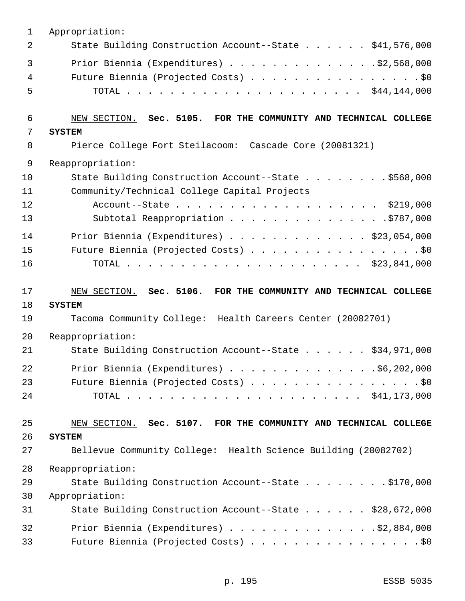| 1  | Appropriation:                                                  |
|----|-----------------------------------------------------------------|
| 2  | State Building Construction Account--State \$41,576,000         |
| 3  | Prior Biennia (Expenditures) $\ldots$ 92,568,000                |
| 4  | Future Biennia (Projected Costs) \$0                            |
| 5  |                                                                 |
| 6  | NEW SECTION. Sec. 5105. FOR THE COMMUNITY AND TECHNICAL COLLEGE |
| 7  | <b>SYSTEM</b>                                                   |
| 8  | Pierce College Fort Steilacoom: Cascade Core (20081321)         |
| 9  | Reappropriation:                                                |
| 10 | State Building Construction Account--State \$568,000            |
| 11 | Community/Technical College Capital Projects                    |
| 12 | Account--State \$219,000                                        |
| 13 | Subtotal Reappropriation \$787,000                              |
| 14 | Prior Biennia (Expenditures) $\ldots$ \$23,054,000              |
| 15 | Future Biennia (Projected Costs) \$0                            |
| 16 |                                                                 |
|    |                                                                 |
| 17 | NEW SECTION. Sec. 5106. FOR THE COMMUNITY AND TECHNICAL COLLEGE |
| 18 | <b>SYSTEM</b>                                                   |
| 19 | Tacoma Community College: Health Careers Center (20082701)      |
| 20 | Reappropriation:                                                |
| 21 | State Building Construction Account--State \$34,971,000         |
| 22 | Prior Biennia (Expenditures) \$6,202,000                        |
| 23 | Future Biennia (Projected Costs) \$0                            |
| 24 |                                                                 |
| 25 | NEW SECTION. Sec. 5107. FOR THE COMMUNITY AND TECHNICAL COLLEGE |
| 26 | <b>SYSTEM</b>                                                   |
| 27 | Bellevue Community College: Health Science Building (20082702)  |
| 28 | Reappropriation:                                                |
| 29 | State Building Construction Account--State \$170,000            |
| 30 | Appropriation:                                                  |
| 31 | State Building Construction Account--State \$28,672,000         |
| 32 | Prior Biennia (Expenditures) \$2,884,000                        |
|    |                                                                 |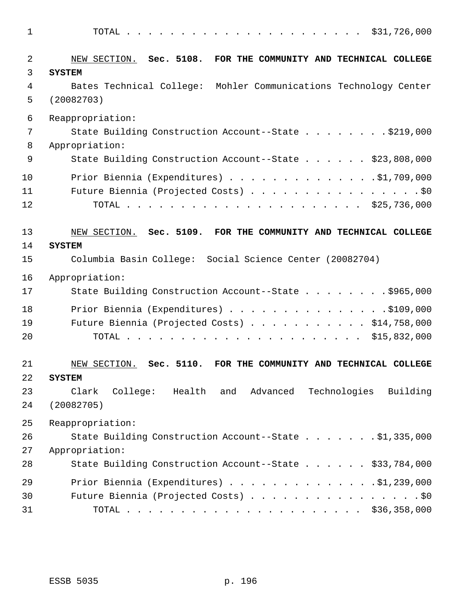| $\mathbf 1$ | \$31,726,000                                                       |
|-------------|--------------------------------------------------------------------|
| 2           | NEW SECTION. Sec. 5108. FOR THE COMMUNITY AND TECHNICAL COLLEGE    |
| 3           | <b>SYSTEM</b>                                                      |
| 4           | Bates Technical College: Mohler Communications Technology Center   |
| 5           | (20082703)                                                         |
| 6           | Reappropriation:                                                   |
| 7           | State Building Construction Account--State \$219,000               |
| 8           | Appropriation:                                                     |
| 9           | State Building Construction Account--State \$23,808,000            |
| 10          | Prior Biennia (Expenditures) \$1,709,000                           |
| 11          | Future Biennia (Projected Costs) \$0                               |
| 12          |                                                                    |
| 13          | NEW SECTION. Sec. 5109. FOR THE COMMUNITY AND TECHNICAL COLLEGE    |
| 14          | <b>SYSTEM</b>                                                      |
| 15          | Columbia Basin College: Social Science Center (20082704)           |
| 16          | Appropriation:                                                     |
| 17          | State Building Construction Account--State \$965,000               |
| 18          | Prior Biennia (Expenditures) \$109,000                             |
| 19          | Future Biennia (Projected Costs) \$14,758,000                      |
| 20          |                                                                    |
| 21          | NEW SECTION. Sec. 5110.<br>FOR THE COMMUNITY AND TECHNICAL COLLEGE |
| 22          | <b>SYSTEM</b>                                                      |
| 23          | Technologies<br>College: Health and Advanced<br>Building<br>Clark  |
| 24          | (20082705)                                                         |
| 25          | Reappropriation:                                                   |
| 26          | State Building Construction Account--State \$1,335,000             |
| 27          | Appropriation:                                                     |
| 28          | State Building Construction Account--State \$33,784,000            |
| 29          | Prior Biennia (Expenditures) \$1,239,000                           |
| 30          | Future Biennia (Projected Costs) \$0                               |
| 31          |                                                                    |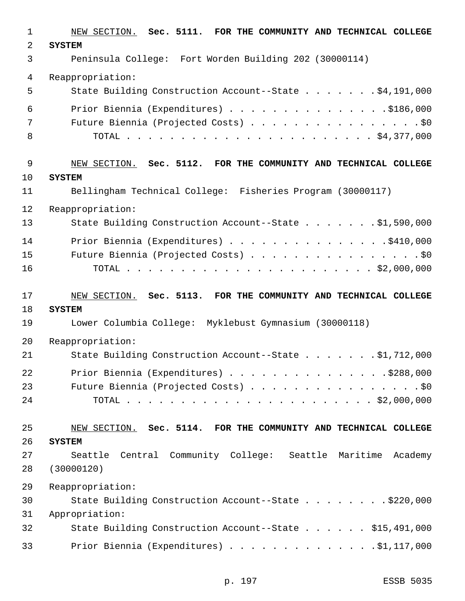| 1              | NEW SECTION. Sec. 5111. FOR THE COMMUNITY AND TECHNICAL COLLEGE |
|----------------|-----------------------------------------------------------------|
| 2              | <b>SYSTEM</b>                                                   |
| 3              | Peninsula College: Fort Worden Building 202 (30000114)          |
| $\overline{4}$ | Reappropriation:                                                |
| 5              | State Building Construction Account--State \$4,191,000          |
| 6              | Prior Biennia (Expenditures) \$186,000                          |
| 7              | Future Biennia (Projected Costs) \$0                            |
| 8              |                                                                 |
| 9              | NEW SECTION. Sec. 5112. FOR THE COMMUNITY AND TECHNICAL COLLEGE |
| 10             | <b>SYSTEM</b>                                                   |
| 11             | Bellingham Technical College: Fisheries Program (30000117)      |
| 12             | Reappropriation:                                                |
| 13             | State Building Construction Account--State \$1,590,000          |
| 14             | Prior Biennia (Expenditures) \$410,000                          |
| 15             | Future Biennia (Projected Costs) \$0                            |
| 16             |                                                                 |
| 17             | NEW SECTION. Sec. 5113. FOR THE COMMUNITY AND TECHNICAL COLLEGE |
| 18             | <b>SYSTEM</b>                                                   |
| 19             | Lower Columbia College: Myklebust Gymnasium (30000118)          |
| 20             | Reappropriation:                                                |
| 21             | State Building Construction Account--State \$1,712,000          |
| 22             | Prior Biennia (Expenditures) \$288,000                          |
| 23             | Future Biennia (Projected Costs) \$0                            |
| 24             |                                                                 |
| 25             | NEW SECTION. Sec. 5114. FOR THE COMMUNITY AND TECHNICAL COLLEGE |
| 26             | <b>SYSTEM</b>                                                   |
| 27             | Seattle Central Community College: Seattle Maritime<br>Academy  |
| 28             | (30000120)                                                      |
| 29             | Reappropriation:                                                |
| 30             | State Building Construction Account--State \$220,000            |
| 31             | Appropriation:                                                  |
| 32             | State Building Construction Account--State \$15,491,000         |
| 33             | Prior Biennia (Expenditures) \$1,117,000                        |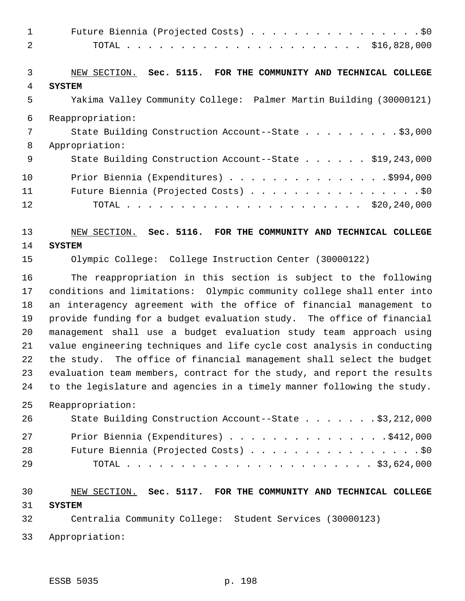| $\mathbf{1}$   | Future Biennia (Projected Costs) \$0                                      |
|----------------|---------------------------------------------------------------------------|
| 2              |                                                                           |
|                |                                                                           |
| $\mathfrak{Z}$ | NEW SECTION. Sec. 5115. FOR THE COMMUNITY AND TECHNICAL COLLEGE           |
| 4              | <b>SYSTEM</b>                                                             |
| 5              | Yakima Valley Community College: Palmer Martin Building (30000121)        |
| 6              | Reappropriation:                                                          |
| 7              | State Building Construction Account--State \$3,000                        |
| 8              | Appropriation:                                                            |
| 9              | State Building Construction Account--State \$19,243,000                   |
| 10             | Prior Biennia (Expenditures) \$994,000                                    |
| 11             | Future Biennia (Projected Costs) \$0                                      |
| 12             |                                                                           |
|                |                                                                           |
| 13             | NEW SECTION. Sec. 5116. FOR THE COMMUNITY AND TECHNICAL COLLEGE           |
| 14             | <b>SYSTEM</b>                                                             |
| 15             | Olympic College: College Instruction Center (30000122)                    |
| 16             | The reappropriation in this section is subject to the following           |
| 17             | conditions and limitations: Olympic community college shall enter into    |
| 18             | an interagency agreement with the office of financial management to       |
| 19             | provide funding for a budget evaluation study. The office of financial    |
| 20             | management shall use a budget evaluation study team approach using        |
| 21             | value engineering techniques and life cycle cost analysis in conducting   |
| 22             | the study. The office of financial management shall select the budget     |
| 23<br>24       | evaluation team members, contract for the study, and report the results   |
|                | to the legislature and agencies in a timely manner following the study.   |
| 25             | Reappropriation:                                                          |
| 26             | State Building Construction Account--State \$3,212,000                    |
| 27             | Prior Biennia (Expenditures) \$412,000                                    |
| 28             | Future Biennia (Projected Costs) \$0                                      |
| 29             |                                                                           |
|                |                                                                           |
| 30             | NEW SECTION. Sec. 5117. FOR THE COMMUNITY AND TECHNICAL COLLEGE           |
| 31<br>32       | <b>SYSTEM</b><br>Centralia Community College: Student Services (30000123) |
|                |                                                                           |
| 33             | Appropriation:                                                            |

ESSB 5035 p. 198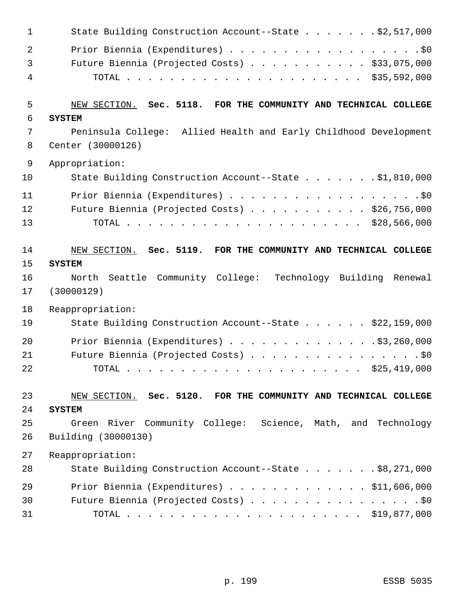| $\mathbf{1}$ | State Building Construction Account--State \$2,517,000                                |
|--------------|---------------------------------------------------------------------------------------|
| 2            | Prior Biennia (Expenditures) \$0                                                      |
| 3            | Future Biennia (Projected Costs) \$33,075,000                                         |
| 4            |                                                                                       |
| 5            |                                                                                       |
| 6            | NEW SECTION. Sec. 5118. FOR THE COMMUNITY AND TECHNICAL COLLEGE                       |
| 7            | <b>SYSTEM</b>                                                                         |
| 8            | Peninsula College: Allied Health and Early Childhood Development<br>Center (30000126) |
| 9            | Appropriation:                                                                        |
| 10           | State Building Construction Account--State \$1,810,000                                |
| 11           | Prior Biennia (Expenditures) \$0                                                      |
| 12           | Future Biennia (Projected Costs) \$26,756,000                                         |
| 13           |                                                                                       |
| 14           | NEW SECTION. Sec. 5119. FOR THE COMMUNITY AND TECHNICAL COLLEGE                       |
| 15           | <b>SYSTEM</b>                                                                         |
| 16           | North Seattle Community College: Technology Building Renewal                          |
| 17           | (30000129)                                                                            |
| 18           | Reappropriation:                                                                      |
| 19           | State Building Construction Account--State \$22,159,000                               |
| 20           | Prior Biennia (Expenditures) \$3,260,000                                              |
| 21           | Future Biennia (Projected Costs) \$0                                                  |
| 22           |                                                                                       |
| 23           | NEW SECTION. Sec. 5120. FOR THE COMMUNITY AND TECHNICAL COLLEGE                       |
| 24           | <b>SYSTEM</b>                                                                         |
| 25           | Green River Community College: Science, Math, and Technology                          |
| 26           | Building (30000130)                                                                   |
| 27           | Reappropriation:                                                                      |
| 28           | State Building Construction Account--State \$8,271,000                                |
| 29           | Prior Biennia (Expenditures) $\ldots$ \$11,606,000                                    |
| 30           | Future Biennia (Projected Costs) \$0                                                  |
| 31           |                                                                                       |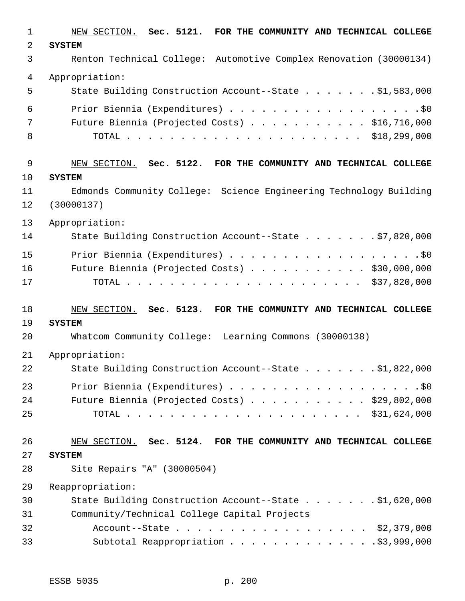| $\mathbf{1}$ | NEW SECTION. Sec. 5121. FOR THE COMMUNITY AND TECHNICAL COLLEGE    |
|--------------|--------------------------------------------------------------------|
| 2            | <b>SYSTEM</b>                                                      |
| 3            | Renton Technical College: Automotive Complex Renovation (30000134) |
| 4            | Appropriation:                                                     |
| 5            | State Building Construction Account--State \$1,583,000             |
| 6            | Prior Biennia (Expenditures) \$0                                   |
| 7            | Future Biennia (Projected Costs) \$16,716,000                      |
| 8            |                                                                    |
| 9            | NEW SECTION. Sec. 5122. FOR THE COMMUNITY AND TECHNICAL COLLEGE    |
| 10           | <b>SYSTEM</b>                                                      |
| 11           | Edmonds Community College: Science Engineering Technology Building |
| 12           | (30000137)                                                         |
| 13           | Appropriation:                                                     |
| 14           | State Building Construction Account--State \$7,820,000             |
| 15           | Prior Biennia (Expenditures) \$0                                   |
| 16           | Future Biennia (Projected Costs) \$30,000,000                      |
| 17           |                                                                    |
| 18           | NEW SECTION. Sec. 5123. FOR THE COMMUNITY AND TECHNICAL COLLEGE    |
| 19           | <b>SYSTEM</b>                                                      |
| 20           | Whatcom Community College: Learning Commons (30000138)             |
| 21           | Appropriation:                                                     |
| 22           | State Building Construction Account--State \$1,822,000             |
| 23           | Prior Biennia (Expenditures) \$0                                   |
| 24           | Future Biennia (Projected Costs) $\ldots$ \$29,802,000             |
| 25           |                                                                    |
| 26           | NEW SECTION. Sec. 5124. FOR THE COMMUNITY AND TECHNICAL COLLEGE    |
| 27           | <b>SYSTEM</b>                                                      |
| 28           | Site Repairs "A" (30000504)                                        |
| 29           | Reappropriation:                                                   |
| 30           | State Building Construction Account--State \$1,620,000             |
| 31           | Community/Technical College Capital Projects                       |
| 32           | Account--State \$2,379,000                                         |
| 33           | Subtotal Reappropriation \$3,999,000                               |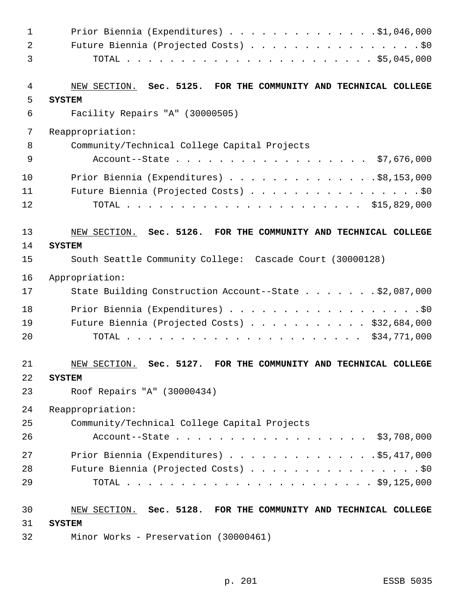| $\mathbf 1$    | Prior Biennia (Expenditures) \$1,046,000                              |
|----------------|-----------------------------------------------------------------------|
| $\overline{a}$ | Future Biennia (Projected Costs) \$0                                  |
| 3              |                                                                       |
|                |                                                                       |
| 4              | NEW SECTION. Sec. 5125. FOR THE COMMUNITY AND TECHNICAL COLLEGE       |
| 5              | <b>SYSTEM</b>                                                         |
| 6              | Facility Repairs "A" (30000505)                                       |
| 7              | Reappropriation:                                                      |
| 8              | Community/Technical College Capital Projects                          |
| 9              | Account--State \$7,676,000                                            |
| 10             | Prior Biennia (Expenditures) \$8,153,000                              |
| 11             | Future Biennia (Projected Costs) \$0                                  |
| 12             |                                                                       |
|                |                                                                       |
| 13             | NEW SECTION. Sec. 5126. FOR THE COMMUNITY AND TECHNICAL COLLEGE       |
| 14             | <b>SYSTEM</b>                                                         |
| 15             | South Seattle Community College: Cascade Court (30000128)             |
| 16             | Appropriation:                                                        |
| 17             | State Building Construction Account--State \$2,087,000                |
| 18             |                                                                       |
| 19             | Future Biennia (Projected Costs) \$32,684,000                         |
| 20             |                                                                       |
|                |                                                                       |
| 21             | NEW SECTION.<br>Sec. 5127.<br>FOR THE COMMUNITY AND TECHNICAL COLLEGE |
| 22             | <b>SYSTEM</b>                                                         |
| 23             | Roof Repairs "A" (30000434)                                           |
| 24             | Reappropriation:                                                      |
| 25             | Community/Technical College Capital Projects                          |
| 26             | Account--State \$3,708,000                                            |
| 27             | Prior Biennia (Expenditures) \$5,417,000                              |
| 28             | Future Biennia (Projected Costs) \$0                                  |
| 29             |                                                                       |
|                |                                                                       |
| 30             | NEW SECTION. Sec. 5128. FOR THE COMMUNITY AND TECHNICAL COLLEGE       |
| 31             | <b>SYSTEM</b>                                                         |
| 32             | Minor Works - Preservation (30000461)                                 |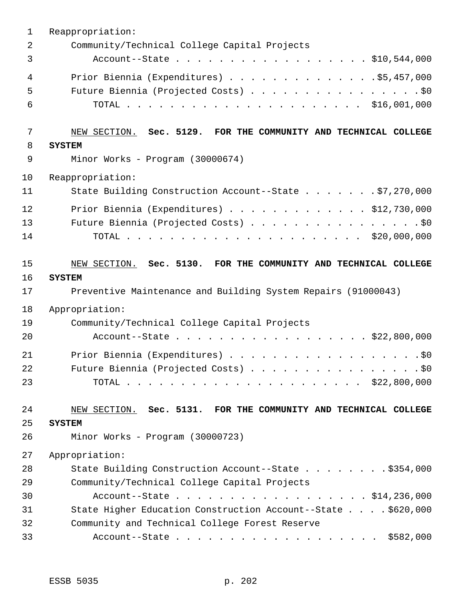| $\mathbf 1$    | Reappropriation:                                                |
|----------------|-----------------------------------------------------------------|
| $\overline{2}$ | Community/Technical College Capital Projects                    |
| 3              | Account--State \$10,544,000                                     |
| $\overline{4}$ | Prior Biennia (Expenditures) \$5,457,000                        |
| 5              | Future Biennia (Projected Costs) \$0                            |
| 6              |                                                                 |
| 7              | NEW SECTION. Sec. 5129. FOR THE COMMUNITY AND TECHNICAL COLLEGE |
| 8              | <b>SYSTEM</b>                                                   |
| 9              | Minor Works - Program (30000674)                                |
| 10             | Reappropriation:                                                |
| 11             | State Building Construction Account--State \$7,270,000          |
| 12             | Prior Biennia (Expenditures) \$12,730,000                       |
| 13             | Future Biennia (Projected Costs) \$0                            |
| 14             |                                                                 |
| 15             | NEW SECTION. Sec. 5130. FOR THE COMMUNITY AND TECHNICAL COLLEGE |
| 16             | <b>SYSTEM</b>                                                   |
| 17             | Preventive Maintenance and Building System Repairs (91000043)   |
| 18             | Appropriation:                                                  |
| 19             | Community/Technical College Capital Projects                    |
| 20             | Account--State \$22,800,000                                     |
| 21             | Prior Biennia (Expenditures) \$0                                |
| 22             | Future Biennia (Projected Costs) \$0                            |
| 23             |                                                                 |
| 24             | NEW SECTION. Sec. 5131. FOR THE COMMUNITY AND TECHNICAL COLLEGE |
| 25             | <b>SYSTEM</b>                                                   |
| 26             | Minor Works - Program (30000723)                                |
| 27             | Appropriation:                                                  |
| 28             | State Building Construction Account--State \$354,000            |
| 29             | Community/Technical College Capital Projects                    |
| 30             | Account--State \$14,236,000                                     |
| 31             | State Higher Education Construction Account--State \$620,000    |
| 32             | Community and Technical College Forest Reserve                  |
| 33             | Account--State \$582,000                                        |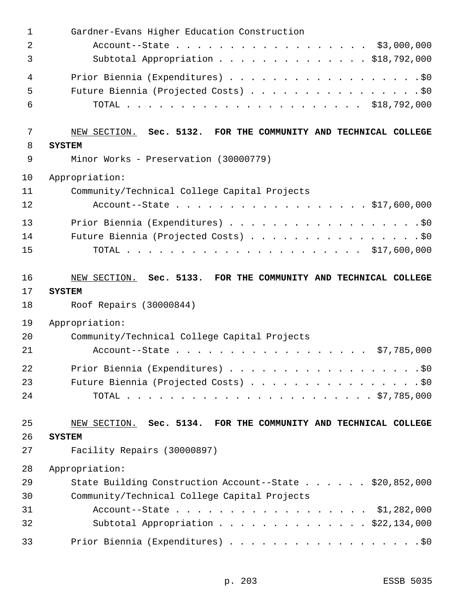| $\mathbf 1$ | Gardner-Evans Higher Education Construction                     |
|-------------|-----------------------------------------------------------------|
| 2           | Account--State \$3,000,000                                      |
| 3           | Subtotal Appropriation \$18,792,000                             |
| 4           | Prior Biennia (Expenditures) \$0                                |
| 5           | Future Biennia (Projected Costs) \$0                            |
| 6           |                                                                 |
| 7           | NEW SECTION. Sec. 5132. FOR THE COMMUNITY AND TECHNICAL COLLEGE |
| 8           | <b>SYSTEM</b>                                                   |
| 9           | Minor Works - Preservation (30000779)                           |
| 10          | Appropriation:                                                  |
| 11          | Community/Technical College Capital Projects                    |
| 12          | Account--State \$17,600,000                                     |
| 13          | Prior Biennia (Expenditures) \$0                                |
| 14          | Future Biennia (Projected Costs) \$0                            |
| 15          |                                                                 |
| 16          | NEW SECTION. Sec. 5133. FOR THE COMMUNITY AND TECHNICAL COLLEGE |
| 17          | <b>SYSTEM</b>                                                   |
|             |                                                                 |
| 18          | Roof Repairs (30000844)                                         |
| 19          | Appropriation:                                                  |
| 20          | Community/Technical College Capital Projects                    |
| 21          | \$7,785,000<br>Account--State                                   |
| 22          |                                                                 |
| 23          | Future Biennia (Projected Costs) \$0                            |
| 24          |                                                                 |
| 25          | NEW SECTION. Sec. 5134. FOR THE COMMUNITY AND TECHNICAL COLLEGE |
| 26          | <b>SYSTEM</b>                                                   |
| 27          | Facility Repairs (30000897)                                     |
| 28          | Appropriation:                                                  |
| 29          | State Building Construction Account--State \$20,852,000         |
| 30          | Community/Technical College Capital Projects                    |
| 31          | Account--State \$1,282,000                                      |
| 32          | Subtotal Appropriation \$22,134,000                             |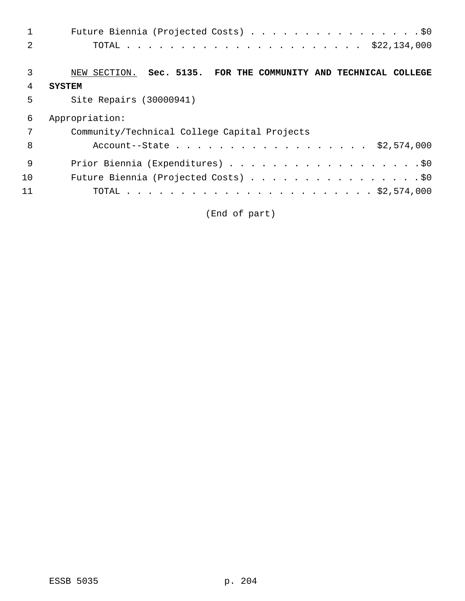| 1              | Future Biennia (Projected Costs) \$0                            |
|----------------|-----------------------------------------------------------------|
| 2              |                                                                 |
| 3              | NEW SECTION. Sec. 5135. FOR THE COMMUNITY AND TECHNICAL COLLEGE |
| $\overline{4}$ | <b>SYSTEM</b>                                                   |
| 5              | Site Repairs (30000941)                                         |
| 6              | Appropriation:                                                  |
| 7              | Community/Technical College Capital Projects                    |
| 8              | Account--State \$2,574,000                                      |
| 9              |                                                                 |
| 10             | Future Biennia (Projected Costs) \$0                            |
| 11             | TOTAL                                                           |

(End of part)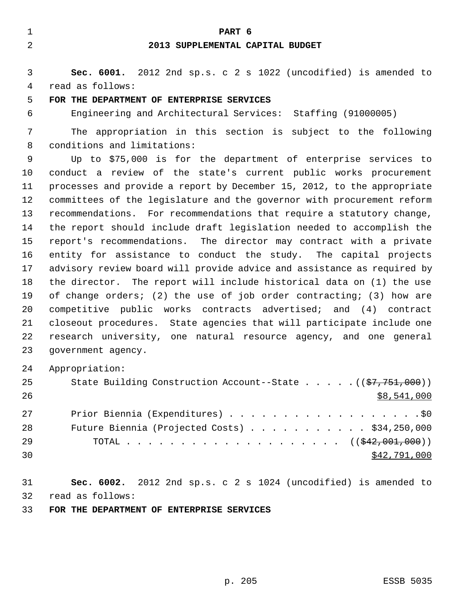**PART 6 2013 SUPPLEMENTAL CAPITAL BUDGET**

# **Sec. 6001.** 2012 2nd sp.s. c 2 s 1022 (uncodified) is amended to read as follows:

#### **FOR THE DEPARTMENT OF ENTERPRISE SERVICES**

Engineering and Architectural Services: Staffing (91000005)

 The appropriation in this section is subject to the following conditions and limitations:

 Up to \$75,000 is for the department of enterprise services to conduct a review of the state's current public works procurement processes and provide a report by December 15, 2012, to the appropriate committees of the legislature and the governor with procurement reform recommendations. For recommendations that require a statutory change, the report should include draft legislation needed to accomplish the report's recommendations. The director may contract with a private entity for assistance to conduct the study. The capital projects advisory review board will provide advice and assistance as required by the director. The report will include historical data on (1) the use of change orders; (2) the use of job order contracting; (3) how are competitive public works contracts advertised; and (4) contract closeout procedures. State agencies that will participate include one research university, one natural resource agency, and one general government agency.

Appropriation:

| 25 | State Building Construction Account--State $($ $($ $\frac{1}{57}, 751, 000)$ $)$ |
|----|----------------------------------------------------------------------------------|
| 26 | \$8,541,000                                                                      |
| 27 |                                                                                  |
| 28 | Future Biennia (Projected Costs) $\ldots$ \$34,250,000                           |
| 29 | TOTAL ( $(\frac{1}{242}, 001, 000)$ )                                            |
| 30 | \$42,791,000                                                                     |

 **Sec. 6002.** 2012 2nd sp.s. c 2 s 1024 (uncodified) is amended to read as follows:

**FOR THE DEPARTMENT OF ENTERPRISE SERVICES**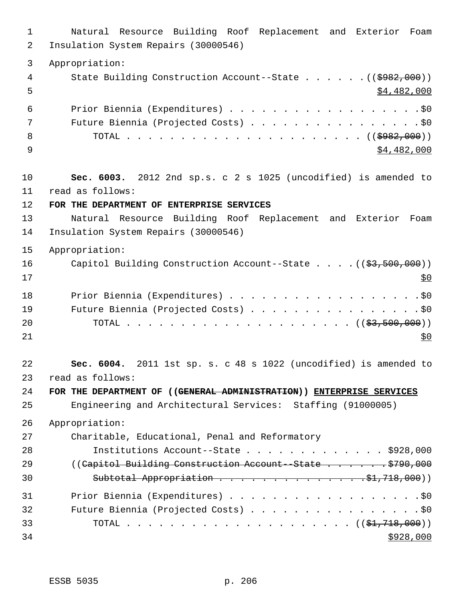Natural Resource Building Roof Replacement and Exterior Foam Insulation System Repairs (30000546) Appropriation: 4 State Building Construction Account--State . . . . . . ((\$982,000))  $5 - 5$ 6 Prior Biennia (Expenditures) . . . . . . . . . . . . . . . . . . \$0 7 Future Biennia (Projected Costs) . . . . . . . . . . . . . . . . \$0 TOTAL . . . . . . . . . . . . . . . . . . . . . . ((\$982,000))  $\frac{1}{9}$  \$4,482,000 **Sec. 6003.** 2012 2nd sp.s. c 2 s 1025 (uncodified) is amended to read as follows: **FOR THE DEPARTMENT OF ENTERPRISE SERVICES** Natural Resource Building Roof Replacement and Exterior Foam Insulation System Repairs (30000546) Appropriation: 16 Capitol Building Construction Account--State . . . . ((\$3,500,000))  $17 \frac{\text{S0}}{100}$  Prior Biennia (Expenditures) . . . . . . . . . . . . . . . . . .\$0 19 Future Biennia (Projected Costs) . . . . . . . . . . . . . . . . \$0 TOTAL . . . . . . . . . . . . . . . . . . . . . ((\$3,500,000)) **Sec. 6004.** 2011 1st sp. s. c 48 s 1022 (uncodified) is amended to read as follows: **FOR THE DEPARTMENT OF ((GENERAL ADMINISTRATION)) ENTERPRISE SERVICES** Engineering and Architectural Services: Staffing (91000005) Appropriation: Charitable, Educational, Penal and Reformatory Institutions Account--State . . . . . . . . . . . . . \$928,000 29 ((Capitol Building Construction Account--State . . . . . . \$790,000 Subtotal Appropriation . . . . . . . . . . . . . .\$1,718,000)) Prior Biennia (Expenditures) . . . . . . . . . . . . . . . . . .\$0 32 Future Biennia (Projected Costs) . . . . . . . . . . . . . . . . \$0 TOTAL . . . . . . . . . . . . . . . . . . . . . ((\$1,718,000))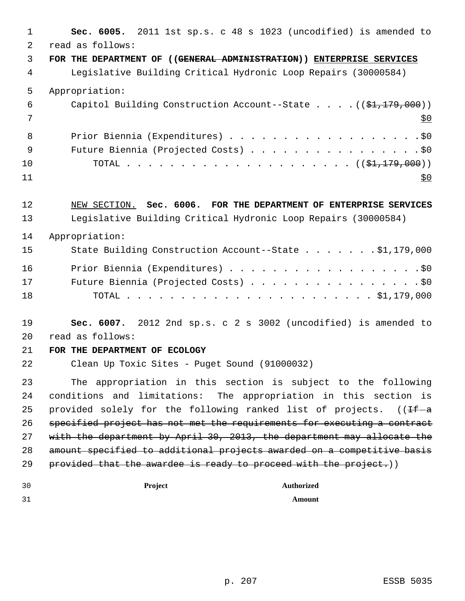| 1              | Sec. 6005. 2011 1st sp.s. c 48 s 1023 (uncodified) is amended to                  |
|----------------|-----------------------------------------------------------------------------------|
| $\overline{a}$ | read as follows:                                                                  |
| 3              | FOR THE DEPARTMENT OF ((GENERAL ADMINISTRATION)) ENTERPRISE SERVICES              |
| 4              | Legislative Building Critical Hydronic Loop Repairs (30000584)                    |
| 5              | Appropriation:                                                                    |
| 6              | Capitol Building Construction Account--State $((\frac{21}{71}, \frac{179}{700}))$ |
| 7              | <u>\$0</u>                                                                        |
| 8              | Prior Biennia (Expenditures) \$0                                                  |
| 9              | Future Biennia (Projected Costs) \$0                                              |
| 10             |                                                                                   |
| 11             | <u>\$0</u>                                                                        |
| 12             | NEW SECTION. Sec. 6006. FOR THE DEPARTMENT OF ENTERPRISE SERVICES                 |
| 13             | Legislative Building Critical Hydronic Loop Repairs (30000584)                    |
| 14             | Appropriation:                                                                    |
| 15             | State Building Construction Account--State \$1,179,000                            |
| 16             |                                                                                   |
| 17             | Future Biennia (Projected Costs) \$0                                              |
| 18             |                                                                                   |
| 19             | Sec. 6007. 2012 2nd sp.s. c 2 s 3002 (uncodified) is amended to                   |
| 20             | read as follows:                                                                  |
| 21             | FOR THE DEPARTMENT OF ECOLOGY                                                     |
| 22             | Clean Up Toxic Sites - Puget Sound (91000032)                                     |
| 23             | The appropriation in this section is subject to the following                     |
| 24             | conditions and limitations: The appropriation in this section is                  |
| 25             | provided solely for the following ranked list of projects.<br>(( <del>If</del> -a |
| 26             | specified project has not met the requirements for executing a contract           |
| 27             | with the department by April 30, 2013, the department may allocate the            |
| 28             | amount specified to additional projects awarded on a competitive basis            |
| 29             | provided that the awardee is ready to proceed with the project.))                 |
| 30             | Project<br><b>Authorized</b>                                                      |
| 31             | Amount                                                                            |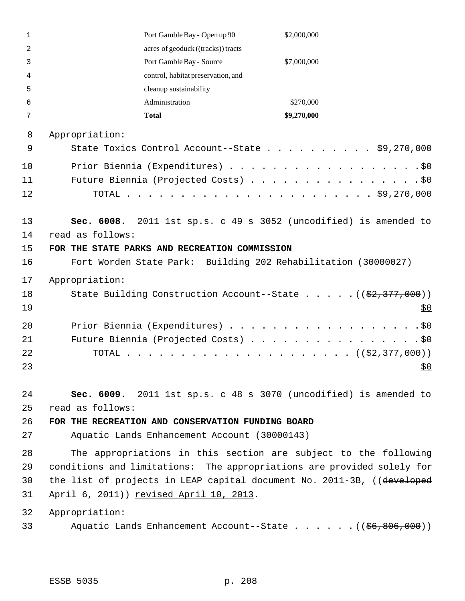| 1        | Port Gamble Bay - Open up 90                                                    | \$2,000,000 |
|----------|---------------------------------------------------------------------------------|-------------|
| 2        | acres of geoduck ((tracks)) tracts                                              |             |
| 3        | Port Gamble Bay - Source                                                        | \$7,000,000 |
| 4        | control, habitat preservation, and                                              |             |
| 5        | cleanup sustainability                                                          |             |
| 6        | Administration                                                                  | \$270,000   |
| 7        | <b>Total</b>                                                                    | \$9,270,000 |
| 8        | Appropriation:                                                                  |             |
| 9        | State Toxics Control Account--State \$9,270,000                                 |             |
| 10       |                                                                                 |             |
| 11       | Future Biennia (Projected Costs) \$0                                            |             |
| 12       |                                                                                 |             |
|          |                                                                                 |             |
| 13       | Sec. 6008. 2011 1st sp.s. c 49 s 3052 (uncodified) is amended to                |             |
| 14       | read as follows:                                                                |             |
| 15       | FOR THE STATE PARKS AND RECREATION COMMISSION                                   |             |
| 16       | Fort Worden State Park: Building 202 Rehabilitation (30000027)                  |             |
| 17       | Appropriation:                                                                  |             |
| 18       | State Building Construction Account--State ((\$2,377,000))                      |             |
| 19       |                                                                                 | <u>\$0</u>  |
| 20       | Prior Biennia (Expenditures)                                                    | $.$ \$0     |
| 21       | Future Biennia (Projected Costs) \$0                                            |             |
| 22       | TOTAL                                                                           |             |
| 23       |                                                                                 | \$0         |
|          |                                                                                 |             |
| 24       | Sec. 6009. 2011 1st sp.s. c 48 s 3070 (uncodified) is amended to                |             |
| 25       | read as follows:                                                                |             |
| 26<br>27 | FOR THE RECREATION AND CONSERVATION FUNDING BOARD                               |             |
|          | Aquatic Lands Enhancement Account (30000143)                                    |             |
| 28       | The appropriations in this section are subject to the following                 |             |
| 29       | conditions and limitations: The appropriations are provided solely for          |             |
| 30       | the list of projects in LEAP capital document No. 2011-3B, ((developed          |             |
| 31       | April 6, 2011)) revised April 10, 2013.                                         |             |
| 32       | Appropriation:                                                                  |             |
| 33       | Aquatic Lands Enhancement Account--State $($ $($ $\frac{6}{56}$ , 806, 000) $)$ |             |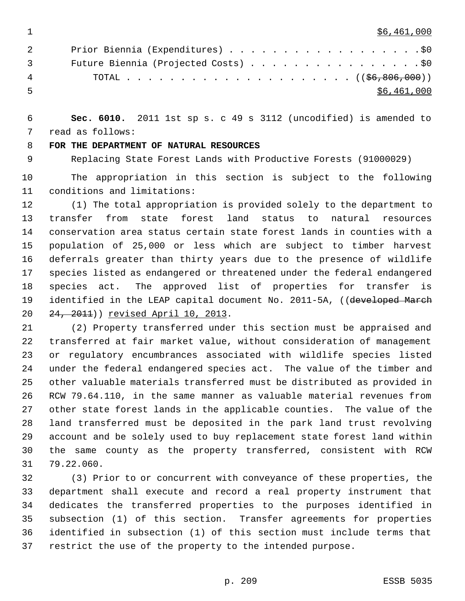$1 \quad$  \$6,461,000

| 2              | Prior Biennia (Expenditures) \$0     |
|----------------|--------------------------------------|
| $\overline{3}$ | Future Biennia (Projected Costs) \$0 |
| 4              |                                      |
| -5             | \$6,461,000                          |

 **Sec. 6010.** 2011 1st sp s. c 49 s 3112 (uncodified) is amended to read as follows:

**FOR THE DEPARTMENT OF NATURAL RESOURCES**

Replacing State Forest Lands with Productive Forests (91000029)

 The appropriation in this section is subject to the following conditions and limitations:

 (1) The total appropriation is provided solely to the department to transfer from state forest land status to natural resources conservation area status certain state forest lands in counties with a population of 25,000 or less which are subject to timber harvest deferrals greater than thirty years due to the presence of wildlife species listed as endangered or threatened under the federal endangered species act. The approved list of properties for transfer is 19 identified in the LEAP capital document No. 2011-5A, ((developed March 24, 2011)) revised April 10, 2013.

 (2) Property transferred under this section must be appraised and transferred at fair market value, without consideration of management or regulatory encumbrances associated with wildlife species listed under the federal endangered species act. The value of the timber and other valuable materials transferred must be distributed as provided in RCW 79.64.110, in the same manner as valuable material revenues from other state forest lands in the applicable counties. The value of the land transferred must be deposited in the park land trust revolving account and be solely used to buy replacement state forest land within the same county as the property transferred, consistent with RCW 79.22.060.

 (3) Prior to or concurrent with conveyance of these properties, the department shall execute and record a real property instrument that dedicates the transferred properties to the purposes identified in subsection (1) of this section. Transfer agreements for properties identified in subsection (1) of this section must include terms that restrict the use of the property to the intended purpose.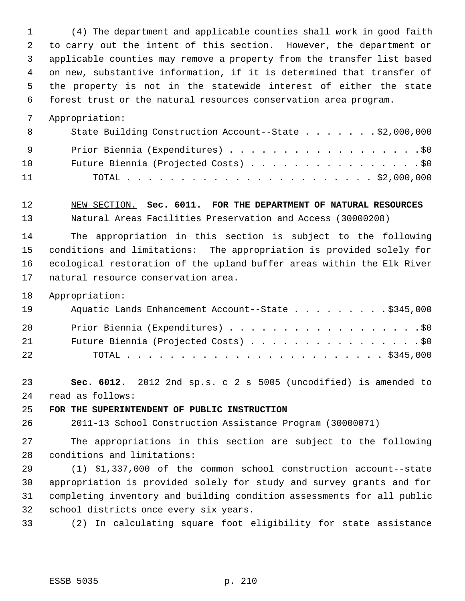(4) The department and applicable counties shall work in good faith to carry out the intent of this section. However, the department or applicable counties may remove a property from the transfer list based on new, substantive information, if it is determined that transfer of the property is not in the statewide interest of either the state forest trust or the natural resources conservation area program.

Appropriation:

| 8   | State Building Construction Account--State \$2,000,000 |
|-----|--------------------------------------------------------|
| - 9 | Prior Biennia (Expenditures) \$0                       |
| 10  | Future Biennia (Projected Costs) \$0                   |
| 11  |                                                        |

 NEW SECTION. **Sec. 6011. FOR THE DEPARTMENT OF NATURAL RESOURCES** Natural Areas Facilities Preservation and Access (30000208)

 The appropriation in this section is subject to the following conditions and limitations: The appropriation is provided solely for ecological restoration of the upland buffer areas within the Elk River natural resource conservation area.

Appropriation:

| 19 | Aquatic Lands Enhancement Account--State \$345,000 |
|----|----------------------------------------------------|
| 20 | Prior Biennia (Expenditures) \$0                   |
| 21 | Future Biennia (Projected Costs) \$0               |
| 22 |                                                    |

 **Sec. 6012.** 2012 2nd sp.s. c 2 s 5005 (uncodified) is amended to read as follows:

**FOR THE SUPERINTENDENT OF PUBLIC INSTRUCTION**

2011-13 School Construction Assistance Program (30000071)

 The appropriations in this section are subject to the following conditions and limitations:

 (1) \$1,337,000 of the common school construction account--state appropriation is provided solely for study and survey grants and for completing inventory and building condition assessments for all public school districts once every six years.

(2) In calculating square foot eligibility for state assistance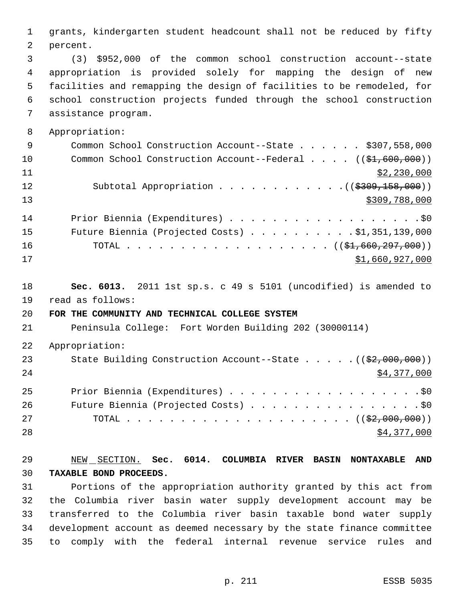grants, kindergarten student headcount shall not be reduced by fifty percent. (3) \$952,000 of the common school construction account--state appropriation is provided solely for mapping the design of new facilities and remapping the design of facilities to be remodeled, for school construction projects funded through the school construction assistance program. Appropriation: 9 Common School Construction Account--State . . . . . \$307,558,000 10 Common School Construction Account--Federal . . . . ((\$1,600,000)) \$2,230,000 12 Subtotal Appropriation . . . . . . . . . . . . ((\$309,158,000))  $\frac{13}{309}$ , 788,000 14 Prior Biennia (Expenditures) . . . . . . . . . . . . . . . . . . \$0 Future Biennia (Projected Costs) . . . . . . . . . . \$1,351,139,000 16 TOTAL . . . . . . . . . . . . . . . . . ((\$1,660,297,000))  $31,660,927,000$  **Sec. 6013.** 2011 1st sp.s. c 49 s 5101 (uncodified) is amended to read as follows: **FOR THE COMMUNITY AND TECHNICAL COLLEGE SYSTEM** Peninsula College: Fort Worden Building 202 (30000114) Appropriation: 23 State Building Construction Account--State . . . . . ((\$2,000,000)) \$4,377,000 Prior Biennia (Expenditures) . . . . . . . . . . . . . . . . . .\$0 26 Future Biennia (Projected Costs) . . . . . . . . . . . . . . . . \$0 TOTAL . . . . . . . . . . . . . . . . . . . . . ((\$2,000,000)) \$4,377,000 NEW SECTION. **Sec. 6014. COLUMBIA RIVER BASIN NONTAXABLE AND TAXABLE BOND PROCEEDS.** Portions of the appropriation authority granted by this act from the Columbia river basin water supply development account may be transferred to the Columbia river basin taxable bond water supply development account as deemed necessary by the state finance committee to comply with the federal internal revenue service rules and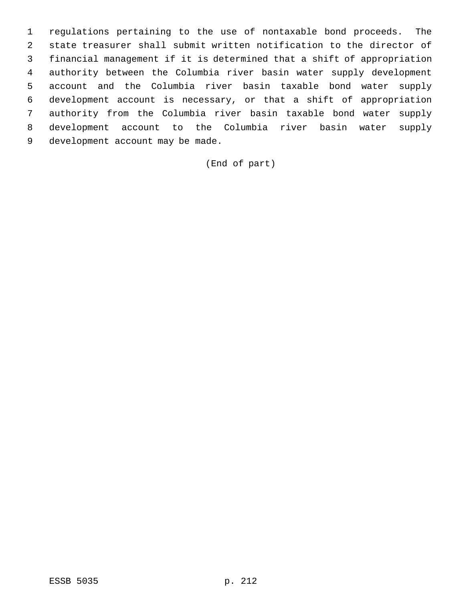regulations pertaining to the use of nontaxable bond proceeds. The state treasurer shall submit written notification to the director of financial management if it is determined that a shift of appropriation authority between the Columbia river basin water supply development account and the Columbia river basin taxable bond water supply development account is necessary, or that a shift of appropriation authority from the Columbia river basin taxable bond water supply development account to the Columbia river basin water supply development account may be made.

(End of part)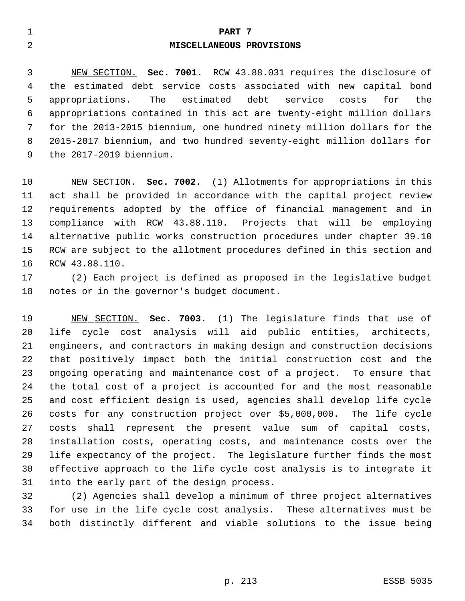#### **PART 7**

#### **MISCELLANEOUS PROVISIONS**

 NEW SECTION. **Sec. 7001.** RCW 43.88.031 requires the disclosure of the estimated debt service costs associated with new capital bond appropriations. The estimated debt service costs for the appropriations contained in this act are twenty-eight million dollars for the 2013-2015 biennium, one hundred ninety million dollars for the 2015-2017 biennium, and two hundred seventy-eight million dollars for the 2017-2019 biennium.

 NEW SECTION. **Sec. 7002.** (1) Allotments for appropriations in this act shall be provided in accordance with the capital project review requirements adopted by the office of financial management and in compliance with RCW 43.88.110. Projects that will be employing alternative public works construction procedures under chapter 39.10 RCW are subject to the allotment procedures defined in this section and RCW 43.88.110.

 (2) Each project is defined as proposed in the legislative budget notes or in the governor's budget document.

 NEW SECTION. **Sec. 7003.** (1) The legislature finds that use of life cycle cost analysis will aid public entities, architects, engineers, and contractors in making design and construction decisions that positively impact both the initial construction cost and the ongoing operating and maintenance cost of a project. To ensure that the total cost of a project is accounted for and the most reasonable and cost efficient design is used, agencies shall develop life cycle costs for any construction project over \$5,000,000. The life cycle costs shall represent the present value sum of capital costs, installation costs, operating costs, and maintenance costs over the life expectancy of the project. The legislature further finds the most effective approach to the life cycle cost analysis is to integrate it into the early part of the design process.

 (2) Agencies shall develop a minimum of three project alternatives for use in the life cycle cost analysis. These alternatives must be both distinctly different and viable solutions to the issue being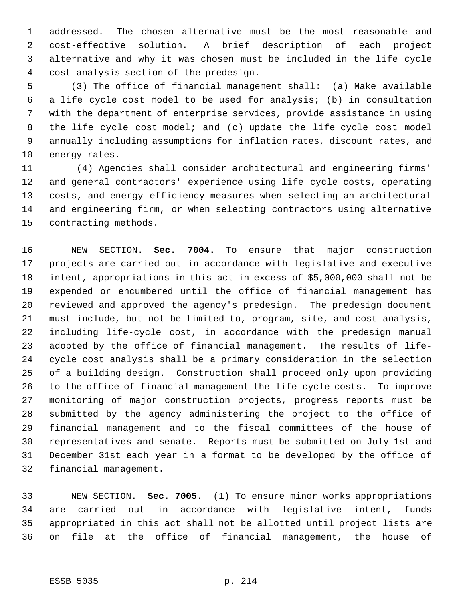addressed. The chosen alternative must be the most reasonable and cost-effective solution. A brief description of each project alternative and why it was chosen must be included in the life cycle cost analysis section of the predesign.

 (3) The office of financial management shall: (a) Make available a life cycle cost model to be used for analysis; (b) in consultation with the department of enterprise services, provide assistance in using the life cycle cost model; and (c) update the life cycle cost model annually including assumptions for inflation rates, discount rates, and energy rates.

11 (4) Agencies shall consider architectural and engineering firms' and general contractors' experience using life cycle costs, operating costs, and energy efficiency measures when selecting an architectural and engineering firm, or when selecting contractors using alternative contracting methods.

 NEW SECTION. **Sec. 7004.** To ensure that major construction projects are carried out in accordance with legislative and executive intent, appropriations in this act in excess of \$5,000,000 shall not be expended or encumbered until the office of financial management has reviewed and approved the agency's predesign. The predesign document must include, but not be limited to, program, site, and cost analysis, including life-cycle cost, in accordance with the predesign manual adopted by the office of financial management. The results of life- cycle cost analysis shall be a primary consideration in the selection of a building design. Construction shall proceed only upon providing to the office of financial management the life-cycle costs. To improve monitoring of major construction projects, progress reports must be submitted by the agency administering the project to the office of financial management and to the fiscal committees of the house of representatives and senate. Reports must be submitted on July 1st and December 31st each year in a format to be developed by the office of financial management.

 NEW SECTION. **Sec. 7005.** (1) To ensure minor works appropriations are carried out in accordance with legislative intent, funds appropriated in this act shall not be allotted until project lists are on file at the office of financial management, the house of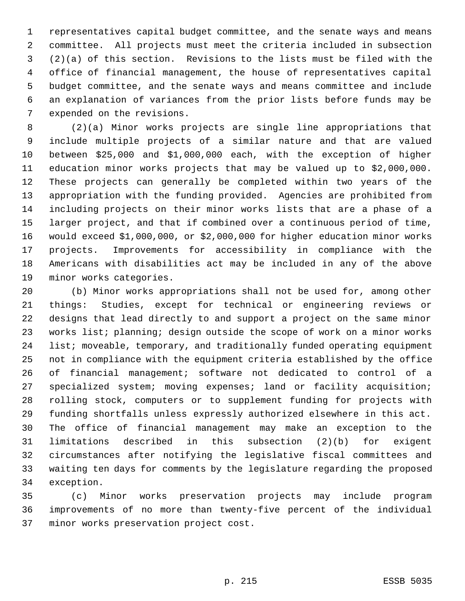representatives capital budget committee, and the senate ways and means committee. All projects must meet the criteria included in subsection (2)(a) of this section. Revisions to the lists must be filed with the office of financial management, the house of representatives capital budget committee, and the senate ways and means committee and include an explanation of variances from the prior lists before funds may be expended on the revisions.

 (2)(a) Minor works projects are single line appropriations that include multiple projects of a similar nature and that are valued between \$25,000 and \$1,000,000 each, with the exception of higher education minor works projects that may be valued up to \$2,000,000. These projects can generally be completed within two years of the appropriation with the funding provided. Agencies are prohibited from including projects on their minor works lists that are a phase of a larger project, and that if combined over a continuous period of time, would exceed \$1,000,000, or \$2,000,000 for higher education minor works projects. Improvements for accessibility in compliance with the Americans with disabilities act may be included in any of the above minor works categories.

 (b) Minor works appropriations shall not be used for, among other things: Studies, except for technical or engineering reviews or designs that lead directly to and support a project on the same minor works list; planning; design outside the scope of work on a minor works list; moveable, temporary, and traditionally funded operating equipment not in compliance with the equipment criteria established by the office of financial management; software not dedicated to control of a specialized system; moving expenses; land or facility acquisition; rolling stock, computers or to supplement funding for projects with funding shortfalls unless expressly authorized elsewhere in this act. The office of financial management may make an exception to the limitations described in this subsection (2)(b) for exigent circumstances after notifying the legislative fiscal committees and waiting ten days for comments by the legislature regarding the proposed exception.

 (c) Minor works preservation projects may include program improvements of no more than twenty-five percent of the individual minor works preservation project cost.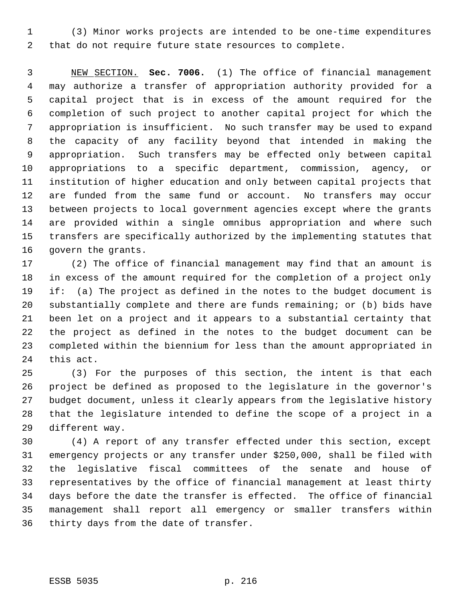(3) Minor works projects are intended to be one-time expenditures that do not require future state resources to complete.

 NEW SECTION. **Sec. 7006.** (1) The office of financial management may authorize a transfer of appropriation authority provided for a capital project that is in excess of the amount required for the completion of such project to another capital project for which the appropriation is insufficient. No such transfer may be used to expand the capacity of any facility beyond that intended in making the appropriation. Such transfers may be effected only between capital appropriations to a specific department, commission, agency, or institution of higher education and only between capital projects that are funded from the same fund or account. No transfers may occur between projects to local government agencies except where the grants are provided within a single omnibus appropriation and where such transfers are specifically authorized by the implementing statutes that govern the grants.

 (2) The office of financial management may find that an amount is in excess of the amount required for the completion of a project only if: (a) The project as defined in the notes to the budget document is substantially complete and there are funds remaining; or (b) bids have been let on a project and it appears to a substantial certainty that the project as defined in the notes to the budget document can be completed within the biennium for less than the amount appropriated in this act.

 (3) For the purposes of this section, the intent is that each project be defined as proposed to the legislature in the governor's budget document, unless it clearly appears from the legislative history that the legislature intended to define the scope of a project in a different way.

 (4) A report of any transfer effected under this section, except emergency projects or any transfer under \$250,000, shall be filed with the legislative fiscal committees of the senate and house of representatives by the office of financial management at least thirty days before the date the transfer is effected. The office of financial management shall report all emergency or smaller transfers within thirty days from the date of transfer.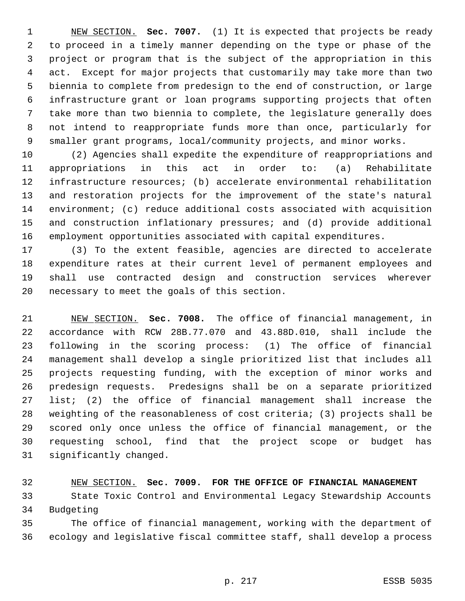NEW SECTION. **Sec. 7007.** (1) It is expected that projects be ready to proceed in a timely manner depending on the type or phase of the project or program that is the subject of the appropriation in this act. Except for major projects that customarily may take more than two biennia to complete from predesign to the end of construction, or large infrastructure grant or loan programs supporting projects that often take more than two biennia to complete, the legislature generally does not intend to reappropriate funds more than once, particularly for smaller grant programs, local/community projects, and minor works.

 (2) Agencies shall expedite the expenditure of reappropriations and appropriations in this act in order to: (a) Rehabilitate infrastructure resources; (b) accelerate environmental rehabilitation and restoration projects for the improvement of the state's natural environment; (c) reduce additional costs associated with acquisition and construction inflationary pressures; and (d) provide additional employment opportunities associated with capital expenditures.

 (3) To the extent feasible, agencies are directed to accelerate expenditure rates at their current level of permanent employees and shall use contracted design and construction services wherever necessary to meet the goals of this section.

 NEW SECTION. **Sec. 7008.** The office of financial management, in accordance with RCW 28B.77.070 and 43.88D.010, shall include the following in the scoring process: (1) The office of financial management shall develop a single prioritized list that includes all projects requesting funding, with the exception of minor works and predesign requests. Predesigns shall be on a separate prioritized list; (2) the office of financial management shall increase the weighting of the reasonableness of cost criteria; (3) projects shall be scored only once unless the office of financial management, or the requesting school, find that the project scope or budget has significantly changed.

## NEW SECTION. **Sec. 7009. FOR THE OFFICE OF FINANCIAL MANAGEMENT**

 State Toxic Control and Environmental Legacy Stewardship Accounts Budgeting

 The office of financial management, working with the department of ecology and legislative fiscal committee staff, shall develop a process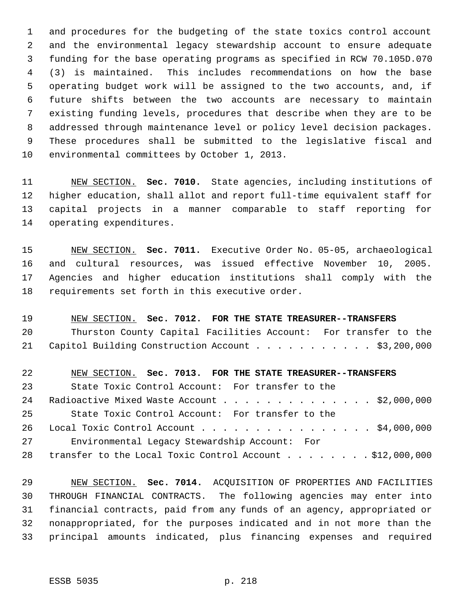and procedures for the budgeting of the state toxics control account and the environmental legacy stewardship account to ensure adequate funding for the base operating programs as specified in RCW 70.105D.070 (3) is maintained. This includes recommendations on how the base operating budget work will be assigned to the two accounts, and, if future shifts between the two accounts are necessary to maintain existing funding levels, procedures that describe when they are to be addressed through maintenance level or policy level decision packages. These procedures shall be submitted to the legislative fiscal and environmental committees by October 1, 2013.

 NEW SECTION. **Sec. 7010.** State agencies, including institutions of higher education, shall allot and report full-time equivalent staff for capital projects in a manner comparable to staff reporting for operating expenditures.

 NEW SECTION. **Sec. 7011.** Executive Order No. 05-05, archaeological and cultural resources, was issued effective November 10, 2005. Agencies and higher education institutions shall comply with the requirements set forth in this executive order.

 NEW SECTION. **Sec. 7012. FOR THE STATE TREASURER--TRANSFERS** Thurston County Capital Facilities Account: For transfer to the 21 Capitol Building Construction Account . . . . . . . . . . \$3,200,000

 NEW SECTION. **Sec. 7013. FOR THE STATE TREASURER--TRANSFERS** State Toxic Control Account: For transfer to the 24 Radioactive Mixed Waste Account . . . . . . . . . . . . . \$2,000,000 State Toxic Control Account: For transfer to the Local Toxic Control Account . . . . . . . . . . . . . . . . \$4,000,000 Environmental Legacy Stewardship Account: For 28 transfer to the Local Toxic Control Account . . . . . . . \$12,000,000

 NEW SECTION. **Sec. 7014.** ACQUISITION OF PROPERTIES AND FACILITIES THROUGH FINANCIAL CONTRACTS. The following agencies may enter into financial contracts, paid from any funds of an agency, appropriated or nonappropriated, for the purposes indicated and in not more than the principal amounts indicated, plus financing expenses and required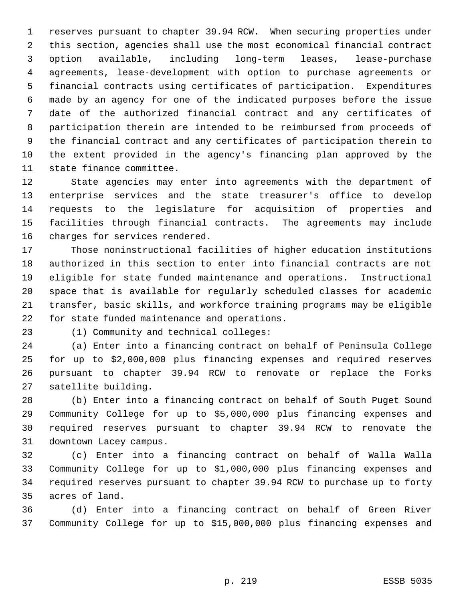reserves pursuant to chapter 39.94 RCW. When securing properties under this section, agencies shall use the most economical financial contract option available, including long-term leases, lease-purchase agreements, lease-development with option to purchase agreements or financial contracts using certificates of participation. Expenditures made by an agency for one of the indicated purposes before the issue date of the authorized financial contract and any certificates of participation therein are intended to be reimbursed from proceeds of the financial contract and any certificates of participation therein to the extent provided in the agency's financing plan approved by the state finance committee.

 State agencies may enter into agreements with the department of enterprise services and the state treasurer's office to develop requests to the legislature for acquisition of properties and facilities through financial contracts. The agreements may include charges for services rendered.

 Those noninstructional facilities of higher education institutions authorized in this section to enter into financial contracts are not eligible for state funded maintenance and operations. Instructional space that is available for regularly scheduled classes for academic transfer, basic skills, and workforce training programs may be eligible for state funded maintenance and operations.

(1) Community and technical colleges:

 (a) Enter into a financing contract on behalf of Peninsula College for up to \$2,000,000 plus financing expenses and required reserves pursuant to chapter 39.94 RCW to renovate or replace the Forks satellite building.

 (b) Enter into a financing contract on behalf of South Puget Sound Community College for up to \$5,000,000 plus financing expenses and required reserves pursuant to chapter 39.94 RCW to renovate the downtown Lacey campus.

 (c) Enter into a financing contract on behalf of Walla Walla Community College for up to \$1,000,000 plus financing expenses and required reserves pursuant to chapter 39.94 RCW to purchase up to forty acres of land.

 (d) Enter into a financing contract on behalf of Green River Community College for up to \$15,000,000 plus financing expenses and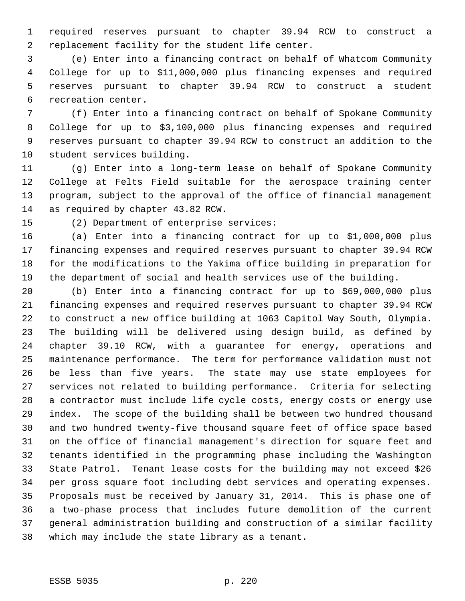required reserves pursuant to chapter 39.94 RCW to construct a replacement facility for the student life center.

 (e) Enter into a financing contract on behalf of Whatcom Community College for up to \$11,000,000 plus financing expenses and required reserves pursuant to chapter 39.94 RCW to construct a student recreation center.

 (f) Enter into a financing contract on behalf of Spokane Community College for up to \$3,100,000 plus financing expenses and required reserves pursuant to chapter 39.94 RCW to construct an addition to the student services building.

 (g) Enter into a long-term lease on behalf of Spokane Community College at Felts Field suitable for the aerospace training center program, subject to the approval of the office of financial management as required by chapter 43.82 RCW.

(2) Department of enterprise services:

 (a) Enter into a financing contract for up to \$1,000,000 plus financing expenses and required reserves pursuant to chapter 39.94 RCW for the modifications to the Yakima office building in preparation for the department of social and health services use of the building.

 (b) Enter into a financing contract for up to \$69,000,000 plus financing expenses and required reserves pursuant to chapter 39.94 RCW to construct a new office building at 1063 Capitol Way South, Olympia. The building will be delivered using design build, as defined by chapter 39.10 RCW, with a guarantee for energy, operations and maintenance performance. The term for performance validation must not be less than five years. The state may use state employees for services not related to building performance. Criteria for selecting a contractor must include life cycle costs, energy costs or energy use index. The scope of the building shall be between two hundred thousand and two hundred twenty-five thousand square feet of office space based on the office of financial management's direction for square feet and tenants identified in the programming phase including the Washington State Patrol. Tenant lease costs for the building may not exceed \$26 per gross square foot including debt services and operating expenses. Proposals must be received by January 31, 2014. This is phase one of a two-phase process that includes future demolition of the current general administration building and construction of a similar facility which may include the state library as a tenant.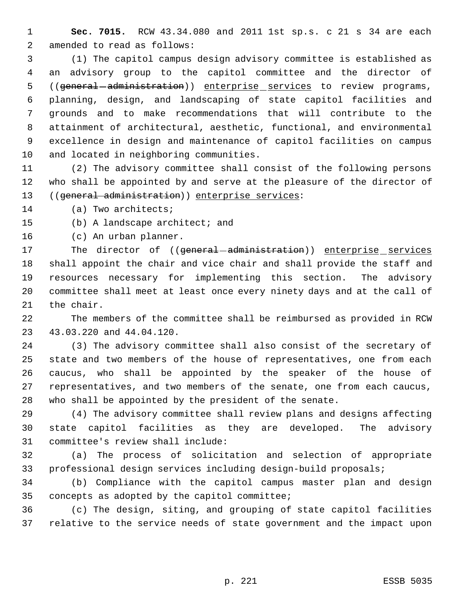**Sec. 7015.** RCW 43.34.080 and 2011 1st sp.s. c 21 s 34 are each amended to read as follows:

 (1) The capitol campus design advisory committee is established as an advisory group to the capitol committee and the director of 5 ((general - administration)) enterprise services to review programs, planning, design, and landscaping of state capitol facilities and grounds and to make recommendations that will contribute to the attainment of architectural, aesthetic, functional, and environmental excellence in design and maintenance of capitol facilities on campus and located in neighboring communities.

 (2) The advisory committee shall consist of the following persons who shall be appointed by and serve at the pleasure of the director of ((general administration)) enterprise services:

(a) Two architects;

(b) A landscape architect; and

(c) An urban planner.

17 The director of ((general-administration)) enterprise services shall appoint the chair and vice chair and shall provide the staff and resources necessary for implementing this section. The advisory committee shall meet at least once every ninety days and at the call of the chair.

 The members of the committee shall be reimbursed as provided in RCW 43.03.220 and 44.04.120.

 (3) The advisory committee shall also consist of the secretary of state and two members of the house of representatives, one from each caucus, who shall be appointed by the speaker of the house of representatives, and two members of the senate, one from each caucus, who shall be appointed by the president of the senate.

 (4) The advisory committee shall review plans and designs affecting state capitol facilities as they are developed. The advisory committee's review shall include:

 (a) The process of solicitation and selection of appropriate professional design services including design-build proposals;

 (b) Compliance with the capitol campus master plan and design concepts as adopted by the capitol committee;

 (c) The design, siting, and grouping of state capitol facilities relative to the service needs of state government and the impact upon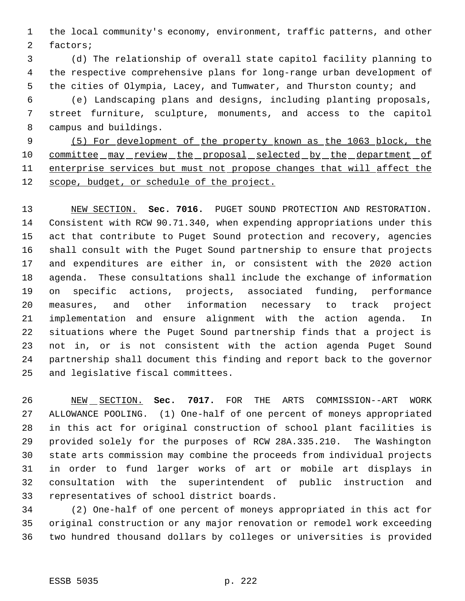the local community's economy, environment, traffic patterns, and other factors;

 (d) The relationship of overall state capitol facility planning to the respective comprehensive plans for long-range urban development of the cities of Olympia, Lacey, and Tumwater, and Thurston county; and

 (e) Landscaping plans and designs, including planting proposals, street furniture, sculpture, monuments, and access to the capitol campus and buildings.

 (5) For development of the property known as the 1063 block, the 10 committee may review the proposal selected by the department of 11 enterprise services but must not propose changes that will affect the 12 scope, budget, or schedule of the project.

 NEW SECTION. **Sec. 7016.** PUGET SOUND PROTECTION AND RESTORATION. Consistent with RCW 90.71.340, when expending appropriations under this act that contribute to Puget Sound protection and recovery, agencies shall consult with the Puget Sound partnership to ensure that projects and expenditures are either in, or consistent with the 2020 action agenda. These consultations shall include the exchange of information on specific actions, projects, associated funding, performance measures, and other information necessary to track project implementation and ensure alignment with the action agenda. In situations where the Puget Sound partnership finds that a project is not in, or is not consistent with the action agenda Puget Sound partnership shall document this finding and report back to the governor and legislative fiscal committees.

 NEW SECTION. **Sec. 7017.** FOR THE ARTS COMMISSION--ART WORK ALLOWANCE POOLING. (1) One-half of one percent of moneys appropriated in this act for original construction of school plant facilities is provided solely for the purposes of RCW 28A.335.210. The Washington state arts commission may combine the proceeds from individual projects in order to fund larger works of art or mobile art displays in consultation with the superintendent of public instruction and representatives of school district boards.

 (2) One-half of one percent of moneys appropriated in this act for original construction or any major renovation or remodel work exceeding two hundred thousand dollars by colleges or universities is provided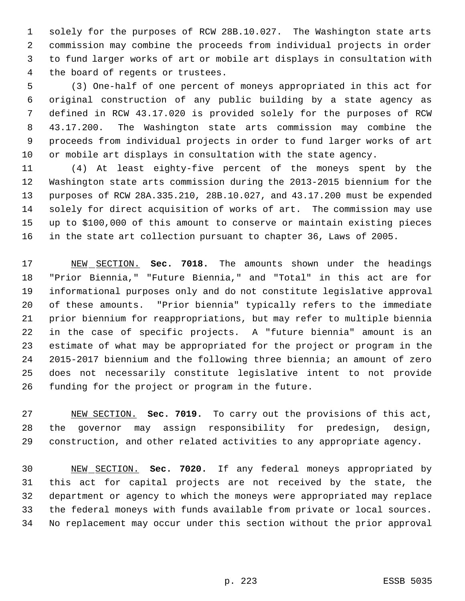solely for the purposes of RCW 28B.10.027. The Washington state arts commission may combine the proceeds from individual projects in order to fund larger works of art or mobile art displays in consultation with the board of regents or trustees.

 (3) One-half of one percent of moneys appropriated in this act for original construction of any public building by a state agency as defined in RCW 43.17.020 is provided solely for the purposes of RCW 43.17.200. The Washington state arts commission may combine the proceeds from individual projects in order to fund larger works of art or mobile art displays in consultation with the state agency.

 (4) At least eighty-five percent of the moneys spent by the Washington state arts commission during the 2013-2015 biennium for the purposes of RCW 28A.335.210, 28B.10.027, and 43.17.200 must be expended solely for direct acquisition of works of art. The commission may use up to \$100,000 of this amount to conserve or maintain existing pieces in the state art collection pursuant to chapter 36, Laws of 2005.

 NEW SECTION. **Sec. 7018.** The amounts shown under the headings "Prior Biennia," "Future Biennia," and "Total" in this act are for informational purposes only and do not constitute legislative approval of these amounts. "Prior biennia" typically refers to the immediate prior biennium for reappropriations, but may refer to multiple biennia in the case of specific projects. A "future biennia" amount is an estimate of what may be appropriated for the project or program in the 2015-2017 biennium and the following three biennia; an amount of zero does not necessarily constitute legislative intent to not provide funding for the project or program in the future.

 NEW SECTION. **Sec. 7019.** To carry out the provisions of this act, the governor may assign responsibility for predesign, design, construction, and other related activities to any appropriate agency.

 NEW SECTION. **Sec. 7020.** If any federal moneys appropriated by this act for capital projects are not received by the state, the department or agency to which the moneys were appropriated may replace the federal moneys with funds available from private or local sources. No replacement may occur under this section without the prior approval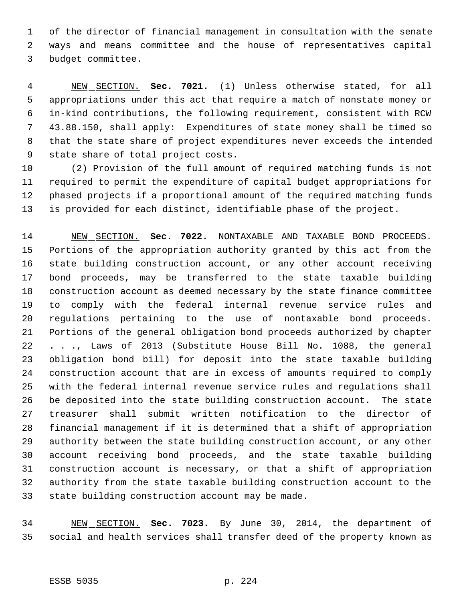of the director of financial management in consultation with the senate ways and means committee and the house of representatives capital budget committee.

 NEW SECTION. **Sec. 7021.** (1) Unless otherwise stated, for all appropriations under this act that require a match of nonstate money or in-kind contributions, the following requirement, consistent with RCW 43.88.150, shall apply: Expenditures of state money shall be timed so that the state share of project expenditures never exceeds the intended state share of total project costs.

 (2) Provision of the full amount of required matching funds is not required to permit the expenditure of capital budget appropriations for phased projects if a proportional amount of the required matching funds is provided for each distinct, identifiable phase of the project.

 NEW SECTION. **Sec. 7022.** NONTAXABLE AND TAXABLE BOND PROCEEDS. Portions of the appropriation authority granted by this act from the state building construction account, or any other account receiving bond proceeds, may be transferred to the state taxable building construction account as deemed necessary by the state finance committee to comply with the federal internal revenue service rules and regulations pertaining to the use of nontaxable bond proceeds. Portions of the general obligation bond proceeds authorized by chapter . . ., Laws of 2013 (Substitute House Bill No. 1088, the general obligation bond bill) for deposit into the state taxable building construction account that are in excess of amounts required to comply with the federal internal revenue service rules and regulations shall be deposited into the state building construction account. The state treasurer shall submit written notification to the director of financial management if it is determined that a shift of appropriation authority between the state building construction account, or any other account receiving bond proceeds, and the state taxable building construction account is necessary, or that a shift of appropriation authority from the state taxable building construction account to the state building construction account may be made.

 NEW SECTION. **Sec. 7023.** By June 30, 2014, the department of social and health services shall transfer deed of the property known as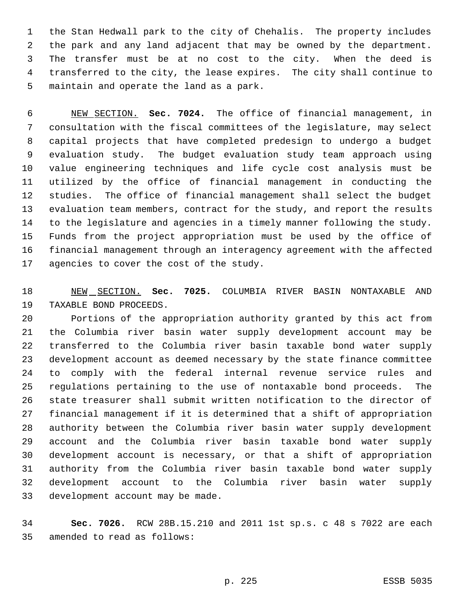the Stan Hedwall park to the city of Chehalis. The property includes the park and any land adjacent that may be owned by the department. The transfer must be at no cost to the city. When the deed is transferred to the city, the lease expires. The city shall continue to maintain and operate the land as a park.

 NEW SECTION. **Sec. 7024.** The office of financial management, in consultation with the fiscal committees of the legislature, may select capital projects that have completed predesign to undergo a budget evaluation study. The budget evaluation study team approach using value engineering techniques and life cycle cost analysis must be utilized by the office of financial management in conducting the studies. The office of financial management shall select the budget evaluation team members, contract for the study, and report the results to the legislature and agencies in a timely manner following the study. Funds from the project appropriation must be used by the office of financial management through an interagency agreement with the affected 17 agencies to cover the cost of the study.

 NEW SECTION. **Sec. 7025.** COLUMBIA RIVER BASIN NONTAXABLE AND TAXABLE BOND PROCEEDS.

 Portions of the appropriation authority granted by this act from the Columbia river basin water supply development account may be transferred to the Columbia river basin taxable bond water supply development account as deemed necessary by the state finance committee to comply with the federal internal revenue service rules and regulations pertaining to the use of nontaxable bond proceeds. The state treasurer shall submit written notification to the director of financial management if it is determined that a shift of appropriation authority between the Columbia river basin water supply development account and the Columbia river basin taxable bond water supply development account is necessary, or that a shift of appropriation authority from the Columbia river basin taxable bond water supply development account to the Columbia river basin water supply development account may be made.

 **Sec. 7026.** RCW 28B.15.210 and 2011 1st sp.s. c 48 s 7022 are each amended to read as follows: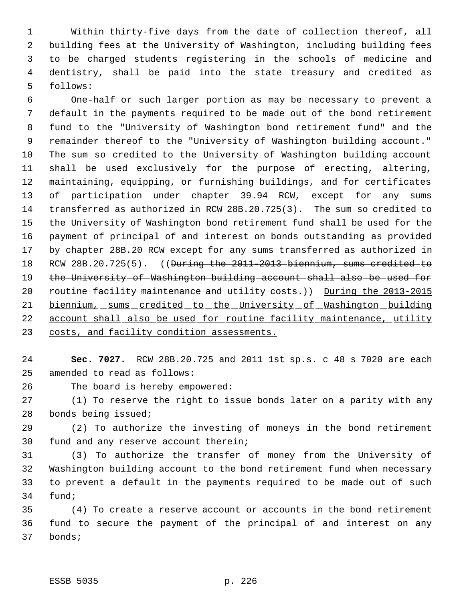Within thirty-five days from the date of collection thereof, all building fees at the University of Washington, including building fees to be charged students registering in the schools of medicine and dentistry, shall be paid into the state treasury and credited as follows:

 One-half or such larger portion as may be necessary to prevent a default in the payments required to be made out of the bond retirement fund to the "University of Washington bond retirement fund" and the remainder thereof to the "University of Washington building account." The sum so credited to the University of Washington building account shall be used exclusively for the purpose of erecting, altering, maintaining, equipping, or furnishing buildings, and for certificates of participation under chapter 39.94 RCW, except for any sums transferred as authorized in RCW 28B.20.725(3). The sum so credited to the University of Washington bond retirement fund shall be used for the payment of principal of and interest on bonds outstanding as provided by chapter 28B.20 RCW except for any sums transferred as authorized in 18 RCW 28B.20.725(5). ((<del>During the 2011-2013 biennium, sums credited to</del> 19 the University of Washington building account shall also be used for 20 routine facility maintenance and utility costs.)) During the 2013-2015 21 biennium, sums credited to the University of Washington building 22 account shall also be used for routine facility maintenance, utility 23 costs, and facility condition assessments.

 **Sec. 7027.** RCW 28B.20.725 and 2011 1st sp.s. c 48 s 7020 are each amended to read as follows:

The board is hereby empowered:

 (1) To reserve the right to issue bonds later on a parity with any bonds being issued;

 (2) To authorize the investing of moneys in the bond retirement fund and any reserve account therein;

 (3) To authorize the transfer of money from the University of Washington building account to the bond retirement fund when necessary to prevent a default in the payments required to be made out of such fund;

 (4) To create a reserve account or accounts in the bond retirement fund to secure the payment of the principal of and interest on any bonds;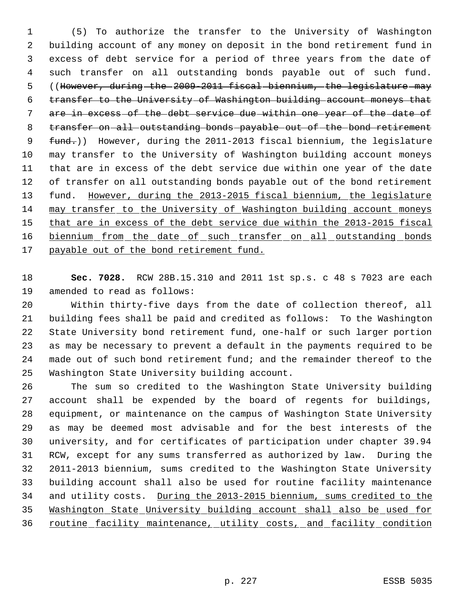(5) To authorize the transfer to the University of Washington building account of any money on deposit in the bond retirement fund in excess of debt service for a period of three years from the date of such transfer on all outstanding bonds payable out of such fund. 5 ((However, during the 2009-2011 fiscal biennium, the legislature may transfer to the University of Washington building account moneys that are in excess of the debt service due within one year of the date of 8 transfer on all outstanding bonds payable out of the bond retirement 9 fund.)) However, during the 2011-2013 fiscal biennium, the legislature may transfer to the University of Washington building account moneys that are in excess of the debt service due within one year of the date of transfer on all outstanding bonds payable out of the bond retirement fund. However, during the 2013-2015 fiscal biennium, the legislature may transfer to the University of Washington building account moneys 15 that are in excess of the debt service due within the 2013-2015 fiscal 16 biennium from the date of such transfer on all outstanding bonds 17 payable out of the bond retirement fund.

 **Sec. 7028.** RCW 28B.15.310 and 2011 1st sp.s. c 48 s 7023 are each amended to read as follows:

 Within thirty-five days from the date of collection thereof, all building fees shall be paid and credited as follows: To the Washington State University bond retirement fund, one-half or such larger portion as may be necessary to prevent a default in the payments required to be made out of such bond retirement fund; and the remainder thereof to the Washington State University building account.

 The sum so credited to the Washington State University building account shall be expended by the board of regents for buildings, equipment, or maintenance on the campus of Washington State University as may be deemed most advisable and for the best interests of the university, and for certificates of participation under chapter 39.94 RCW, except for any sums transferred as authorized by law. During the 2011-2013 biennium, sums credited to the Washington State University building account shall also be used for routine facility maintenance and utility costs. During the 2013-2015 biennium, sums credited to the Washington State University building account shall also be used for 36 routine facility maintenance, utility costs, and facility condition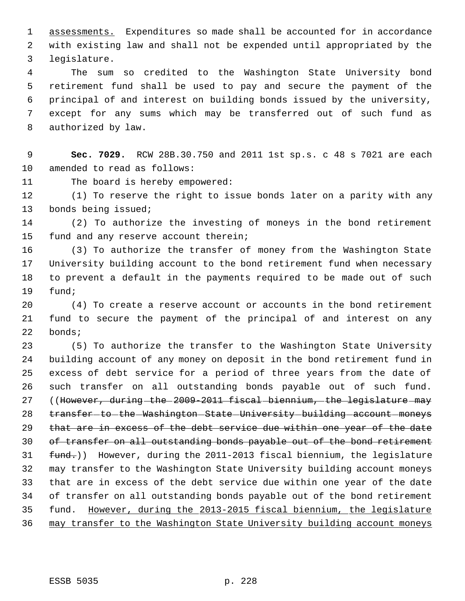assessments. Expenditures so made shall be accounted for in accordance with existing law and shall not be expended until appropriated by the legislature.

 The sum so credited to the Washington State University bond retirement fund shall be used to pay and secure the payment of the principal of and interest on building bonds issued by the university, except for any sums which may be transferred out of such fund as authorized by law.

 **Sec. 7029.** RCW 28B.30.750 and 2011 1st sp.s. c 48 s 7021 are each amended to read as follows:

The board is hereby empowered:

 (1) To reserve the right to issue bonds later on a parity with any bonds being issued;

 (2) To authorize the investing of moneys in the bond retirement fund and any reserve account therein;

 (3) To authorize the transfer of money from the Washington State University building account to the bond retirement fund when necessary to prevent a default in the payments required to be made out of such fund;

 (4) To create a reserve account or accounts in the bond retirement fund to secure the payment of the principal of and interest on any bonds;

 (5) To authorize the transfer to the Washington State University building account of any money on deposit in the bond retirement fund in excess of debt service for a period of three years from the date of such transfer on all outstanding bonds payable out of such fund. 27 ((However, during the 2009-2011 fiscal biennium, the legislature may 28 transfer-to-the-Washington-State-University-building-account-moneys that are in excess of the debt service due within one year of the date 30 of transfer on all outstanding bonds payable out of the bond retirement 31 fund.)) However, during the 2011-2013 fiscal biennium, the legislature may transfer to the Washington State University building account moneys that are in excess of the debt service due within one year of the date of transfer on all outstanding bonds payable out of the bond retirement fund. However, during the 2013-2015 fiscal biennium, the legislature may transfer to the Washington State University building account moneys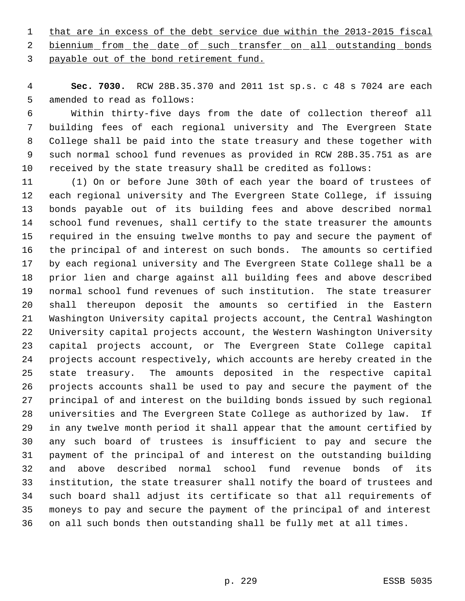1 that are in excess of the debt service due within the 2013-2015 fiscal

2 biennium from the date of such transfer on all outstanding bonds payable out of the bond retirement fund.

 **Sec. 7030.** RCW 28B.35.370 and 2011 1st sp.s. c 48 s 7024 are each amended to read as follows:

 Within thirty-five days from the date of collection thereof all building fees of each regional university and The Evergreen State College shall be paid into the state treasury and these together with such normal school fund revenues as provided in RCW 28B.35.751 as are received by the state treasury shall be credited as follows:

 (1) On or before June 30th of each year the board of trustees of each regional university and The Evergreen State College, if issuing bonds payable out of its building fees and above described normal school fund revenues, shall certify to the state treasurer the amounts required in the ensuing twelve months to pay and secure the payment of the principal of and interest on such bonds. The amounts so certified by each regional university and The Evergreen State College shall be a prior lien and charge against all building fees and above described normal school fund revenues of such institution. The state treasurer shall thereupon deposit the amounts so certified in the Eastern Washington University capital projects account, the Central Washington University capital projects account, the Western Washington University capital projects account, or The Evergreen State College capital projects account respectively, which accounts are hereby created in the state treasury. The amounts deposited in the respective capital projects accounts shall be used to pay and secure the payment of the principal of and interest on the building bonds issued by such regional universities and The Evergreen State College as authorized by law. If in any twelve month period it shall appear that the amount certified by any such board of trustees is insufficient to pay and secure the payment of the principal of and interest on the outstanding building and above described normal school fund revenue bonds of its institution, the state treasurer shall notify the board of trustees and such board shall adjust its certificate so that all requirements of moneys to pay and secure the payment of the principal of and interest on all such bonds then outstanding shall be fully met at all times.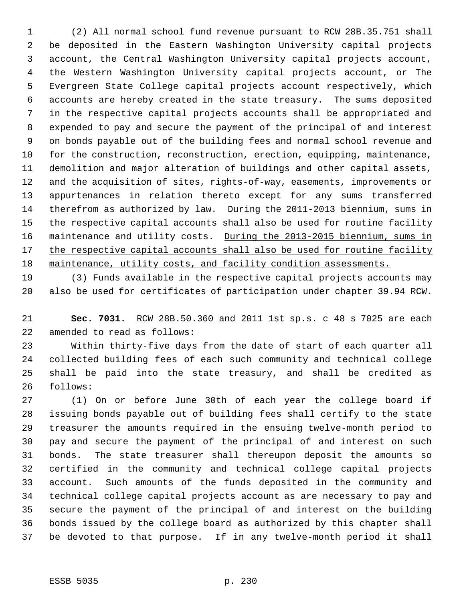(2) All normal school fund revenue pursuant to RCW 28B.35.751 shall be deposited in the Eastern Washington University capital projects account, the Central Washington University capital projects account, the Western Washington University capital projects account, or The Evergreen State College capital projects account respectively, which accounts are hereby created in the state treasury. The sums deposited in the respective capital projects accounts shall be appropriated and expended to pay and secure the payment of the principal of and interest on bonds payable out of the building fees and normal school revenue and for the construction, reconstruction, erection, equipping, maintenance, demolition and major alteration of buildings and other capital assets, and the acquisition of sites, rights-of-way, easements, improvements or appurtenances in relation thereto except for any sums transferred therefrom as authorized by law. During the 2011-2013 biennium, sums in the respective capital accounts shall also be used for routine facility 16 maintenance and utility costs. During the 2013-2015 biennium, sums in 17 the respective capital accounts shall also be used for routine facility 18 maintenance, utility costs, and facility condition assessments.

 (3) Funds available in the respective capital projects accounts may also be used for certificates of participation under chapter 39.94 RCW.

 **Sec. 7031.** RCW 28B.50.360 and 2011 1st sp.s. c 48 s 7025 are each amended to read as follows:

 Within thirty-five days from the date of start of each quarter all collected building fees of each such community and technical college shall be paid into the state treasury, and shall be credited as follows:

 (1) On or before June 30th of each year the college board if issuing bonds payable out of building fees shall certify to the state treasurer the amounts required in the ensuing twelve-month period to pay and secure the payment of the principal of and interest on such bonds. The state treasurer shall thereupon deposit the amounts so certified in the community and technical college capital projects account. Such amounts of the funds deposited in the community and technical college capital projects account as are necessary to pay and secure the payment of the principal of and interest on the building bonds issued by the college board as authorized by this chapter shall be devoted to that purpose. If in any twelve-month period it shall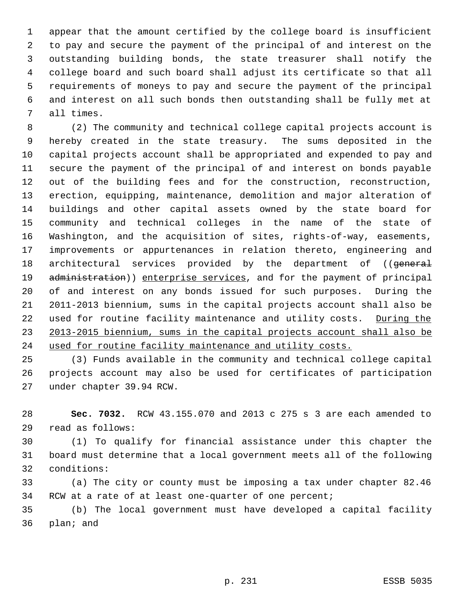appear that the amount certified by the college board is insufficient to pay and secure the payment of the principal of and interest on the outstanding building bonds, the state treasurer shall notify the college board and such board shall adjust its certificate so that all requirements of moneys to pay and secure the payment of the principal and interest on all such bonds then outstanding shall be fully met at all times.

 (2) The community and technical college capital projects account is hereby created in the state treasury. The sums deposited in the capital projects account shall be appropriated and expended to pay and secure the payment of the principal of and interest on bonds payable out of the building fees and for the construction, reconstruction, erection, equipping, maintenance, demolition and major alteration of buildings and other capital assets owned by the state board for community and technical colleges in the name of the state of Washington, and the acquisition of sites, rights-of-way, easements, improvements or appurtenances in relation thereto, engineering and 18 architectural services provided by the department of ((general 19 administration)) enterprise services, and for the payment of principal of and interest on any bonds issued for such purposes. During the 2011-2013 biennium, sums in the capital projects account shall also be 22 used for routine facility maintenance and utility costs. During the 2013-2015 biennium, sums in the capital projects account shall also be used for routine facility maintenance and utility costs.

 (3) Funds available in the community and technical college capital projects account may also be used for certificates of participation under chapter 39.94 RCW.

 **Sec. 7032.** RCW 43.155.070 and 2013 c 275 s 3 are each amended to read as follows:

 (1) To qualify for financial assistance under this chapter the board must determine that a local government meets all of the following conditions:

 (a) The city or county must be imposing a tax under chapter 82.46 RCW at a rate of at least one-quarter of one percent;

 (b) The local government must have developed a capital facility plan; and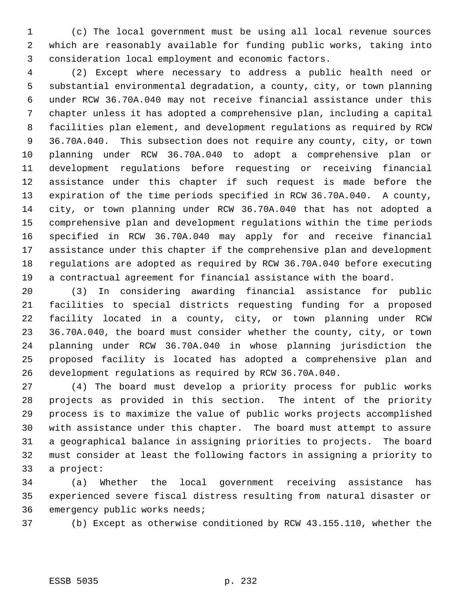(c) The local government must be using all local revenue sources which are reasonably available for funding public works, taking into consideration local employment and economic factors.

 (2) Except where necessary to address a public health need or substantial environmental degradation, a county, city, or town planning under RCW 36.70A.040 may not receive financial assistance under this chapter unless it has adopted a comprehensive plan, including a capital facilities plan element, and development regulations as required by RCW 36.70A.040. This subsection does not require any county, city, or town planning under RCW 36.70A.040 to adopt a comprehensive plan or development regulations before requesting or receiving financial assistance under this chapter if such request is made before the expiration of the time periods specified in RCW 36.70A.040. A county, city, or town planning under RCW 36.70A.040 that has not adopted a comprehensive plan and development regulations within the time periods specified in RCW 36.70A.040 may apply for and receive financial assistance under this chapter if the comprehensive plan and development regulations are adopted as required by RCW 36.70A.040 before executing a contractual agreement for financial assistance with the board.

 (3) In considering awarding financial assistance for public facilities to special districts requesting funding for a proposed facility located in a county, city, or town planning under RCW 36.70A.040, the board must consider whether the county, city, or town planning under RCW 36.70A.040 in whose planning jurisdiction the proposed facility is located has adopted a comprehensive plan and development regulations as required by RCW 36.70A.040.

 (4) The board must develop a priority process for public works projects as provided in this section. The intent of the priority process is to maximize the value of public works projects accomplished with assistance under this chapter. The board must attempt to assure a geographical balance in assigning priorities to projects. The board must consider at least the following factors in assigning a priority to a project:

 (a) Whether the local government receiving assistance has experienced severe fiscal distress resulting from natural disaster or emergency public works needs;

(b) Except as otherwise conditioned by RCW 43.155.110, whether the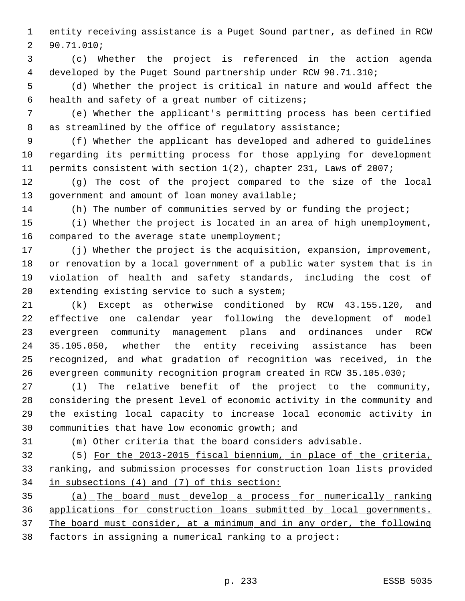entity receiving assistance is a Puget Sound partner, as defined in RCW 90.71.010;

 (c) Whether the project is referenced in the action agenda developed by the Puget Sound partnership under RCW 90.71.310;

 (d) Whether the project is critical in nature and would affect the health and safety of a great number of citizens;

 (e) Whether the applicant's permitting process has been certified 8 as streamlined by the office of regulatory assistance;

 (f) Whether the applicant has developed and adhered to guidelines regarding its permitting process for those applying for development permits consistent with section 1(2), chapter 231, Laws of 2007;

 (g) The cost of the project compared to the size of the local 13 government and amount of loan money available;

(h) The number of communities served by or funding the project;

 (i) Whether the project is located in an area of high unemployment, 16 compared to the average state unemployment;

 (j) Whether the project is the acquisition, expansion, improvement, or renovation by a local government of a public water system that is in violation of health and safety standards, including the cost of extending existing service to such a system;

 (k) Except as otherwise conditioned by RCW 43.155.120, and effective one calendar year following the development of model evergreen community management plans and ordinances under RCW 35.105.050, whether the entity receiving assistance has been recognized, and what gradation of recognition was received, in the evergreen community recognition program created in RCW 35.105.030;

 (l) The relative benefit of the project to the community, considering the present level of economic activity in the community and the existing local capacity to increase local economic activity in communities that have low economic growth; and

(m) Other criteria that the board considers advisable.

 (5) For the 2013-2015 fiscal biennium, in place of the criteria, 33 ranking, and submission processes for construction loan lists provided in subsections (4) and (7) of this section:

 (a) The board must develop a process for numerically ranking applications for construction loans submitted by local governments. The board must consider, at a minimum and in any order, the following factors in assigning a numerical ranking to a project: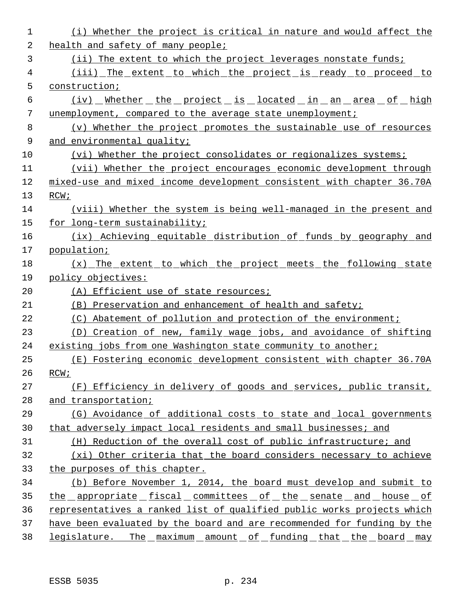| 1  | (i) Whether the project is critical in nature and would affect the      |
|----|-------------------------------------------------------------------------|
| 2  | health and safety of many people;                                       |
| 3  | (ii) The extent to which the project leverages nonstate funds;          |
| 4  | (iii) The extent to which the project is ready to proceed to            |
| 5  | construction;                                                           |
| 6  | <u>(iv) Whether the project is located in an area of high</u>           |
| 7  | unemployment, compared to the average state unemployment;               |
| 8  | (v) Whether the project promotes the sustainable use of resources       |
| 9  | and environmental quality;                                              |
| 10 | (vi) Whether the project consolidates or regionalizes systems;          |
| 11 | (vii) Whether the project encourages economic development through       |
| 12 | mixed-use and mixed income development consistent with chapter 36.70A   |
| 13 | RCW;                                                                    |
| 14 | (viii) Whether the system is being well-managed in the present and      |
| 15 | for long-term sustainability;                                           |
| 16 | (ix) Achieving equitable distribution of funds by geography and         |
| 17 | population;                                                             |
| 18 | (x) The extent to which the project meets the following state           |
| 19 | policy objectives:                                                      |
| 20 | (A) Efficient use of state resources;                                   |
| 21 | (B) Preservation and enhancement of health and safety;                  |
| 22 | (C) Abatement of pollution and protection of the environment;           |
| 23 | (D) Creation of new, family wage jobs, and avoidance of shifting        |
| 24 | existing jobs from one Washington state community to another;           |
| 25 | (E) Fostering economic development consistent with chapter 36.70A       |
| 26 | RCW;                                                                    |
| 27 | (F) Efficiency in delivery of goods and services, public transit,       |
| 28 | and transportation;                                                     |
| 29 | (G) Avoidance of additional costs to state and local governments        |
| 30 | that adversely impact local residents and small businesses; and         |
| 31 | (H) Reduction of the overall cost of public infrastructure; and         |
| 32 | (xi) Other criteria that the board considers necessary to achieve       |
| 33 | the purposes of this chapter.                                           |
| 34 | (b) Before November 1, 2014, the board must develop and submit to       |
| 35 | <u>the appropriate fiscal committees of the senate and house of</u>     |
| 36 | representatives a ranked list of qualified public works projects which  |
| 37 | have been evaluated by the board and are recommended for funding by the |
| 38 | legislature. The maximum amount of funding that the board may           |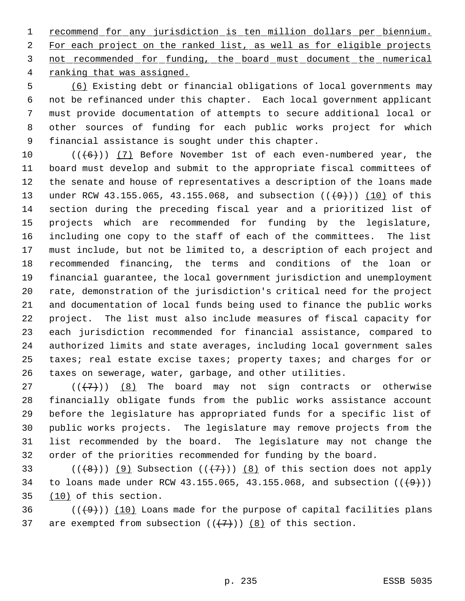recommend for any jurisdiction is ten million dollars per biennium. For each project on the ranked list, as well as for eligible projects not recommended for funding, the board must document the numerical 4 ranking that was assigned.

 (6) Existing debt or financial obligations of local governments may not be refinanced under this chapter. Each local government applicant must provide documentation of attempts to secure additional local or other sources of funding for each public works project for which financial assistance is sought under this chapter.

 $((\langle 6 \rangle) )$  (7) Before November 1st of each even-numbered year, the board must develop and submit to the appropriate fiscal committees of the senate and house of representatives a description of the loans made 13 under RCW 43.155.065, 43.155.068, and subsection  $((+9))$  (10) of this section during the preceding fiscal year and a prioritized list of projects which are recommended for funding by the legislature, including one copy to the staff of each of the committees. The list must include, but not be limited to, a description of each project and recommended financing, the terms and conditions of the loan or financial guarantee, the local government jurisdiction and unemployment rate, demonstration of the jurisdiction's critical need for the project and documentation of local funds being used to finance the public works project. The list must also include measures of fiscal capacity for each jurisdiction recommended for financial assistance, compared to authorized limits and state averages, including local government sales 25 taxes; real estate excise taxes; property taxes; and charges for or taxes on sewerage, water, garbage, and other utilities.

 $((+7))$   $(8)$  The board may not sign contracts or otherwise financially obligate funds from the public works assistance account before the legislature has appropriated funds for a specific list of public works projects. The legislature may remove projects from the list recommended by the board. The legislature may not change the order of the priorities recommended for funding by the board.

33 ( $(\overline{+8})$ ) (9) Subsection ( $(\overline{+7})$ ) (8) of this section does not apply 34 to loans made under RCW 43.155.065, 43.155.068, and subsection  $((+9))$ 35 (10) of this section.

36  $((+9))$  (10) Loans made for the purpose of capital facilities plans 37 are exempted from subsection  $((+7))$   $(8)$  of this section.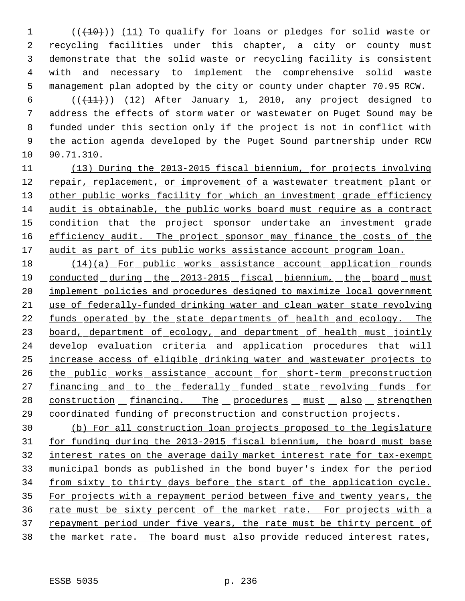1 (( $(10)$ )) (11) To qualify for loans or pledges for solid waste or recycling facilities under this chapter, a city or county must demonstrate that the solid waste or recycling facility is consistent with and necessary to implement the comprehensive solid waste management plan adopted by the city or county under chapter 70.95 RCW.

 $((+11))$   $(12)$  After January 1, 2010, any project designed to address the effects of storm water or wastewater on Puget Sound may be funded under this section only if the project is not in conflict with the action agenda developed by the Puget Sound partnership under RCW 90.71.310.

11 (13) During the 2013-2015 fiscal biennium, for projects involving 12 repair, replacement, or improvement of a wastewater treatment plant or 13 other public works facility for which an investment grade efficiency 14 audit is obtainable, the public works board must require as a contract 15 condition that the project sponsor undertake an investment grade 16 efficiency audit. The project sponsor may finance the costs of the 17 audit as part of its public works assistance account program loan.

18 (14)(a) For public works assistance account application rounds 19 conducted during the 2013-2015 fiscal biennium, the board must 20 implement policies and procedures designed to maximize local government 21 use of federally-funded drinking water and clean water state revolving 22 funds operated by the state departments of health and ecology. The 23 board, department of ecology, and department of health must jointly 24 develop evaluation criteria and application procedures that will 25 increase access of eligible drinking water and wastewater projects to 26 the public works assistance account for short-term preconstruction 27 financing and to the federally funded state revolving funds for 28 construction financing. The procedures must also strengthen 29 coordinated funding of preconstruction and construction projects.

30 (b) For all construction loan projects proposed to the legislature 31 for funding during the 2013-2015 fiscal biennium, the board must base 32 interest rates on the average daily market interest rate for tax-exempt 33 municipal bonds as published in the bond buyer's index for the period 34 from sixty to thirty days before the start of the application cycle. 35 For projects with a repayment period between five and twenty years, the 36 rate must be sixty percent of the market rate. For projects with a 37 repayment period under five years, the rate must be thirty percent of 38 the market rate. The board must also provide reduced interest rates,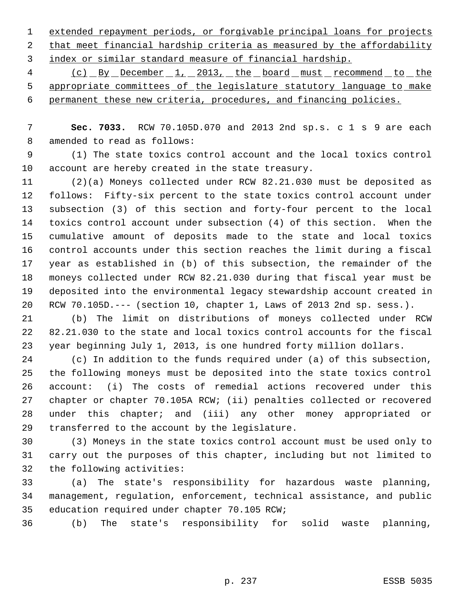extended repayment periods, or forgivable principal loans for projects that meet financial hardship criteria as measured by the affordability index or similar standard measure of financial hardship.

4 (c) By December 1, 2013, the board must recommend to the appropriate committees of the legislature statutory language to make permanent these new criteria, procedures, and financing policies.

 **Sec. 7033.** RCW 70.105D.070 and 2013 2nd sp.s. c 1 s 9 are each amended to read as follows:

 (1) The state toxics control account and the local toxics control account are hereby created in the state treasury.

 (2)(a) Moneys collected under RCW 82.21.030 must be deposited as follows: Fifty-six percent to the state toxics control account under subsection (3) of this section and forty-four percent to the local toxics control account under subsection (4) of this section. When the cumulative amount of deposits made to the state and local toxics control accounts under this section reaches the limit during a fiscal year as established in (b) of this subsection, the remainder of the moneys collected under RCW 82.21.030 during that fiscal year must be deposited into the environmental legacy stewardship account created in RCW 70.105D.--- (section 10, chapter 1, Laws of 2013 2nd sp. sess.).

 (b) The limit on distributions of moneys collected under RCW 82.21.030 to the state and local toxics control accounts for the fiscal year beginning July 1, 2013, is one hundred forty million dollars.

 (c) In addition to the funds required under (a) of this subsection, the following moneys must be deposited into the state toxics control account: (i) The costs of remedial actions recovered under this chapter or chapter 70.105A RCW; (ii) penalties collected or recovered under this chapter; and (iii) any other money appropriated or transferred to the account by the legislature.

 (3) Moneys in the state toxics control account must be used only to carry out the purposes of this chapter, including but not limited to the following activities:

 (a) The state's responsibility for hazardous waste planning, management, regulation, enforcement, technical assistance, and public education required under chapter 70.105 RCW;

(b) The state's responsibility for solid waste planning,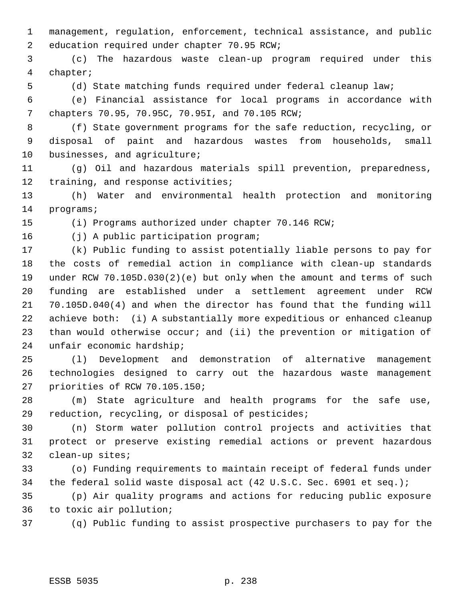management, regulation, enforcement, technical assistance, and public education required under chapter 70.95 RCW;

 (c) The hazardous waste clean-up program required under this chapter;

(d) State matching funds required under federal cleanup law;

 (e) Financial assistance for local programs in accordance with chapters 70.95, 70.95C, 70.95I, and 70.105 RCW;

 (f) State government programs for the safe reduction, recycling, or disposal of paint and hazardous wastes from households, small businesses, and agriculture;

 (g) Oil and hazardous materials spill prevention, preparedness, 12 training, and response activities;

 (h) Water and environmental health protection and monitoring programs;

(i) Programs authorized under chapter 70.146 RCW;

(j) A public participation program;

 (k) Public funding to assist potentially liable persons to pay for the costs of remedial action in compliance with clean-up standards under RCW 70.105D.030(2)(e) but only when the amount and terms of such funding are established under a settlement agreement under RCW 70.105D.040(4) and when the director has found that the funding will achieve both: (i) A substantially more expeditious or enhanced cleanup than would otherwise occur; and (ii) the prevention or mitigation of unfair economic hardship;

 (l) Development and demonstration of alternative management technologies designed to carry out the hazardous waste management priorities of RCW 70.105.150;

 (m) State agriculture and health programs for the safe use, reduction, recycling, or disposal of pesticides;

 (n) Storm water pollution control projects and activities that protect or preserve existing remedial actions or prevent hazardous clean-up sites;

 (o) Funding requirements to maintain receipt of federal funds under the federal solid waste disposal act (42 U.S.C. Sec. 6901 et seq.);

 (p) Air quality programs and actions for reducing public exposure to toxic air pollution;

(q) Public funding to assist prospective purchasers to pay for the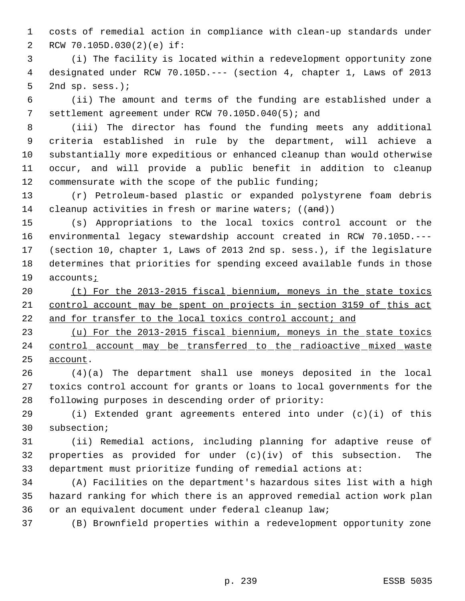costs of remedial action in compliance with clean-up standards under RCW 70.105D.030(2)(e) if:

 (i) The facility is located within a redevelopment opportunity zone designated under RCW 70.105D.--- (section 4, chapter 1, Laws of 2013 2nd sp. sess.);

 (ii) The amount and terms of the funding are established under a settlement agreement under RCW 70.105D.040(5); and

 (iii) The director has found the funding meets any additional criteria established in rule by the department, will achieve a substantially more expeditious or enhanced cleanup than would otherwise occur, and will provide a public benefit in addition to cleanup commensurate with the scope of the public funding;

 (r) Petroleum-based plastic or expanded polystyrene foam debris 14 cleanup activities in fresh or marine waters; ((and))

 (s) Appropriations to the local toxics control account or the environmental legacy stewardship account created in RCW 70.105D.--- (section 10, chapter 1, Laws of 2013 2nd sp. sess.), if the legislature determines that priorities for spending exceed available funds in those accounts;

 (t) For the 2013-2015 fiscal biennium, moneys in the state toxics control account may be spent on projects in section 3159 of this act 22 and for transfer to the local toxics control account; and

 (u) For the 2013-2015 fiscal biennium, moneys in the state toxics 24 control account may be transferred to the radioactive mixed waste account.

 (4)(a) The department shall use moneys deposited in the local toxics control account for grants or loans to local governments for the following purposes in descending order of priority:

 (i) Extended grant agreements entered into under (c)(i) of this subsection;

 (ii) Remedial actions, including planning for adaptive reuse of properties as provided for under (c)(iv) of this subsection. The department must prioritize funding of remedial actions at:

 (A) Facilities on the department's hazardous sites list with a high hazard ranking for which there is an approved remedial action work plan or an equivalent document under federal cleanup law;

(B) Brownfield properties within a redevelopment opportunity zone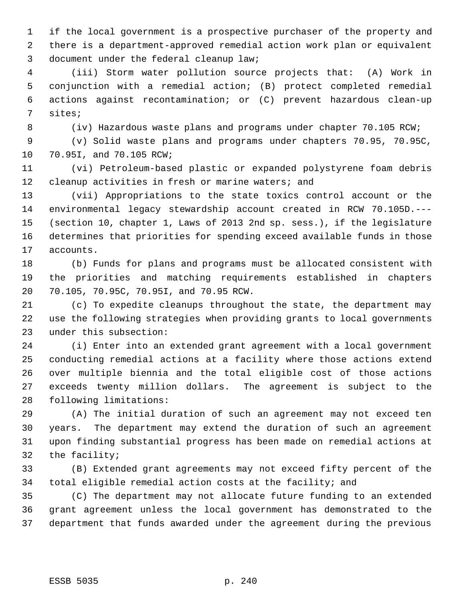if the local government is a prospective purchaser of the property and there is a department-approved remedial action work plan or equivalent document under the federal cleanup law;

 (iii) Storm water pollution source projects that: (A) Work in conjunction with a remedial action; (B) protect completed remedial actions against recontamination; or (C) prevent hazardous clean-up sites;

(iv) Hazardous waste plans and programs under chapter 70.105 RCW;

 (v) Solid waste plans and programs under chapters 70.95, 70.95C, 70.95I, and 70.105 RCW;

 (vi) Petroleum-based plastic or expanded polystyrene foam debris cleanup activities in fresh or marine waters; and

 (vii) Appropriations to the state toxics control account or the environmental legacy stewardship account created in RCW 70.105D.--- (section 10, chapter 1, Laws of 2013 2nd sp. sess.), if the legislature determines that priorities for spending exceed available funds in those accounts.

 (b) Funds for plans and programs must be allocated consistent with the priorities and matching requirements established in chapters 70.105, 70.95C, 70.95I, and 70.95 RCW.

 (c) To expedite cleanups throughout the state, the department may use the following strategies when providing grants to local governments under this subsection:

 (i) Enter into an extended grant agreement with a local government conducting remedial actions at a facility where those actions extend over multiple biennia and the total eligible cost of those actions exceeds twenty million dollars. The agreement is subject to the following limitations:

 (A) The initial duration of such an agreement may not exceed ten years. The department may extend the duration of such an agreement upon finding substantial progress has been made on remedial actions at the facility;

 (B) Extended grant agreements may not exceed fifty percent of the total eligible remedial action costs at the facility; and

 (C) The department may not allocate future funding to an extended grant agreement unless the local government has demonstrated to the department that funds awarded under the agreement during the previous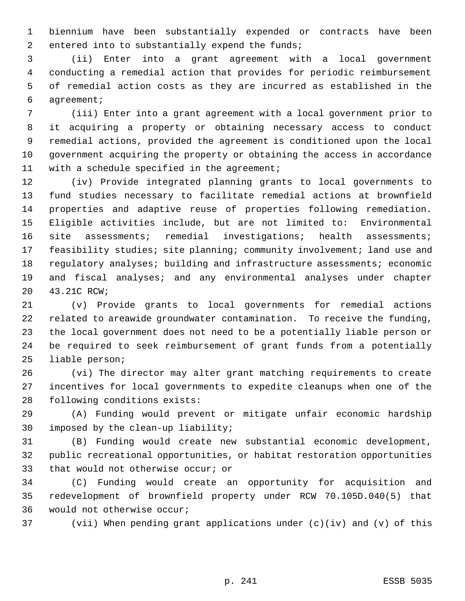biennium have been substantially expended or contracts have been 2 entered into to substantially expend the funds;

 (ii) Enter into a grant agreement with a local government conducting a remedial action that provides for periodic reimbursement of remedial action costs as they are incurred as established in the agreement;

 (iii) Enter into a grant agreement with a local government prior to it acquiring a property or obtaining necessary access to conduct remedial actions, provided the agreement is conditioned upon the local government acquiring the property or obtaining the access in accordance with a schedule specified in the agreement;

 (iv) Provide integrated planning grants to local governments to fund studies necessary to facilitate remedial actions at brownfield properties and adaptive reuse of properties following remediation. Eligible activities include, but are not limited to: Environmental site assessments; remedial investigations; health assessments; feasibility studies; site planning; community involvement; land use and regulatory analyses; building and infrastructure assessments; economic and fiscal analyses; and any environmental analyses under chapter 43.21C RCW;

 (v) Provide grants to local governments for remedial actions related to areawide groundwater contamination. To receive the funding, the local government does not need to be a potentially liable person or be required to seek reimbursement of grant funds from a potentially liable person;

 (vi) The director may alter grant matching requirements to create incentives for local governments to expedite cleanups when one of the following conditions exists:

 (A) Funding would prevent or mitigate unfair economic hardship imposed by the clean-up liability;

 (B) Funding would create new substantial economic development, public recreational opportunities, or habitat restoration opportunities that would not otherwise occur; or

 (C) Funding would create an opportunity for acquisition and redevelopment of brownfield property under RCW 70.105D.040(5) that would not otherwise occur;

(vii) When pending grant applications under (c)(iv) and (v) of this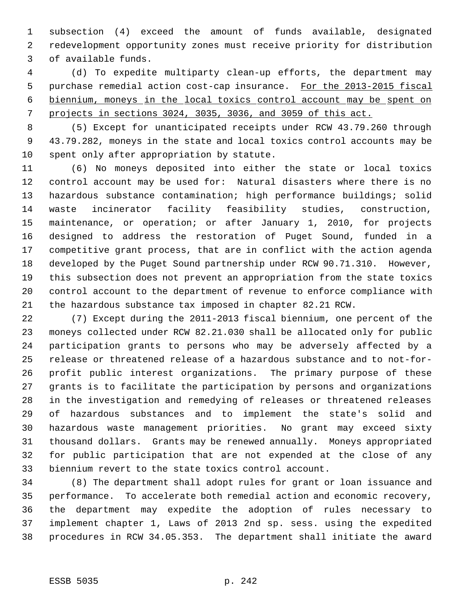subsection (4) exceed the amount of funds available, designated redevelopment opportunity zones must receive priority for distribution of available funds.

 (d) To expedite multiparty clean-up efforts, the department may 5 purchase remedial action cost-cap insurance. For the 2013-2015 fiscal biennium, moneys in the local toxics control account may be spent on projects in sections 3024, 3035, 3036, and 3059 of this act.

 (5) Except for unanticipated receipts under RCW 43.79.260 through 43.79.282, moneys in the state and local toxics control accounts may be spent only after appropriation by statute.

 (6) No moneys deposited into either the state or local toxics control account may be used for: Natural disasters where there is no hazardous substance contamination; high performance buildings; solid waste incinerator facility feasibility studies, construction, maintenance, or operation; or after January 1, 2010, for projects designed to address the restoration of Puget Sound, funded in a competitive grant process, that are in conflict with the action agenda developed by the Puget Sound partnership under RCW 90.71.310. However, this subsection does not prevent an appropriation from the state toxics control account to the department of revenue to enforce compliance with the hazardous substance tax imposed in chapter 82.21 RCW.

 (7) Except during the 2011-2013 fiscal biennium, one percent of the moneys collected under RCW 82.21.030 shall be allocated only for public participation grants to persons who may be adversely affected by a release or threatened release of a hazardous substance and to not-for- profit public interest organizations. The primary purpose of these grants is to facilitate the participation by persons and organizations in the investigation and remedying of releases or threatened releases of hazardous substances and to implement the state's solid and hazardous waste management priorities. No grant may exceed sixty thousand dollars. Grants may be renewed annually. Moneys appropriated for public participation that are not expended at the close of any biennium revert to the state toxics control account.

 (8) The department shall adopt rules for grant or loan issuance and performance. To accelerate both remedial action and economic recovery, the department may expedite the adoption of rules necessary to implement chapter 1, Laws of 2013 2nd sp. sess. using the expedited procedures in RCW 34.05.353. The department shall initiate the award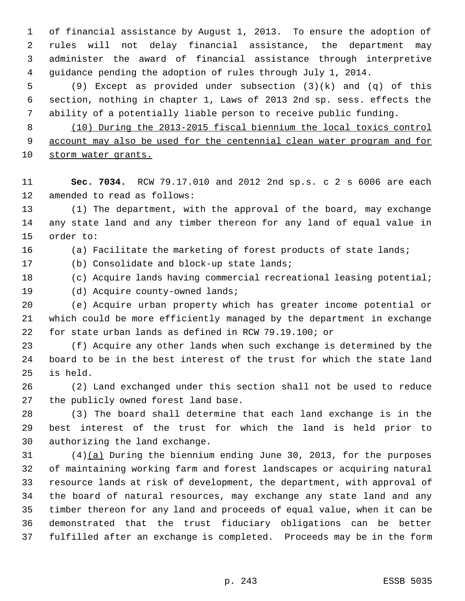of financial assistance by August 1, 2013. To ensure the adoption of rules will not delay financial assistance, the department may administer the award of financial assistance through interpretive guidance pending the adoption of rules through July 1, 2014.

 (9) Except as provided under subsection (3)(k) and (q) of this section, nothing in chapter 1, Laws of 2013 2nd sp. sess. effects the ability of a potentially liable person to receive public funding.

 (10) During the 2013-2015 fiscal biennium the local toxics control account may also be used for the centennial clean water program and for storm water grants.

 **Sec. 7034.** RCW 79.17.010 and 2012 2nd sp.s. c 2 s 6006 are each amended to read as follows:

 (1) The department, with the approval of the board, may exchange any state land and any timber thereon for any land of equal value in order to:

(a) Facilitate the marketing of forest products of state lands;

(b) Consolidate and block-up state lands;

(c) Acquire lands having commercial recreational leasing potential;

19 (d) Acquire county-owned lands;

 (e) Acquire urban property which has greater income potential or which could be more efficiently managed by the department in exchange for state urban lands as defined in RCW 79.19.100; or

 (f) Acquire any other lands when such exchange is determined by the board to be in the best interest of the trust for which the state land is held.

 (2) Land exchanged under this section shall not be used to reduce the publicly owned forest land base.

 (3) The board shall determine that each land exchange is in the best interest of the trust for which the land is held prior to authorizing the land exchange.

 (4)(a) During the biennium ending June 30, 2013, for the purposes of maintaining working farm and forest landscapes or acquiring natural resource lands at risk of development, the department, with approval of the board of natural resources, may exchange any state land and any timber thereon for any land and proceeds of equal value, when it can be demonstrated that the trust fiduciary obligations can be better fulfilled after an exchange is completed. Proceeds may be in the form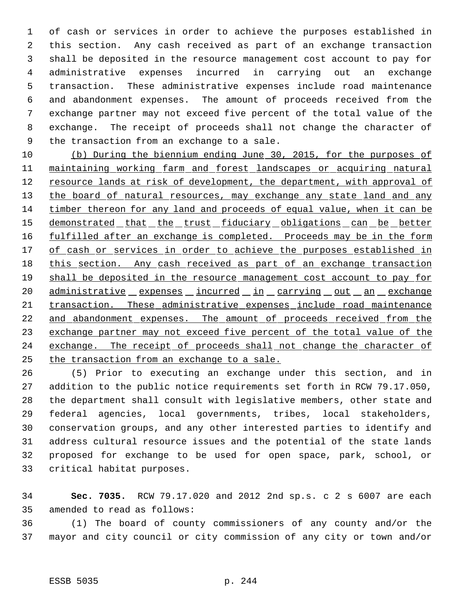of cash or services in order to achieve the purposes established in this section. Any cash received as part of an exchange transaction shall be deposited in the resource management cost account to pay for administrative expenses incurred in carrying out an exchange transaction. These administrative expenses include road maintenance and abandonment expenses. The amount of proceeds received from the exchange partner may not exceed five percent of the total value of the exchange. The receipt of proceeds shall not change the character of the transaction from an exchange to a sale.

 (b) During the biennium ending June 30, 2015, for the purposes of maintaining working farm and forest landscapes or acquiring natural 12 resource lands at risk of development, the department, with approval of 13 the board of natural resources, may exchange any state land and any timber thereon for any land and proceeds of equal value, when it can be 15 demonstrated that the trust fiduciary obligations can be better 16 fulfilled after an exchange is completed. Proceeds may be in the form 17 of cash or services in order to achieve the purposes established in 18 this section. Any cash received as part of an exchange transaction 19 shall be deposited in the resource management cost account to pay for 20 administrative expenses incurred in carrying out an exchange transaction. These administrative expenses include road maintenance 22 and abandonment expenses. The amount of proceeds received from the 23 exchange partner may not exceed five percent of the total value of the 24 exchange. The receipt of proceeds shall not change the character of the transaction from an exchange to a sale.

 (5) Prior to executing an exchange under this section, and in addition to the public notice requirements set forth in RCW 79.17.050, the department shall consult with legislative members, other state and federal agencies, local governments, tribes, local stakeholders, conservation groups, and any other interested parties to identify and address cultural resource issues and the potential of the state lands proposed for exchange to be used for open space, park, school, or critical habitat purposes.

 **Sec. 7035.** RCW 79.17.020 and 2012 2nd sp.s. c 2 s 6007 are each amended to read as follows:

 (1) The board of county commissioners of any county and/or the mayor and city council or city commission of any city or town and/or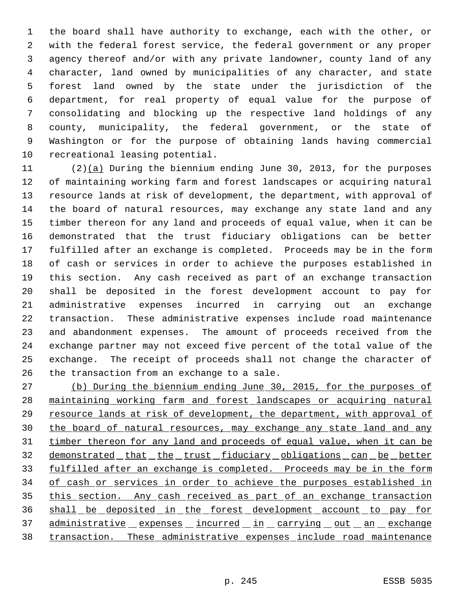the board shall have authority to exchange, each with the other, or with the federal forest service, the federal government or any proper agency thereof and/or with any private landowner, county land of any character, land owned by municipalities of any character, and state forest land owned by the state under the jurisdiction of the department, for real property of equal value for the purpose of consolidating and blocking up the respective land holdings of any county, municipality, the federal government, or the state of Washington or for the purpose of obtaining lands having commercial recreational leasing potential.

 (2)(a) During the biennium ending June 30, 2013, for the purposes of maintaining working farm and forest landscapes or acquiring natural resource lands at risk of development, the department, with approval of the board of natural resources, may exchange any state land and any timber thereon for any land and proceeds of equal value, when it can be demonstrated that the trust fiduciary obligations can be better fulfilled after an exchange is completed. Proceeds may be in the form of cash or services in order to achieve the purposes established in this section. Any cash received as part of an exchange transaction shall be deposited in the forest development account to pay for administrative expenses incurred in carrying out an exchange transaction. These administrative expenses include road maintenance and abandonment expenses. The amount of proceeds received from the exchange partner may not exceed five percent of the total value of the exchange. The receipt of proceeds shall not change the character of the transaction from an exchange to a sale.

 (b) During the biennium ending June 30, 2015, for the purposes of maintaining working farm and forest landscapes or acquiring natural 29 resource lands at risk of development, the department, with approval of the board of natural resources, may exchange any state land and any 31 timber thereon for any land and proceeds of equal value, when it can be 32 demonstrated that the trust fiduciary obligations can be better fulfilled after an exchange is completed. Proceeds may be in the form of cash or services in order to achieve the purposes established in 35 this section. Any cash received as part of an exchange transaction 36 shall be deposited in the forest development account to pay for 37 administrative expenses incurred in carrying out an exchange transaction. These administrative expenses include road maintenance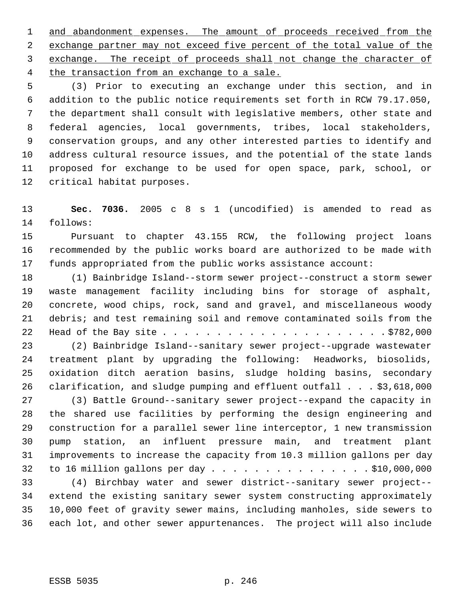1 and abandonment expenses. The amount of proceeds received from the exchange partner may not exceed five percent of the total value of the exchange. The receipt of proceeds shall not change the character of 4 the transaction from an exchange to a sale.

 (3) Prior to executing an exchange under this section, and in addition to the public notice requirements set forth in RCW 79.17.050, the department shall consult with legislative members, other state and federal agencies, local governments, tribes, local stakeholders, conservation groups, and any other interested parties to identify and address cultural resource issues, and the potential of the state lands proposed for exchange to be used for open space, park, school, or critical habitat purposes.

 **Sec. 7036.** 2005 c 8 s 1 (uncodified) is amended to read as follows:

 Pursuant to chapter 43.155 RCW, the following project loans recommended by the public works board are authorized to be made with funds appropriated from the public works assistance account:

 (1) Bainbridge Island--storm sewer project--construct a storm sewer waste management facility including bins for storage of asphalt, concrete, wood chips, rock, sand and gravel, and miscellaneous woody debris; and test remaining soil and remove contaminated soils from the Head of the Bay site . . . . . . . . . . . . . . . . . . . . . \$782,000

 (2) Bainbridge Island--sanitary sewer project--upgrade wastewater treatment plant by upgrading the following: Headworks, biosolids, oxidation ditch aeration basins, sludge holding basins, secondary clarification, and sludge pumping and effluent outfall . . . \$3,618,000

 (3) Battle Ground--sanitary sewer project--expand the capacity in the shared use facilities by performing the design engineering and construction for a parallel sewer line interceptor, 1 new transmission pump station, an influent pressure main, and treatment plant improvements to increase the capacity from 10.3 million gallons per day to 16 million gallons per day . . . . . . . . . . . . . . . \$10,000,000

 (4) Birchbay water and sewer district--sanitary sewer project-- extend the existing sanitary sewer system constructing approximately 10,000 feet of gravity sewer mains, including manholes, side sewers to each lot, and other sewer appurtenances. The project will also include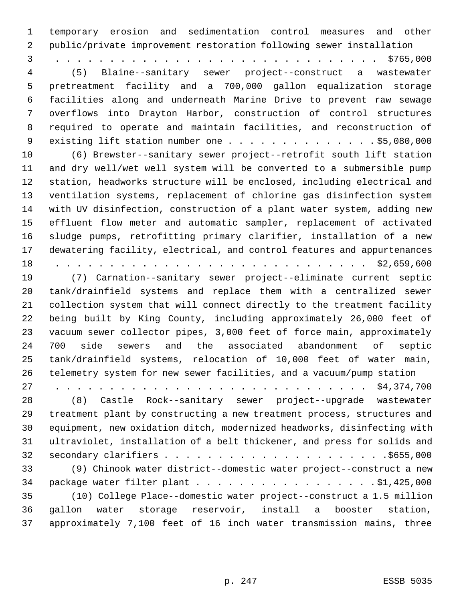temporary erosion and sedimentation control measures and other public/private improvement restoration following sewer installation 3 . . . . . . . . . . . . . . . . . . . . . . . . . . . . . . \$765,000 (5) Blaine--sanitary sewer project--construct a wastewater pretreatment facility and a 700,000 gallon equalization storage facilities along and underneath Marine Drive to prevent raw sewage overflows into Drayton Harbor, construction of control structures required to operate and maintain facilities, and reconstruction of 9 existing lift station number one . . . . . . . . . . . . . . \$5,080,000 (6) Brewster--sanitary sewer project--retrofit south lift station and dry well/wet well system will be converted to a submersible pump station, headworks structure will be enclosed, including electrical and ventilation systems, replacement of chlorine gas disinfection system with UV disinfection, construction of a plant water system, adding new effluent flow meter and automatic sampler, replacement of activated sludge pumps, retrofitting primary clarifier, installation of a new dewatering facility, electrical, and control features and appurtenances 18 . . . . . . . . . . . . . . . . . . . . . . . . . . . . . \$2,659,600 (7) Carnation--sanitary sewer project--eliminate current septic tank/drainfield systems and replace them with a centralized sewer collection system that will connect directly to the treatment facility being built by King County, including approximately 26,000 feet of vacuum sewer collector pipes, 3,000 feet of force main, approximately 700 side sewers and the associated abandonment of septic tank/drainfield systems, relocation of 10,000 feet of water main, telemetry system for new sewer facilities, and a vacuum/pump station 27 . . . . . . . . . . . . . . . . . . . . . . . . . . . . . \$4,374,700 (8) Castle Rock--sanitary sewer project--upgrade wastewater treatment plant by constructing a new treatment process, structures and equipment, new oxidation ditch, modernized headworks, disinfecting with ultraviolet, installation of a belt thickener, and press for solids and secondary clarifiers . . . . . . . . . . . . . . . . . . . . .\$655,000 (9) Chinook water district--domestic water project--construct a new 34 package water filter plant . . . . . . . . . . . . . . . . . \$1,425,000 (10) College Place--domestic water project--construct a 1.5 million gallon water storage reservoir, install a booster station, approximately 7,100 feet of 16 inch water transmission mains, three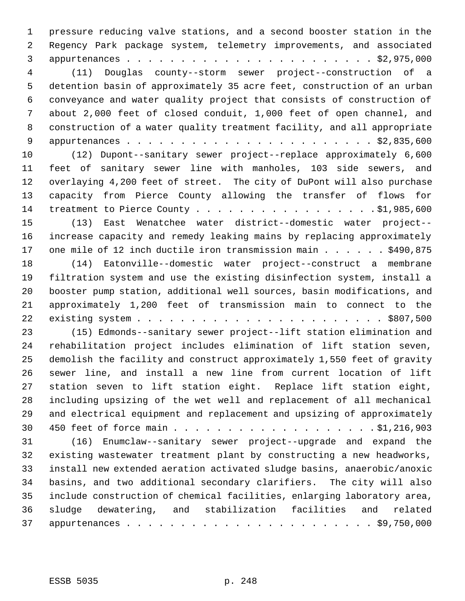pressure reducing valve stations, and a second booster station in the Regency Park package system, telemetry improvements, and associated appurtenances . . . . . . . . . . . . . . . . . . . . . . . \$2,975,000 (11) Douglas county--storm sewer project--construction of a detention basin of approximately 35 acre feet, construction of an urban conveyance and water quality project that consists of construction of about 2,000 feet of closed conduit, 1,000 feet of open channel, and construction of a water quality treatment facility, and all appropriate appurtenances . . . . . . . . . . . . . . . . . . . . . . . \$2,835,600 (12) Dupont--sanitary sewer project--replace approximately 6,600 feet of sanitary sewer line with manholes, 103 side sewers, and overlaying 4,200 feet of street. The city of DuPont will also purchase capacity from Pierce County allowing the transfer of flows for 14 treatment to Pierce County . . . . . . . . . . . . . . . . \$1,985,600 (13) East Wenatchee water district--domestic water project-- increase capacity and remedy leaking mains by replacing approximately 17 one mile of 12 inch ductile iron transmission main . . . . . . \$490,875 (14) Eatonville--domestic water project--construct a membrane filtration system and use the existing disinfection system, install a booster pump station, additional well sources, basin modifications, and approximately 1,200 feet of transmission main to connect to the existing system . . . . . . . . . . . . . . . . . . . . . . . \$807,500 (15) Edmonds--sanitary sewer project--lift station elimination and rehabilitation project includes elimination of lift station seven, demolish the facility and construct approximately 1,550 feet of gravity sewer line, and install a new line from current location of lift station seven to lift station eight. Replace lift station eight, including upsizing of the wet well and replacement of all mechanical and electrical equipment and replacement and upsizing of approximately 450 feet of force main . . . . . . . . . . . . . . . . . . . \$1,216,903 (16) Enumclaw--sanitary sewer project--upgrade and expand the existing wastewater treatment plant by constructing a new headworks, install new extended aeration activated sludge basins, anaerobic/anoxic basins, and two additional secondary clarifiers. The city will also include construction of chemical facilities, enlarging laboratory area, sludge dewatering, and stabilization facilities and related appurtenances . . . . . . . . . . . . . . . . . . . . . . . \$9,750,000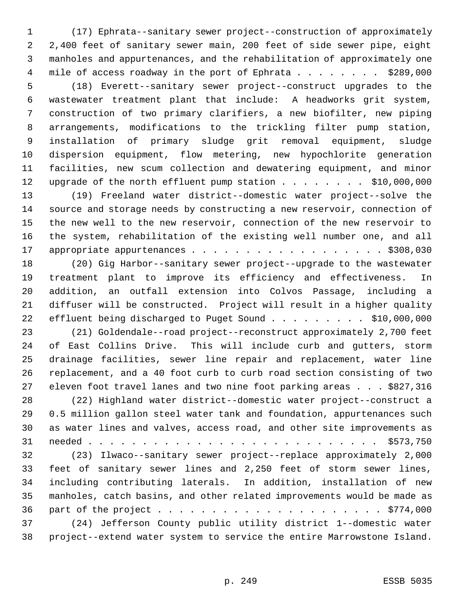(17) Ephrata--sanitary sewer project--construction of approximately 2,400 feet of sanitary sewer main, 200 feet of side sewer pipe, eight manholes and appurtenances, and the rehabilitation of approximately one 4 mile of access roadway in the port of Ephrata . . . . . . . . \$289,000 (18) Everett--sanitary sewer project--construct upgrades to the wastewater treatment plant that include: A headworks grit system, construction of two primary clarifiers, a new biofilter, new piping arrangements, modifications to the trickling filter pump station, installation of primary sludge grit removal equipment, sludge dispersion equipment, flow metering, new hypochlorite generation facilities, new scum collection and dewatering equipment, and minor 12 upgrade of the north effluent pump station . . . . . . . . \$10,000,000 (19) Freeland water district--domestic water project--solve the source and storage needs by constructing a new reservoir, connection of the new well to the new reservoir, connection of the new reservoir to the system, rehabilitation of the existing well number one, and all 17 appropriate appurtenances . . . . . . . . . . . . . . . . . \$308,030 (20) Gig Harbor--sanitary sewer project--upgrade to the wastewater treatment plant to improve its efficiency and effectiveness. In addition, an outfall extension into Colvos Passage, including a diffuser will be constructed. Project will result in a higher quality 22 effluent being discharged to Puget Sound . . . . . . . . . \$10,000,000 (21) Goldendale--road project--reconstruct approximately 2,700 feet of East Collins Drive. This will include curb and gutters, storm drainage facilities, sewer line repair and replacement, water line replacement, and a 40 foot curb to curb road section consisting of two eleven foot travel lanes and two nine foot parking areas . . . \$827,316 (22) Highland water district--domestic water project--construct a 0.5 million gallon steel water tank and foundation, appurtenances such as water lines and valves, access road, and other site improvements as needed . . . . . . . . . . . . . . . . . . . . . . . . . . . \$573,750 (23) Ilwaco--sanitary sewer project--replace approximately 2,000 feet of sanitary sewer lines and 2,250 feet of storm sewer lines, including contributing laterals. In addition, installation of new manholes, catch basins, and other related improvements would be made as part of the project . . . . . . . . . . . . . . . . . . . . . \$774,000 (24) Jefferson County public utility district 1--domestic water project--extend water system to service the entire Marrowstone Island.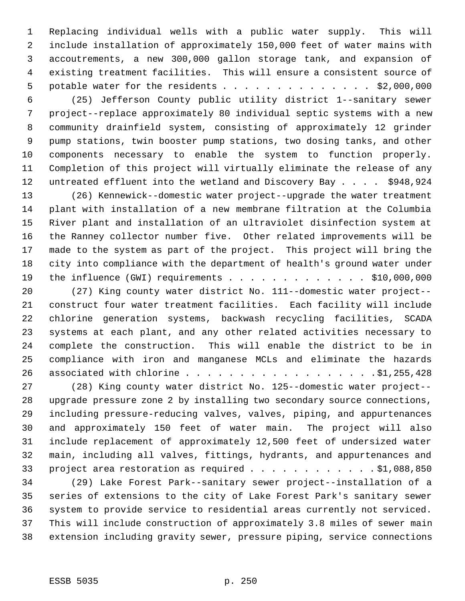Replacing individual wells with a public water supply. This will include installation of approximately 150,000 feet of water mains with accoutrements, a new 300,000 gallon storage tank, and expansion of existing treatment facilities. This will ensure a consistent source of 5 potable water for the residents . . . . . . . . . . . . . \$2,000,000

 (25) Jefferson County public utility district 1--sanitary sewer project--replace approximately 80 individual septic systems with a new community drainfield system, consisting of approximately 12 grinder pump stations, twin booster pump stations, two dosing tanks, and other components necessary to enable the system to function properly. Completion of this project will virtually eliminate the release of any 12 untreated effluent into the wetland and Discovery Bay . . . . \$948,924

 (26) Kennewick--domestic water project--upgrade the water treatment plant with installation of a new membrane filtration at the Columbia River plant and installation of an ultraviolet disinfection system at the Ranney collector number five. Other related improvements will be made to the system as part of the project. This project will bring the city into compliance with the department of health's ground water under 19 the influence (GWI) requirements . . . . . . . . . . . . . \$10,000,000

 (27) King county water district No. 111--domestic water project-- construct four water treatment facilities. Each facility will include chlorine generation systems, backwash recycling facilities, SCADA systems at each plant, and any other related activities necessary to complete the construction. This will enable the district to be in compliance with iron and manganese MCLs and eliminate the hazards 26 associated with chlorine . . . . . . . . . . . . . . . . . . \$1,255,428

 (28) King county water district No. 125--domestic water project-- upgrade pressure zone 2 by installing two secondary source connections, including pressure-reducing valves, valves, piping, and appurtenances and approximately 150 feet of water main. The project will also include replacement of approximately 12,500 feet of undersized water main, including all valves, fittings, hydrants, and appurtenances and 33 project area restoration as required . . . . . . . . . . . . \$1,088,850

 (29) Lake Forest Park--sanitary sewer project--installation of a series of extensions to the city of Lake Forest Park's sanitary sewer system to provide service to residential areas currently not serviced. This will include construction of approximately 3.8 miles of sewer main extension including gravity sewer, pressure piping, service connections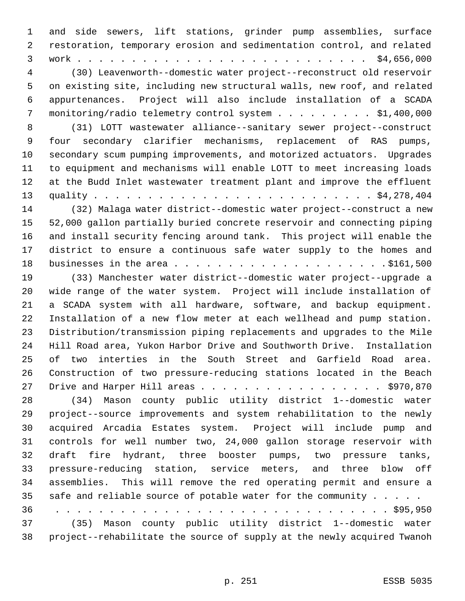and side sewers, lift stations, grinder pump assemblies, surface restoration, temporary erosion and sedimentation control, and related work . . . . . . . . . . . . . . . . . . . . . . . . . . . \$4,656,000 (30) Leavenworth--domestic water project--reconstruct old reservoir

 on existing site, including new structural walls, new roof, and related appurtenances. Project will also include installation of a SCADA monitoring/radio telemetry control system . . . . . . . . . \$1,400,000

 (31) LOTT wastewater alliance--sanitary sewer project--construct four secondary clarifier mechanisms, replacement of RAS pumps, secondary scum pumping improvements, and motorized actuators. Upgrades to equipment and mechanisms will enable LOTT to meet increasing loads at the Budd Inlet wastewater treatment plant and improve the effluent quality . . . . . . . . . . . . . . . . . . . . . . . . . . \$4,278,404 (32) Malaga water district--domestic water project--construct a new

 52,000 gallon partially buried concrete reservoir and connecting piping and install security fencing around tank. This project will enable the district to ensure a continuous safe water supply to the homes and businesses in the area . . . . . . . . . . . . . . . . . . . . \$161,500

 (33) Manchester water district--domestic water project--upgrade a wide range of the water system. Project will include installation of a SCADA system with all hardware, software, and backup equipment. Installation of a new flow meter at each wellhead and pump station. Distribution/transmission piping replacements and upgrades to the Mile Hill Road area, Yukon Harbor Drive and Southworth Drive. Installation of two interties in the South Street and Garfield Road area. Construction of two pressure-reducing stations located in the Beach 27 Drive and Harper Hill areas . . . . . . . . . . . . . . . . . \$970,870

 (34) Mason county public utility district 1--domestic water project--source improvements and system rehabilitation to the newly acquired Arcadia Estates system. Project will include pump and controls for well number two, 24,000 gallon storage reservoir with draft fire hydrant, three booster pumps, two pressure tanks, pressure-reducing station, service meters, and three blow off assemblies. This will remove the red operating permit and ensure a 35 safe and reliable source of potable water for the community . . . . .

36 . . . . . . . . . . . . . . . . . . . . . . . . . . . . . . . \$95,950 (35) Mason county public utility district 1--domestic water project--rehabilitate the source of supply at the newly acquired Twanoh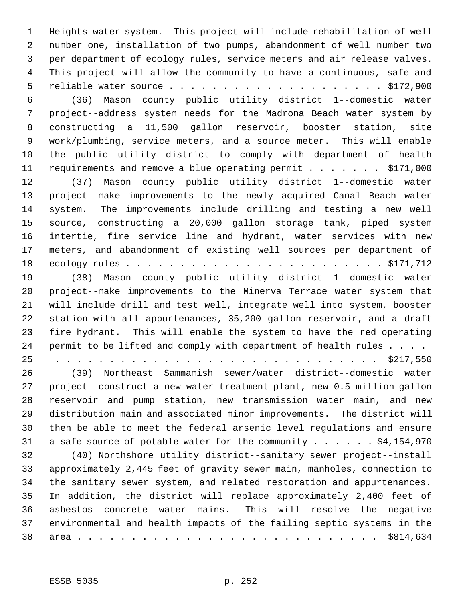Heights water system. This project will include rehabilitation of well number one, installation of two pumps, abandonment of well number two per department of ecology rules, service meters and air release valves. This project will allow the community to have a continuous, safe and reliable water source . . . . . . . . . . . . . . . . . . . . \$172,900

 (36) Mason county public utility district 1--domestic water project--address system needs for the Madrona Beach water system by constructing a 11,500 gallon reservoir, booster station, site work/plumbing, service meters, and a source meter. This will enable the public utility district to comply with department of health 11 requirements and remove a blue operating permit . . . . . . \$171,000 (37) Mason county public utility district 1--domestic water

 project--make improvements to the newly acquired Canal Beach water system. The improvements include drilling and testing a new well source, constructing a 20,000 gallon storage tank, piped system intertie, fire service line and hydrant, water services with new meters, and abandonment of existing well sources per department of ecology rules . . . . . . . . . . . . . . . . . . . . . . . . \$171,712

 (38) Mason county public utility district 1--domestic water project--make improvements to the Minerva Terrace water system that will include drill and test well, integrate well into system, booster station with all appurtenances, 35,200 gallon reservoir, and a draft fire hydrant. This will enable the system to have the red operating 24 permit to be lifted and comply with department of health rules . . . .

25 . . . . . . . . . . . . . . . . . . . . . . . . . . . . . . \$217,550 (39) Northeast Sammamish sewer/water district--domestic water project--construct a new water treatment plant, new 0.5 million gallon reservoir and pump station, new transmission water main, and new distribution main and associated minor improvements. The district will then be able to meet the federal arsenic level regulations and ensure

31 a safe source of potable water for the community . . . . . \$4,154,970

 (40) Northshore utility district--sanitary sewer project--install approximately 2,445 feet of gravity sewer main, manholes, connection to the sanitary sewer system, and related restoration and appurtenances. In addition, the district will replace approximately 2,400 feet of asbestos concrete water mains. This will resolve the negative environmental and health impacts of the failing septic systems in the area . . . . . . . . . . . . . . . . . . . . . . . . . . . . \$814,634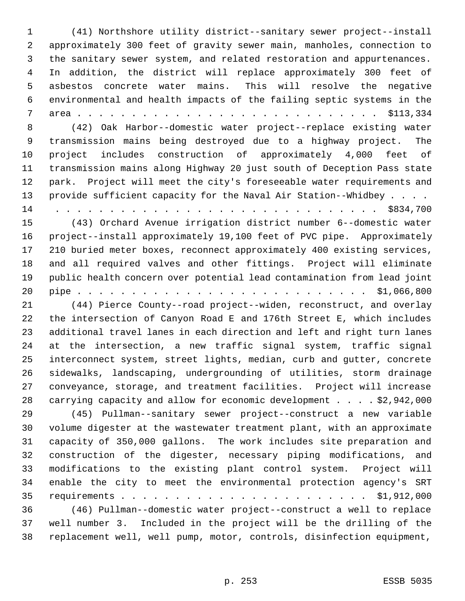(41) Northshore utility district--sanitary sewer project--install approximately 300 feet of gravity sewer main, manholes, connection to the sanitary sewer system, and related restoration and appurtenances. In addition, the district will replace approximately 300 feet of asbestos concrete water mains. This will resolve the negative environmental and health impacts of the failing septic systems in the area . . . . . . . . . . . . . . . . . . . . . . . . . . . . \$113,334 (42) Oak Harbor--domestic water project--replace existing water transmission mains being destroyed due to a highway project. The project includes construction of approximately 4,000 feet of transmission mains along Highway 20 just south of Deception Pass state park. Project will meet the city's foreseeable water requirements and 13 provide sufficient capacity for the Naval Air Station--Whidbey . . . . 14 . . . . . . . . . . . . . . . . . . . . . . . . . . . . . . \$834,700 (43) Orchard Avenue irrigation district number 6--domestic water project--install approximately 19,100 feet of PVC pipe. Approximately 210 buried meter boxes, reconnect approximately 400 existing services, and all required valves and other fittings. Project will eliminate public health concern over potential lead contamination from lead joint pipe . . . . . . . . . . . . . . . . . . . . . . . . . . . \$1,066,800 (44) Pierce County--road project--widen, reconstruct, and overlay the intersection of Canyon Road E and 176th Street E, which includes additional travel lanes in each direction and left and right turn lanes at the intersection, a new traffic signal system, traffic signal interconnect system, street lights, median, curb and gutter, concrete sidewalks, landscaping, undergrounding of utilities, storm drainage conveyance, storage, and treatment facilities. Project will increase carrying capacity and allow for economic development . . . . \$2,942,000 (45) Pullman--sanitary sewer project--construct a new variable volume digester at the wastewater treatment plant, with an approximate capacity of 350,000 gallons. The work includes site preparation and construction of the digester, necessary piping modifications, and modifications to the existing plant control system. Project will enable the city to meet the environmental protection agency's SRT requirements . . . . . . . . . . . . . . . . . . . . . . . \$1,912,000 (46) Pullman--domestic water project--construct a well to replace well number 3. Included in the project will be the drilling of the replacement well, well pump, motor, controls, disinfection equipment,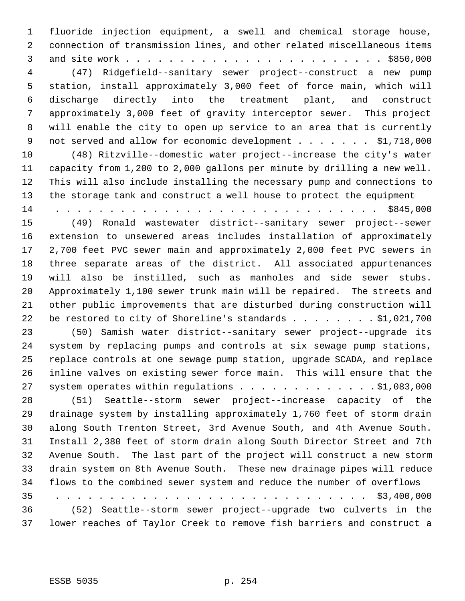fluoride injection equipment, a swell and chemical storage house, connection of transmission lines, and other related miscellaneous items and site work . . . . . . . . . . . . . . . . . . . . . . . . \$850,000 (47) Ridgefield--sanitary sewer project--construct a new pump station, install approximately 3,000 feet of force main, which will discharge directly into the treatment plant, and construct approximately 3,000 feet of gravity interceptor sewer. This project will enable the city to open up service to an area that is currently 9 not served and allow for economic development . . . . . . \$1,718,000 (48) Ritzville--domestic water project--increase the city's water capacity from 1,200 to 2,000 gallons per minute by drilling a new well. This will also include installing the necessary pump and connections to the storage tank and construct a well house to protect the equipment 14 . . . . . . . . . . . . . . . . . . . . . . . . . . . . . . \$845,000 (49) Ronald wastewater district--sanitary sewer project--sewer extension to unsewered areas includes installation of approximately 2,700 feet PVC sewer main and approximately 2,000 feet PVC sewers in three separate areas of the district. All associated appurtenances will also be instilled, such as manholes and side sewer stubs. Approximately 1,100 sewer trunk main will be repaired. The streets and other public improvements that are disturbed during construction will 22 be restored to city of Shoreline's standards . . . . . . . \$1,021,700 (50) Samish water district--sanitary sewer project--upgrade its system by replacing pumps and controls at six sewage pump stations, replace controls at one sewage pump station, upgrade SCADA, and replace inline valves on existing sewer force main. This will ensure that the 27 system operates within regulations . . . . . . . . . . . . . \$1,083,000 (51) Seattle--storm sewer project--increase capacity of the drainage system by installing approximately 1,760 feet of storm drain along South Trenton Street, 3rd Avenue South, and 4th Avenue South. Install 2,380 feet of storm drain along South Director Street and 7th Avenue South. The last part of the project will construct a new storm drain system on 8th Avenue South. These new drainage pipes will reduce flows to the combined sewer system and reduce the number of overflows 35 . . . . . . . . . . . . . . . . . . . . . . . . . . . . . \$3,400,000 (52) Seattle--storm sewer project--upgrade two culverts in the lower reaches of Taylor Creek to remove fish barriers and construct a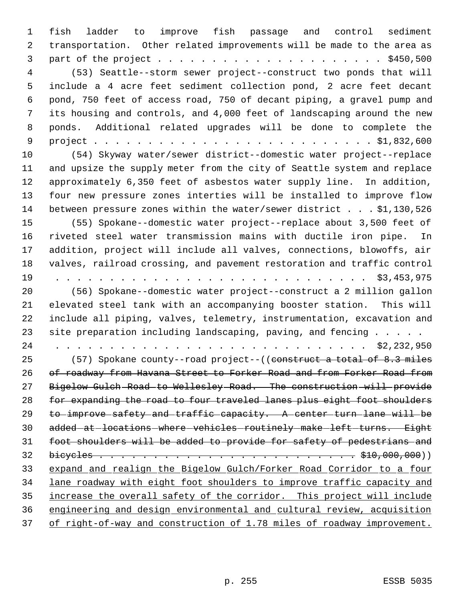fish ladder to improve fish passage and control sediment transportation. Other related improvements will be made to the area as part of the project . . . . . . . . . . . . . . . . . . . . . \$450,500 (53) Seattle--storm sewer project--construct two ponds that will include a 4 acre feet sediment collection pond, 2 acre feet decant pond, 750 feet of access road, 750 of decant piping, a gravel pump and its housing and controls, and 4,000 feet of landscaping around the new ponds. Additional related upgrades will be done to complete the project . . . . . . . . . . . . . . . . . . . . . . . . . . \$1,832,600 (54) Skyway water/sewer district--domestic water project--replace and upsize the supply meter from the city of Seattle system and replace approximately 6,350 feet of asbestos water supply line. In addition, four new pressure zones interties will be installed to improve flow between pressure zones within the water/sewer district . . . \$1,130,526 (55) Spokane--domestic water project--replace about 3,500 feet of riveted steel water transmission mains with ductile iron pipe. In addition, project will include all valves, connections, blowoffs, air valves, railroad crossing, and pavement restoration and traffic control 19 . . . . . . . . . . . . . . . . . . . . . . . . . . . . . \$3,453,975 (56) Spokane--domestic water project--construct a 2 million gallon elevated steel tank with an accompanying booster station. This will include all piping, valves, telemetry, instrumentation, excavation and 23 site preparation including landscaping, paving, and fencing . . . . . 24 . . . . . . . . . . . . . . . . . . . . . . . . . . . . . \$2,232,950 (57) Spokane county--road project--((construct a total of 8.3 miles of roadway from Havana Street to Forker Road and from Forker Road from Bigelow Gulch Road to Wellesley Road. The construction will provide for expanding the road to four traveled lanes plus eight foot shoulders to improve safety and traffic capacity. A center turn lane will be 30 added-at-locations-where-vehicles-routinely-make-left-turns. Eight foot shoulders will be added to provide for safety of pedestrians and bicycles . . . . . . . . . . . . . . . . . . . . . . . . \$10,000,000)) expand and realign the Bigelow Gulch/Forker Road Corridor to a four lane roadway with eight foot shoulders to improve traffic capacity and increase the overall safety of the corridor. This project will include engineering and design environmental and cultural review, acquisition of right-of-way and construction of 1.78 miles of roadway improvement.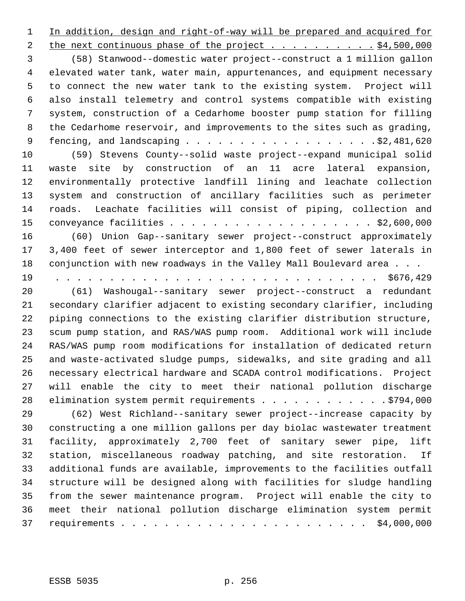In addition, design and right-of-way will be prepared and acquired for 2 the next continuous phase of the project . . . . . . . . . . \$4,500,000 (58) Stanwood--domestic water project--construct a 1 million gallon elevated water tank, water main, appurtenances, and equipment necessary to connect the new water tank to the existing system. Project will also install telemetry and control systems compatible with existing system, construction of a Cedarhome booster pump station for filling the Cedarhome reservoir, and improvements to the sites such as grading, fencing, and landscaping . . . . . . . . . . . . . . . . . .\$2,481,620 (59) Stevens County--solid waste project--expand municipal solid waste site by construction of an 11 acre lateral expansion, environmentally protective landfill lining and leachate collection system and construction of ancillary facilities such as perimeter roads. Leachate facilities will consist of piping, collection and conveyance facilities . . . . . . . . . . . . . . . . . . . \$2,600,000 (60) Union Gap--sanitary sewer project--construct approximately 3,400 feet of sewer interceptor and 1,800 feet of sewer laterals in 18 conjunction with new roadways in the Valley Mall Boulevard area . . . 19 . . . . . . . . . . . . . . . . . . . . . . . . . . . . . . \$676,429 (61) Washougal--sanitary sewer project--construct a redundant secondary clarifier adjacent to existing secondary clarifier, including piping connections to the existing clarifier distribution structure, scum pump station, and RAS/WAS pump room. Additional work will include RAS/WAS pump room modifications for installation of dedicated return and waste-activated sludge pumps, sidewalks, and site grading and all necessary electrical hardware and SCADA control modifications. Project will enable the city to meet their national pollution discharge 28 elimination system permit requirements . . . . . . . . . . . . \$794,000 (62) West Richland--sanitary sewer project--increase capacity by constructing a one million gallons per day biolac wastewater treatment facility, approximately 2,700 feet of sanitary sewer pipe, lift station, miscellaneous roadway patching, and site restoration. If additional funds are available, improvements to the facilities outfall structure will be designed along with facilities for sludge handling from the sewer maintenance program. Project will enable the city to meet their national pollution discharge elimination system permit requirements . . . . . . . . . . . . . . . . . . . . . . . \$4,000,000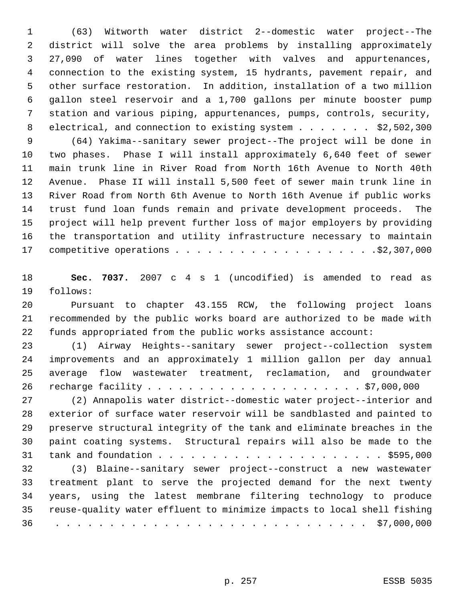(63) Witworth water district 2--domestic water project--The district will solve the area problems by installing approximately 27,090 of water lines together with valves and appurtenances, connection to the existing system, 15 hydrants, pavement repair, and other surface restoration. In addition, installation of a two million gallon steel reservoir and a 1,700 gallons per minute booster pump station and various piping, appurtenances, pumps, controls, security, 8 electrical, and connection to existing system . . . . . . . \$2,502,300 (64) Yakima--sanitary sewer project--The project will be done in two phases. Phase I will install approximately 6,640 feet of sewer main trunk line in River Road from North 16th Avenue to North 40th Avenue. Phase II will install 5,500 feet of sewer main trunk line in

 River Road from North 6th Avenue to North 16th Avenue if public works trust fund loan funds remain and private development proceeds. The project will help prevent further loss of major employers by providing the transportation and utility infrastructure necessary to maintain competitive operations . . . . . . . . . . . . . . . . . . .\$2,307,000

 **Sec. 7037.** 2007 c 4 s 1 (uncodified) is amended to read as follows:

 Pursuant to chapter 43.155 RCW, the following project loans recommended by the public works board are authorized to be made with funds appropriated from the public works assistance account:

 (1) Airway Heights--sanitary sewer project--collection system improvements and an approximately 1 million gallon per day annual average flow wastewater treatment, reclamation, and groundwater recharge facility . . . . . . . . . . . . . . . . . . . . . \$7,000,000

 (2) Annapolis water district--domestic water project--interior and exterior of surface water reservoir will be sandblasted and painted to preserve structural integrity of the tank and eliminate breaches in the paint coating systems. Structural repairs will also be made to the tank and foundation . . . . . . . . . . . . . . . . . . . . . \$595,000

 (3) Blaine--sanitary sewer project--construct a new wastewater treatment plant to serve the projected demand for the next twenty years, using the latest membrane filtering technology to produce reuse-quality water effluent to minimize impacts to local shell fishing 36 . . . . . . . . . . . . . . . . . . . . . . . . . . . . . \$7,000,000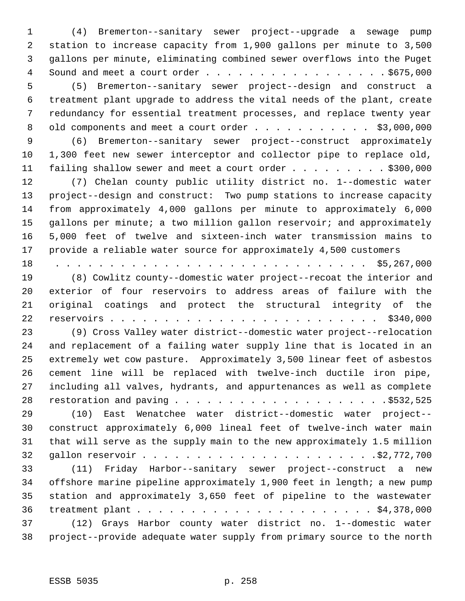(4) Bremerton--sanitary sewer project--upgrade a sewage pump station to increase capacity from 1,900 gallons per minute to 3,500 gallons per minute, eliminating combined sewer overflows into the Puget 4 Sound and meet a court order . . . . . . . . . . . . . . . . . \$675,000 (5) Bremerton--sanitary sewer project--design and construct a treatment plant upgrade to address the vital needs of the plant, create redundancy for essential treatment processes, and replace twenty year 8 old components and meet a court order . . . . . . . . . . \$3,000,000 (6) Bremerton--sanitary sewer project--construct approximately 1,300 feet new sewer interceptor and collector pipe to replace old, 11 failing shallow sewer and meet a court order . . . . . . . . . \$300,000 (7) Chelan county public utility district no. 1--domestic water project--design and construct: Two pump stations to increase capacity from approximately 4,000 gallons per minute to approximately 6,000 gallons per minute; a two million gallon reservoir; and approximately 5,000 feet of twelve and sixteen-inch water transmission mains to provide a reliable water source for approximately 4,500 customers 18 . . . . . . . . . . . . . . . . . . . . . . . . . . . . . \$5,267,000 (8) Cowlitz county--domestic water project--recoat the interior and exterior of four reservoirs to address areas of failure with the original coatings and protect the structural integrity of the reservoirs . . . . . . . . . . . . . . . . . . . . . . . . . \$340,000 (9) Cross Valley water district--domestic water project--relocation and replacement of a failing water supply line that is located in an extremely wet cow pasture. Approximately 3,500 linear feet of asbestos cement line will be replaced with twelve-inch ductile iron pipe, including all valves, hydrants, and appurtenances as well as complete restoration and paving . . . . . . . . . . . . . . . . . . . .\$532,525 (10) East Wenatchee water district--domestic water project-- construct approximately 6,000 lineal feet of twelve-inch water main that will serve as the supply main to the new approximately 1.5 million gallon reservoir . . . . . . . . . . . . . . . . . . . . . .\$2,772,700 (11) Friday Harbor--sanitary sewer project--construct a new offshore marine pipeline approximately 1,900 feet in length; a new pump station and approximately 3,650 feet of pipeline to the wastewater treatment plant . . . . . . . . . . . . . . . . . . . . . . \$4,378,000 (12) Grays Harbor county water district no. 1--domestic water project--provide adequate water supply from primary source to the north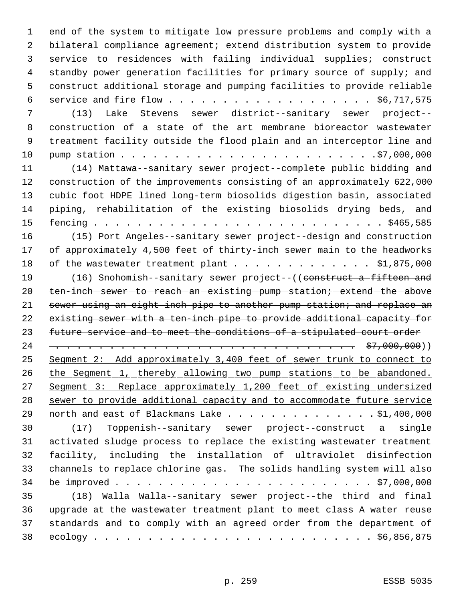end of the system to mitigate low pressure problems and comply with a bilateral compliance agreement; extend distribution system to provide service to residences with failing individual supplies; construct standby power generation facilities for primary source of supply; and construct additional storage and pumping facilities to provide reliable service and fire flow . . . . . . . . . . . . . . . . . . . \$6,717,575 (13) Lake Stevens sewer district--sanitary sewer project-- construction of a state of the art membrane bioreactor wastewater treatment facility outside the flood plain and an interceptor line and pump station . . . . . . . . . . . . . . . . . . . . . . . .\$7,000,000 (14) Mattawa--sanitary sewer project--complete public bidding and construction of the improvements consisting of an approximately 622,000 cubic foot HDPE lined long-term biosolids digestion basin, associated piping, rehabilitation of the existing biosolids drying beds, and fencing . . . . . . . . . . . . . . . . . . . . . . . . . . . \$465,585 (15) Port Angeles--sanitary sewer project--design and construction of approximately 4,500 feet of thirty-inch sewer main to the headworks 18 of the wastewater treatment plant . . . . . . . . . . . . \$1,875,000 19 (16) Snohomish--sanitary sewer project--((construct a fifteen and 20 ten-inch-sewer-to-reach-an-existing-pump-station; extend-the-above 21 sewer using an eight-inch pipe to another pump station; and replace an existing sewer with a ten-inch pipe to provide additional capacity for future service and to meet the conditions of a stipulated court order 24 . . . . . . . . . . . . . . . . . . . . . . . . . . . . \$7,000,000)) Segment 2: Add approximately 3,400 feet of sewer trunk to connect to 26 the Segment 1, thereby allowing two pump stations to be abandoned. 27 Segment 3: Replace approximately 1,200 feet of existing undersized sewer to provide additional capacity and to accommodate future service 29 north and east of Blackmans Lake . . . . . . . . . . . . . . \$1,400,000 (17) Toppenish--sanitary sewer project--construct a single activated sludge process to replace the existing wastewater treatment facility, including the installation of ultraviolet disinfection channels to replace chlorine gas. The solids handling system will also be improved . . . . . . . . . . . . . . . . . . . . . . . . \$7,000,000 (18) Walla Walla--sanitary sewer project--the third and final upgrade at the wastewater treatment plant to meet class A water reuse standards and to comply with an agreed order from the department of ecology . . . . . . . . . . . . . . . . . . . . . . . . . . \$6,856,875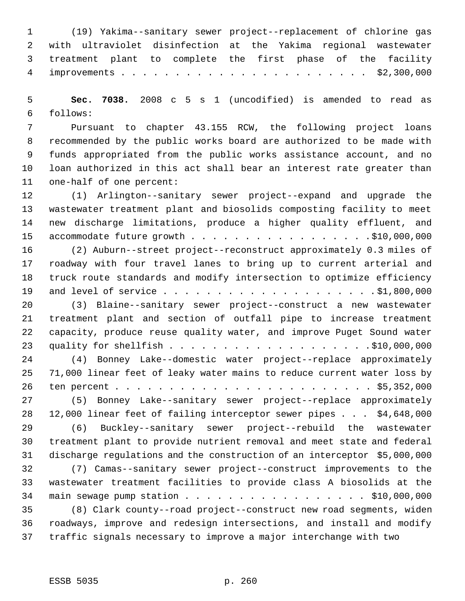(19) Yakima--sanitary sewer project--replacement of chlorine gas with ultraviolet disinfection at the Yakima regional wastewater treatment plant to complete the first phase of the facility improvements . . . . . . . . . . . . . . . . . . . . . . . \$2,300,000

 **Sec. 7038.** 2008 c 5 s 1 (uncodified) is amended to read as follows:

 Pursuant to chapter 43.155 RCW, the following project loans recommended by the public works board are authorized to be made with funds appropriated from the public works assistance account, and no loan authorized in this act shall bear an interest rate greater than one-half of one percent:

 (1) Arlington--sanitary sewer project--expand and upgrade the wastewater treatment plant and biosolids composting facility to meet new discharge limitations, produce a higher quality effluent, and 15 accommodate future growth . . . . . . . . . . . . . . . . . \$10,000,000

 (2) Auburn--street project--reconstruct approximately 0.3 miles of roadway with four travel lanes to bring up to current arterial and truck route standards and modify intersection to optimize efficiency and level of service . . . . . . . . . . . . . . . . . . . . \$1,800,000

 (3) Blaine--sanitary sewer project--construct a new wastewater treatment plant and section of outfall pipe to increase treatment capacity, produce reuse quality water, and improve Puget Sound water quality for shellfish . . . . . . . . . . . . . . . . . . .\$10,000,000 (4) Bonney Lake--domestic water project--replace approximately 71,000 linear feet of leaky water mains to reduce current water loss by

 ten percent . . . . . . . . . . . . . . . . . . . . . . . . \$5,352,000 (5) Bonney Lake--sanitary sewer project--replace approximately 12,000 linear feet of failing interceptor sewer pipes . . . \$4,648,000

 (6) Buckley--sanitary sewer project--rebuild the wastewater treatment plant to provide nutrient removal and meet state and federal discharge regulations and the construction of an interceptor \$5,000,000

 (7) Camas--sanitary sewer project--construct improvements to the wastewater treatment facilities to provide class A biosolids at the 34 main sewage pump station . . . . . . . . . . . . . . . . . \$10,000,000

 (8) Clark county--road project--construct new road segments, widen roadways, improve and redesign intersections, and install and modify traffic signals necessary to improve a major interchange with two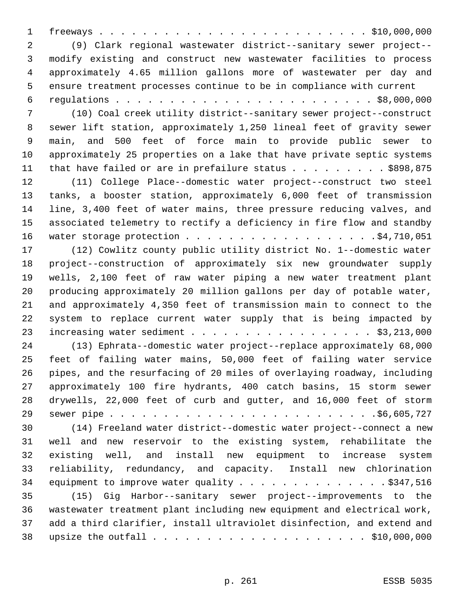freeways . . . . . . . . . . . . . . . . . . . . . . . . . \$10,000,000 (9) Clark regional wastewater district--sanitary sewer project-- modify existing and construct new wastewater facilities to process approximately 4.65 million gallons more of wastewater per day and ensure treatment processes continue to be in compliance with current regulations . . . . . . . . . . . . . . . . . . . . . . . . \$8,000,000 (10) Coal creek utility district--sanitary sewer project--construct sewer lift station, approximately 1,250 lineal feet of gravity sewer main, and 500 feet of force main to provide public sewer to approximately 25 properties on a lake that have private septic systems 11 that have failed or are in prefailure status . . . . . . . . . \$898,875 (11) College Place--domestic water project--construct two steel tanks, a booster station, approximately 6,000 feet of transmission line, 3,400 feet of water mains, three pressure reducing valves, and associated telemetry to rectify a deficiency in fire flow and standby 16 water storage protection . . . . . . . . . . . . . . . . . \$4,710,051 (12) Cowlitz county public utility district No. 1--domestic water project--construction of approximately six new groundwater supply wells, 2,100 feet of raw water piping a new water treatment plant producing approximately 20 million gallons per day of potable water, and approximately 4,350 feet of transmission main to connect to the system to replace current water supply that is being impacted by 23 increasing water sediment . . . . . . . . . . . . . . . . . \$3,213,000 (13) Ephrata--domestic water project--replace approximately 68,000 feet of failing water mains, 50,000 feet of failing water service pipes, and the resurfacing of 20 miles of overlaying roadway, including approximately 100 fire hydrants, 400 catch basins, 15 storm sewer drywells, 22,000 feet of curb and gutter, and 16,000 feet of storm sewer pipe . . . . . . . . . . . . . . . . . . . . . . . . .\$6,605,727 (14) Freeland water district--domestic water project--connect a new well and new reservoir to the existing system, rehabilitate the existing well, and install new equipment to increase system reliability, redundancy, and capacity. Install new chlorination 34 equipment to improve water quality . . . . . . . . . . . . . . \$347,516 (15) Gig Harbor--sanitary sewer project--improvements to the wastewater treatment plant including new equipment and electrical work, add a third clarifier, install ultraviolet disinfection, and extend and upsize the outfall . . . . . . . . . . . . . . . . . . . . \$10,000,000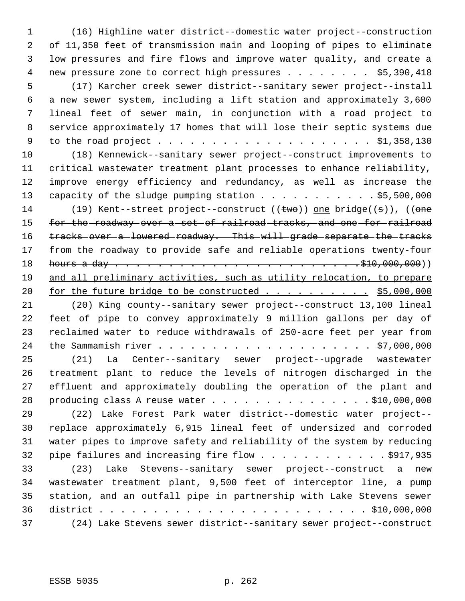(16) Highline water district--domestic water project--construction of 11,350 feet of transmission main and looping of pipes to eliminate low pressures and fire flows and improve water quality, and create a new pressure zone to correct high pressures . . . . . . . . \$5,390,418 (17) Karcher creek sewer district--sanitary sewer project--install a new sewer system, including a lift station and approximately 3,600 lineal feet of sewer main, in conjunction with a road project to service approximately 17 homes that will lose their septic systems due to the road project . . . . . . . . . . . . . . . . . . . . \$1,358,130 (18) Kennewick--sanitary sewer project--construct improvements to critical wastewater treatment plant processes to enhance reliability, improve energy efficiency and redundancy, as well as increase the 13 capacity of the sludge pumping station . . . . . . . . . . . \$5,500,000 14 (19) Kent--street project--construct ((two)) one bridge((s)), ((one 15 for the roadway over a set of railroad tracks, and one for railroad tracks over a lowered roadway. This will grade separate the tracks from the roadway to provide safe and reliable operations twenty-four hours a day . . . . . . . . . . . . . . . . . . . . . . .\$10,000,000)) and all preliminary activities, such as utility relocation, to prepare 20 for the future bridge to be constructed . . . . . . . . . . \$5,000,000 (20) King county--sanitary sewer project--construct 13,100 lineal feet of pipe to convey approximately 9 million gallons per day of reclaimed water to reduce withdrawals of 250-acre feet per year from the Sammamish river . . . . . . . . . . . . . . . . . . . . \$7,000,000 (21) La Center--sanitary sewer project--upgrade wastewater treatment plant to reduce the levels of nitrogen discharged in the effluent and approximately doubling the operation of the plant and 28 producing class A reuse water . . . . . . . . . . . . . . . \$10,000,000 (22) Lake Forest Park water district--domestic water project-- replace approximately 6,915 lineal feet of undersized and corroded water pipes to improve safety and reliability of the system by reducing 32 pipe failures and increasing fire flow . . . . . . . . . . . . \$917,935 (23) Lake Stevens--sanitary sewer project--construct a new wastewater treatment plant, 9,500 feet of interceptor line, a pump station, and an outfall pipe in partnership with Lake Stevens sewer district . . . . . . . . . . . . . . . . . . . . . . . . . \$10,000,000 (24) Lake Stevens sewer district--sanitary sewer project--construct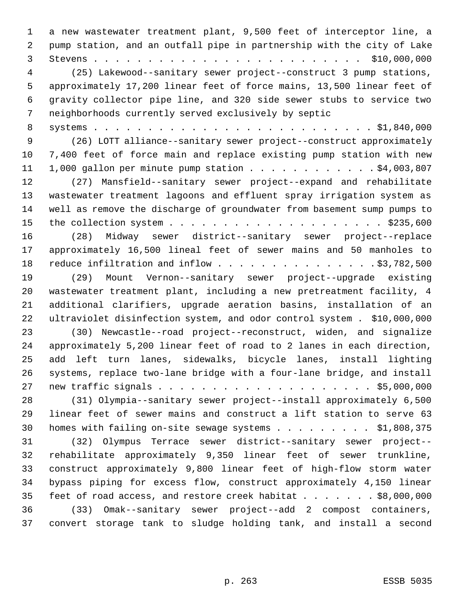a new wastewater treatment plant, 9,500 feet of interceptor line, a pump station, and an outfall pipe in partnership with the city of Lake Stevens . . . . . . . . . . . . . . . . . . . . . . . . . \$10,000,000 (25) Lakewood--sanitary sewer project--construct 3 pump stations, approximately 17,200 linear feet of force mains, 13,500 linear feet of gravity collector pipe line, and 320 side sewer stubs to service two neighborhoods currently served exclusively by septic systems . . . . . . . . . . . . . . . . . . . . . . . . . . \$1,840,000 (26) LOTT alliance--sanitary sewer project--construct approximately 7,400 feet of force main and replace existing pump station with new 1,000 gallon per minute pump station . . . . . . . . . . . . \$4,003,807 (27) Mansfield--sanitary sewer project--expand and rehabilitate wastewater treatment lagoons and effluent spray irrigation system as well as remove the discharge of groundwater from basement sump pumps to the collection system . . . . . . . . . . . . . . . . . . . . \$235,600 (28) Midway sewer district--sanitary sewer project--replace approximately 16,500 lineal feet of sewer mains and 50 manholes to 18 reduce infiltration and inflow . . . . . . . . . . . . . . . \$3,782,500 (29) Mount Vernon--sanitary sewer project--upgrade existing wastewater treatment plant, including a new pretreatment facility, 4 additional clarifiers, upgrade aeration basins, installation of an ultraviolet disinfection system, and odor control system . \$10,000,000 (30) Newcastle--road project--reconstruct, widen, and signalize approximately 5,200 linear feet of road to 2 lanes in each direction, add left turn lanes, sidewalks, bicycle lanes, install lighting systems, replace two-lane bridge with a four-lane bridge, and install new traffic signals . . . . . . . . . . . . . . . . . . . . \$5,000,000 (31) Olympia--sanitary sewer project--install approximately 6,500 linear feet of sewer mains and construct a lift station to serve 63 30 homes with failing on-site sewage systems . . . . . . . . . \$1,808,375 (32) Olympus Terrace sewer district--sanitary sewer project-- rehabilitate approximately 9,350 linear feet of sewer trunkline, construct approximately 9,800 linear feet of high-flow storm water bypass piping for excess flow, construct approximately 4,150 linear 35 feet of road access, and restore creek habitat . . . . . . \$8,000,000 (33) Omak--sanitary sewer project--add 2 compost containers, convert storage tank to sludge holding tank, and install a second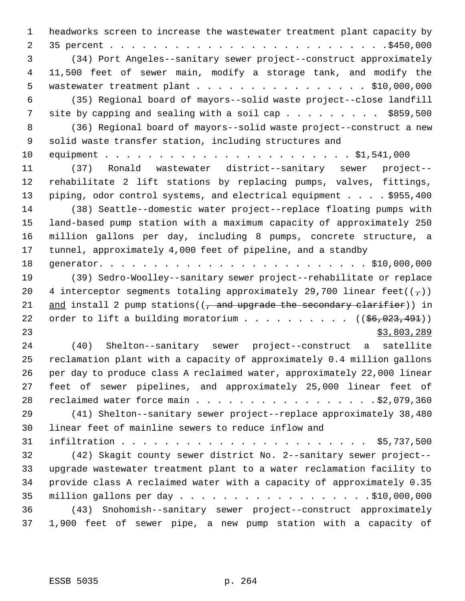headworks screen to increase the wastewater treatment plant capacity by 35 percent . . . . . . . . . . . . . . . . . . . . . . . . . .\$450,000 (34) Port Angeles--sanitary sewer project--construct approximately 11,500 feet of sewer main, modify a storage tank, and modify the wastewater treatment plant . . . . . . . . . . . . . . . . \$10,000,000 (35) Regional board of mayors--solid waste project--close landfill 7 site by capping and sealing with a soil cap . . . . . . . . . \$859,500 (36) Regional board of mayors--solid waste project--construct a new solid waste transfer station, including structures and equipment . . . . . . . . . . . . . . . . . . . . . . . \$1,541,000 (37) Ronald wastewater district--sanitary sewer project-- rehabilitate 2 lift stations by replacing pumps, valves, fittings, 13 piping, odor control systems, and electrical equipment . . . . \$955,400 (38) Seattle--domestic water project--replace floating pumps with land-based pump station with a maximum capacity of approximately 250 million gallons per day, including 8 pumps, concrete structure, a tunnel, approximately 4,000 feet of pipeline, and a standby generator. . . . . . . . . . . . . . . . . . . . . . . . . \$10,000,000 (39) Sedro-Woolley--sanitary sewer project--rehabilitate or replace 20 4 interceptor segments totaling approximately 29,700 linear feet( $(\tau)$ ) 21 and install 2 pump stations( $(7,$  and upgrade the secondary clarifier)) in 22 order to lift a building moratorium . . . . . . . . .  $($   $($ \$6,023,491 $)$ )  $\frac{1}{2}$  23,803,289 (40) Shelton--sanitary sewer project--construct a satellite reclamation plant with a capacity of approximately 0.4 million gallons per day to produce class A reclaimed water, approximately 22,000 linear feet of sewer pipelines, and approximately 25,000 linear feet of 28 reclaimed water force main . . . . . . . . . . . . . . . . . \$2,079,360 (41) Shelton--sanitary sewer project--replace approximately 38,480 linear feet of mainline sewers to reduce inflow and infiltration . . . . . . . . . . . . . . . . . . . . . . . \$5,737,500 (42) Skagit county sewer district No. 2--sanitary sewer project-- upgrade wastewater treatment plant to a water reclamation facility to provide class A reclaimed water with a capacity of approximately 0.35 million gallons per day . . . . . . . . . . . . . . . . . . \$10,000,000 (43) Snohomish--sanitary sewer project--construct approximately 1,900 feet of sewer pipe, a new pump station with a capacity of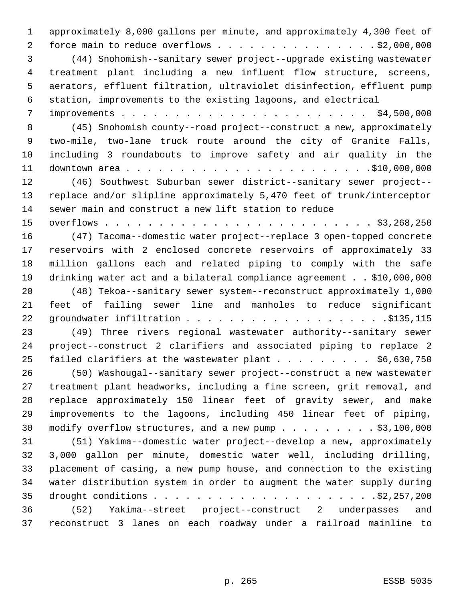approximately 8,000 gallons per minute, and approximately 4,300 feet of 2 force main to reduce overflows . . . . . . . . . . . . . . . \$2,000,000 (44) Snohomish--sanitary sewer project--upgrade existing wastewater treatment plant including a new influent flow structure, screens, aerators, effluent filtration, ultraviolet disinfection, effluent pump station, improvements to the existing lagoons, and electrical improvements . . . . . . . . . . . . . . . . . . . . . . . \$4,500,000 (45) Snohomish county--road project--construct a new, approximately two-mile, two-lane truck route around the city of Granite Falls, including 3 roundabouts to improve safety and air quality in the downtown area . . . . . . . . . . . . . . . . . . . . . . .\$10,000,000 (46) Southwest Suburban sewer district--sanitary sewer project-- replace and/or slipline approximately 5,470 feet of trunk/interceptor sewer main and construct a new lift station to reduce overflows . . . . . . . . . . . . . . . . . . . . . . . . . \$3,268,250 (47) Tacoma--domestic water project--replace 3 open-topped concrete reservoirs with 2 enclosed concrete reservoirs of approximately 33 million gallons each and related piping to comply with the safe drinking water act and a bilateral compliance agreement . . \$10,000,000 (48) Tekoa--sanitary sewer system--reconstruct approximately 1,000 feet of failing sewer line and manholes to reduce significant groundwater infiltration . . . . . . . . . . . . . . . . . . .\$135,115 (49) Three rivers regional wastewater authority--sanitary sewer project--construct 2 clarifiers and associated piping to replace 2 25 failed clarifiers at the wastewater plant  $\ldots$  . . . . . . \$6,630,750 (50) Washougal--sanitary sewer project--construct a new wastewater treatment plant headworks, including a fine screen, grit removal, and replace approximately 150 linear feet of gravity sewer, and make improvements to the lagoons, including 450 linear feet of piping, 30 modify overflow structures, and a new pump . . . . . . . . . \$3,100,000 (51) Yakima--domestic water project--develop a new, approximately 3,000 gallon per minute, domestic water well, including drilling, placement of casing, a new pump house, and connection to the existing water distribution system in order to augment the water supply during drought conditions . . . . . . . . . . . . . . . . . . . . .\$2,257,200 (52) Yakima--street project--construct 2 underpasses and reconstruct 3 lanes on each roadway under a railroad mainline to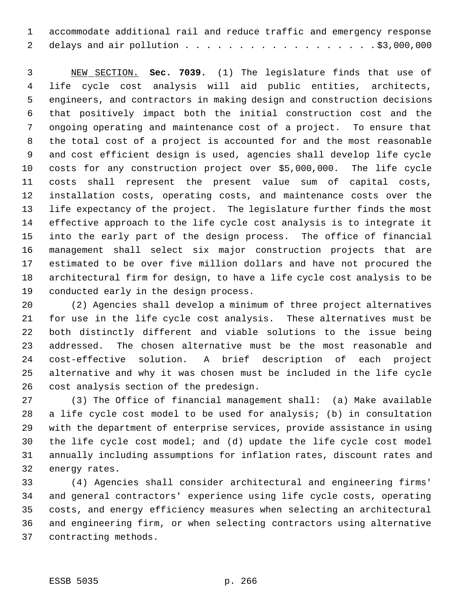accommodate additional rail and reduce traffic and emergency response 2 delays and air pollution . . . . . . . . . . . . . . . . . . \$3,000,000

 NEW SECTION. **Sec. 7039.** (1) The legislature finds that use of life cycle cost analysis will aid public entities, architects, engineers, and contractors in making design and construction decisions that positively impact both the initial construction cost and the ongoing operating and maintenance cost of a project. To ensure that the total cost of a project is accounted for and the most reasonable and cost efficient design is used, agencies shall develop life cycle costs for any construction project over \$5,000,000. The life cycle costs shall represent the present value sum of capital costs, installation costs, operating costs, and maintenance costs over the life expectancy of the project. The legislature further finds the most effective approach to the life cycle cost analysis is to integrate it into the early part of the design process. The office of financial management shall select six major construction projects that are estimated to be over five million dollars and have not procured the architectural firm for design, to have a life cycle cost analysis to be conducted early in the design process.

 (2) Agencies shall develop a minimum of three project alternatives for use in the life cycle cost analysis. These alternatives must be both distinctly different and viable solutions to the issue being addressed. The chosen alternative must be the most reasonable and cost-effective solution. A brief description of each project alternative and why it was chosen must be included in the life cycle cost analysis section of the predesign.

 (3) The Office of financial management shall: (a) Make available a life cycle cost model to be used for analysis; (b) in consultation with the department of enterprise services, provide assistance in using the life cycle cost model; and (d) update the life cycle cost model annually including assumptions for inflation rates, discount rates and energy rates.

 (4) Agencies shall consider architectural and engineering firms' and general contractors' experience using life cycle costs, operating costs, and energy efficiency measures when selecting an architectural and engineering firm, or when selecting contractors using alternative contracting methods.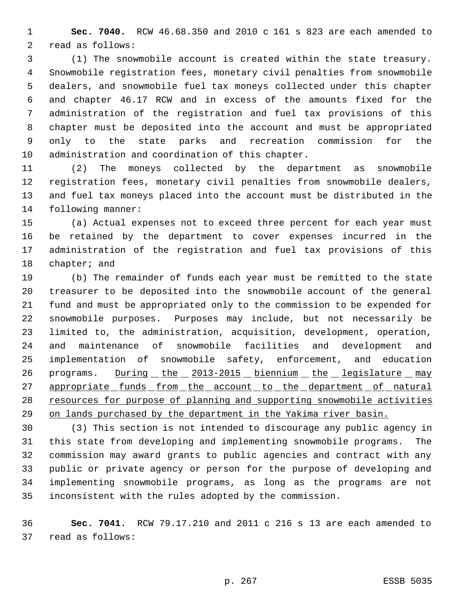**Sec. 7040.** RCW 46.68.350 and 2010 c 161 s 823 are each amended to read as follows:

 (1) The snowmobile account is created within the state treasury. Snowmobile registration fees, monetary civil penalties from snowmobile dealers, and snowmobile fuel tax moneys collected under this chapter and chapter 46.17 RCW and in excess of the amounts fixed for the administration of the registration and fuel tax provisions of this chapter must be deposited into the account and must be appropriated only to the state parks and recreation commission for the administration and coordination of this chapter.

 (2) The moneys collected by the department as snowmobile registration fees, monetary civil penalties from snowmobile dealers, and fuel tax moneys placed into the account must be distributed in the following manner:

 (a) Actual expenses not to exceed three percent for each year must be retained by the department to cover expenses incurred in the administration of the registration and fuel tax provisions of this chapter; and

 (b) The remainder of funds each year must be remitted to the state treasurer to be deposited into the snowmobile account of the general fund and must be appropriated only to the commission to be expended for snowmobile purposes. Purposes may include, but not necessarily be limited to, the administration, acquisition, development, operation, and maintenance of snowmobile facilities and development and implementation of snowmobile safety, enforcement, and education 26 programs. During the 2013-2015 biennium the legislature may 27 appropriate funds from the account to the department of natural 28 resources for purpose of planning and supporting snowmobile activities on lands purchased by the department in the Yakima river basin.

 (3) This section is not intended to discourage any public agency in this state from developing and implementing snowmobile programs. The commission may award grants to public agencies and contract with any public or private agency or person for the purpose of developing and implementing snowmobile programs, as long as the programs are not inconsistent with the rules adopted by the commission.

 **Sec. 7041.** RCW 79.17.210 and 2011 c 216 s 13 are each amended to read as follows: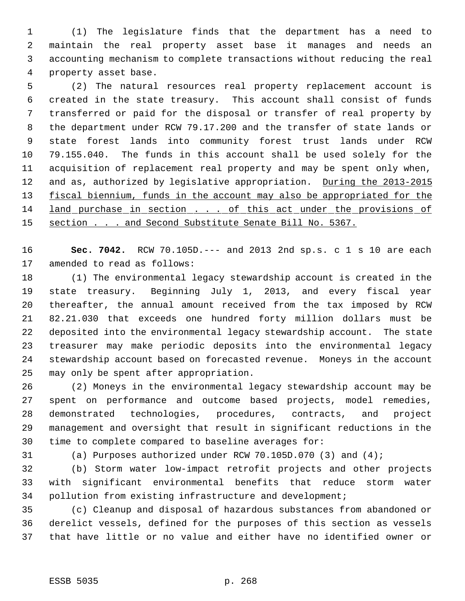(1) The legislature finds that the department has a need to maintain the real property asset base it manages and needs an accounting mechanism to complete transactions without reducing the real property asset base.

 (2) The natural resources real property replacement account is created in the state treasury. This account shall consist of funds transferred or paid for the disposal or transfer of real property by the department under RCW 79.17.200 and the transfer of state lands or state forest lands into community forest trust lands under RCW 79.155.040. The funds in this account shall be used solely for the acquisition of replacement real property and may be spent only when, 12 and as, authorized by legislative appropriation. During the 2013-2015 13 fiscal biennium, funds in the account may also be appropriated for the 14 land purchase in section . . . of this act under the provisions of 15 section . . . and Second Substitute Senate Bill No. 5367.

 **Sec. 7042.** RCW 70.105D.--- and 2013 2nd sp.s. c 1 s 10 are each amended to read as follows:

 (1) The environmental legacy stewardship account is created in the state treasury. Beginning July 1, 2013, and every fiscal year thereafter, the annual amount received from the tax imposed by RCW 82.21.030 that exceeds one hundred forty million dollars must be deposited into the environmental legacy stewardship account. The state treasurer may make periodic deposits into the environmental legacy stewardship account based on forecasted revenue. Moneys in the account may only be spent after appropriation.

 (2) Moneys in the environmental legacy stewardship account may be spent on performance and outcome based projects, model remedies, demonstrated technologies, procedures, contracts, and project management and oversight that result in significant reductions in the time to complete compared to baseline averages for:

(a) Purposes authorized under RCW 70.105D.070 (3) and (4);

 (b) Storm water low-impact retrofit projects and other projects with significant environmental benefits that reduce storm water pollution from existing infrastructure and development;

 (c) Cleanup and disposal of hazardous substances from abandoned or derelict vessels, defined for the purposes of this section as vessels that have little or no value and either have no identified owner or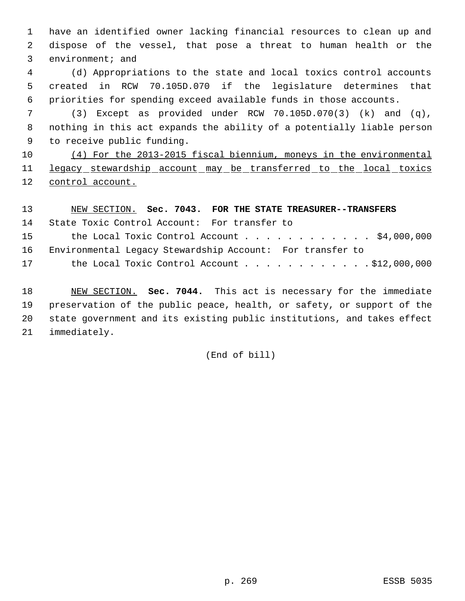have an identified owner lacking financial resources to clean up and dispose of the vessel, that pose a threat to human health or the environment; and

 (d) Appropriations to the state and local toxics control accounts created in RCW 70.105D.070 if the legislature determines that priorities for spending exceed available funds in those accounts.

 (3) Except as provided under RCW 70.105D.070(3) (k) and (q), nothing in this act expands the ability of a potentially liable person to receive public funding.

 (4) For the 2013-2015 fiscal biennium, moneys in the environmental 11 legacy stewardship account may be transferred to the local toxics control account.

 NEW SECTION. **Sec. 7043. FOR THE STATE TREASURER--TRANSFERS** State Toxic Control Account: For transfer to 15 the Local Toxic Control Account . . . . . . . . . . . \$4,000,000 Environmental Legacy Stewardship Account: For transfer to 17 the Local Toxic Control Account . . . . . . . . . . . \$12,000,000 NEW SECTION. **Sec. 7044.** This act is necessary for the immediate preservation of the public peace, health, or safety, or support of the state government and its existing public institutions, and takes effect

immediately.

(End of bill)